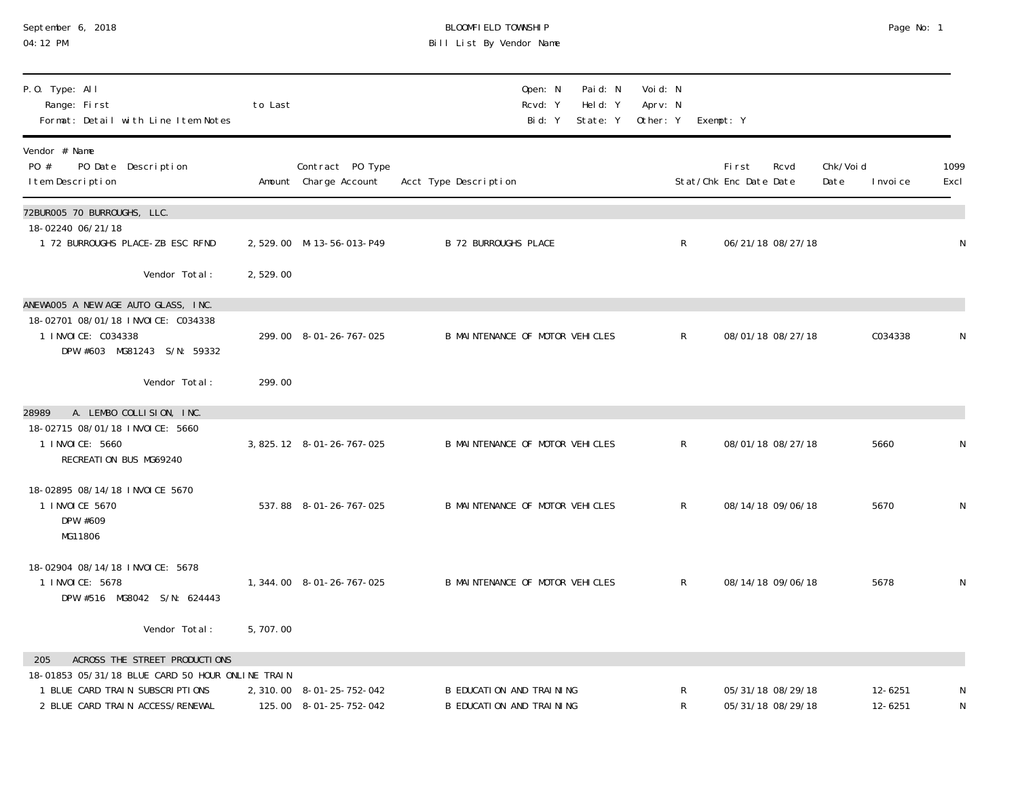| September 6, 2018 |  |  |
|-------------------|--|--|
| 04:12 PM          |  |  |

# September 6, 2018 BLOOMFIELD TOWNSHIP Page No: 1 04:12 PM Bill List By Vendor Name

| P.O. Type: All<br>Range: First<br>Format: Detail with Line Item Notes                                                                                           | to Last  |                                                     | Paid: N<br>Open: N<br>Held: Y<br>Rcvd: Y<br>Bid: Y<br>State: Y | Voi d: N<br>Aprv: N<br>Other: Y | Exempt: Y                               |                                |              |
|-----------------------------------------------------------------------------------------------------------------------------------------------------------------|----------|-----------------------------------------------------|----------------------------------------------------------------|---------------------------------|-----------------------------------------|--------------------------------|--------------|
| Vendor # Name<br>PO #<br>PO Date Description<br>I tem Description                                                                                               |          | Contract PO Type<br>Amount Charge Account           | Acct Type Description                                          |                                 | First<br>Rcvd<br>Stat/Chk Enc Date Date | Chk/Voi d<br>Date<br>I nvoi ce | 1099<br>Excl |
| 72BUR005 70 BURROUGHS, LLC.<br>18-02240 06/21/18<br>1 72 BURROUGHS PLACE-ZB ESC RFND                                                                            |          | 2,529.00 M-13-56-013-P49                            | <b>B 72 BURROUGHS PLACE</b>                                    | $\mathsf{R}$                    | 06/21/18 08/27/18                       |                                | N            |
| Vendor Total:                                                                                                                                                   | 2,529.00 |                                                     |                                                                |                                 |                                         |                                |              |
| ANEWAOO5 A NEW AGE AUTO GLASS, INC.<br>18-02701 08/01/18 INVOICE: C034338<br>1 I NVOI CE: C034338<br>DPW #603 MG81243 S/N: 59332                                |          | 299.00 8-01-26-767-025                              | B MAINTENANCE OF MOTOR VEHICLES                                | $\mathsf{R}$                    | 08/01/18 08/27/18                       | C034338                        | N            |
| Vendor Total:                                                                                                                                                   | 299.00   |                                                     |                                                                |                                 |                                         |                                |              |
| A. LEMBO COLLISION, INC.<br>28989<br>18-02715 08/01/18 INVOICE: 5660<br>1 I NVOI CE: 5660<br>RECREATION BUS MG69240                                             |          | 3, 825. 12 8-01-26-767-025                          | B MAINTENANCE OF MOTOR VEHICLES                                | $\mathsf{R}$                    | 08/01/18 08/27/18                       | 5660                           | N            |
| 18-02895 08/14/18 INVOICE 5670<br>1 I NVOI CE 5670<br>DPW #609<br>MG11806                                                                                       |          | 537.88 8-01-26-767-025                              | B MAINTENANCE OF MOTOR VEHICLES                                | R                               | 08/14/18 09/06/18                       | 5670                           | N            |
| 18-02904 08/14/18 INVOICE: 5678<br>1 I NVOI CE: 5678<br>DPW #516 MG8042 S/N: 624443                                                                             |          | 1, 344.00 8-01-26-767-025                           | B MAINTENANCE OF MOTOR VEHICLES                                | $\mathsf{R}$                    | 08/14/18 09/06/18                       | 5678                           | N            |
| Vendor Total:                                                                                                                                                   | 5,707.00 |                                                     |                                                                |                                 |                                         |                                |              |
| ACROSS THE STREET PRODUCTIONS<br>205<br>18-01853 05/31/18 BLUE CARD 50 HOUR ONLINE TRAIN<br>1 BLUE CARD TRAIN SUBSCRIPTIONS<br>2 BLUE CARD TRAIN ACCESS/RENEWAL |          | 2, 310.00 8-01-25-752-042<br>125.00 8-01-25-752-042 | <b>B EDUCATION AND TRAINING</b><br>B EDUCATION AND TRAINING    | R<br>R                          | 05/31/18 08/29/18<br>05/31/18 08/29/18  | 12-6251<br>12-6251             | N<br>N       |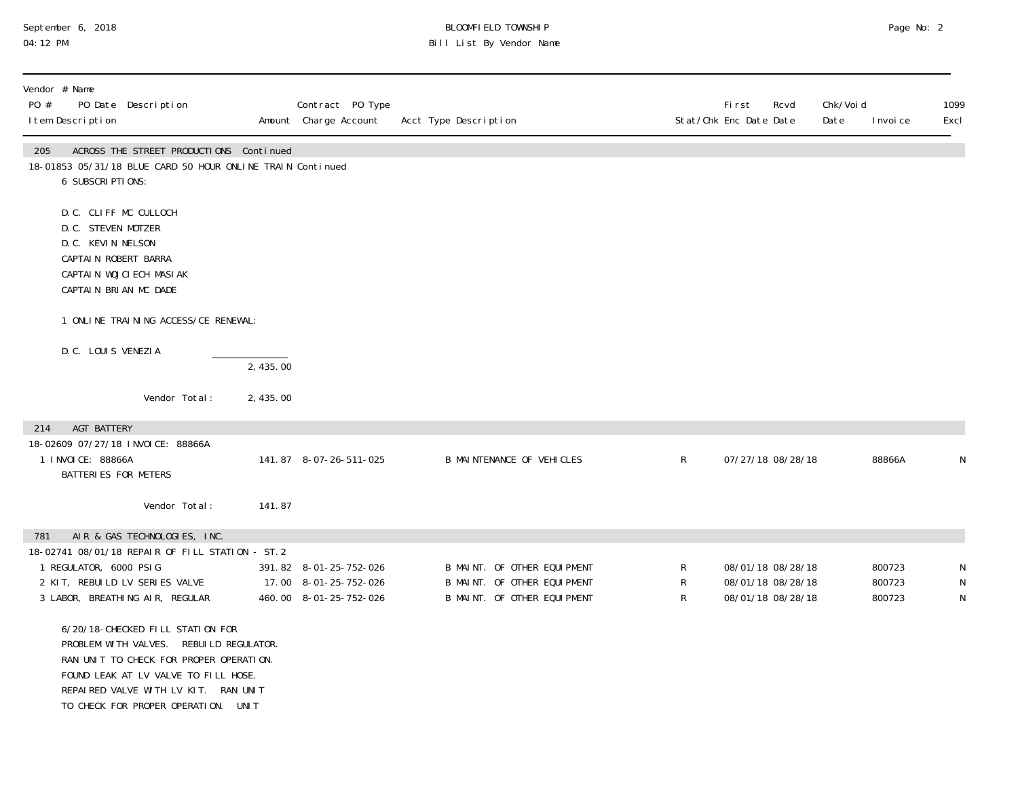# September 6, 2018 BLOOMFIELD TOWNSHIP Page No: 2 04:12 PM Bill List By Vendor Name

| Vendor # Name<br>PO #<br>PO Date Description<br>I tem Description                                                                                      |                                                                                                                                                                                                                          |          | Contract PO Type<br>Amount Charge Account                                 | Acct Type Description |                                                                                           |                       | First<br>Rcvd<br>Stat/Chk Enc Date Date                     | Chk/Void<br>Date | I nvoi ce                  | 1099<br>Excl |
|--------------------------------------------------------------------------------------------------------------------------------------------------------|--------------------------------------------------------------------------------------------------------------------------------------------------------------------------------------------------------------------------|----------|---------------------------------------------------------------------------|-----------------------|-------------------------------------------------------------------------------------------|-----------------------|-------------------------------------------------------------|------------------|----------------------------|--------------|
| 205<br>18-01853 05/31/18 BLUE CARD 50 HOUR ONLINE TRAIN Continued<br>6 SUBSCRIPTIONS:                                                                  | ACROSS THE STREET PRODUCTIONS Continued                                                                                                                                                                                  |          |                                                                           |                       |                                                                                           |                       |                                                             |                  |                            |              |
| D.C. CLIFF MC CULLOCH<br>D.C. STEVEN MOTZER<br>D.C. KEVIN NELSON<br>CAPTAIN ROBERT BARRA<br>CAPTAIN WOJCIECH MASIAK<br>CAPTAIN BRIAN MC DADE           |                                                                                                                                                                                                                          |          |                                                                           |                       |                                                                                           |                       |                                                             |                  |                            |              |
|                                                                                                                                                        | 1 ONLINE TRAINING ACCESS/CE RENEWAL:                                                                                                                                                                                     |          |                                                                           |                       |                                                                                           |                       |                                                             |                  |                            |              |
| D.C. LOUIS VENEZIA                                                                                                                                     |                                                                                                                                                                                                                          | 2,435.00 |                                                                           |                       |                                                                                           |                       |                                                             |                  |                            |              |
|                                                                                                                                                        | Vendor Total:                                                                                                                                                                                                            | 2,435.00 |                                                                           |                       |                                                                                           |                       |                                                             |                  |                            |              |
| AGT BATTERY<br>214<br>18-02609 07/27/18 INVOICE: 88866A<br>1 I NVOI CE: 88866A<br>BATTERIES FOR METERS                                                 |                                                                                                                                                                                                                          |          | 141.87 8-07-26-511-025                                                    |                       | <b>B MAINTENANCE OF VEHICLES</b>                                                          | $\mathsf R$           | 07/27/18 08/28/18                                           |                  | 88866A                     | N            |
|                                                                                                                                                        | Vendor Total:                                                                                                                                                                                                            | 141.87   |                                                                           |                       |                                                                                           |                       |                                                             |                  |                            |              |
| 781<br>18-02741 08/01/18 REPAIR OF FILL STATION - ST. 2<br>1 REGULATOR, 6000 PSIG<br>2 KIT, REBUILD LV SERIES VALVE<br>3 LABOR, BREATHING AIR, REGULAR | AIR & GAS TECHNOLOGIES, INC.                                                                                                                                                                                             |          | 391.82 8-01-25-752-026<br>17.00 8-01-25-752-026<br>460.00 8-01-25-752-026 |                       | B MAINT. OF OTHER EQUIPMENT<br>B MAINT. OF OTHER EQUIPMENT<br>B MAINT. OF OTHER EQUIPMENT | $\mathsf R$<br>R<br>R | 08/01/18 08/28/18<br>08/01/18 08/28/18<br>08/01/18 08/28/18 |                  | 800723<br>800723<br>800723 | N<br>N<br>N  |
| PROBLEM WITH VALVES.                                                                                                                                   | 6/20/18-CHECKED FILL STATION FOR<br>REBUILD REGULATOR.<br>RAN UNIT TO CHECK FOR PROPER OPERATION.<br>FOUND LEAK AT LV VALVE TO FILL HOSE.<br>REPAIRED VALVE WITH LV KIT. RAN UNIT<br>TO CHECK FOR PROPER OPERATION. UNIT |          |                                                                           |                       |                                                                                           |                       |                                                             |                  |                            |              |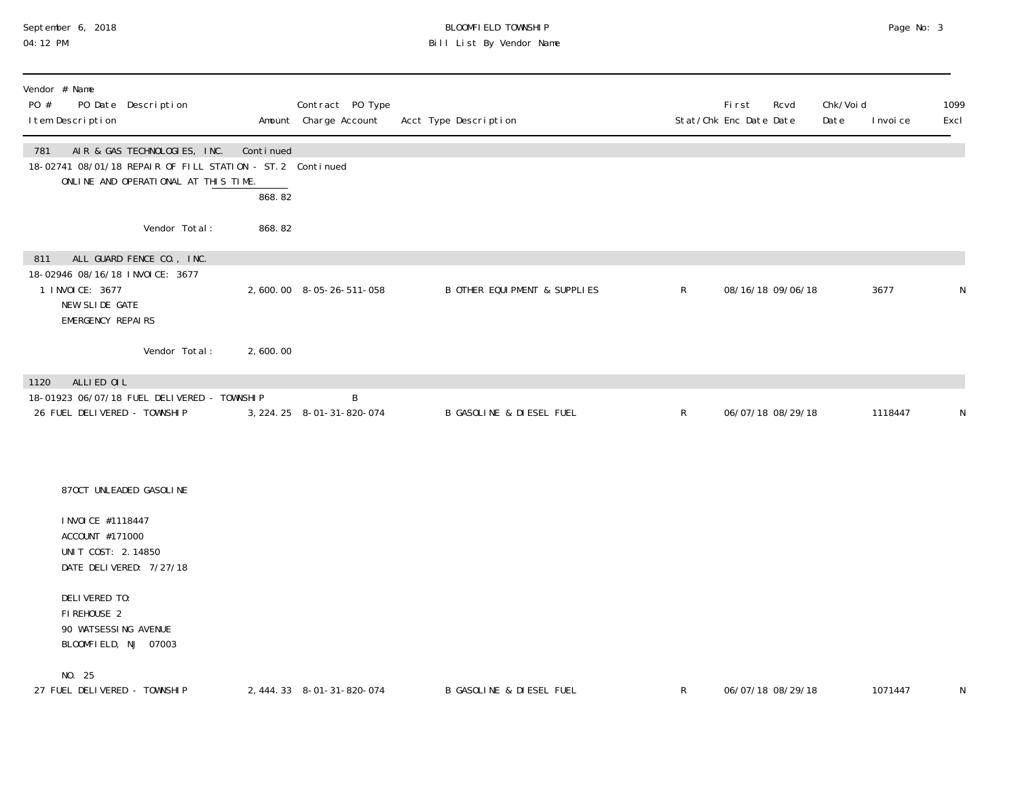# September 6, 2018 BLOOMFIELD TOWNSHIP Page No: 3 04:12 PM Bill List By Vendor Name

| Vendor # Name<br>PO Date Description<br>PO #<br>I tem Description                                                                         |                     | Contract PO Type<br>Amount Charge Account | Acct Type Description               |              | First<br>Rcvd<br>Stat/Chk Enc Date Date | Chk/Voi d<br>Date | I nvoi ce | 1099<br>Excl |
|-------------------------------------------------------------------------------------------------------------------------------------------|---------------------|-------------------------------------------|-------------------------------------|--------------|-----------------------------------------|-------------------|-----------|--------------|
| AIR & GAS TECHNOLOGIES, INC.<br>781<br>18-02741 08/01/18 REPAIR OF FILL STATION - ST. 2 Continued<br>ONLINE AND OPERATIONAL AT THIS TIME. | Continued<br>868.82 |                                           |                                     |              |                                         |                   |           |              |
| Vendor Total:                                                                                                                             | 868.82              |                                           |                                     |              |                                         |                   |           |              |
| ALL GUARD FENCE CO., INC.<br>811<br>18-02946 08/16/18 INVOICE: 3677<br>1 I NVOI CE: 3677<br>NEW SLIDE GATE<br><b>EMERGENCY REPAIRS</b>    |                     | 2,600.00 8-05-26-511-058                  | B OTHER EQUI PMENT & SUPPLIES       | $\mathsf{R}$ | 08/16/18 09/06/18                       |                   | 3677      | ${\sf N}$    |
| Vendor Total:                                                                                                                             | 2,600.00            |                                           |                                     |              |                                         |                   |           |              |
| ALLIED OIL<br>1120<br>18-01923 06/07/18 FUEL DELIVERED - TOWNSHIP<br>26 FUEL DELIVERED - TOWNSHIP                                         |                     | B<br>3, 224. 25 8-01-31-820-074           | <b>B GASOLINE &amp; DIESEL FUEL</b> | $\mathsf{R}$ | 06/07/18 08/29/18                       |                   | 1118447   | N            |
| 870CT UNLEADED GASOLINE                                                                                                                   |                     |                                           |                                     |              |                                         |                   |           |              |
| I NVOI CE #1118447<br>ACCOUNT #171000<br>UNIT COST: 2.14850<br>DATE DELIVERED: 7/27/18                                                    |                     |                                           |                                     |              |                                         |                   |           |              |
| DELIVERED TO:<br>FIREHOUSE 2<br>90 WATSESSING AVENUE<br>BLOOMFIELD, NJ 07003                                                              |                     |                                           |                                     |              |                                         |                   |           |              |
| NO. 25<br>27 FUEL DELIVERED - TOWNSHIP                                                                                                    |                     | 2, 444. 33 8-01-31-820-074                | <b>B GASOLINE &amp; DIESEL FUEL</b> | $\mathsf{R}$ | 06/07/18 08/29/18                       |                   | 1071447   | N            |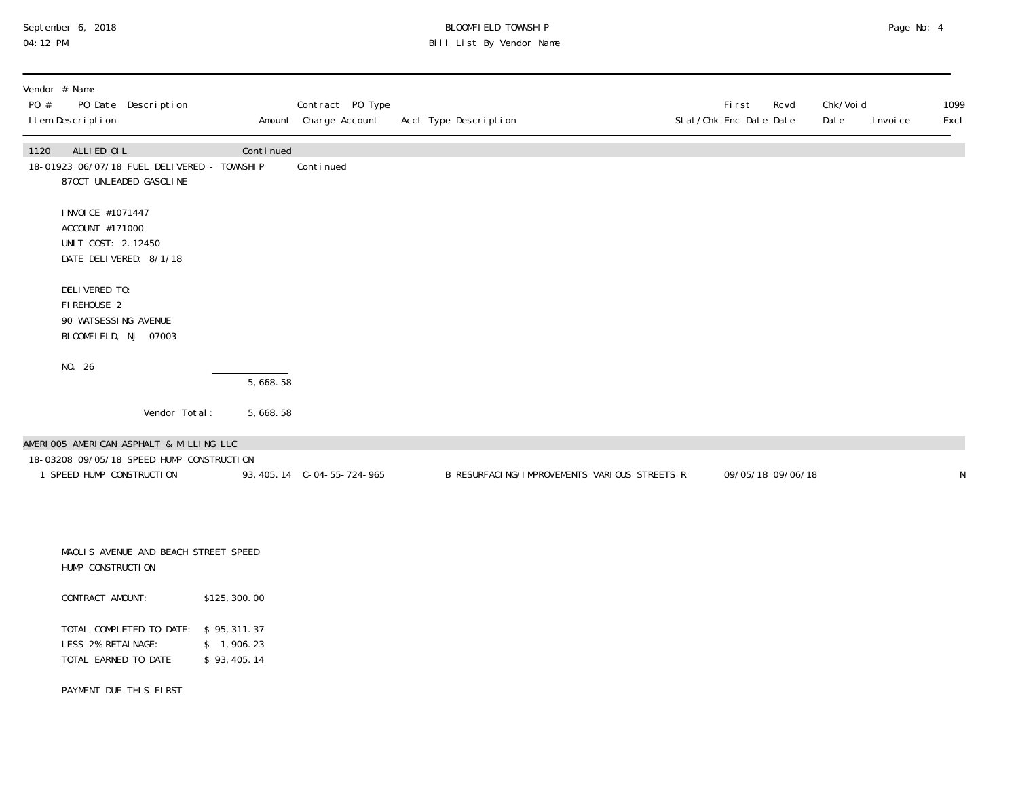# September 6, 2018 BLOOMFIELD TOWNSHIP Page No: 4 04:12 PM Bill List By Vendor Name

| Vendor # Name<br>PO #<br>PO Date Description<br>I tem Description                            |               |                           | Contract PO Type<br>Amount Charge Account | Acct Type Description                        | First<br>Rcvd<br>Stat/Chk Enc Date Date | Chk/Voi d<br>Date | 1099<br>Excl<br>I nvoi ce |
|----------------------------------------------------------------------------------------------|---------------|---------------------------|-------------------------------------------|----------------------------------------------|-----------------------------------------|-------------------|---------------------------|
| ALLIED OIL<br>1120<br>18-01923 06/07/18 FUEL DELIVERED - TOWNSHIP<br>870CT UNLEADED GASOLINE |               | Continued                 | Conti nued                                |                                              |                                         |                   |                           |
| I NVOI CE #1071447<br>ACCOUNT #171000<br>UNIT COST: 2.12450<br>DATE DELIVERED: 8/1/18        |               |                           |                                           |                                              |                                         |                   |                           |
| DELIVERED TO:<br>FIREHOUSE 2<br>90 WATSESSING AVENUE<br>BLOOMFIELD, NJ 07003                 |               |                           |                                           |                                              |                                         |                   |                           |
| NO. 26                                                                                       |               | 5,668.58                  |                                           |                                              |                                         |                   |                           |
|                                                                                              | Vendor Total: | 5,668.58                  |                                           |                                              |                                         |                   |                           |
| AMERIOO5 AMERICAN ASPHALT & MILLING LLC                                                      |               |                           |                                           |                                              |                                         |                   |                           |
| 18-03208 09/05/18 SPEED HUMP CONSTRUCTION<br>1 SPEED HUMP CONSTRUCTION                       |               |                           | 93, 405. 14 C-04-55-724-965               | B RESURFACING/IMPROVEMENTS VARIOUS STREETS R | 09/05/18 09/06/18                       |                   | N                         |
|                                                                                              |               |                           |                                           |                                              |                                         |                   |                           |
| MAOLIS AVENUE AND BEACH STREET SPEED<br>HUMP CONSTRUCTION                                    |               |                           |                                           |                                              |                                         |                   |                           |
| CONTRACT AMOUNT:                                                                             |               | \$125, 300.00             |                                           |                                              |                                         |                   |                           |
| TOTAL COMPLETED TO DATE: \$95,311.37<br>LESS 2% RETAINAGE:<br>TOTAL EARNED TO DATE           |               | \$1,906.23<br>\$93,405.14 |                                           |                                              |                                         |                   |                           |
| PAYMENT DUE THIS FIRST                                                                       |               |                           |                                           |                                              |                                         |                   |                           |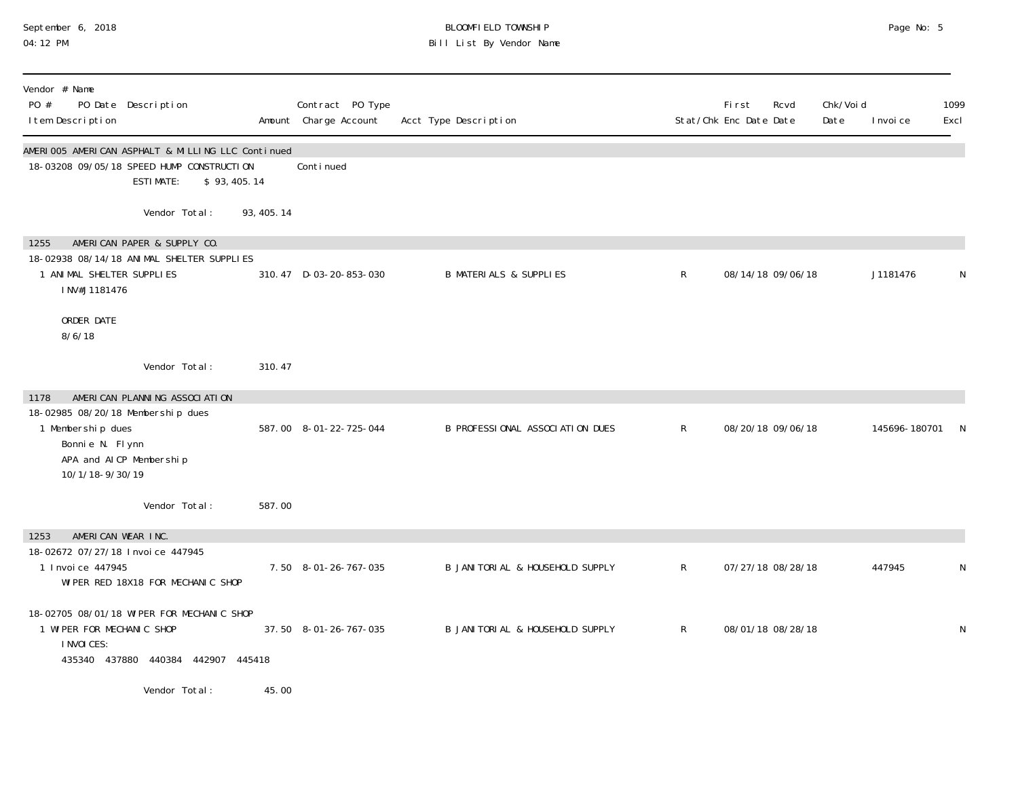# September 6, 2018 BLOOMFIELD TOWNSHIP Page No: 5 04:12 PM Bill List By Vendor Name

| Vendor # Name<br>PO #<br>PO Date Description<br>I tem Description                                                               |                                   |             | Contract PO Type<br>Amount Charge Account | Acct Type Description             |              | First<br>Stat/Chk Enc Date Date | Rcvd              | Chk/Voi d<br>Date | I nvoi ce     | 1099<br>Excl |
|---------------------------------------------------------------------------------------------------------------------------------|-----------------------------------|-------------|-------------------------------------------|-----------------------------------|--------------|---------------------------------|-------------------|-------------------|---------------|--------------|
| AMERIOO5 AMERICAN ASPHALT & MILLING LLC Continued<br>18-03208 09/05/18 SPEED HUMP CONSTRUCTION                                  | <b>ESTIMATE:</b>                  | \$93,405.14 | Conti nued                                |                                   |              |                                 |                   |                   |               |              |
|                                                                                                                                 | Vendor Total:                     | 93, 405. 14 |                                           |                                   |              |                                 |                   |                   |               |              |
| 1255<br>18-02938 08/14/18 ANIMAL SHELTER SUPPLIES<br>1 ANIMAL SHELTER SUPPLIES<br>INV#J1181476                                  | AMERICAN PAPER & SUPPLY CO.       |             | 310.47 D-03-20-853-030                    | <b>B MATERIALS &amp; SUPPLIES</b> | $\mathsf{R}$ |                                 | 08/14/18 09/06/18 |                   | J1181476      | N            |
| ORDER DATE<br>8/6/18                                                                                                            |                                   |             |                                           |                                   |              |                                 |                   |                   |               |              |
|                                                                                                                                 | Vendor Total:                     | 310.47      |                                           |                                   |              |                                 |                   |                   |               |              |
| 1178<br>18-02985 08/20/18 Membership dues<br>1 Membership dues<br>Bonnie N. Flynn<br>APA and AICP Membership<br>10/1/18-9/30/19 | AMERICAN PLANNING ASSOCIATION     |             | 587.00 8-01-22-725-044                    | B PROFESSIONAL ASSOCIATION DUES   | $\mathsf{R}$ |                                 | 08/20/18 09/06/18 |                   | 145696-180701 |              |
|                                                                                                                                 | Vendor Total:                     | 587.00      |                                           |                                   |              |                                 |                   |                   |               |              |
| AMERICAN WEAR INC.<br>1253<br>18-02672 07/27/18 Invoice 447945<br>1 Invoice 447945                                              | WIPER RED 18X18 FOR MECHANIC SHOP |             | 7.50 8-01-26-767-035                      | B JANITORIAL & HOUSEHOLD SUPPLY   | $\mathsf{R}$ |                                 | 07/27/18 08/28/18 |                   | 447945        | N            |
| 18-02705 08/01/18 WIPER FOR MECHANIC SHOP<br>1 WIPER FOR MECHANIC SHOP<br>I NVOI CES:                                           | 435340 437880 440384 442907       | 445418      | 37.50 8-01-26-767-035                     | B JANITORIAL & HOUSEHOLD SUPPLY   | $\mathsf{R}$ |                                 | 08/01/18 08/28/18 |                   |               | N            |
|                                                                                                                                 | Vendor Total:                     | 45.00       |                                           |                                   |              |                                 |                   |                   |               |              |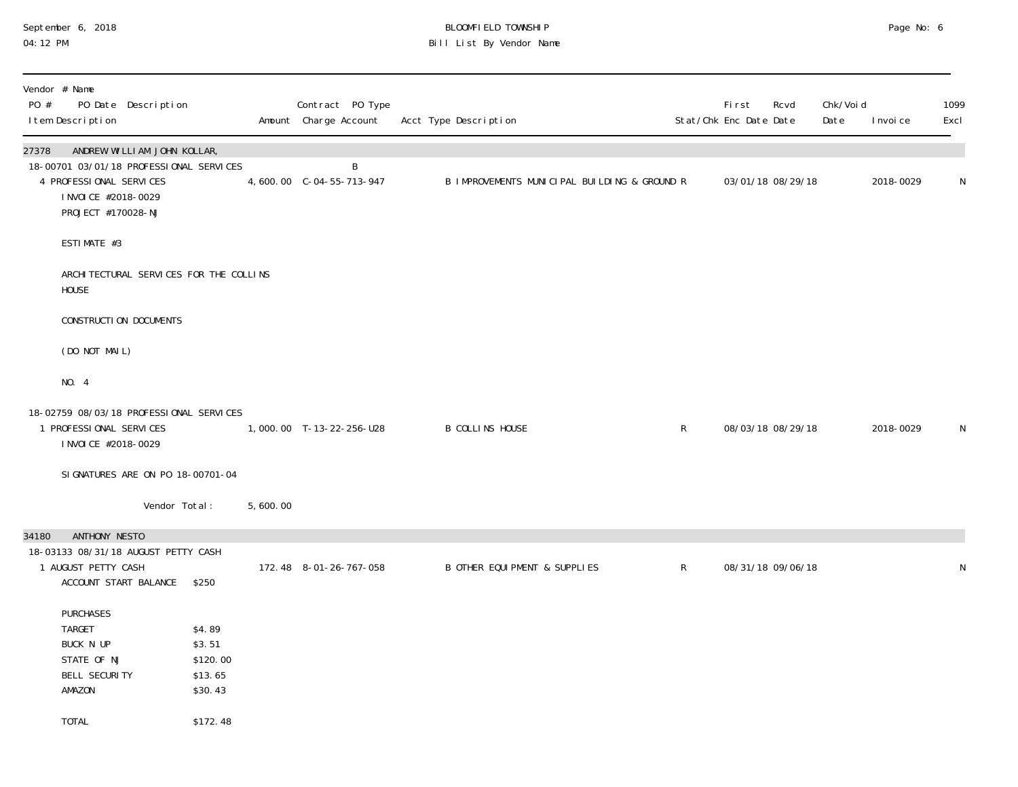## September 6, 2018 BLOOMFIELD TOWNSHIP Page No: 6 04:12 PM Bill List By Vendor Name

| Vendor # Name<br>PO #<br>PO Date Description<br>I tem Description                                                                                        |                                                                |          | Contract PO Type<br>Amount Charge Account | Acct Type Description                        |              | <b>First</b><br>Stat/Chk Enc Date Date | Rcvd              | Chk/Void<br>Date | I nvoi ce | 1099<br>Excl |
|----------------------------------------------------------------------------------------------------------------------------------------------------------|----------------------------------------------------------------|----------|-------------------------------------------|----------------------------------------------|--------------|----------------------------------------|-------------------|------------------|-----------|--------------|
| ANDREW WILLIAM JOHN KOLLAR,<br>27378<br>18-00701 03/01/18 PROFESSIONAL SERVICES<br>4 PROFESSIONAL SERVICES<br>I NVOI CE #2018-0029<br>PROJECT #170028-NJ |                                                                |          | B                                         | B IMPROVEMENTS MUNICIPAL BUILDING & GROUND R |              |                                        | 03/01/18 08/29/18 |                  | 2018-0029 | N            |
| ESTIMATE #3                                                                                                                                              |                                                                |          |                                           |                                              |              |                                        |                   |                  |           |              |
| ARCHITECTURAL SERVICES FOR THE COLLINS<br><b>HOUSE</b>                                                                                                   |                                                                |          |                                           |                                              |              |                                        |                   |                  |           |              |
| CONSTRUCTION DOCUMENTS                                                                                                                                   |                                                                |          |                                           |                                              |              |                                        |                   |                  |           |              |
| (DO NOT MAIL)                                                                                                                                            |                                                                |          |                                           |                                              |              |                                        |                   |                  |           |              |
| NO. 4                                                                                                                                                    |                                                                |          |                                           |                                              |              |                                        |                   |                  |           |              |
| 18-02759 08/03/18 PROFESSIONAL SERVICES<br>1 PROFESSIONAL SERVICES<br>I NVOI CE #2018-0029                                                               |                                                                |          | 1,000.00 T-13-22-256-U28                  | <b>B COLLINS HOUSE</b>                       | $\mathsf{R}$ |                                        | 08/03/18 08/29/18 |                  | 2018-0029 | N            |
| SI GNATURES ARE ON PO 18-00701-04                                                                                                                        |                                                                |          |                                           |                                              |              |                                        |                   |                  |           |              |
| Vendor Total:                                                                                                                                            |                                                                | 5,600.00 |                                           |                                              |              |                                        |                   |                  |           |              |
| 34180<br>ANTHONY NESTO<br>18-03133 08/31/18 AUGUST PETTY CASH<br>1 AUGUST PETTY CASH<br>ACCOUNT START BALANCE                                            | \$250                                                          |          | 172.48 8-01-26-767-058                    | B OTHER EQUI PMENT & SUPPLIES                | $\mathsf{R}$ |                                        | 08/31/18 09/06/18 |                  |           | ${\sf N}$    |
| <b>PURCHASES</b><br><b>TARGET</b><br>BUCK N UP<br>STATE OF NJ<br>BELL SECURITY<br>AMAZON<br><b>TOTAL</b>                                                 | \$4.89<br>\$3.51<br>\$120.00<br>\$13.65<br>\$30.43<br>\$172.48 |          |                                           |                                              |              |                                        |                   |                  |           |              |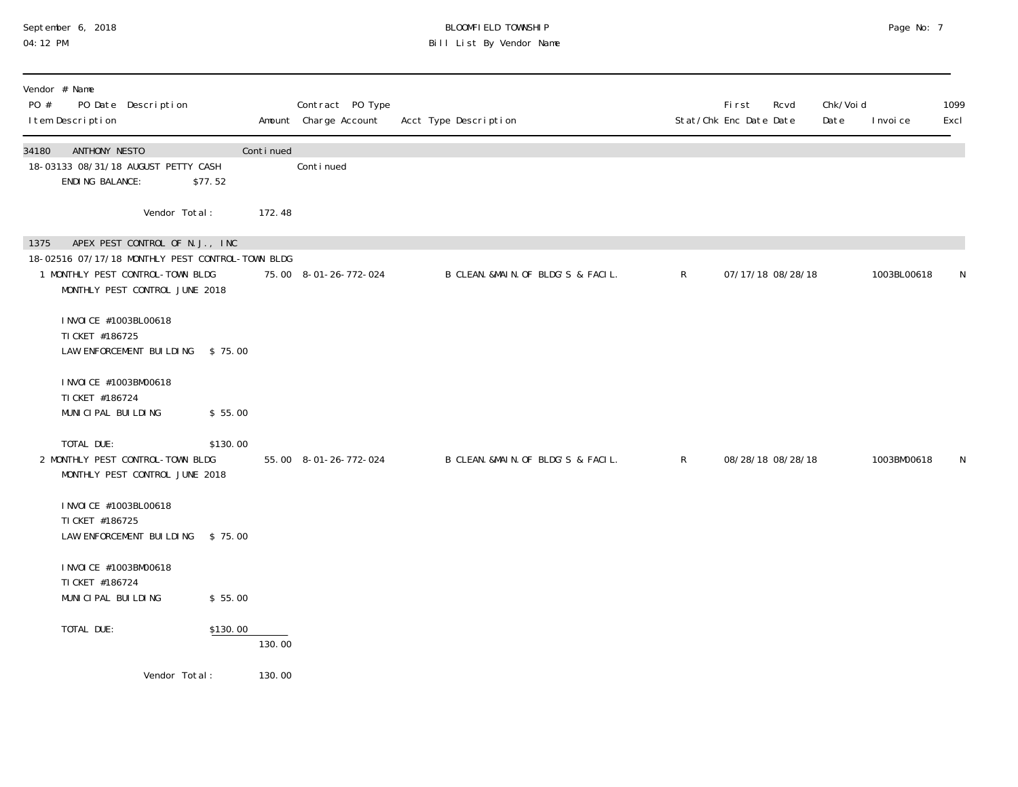# September 6, 2018 BLOOMFIELD TOWNSHIP Page No: 7 04:12 PM Bill List By Vendor Name

| Vendor # Name<br>PO #<br>PO Date Description<br>I tem Description                                                                                                |          |           | Contract PO Type<br>Amount Charge Account | Acct Type Description              |              | First<br>Stat/Chk Enc Date Date | Rcvd              | Chk/Voi d<br>Date | I nvoi ce   | 1099<br>Excl |
|------------------------------------------------------------------------------------------------------------------------------------------------------------------|----------|-----------|-------------------------------------------|------------------------------------|--------------|---------------------------------|-------------------|-------------------|-------------|--------------|
| ANTHONY NESTO<br>34180<br>18-03133 08/31/18 AUGUST PETTY CASH<br>ENDING BALANCE:                                                                                 | \$77.52  | Continued | Continued                                 |                                    |              |                                 |                   |                   |             |              |
| Vendor Total:                                                                                                                                                    |          | 172.48    |                                           |                                    |              |                                 |                   |                   |             |              |
| APEX PEST CONTROL OF N.J., INC<br>1375<br>18-02516 07/17/18 MONTHLY PEST CONTROL-TOWN BLDG<br>1 MONTHLY PEST CONTROL-TOWN BLDG<br>MONTHLY PEST CONTROL JUNE 2018 |          |           | 75.00 8-01-26-772-024                     | B CLEAN. &MAIN. OF BLDG'S & FACIL. | $\mathsf{R}$ |                                 | 07/17/18 08/28/18 |                   | 1003BL00618 | N            |
| I NVOI CE #1003BL00618<br>TI CKET #186725<br>LAW ENFORCEMENT BUILDING                                                                                            | \$75.00  |           |                                           |                                    |              |                                 |                   |                   |             |              |
| I NVOI CE #1003BM00618<br>TI CKET #186724<br>MUNICIPAL BUILDING                                                                                                  | \$55.00  |           |                                           |                                    |              |                                 |                   |                   |             |              |
| TOTAL DUE:<br>2 MONTHLY PEST CONTROL-TOWN BLDG<br>MONTHLY PEST CONTROL JUNE 2018                                                                                 | \$130.00 |           | 55.00 8-01-26-772-024                     | B CLEAN. &MAIN. OF BLDG'S & FACIL. | $\mathsf{R}$ |                                 | 08/28/18 08/28/18 |                   | 1003BM00618 | N            |
| I NVOI CE #1003BL00618<br>TI CKET #186725<br>LAW ENFORCEMENT BUILDING                                                                                            | \$75.00  |           |                                           |                                    |              |                                 |                   |                   |             |              |
| I NVOI CE #1003BM00618<br>TI CKET #186724<br>MUNICIPAL BUILDING                                                                                                  | \$55.00  |           |                                           |                                    |              |                                 |                   |                   |             |              |
| TOTAL DUE:                                                                                                                                                       | \$130.00 | 130.00    |                                           |                                    |              |                                 |                   |                   |             |              |
| Vendor Total:                                                                                                                                                    |          | 130.00    |                                           |                                    |              |                                 |                   |                   |             |              |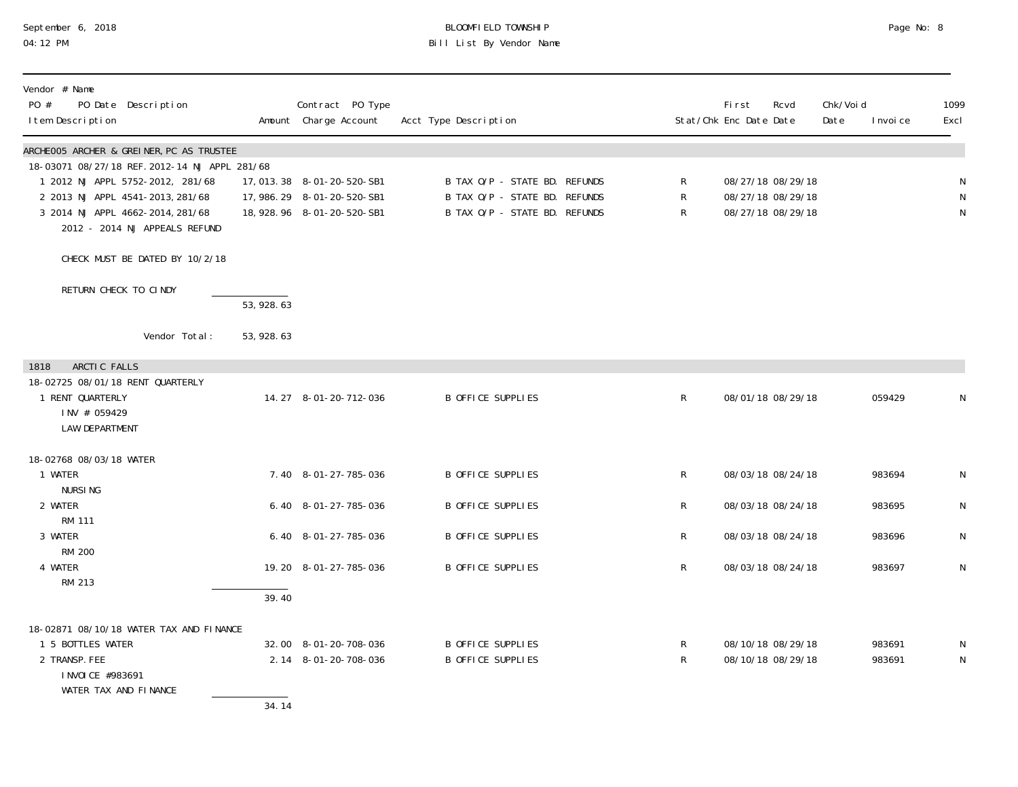# September 6, 2018 BLOOMFIELD TOWNSHIP Page No: 8 04:12 PM Bill List By Vendor Name

| Vendor # Name<br>PO #<br>I tem Description                                                                            | PO Date Description                                                                                                                                                                                                                    |             | Contract PO Type<br>Amount Charge Account                                                 | Acct Type Description                                                                           |                                   | <b>First</b><br>Stat/Chk Enc Date Date                      | Rcvd | Chk/Voi d<br>Date | I nvoi ce        | 1099<br>Excl                |
|-----------------------------------------------------------------------------------------------------------------------|----------------------------------------------------------------------------------------------------------------------------------------------------------------------------------------------------------------------------------------|-------------|-------------------------------------------------------------------------------------------|-------------------------------------------------------------------------------------------------|-----------------------------------|-------------------------------------------------------------|------|-------------------|------------------|-----------------------------|
|                                                                                                                       | ARCHEOO5 ARCHER & GREINER, PC AS TRUSTEE<br>18-03071 08/27/18 REF. 2012-14 NJ APPL 281/68<br>1 2012 NJ APPL 5752-2012, 281/68<br>2 2013 NJ APPL 4541-2013, 281/68<br>3 2014 NJ APPL 4662-2014, 281/68<br>2012 - 2014 NJ APPEALS REFUND |             | 17, 013. 38 8-01-20-520-SB1<br>17, 986. 29 8-01-20-520-SB1<br>18, 928. 96 8-01-20-520-SB1 | B TAX O/P - STATE BD. REFUNDS<br>B TAX O/P - STATE BD. REFUNDS<br>B TAX O/P - STATE BD. REFUNDS | $\mathsf{R}$<br>R<br>$\mathsf{R}$ | 08/27/18 08/29/18<br>08/27/18 08/29/18<br>08/27/18 08/29/18 |      |                   |                  | N<br>${\sf N}$<br>${\sf N}$ |
|                                                                                                                       | CHECK MUST BE DATED BY 10/2/18                                                                                                                                                                                                         |             |                                                                                           |                                                                                                 |                                   |                                                             |      |                   |                  |                             |
| RETURN CHECK TO CINDY                                                                                                 |                                                                                                                                                                                                                                        | 53,928.63   |                                                                                           |                                                                                                 |                                   |                                                             |      |                   |                  |                             |
|                                                                                                                       | Vendor Total:                                                                                                                                                                                                                          | 53, 928. 63 |                                                                                           |                                                                                                 |                                   |                                                             |      |                   |                  |                             |
| ARCTIC FALLS<br>1818<br>18-02725 08/01/18 RENT QUARTERLY<br>1 RENT QUARTERLY<br>INV # 059429<br><b>LAW DEPARTMENT</b> |                                                                                                                                                                                                                                        |             | 14.27 8-01-20-712-036                                                                     | <b>B OFFICE SUPPLIES</b>                                                                        | $\mathsf{R}$                      | 08/01/18 08/29/18                                           |      |                   | 059429           | N                           |
| 18-02768 08/03/18 WATER<br>1 WATER<br><b>NURSING</b>                                                                  |                                                                                                                                                                                                                                        |             | 7.40 8-01-27-785-036                                                                      | <b>B OFFICE SUPPLIES</b>                                                                        | R                                 | 08/03/18 08/24/18                                           |      |                   | 983694           | N                           |
| 2 WATER<br><b>RM 111</b>                                                                                              |                                                                                                                                                                                                                                        |             | 6.40 8-01-27-785-036                                                                      | <b>B OFFICE SUPPLIES</b>                                                                        | $\mathsf R$                       | 08/03/18 08/24/18                                           |      |                   | 983695           | N                           |
| 3 WATER                                                                                                               |                                                                                                                                                                                                                                        |             | 6.40 8-01-27-785-036                                                                      | <b>B OFFICE SUPPLIES</b>                                                                        | R                                 | 08/03/18 08/24/18                                           |      |                   | 983696           | N                           |
| <b>RM 200</b><br>4 WATER<br>RM 213                                                                                    |                                                                                                                                                                                                                                        |             | 19.20 8-01-27-785-036                                                                     | <b>B OFFICE SUPPLIES</b>                                                                        | R                                 | 08/03/18 08/24/18                                           |      |                   | 983697           | $\mathsf N$                 |
|                                                                                                                       |                                                                                                                                                                                                                                        | 39.40       |                                                                                           |                                                                                                 |                                   |                                                             |      |                   |                  |                             |
| 1 5 BOTTLES WATER<br>2 TRANSP. FEE<br>I NVOI CE #983691<br>WATER TAX AND FINANCE                                      | 18-02871 08/10/18 WATER TAX AND FINANCE                                                                                                                                                                                                | 34.14       | 32.00 8-01-20-708-036<br>2.14 8-01-20-708-036                                             | <b>B OFFICE SUPPLIES</b><br><b>B OFFICE SUPPLIES</b>                                            | $\mathsf{R}$<br>R                 | 08/10/18 08/29/18<br>08/10/18 08/29/18                      |      |                   | 983691<br>983691 | N<br>N                      |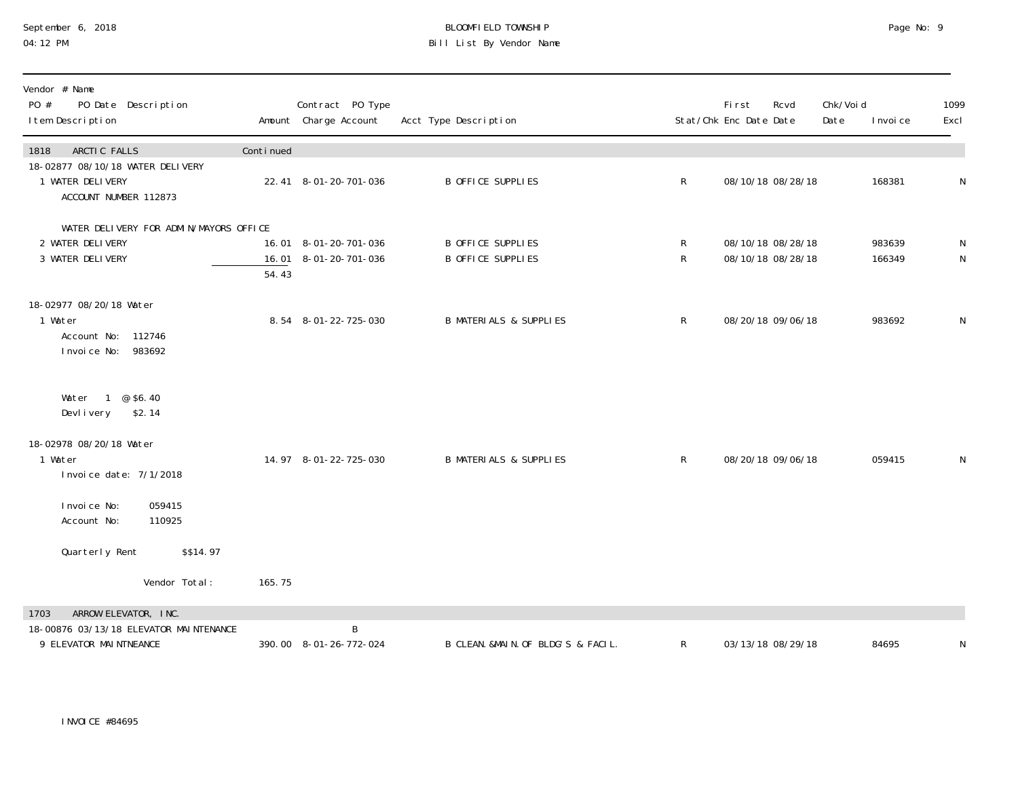#### September 6, 2018 BLOOMFIELD TOWNSHIP Page No: 9 04:12 PM Bill List By Vendor Name

| Vendor # Name<br>PO #<br>PO Date Description<br>I tem Description              |           | Contract PO Type<br>Amount Charge Account      | Acct Type Description                                |                          | <b>First</b><br>Rcvd<br>Stat/Chk Enc Date Date | Chk/Voi d<br>Date | I nvoi ce        | 1099<br>Excl   |
|--------------------------------------------------------------------------------|-----------|------------------------------------------------|------------------------------------------------------|--------------------------|------------------------------------------------|-------------------|------------------|----------------|
| ARCTIC FALLS<br>1818                                                           | Continued |                                                |                                                      |                          |                                                |                   |                  |                |
| 18-02877 08/10/18 WATER DELIVERY<br>1 WATER DELIVERY<br>ACCOUNT NUMBER 112873  |           | 22.41 8-01-20-701-036                          | <b>B OFFICE SUPPLIES</b>                             | $\mathsf{R}$             | 08/10/18 08/28/18                              |                   | 168381           | N              |
| WATER DELIVERY FOR ADMIN/MAYORS OFFICE                                         |           |                                                |                                                      |                          |                                                |                   |                  |                |
| 2 WATER DELIVERY<br>3 WATER DELIVERY                                           | 54.43     | 16.01 8-01-20-701-036<br>16.01 8-01-20-701-036 | <b>B OFFICE SUPPLIES</b><br><b>B OFFICE SUPPLIES</b> | $\mathsf R$<br>${\sf R}$ | 08/10/18 08/28/18<br>08/10/18 08/28/18         |                   | 983639<br>166349 | ${\sf N}$<br>N |
| 18-02977 08/20/18 Water<br>1 Water<br>Account No: 112746<br>Invoice No: 983692 |           | 8.54 8-01-22-725-030                           | <b>B MATERIALS &amp; SUPPLIES</b>                    | $\mathsf R$              | 08/20/18 09/06/18                              |                   | 983692           | ${\sf N}$      |
| Water 1 @ \$6.40<br>\$2.14<br>Devlivery                                        |           |                                                |                                                      |                          |                                                |                   |                  |                |
| 18-02978 08/20/18 Water<br>1 Water<br>Invoice date: 7/1/2018                   |           | 14.97 8-01-22-725-030                          | <b>B MATERIALS &amp; SUPPLIES</b>                    | $\mathsf{R}$             | 08/20/18 09/06/18                              |                   | 059415           | N              |
| I nvoi ce No:<br>059415<br>Account No:<br>110925                               |           |                                                |                                                      |                          |                                                |                   |                  |                |
| Quarterly Rent<br>\$\$14.97                                                    |           |                                                |                                                      |                          |                                                |                   |                  |                |
| Vendor Total:                                                                  | 165.75    |                                                |                                                      |                          |                                                |                   |                  |                |
| ARROW ELEVATOR, INC.<br>1703                                                   |           |                                                |                                                      |                          |                                                |                   |                  |                |
| 18-00876 03/13/18 ELEVATOR MAINTENANCE<br>9 ELEVATOR MAINTNEANCE               |           | B<br>390.00 8-01-26-772-024                    | B CLEAN. &MAIN. OF BLDG'S & FACIL.                   | R                        | 03/13/18 08/29/18                              |                   | 84695            | N              |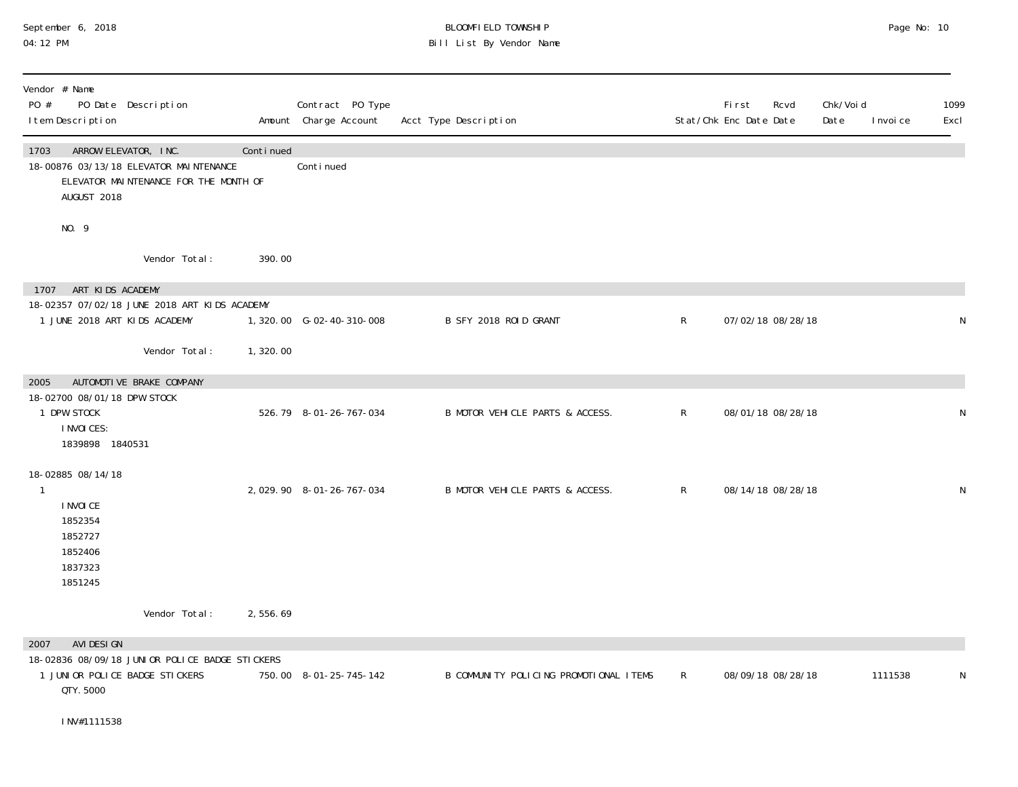## September 6, 2018 BLOOMFIELD TOWNSHIP Page No: 10 04:12 PM Bill List By Vendor Name

| Vendor # Name                                                                                                                  |           |                                           |                                        |              |                                 |                   |                   |           |              |
|--------------------------------------------------------------------------------------------------------------------------------|-----------|-------------------------------------------|----------------------------------------|--------------|---------------------------------|-------------------|-------------------|-----------|--------------|
| PO #<br>PO Date Description<br>I tem Description                                                                               |           | Contract PO Type<br>Amount Charge Account | Acct Type Description                  |              | First<br>Stat/Chk Enc Date Date | Rcvd              | Chk/Voi d<br>Date | I nvoi ce | 1099<br>Excl |
| ARROW ELEVATOR, INC.<br>1703<br>18-00876 03/13/18 ELEVATOR MAINTENANCE<br>ELEVATOR MAINTENANCE FOR THE MONTH OF<br>AUGUST 2018 | Continued | Conti nued                                |                                        |              |                                 |                   |                   |           |              |
| NO. 9                                                                                                                          |           |                                           |                                        |              |                                 |                   |                   |           |              |
| Vendor Total:                                                                                                                  | 390.00    |                                           |                                        |              |                                 |                   |                   |           |              |
| ART KIDS ACADEMY<br>1707                                                                                                       |           |                                           |                                        |              |                                 |                   |                   |           |              |
| 18-02357 07/02/18 JUNE 2018 ART KIDS ACADEMY<br>1 JUNE 2018 ART KIDS ACADEMY                                                   |           | 1,320.00 G-02-40-310-008                  | B SFY 2018 ROID GRANT                  | $\mathsf{R}$ |                                 | 07/02/18 08/28/18 |                   |           | N            |
| Vendor Total:                                                                                                                  | 1,320.00  |                                           |                                        |              |                                 |                   |                   |           |              |
| AUTOMOTI VE BRAKE COMPANY<br>2005                                                                                              |           |                                           |                                        |              |                                 |                   |                   |           |              |
| 18-02700 08/01/18 DPW STOCK<br>1 DPW STOCK<br>I NVOI CES:<br>1839898 1840531                                                   |           | 526.79 8-01-26-767-034                    | B MOTOR VEHICLE PARTS & ACCESS.        | $\mathsf{R}$ |                                 | 08/01/18 08/28/18 |                   |           | N            |
| 18-02885 08/14/18                                                                                                              |           |                                           |                                        |              |                                 |                   |                   |           |              |
| 1<br>I NVOI CE<br>1852354<br>1852727<br>1852406<br>1837323<br>1851245                                                          |           | 2,029.90 8-01-26-767-034                  | B MOTOR VEHICLE PARTS & ACCESS.        | $\mathsf{R}$ |                                 | 08/14/18 08/28/18 |                   |           | N            |
| Vendor Total:                                                                                                                  | 2,556.69  |                                           |                                        |              |                                 |                   |                   |           |              |
| AVI DESI GN<br>2007                                                                                                            |           |                                           |                                        |              |                                 |                   |                   |           |              |
| 18-02836 08/09/18 JUNIOR POLICE BADGE STICKERS<br>1 JUNIOR POLICE BADGE STICKERS<br>QTY. 5000                                  |           | 750.00 8-01-25-745-142                    | B COMMUNITY POLICING PROMOTIONAL ITEMS | $\mathsf{R}$ |                                 | 08/09/18 08/28/18 |                   | 1111538   | N            |
| INV#1111538                                                                                                                    |           |                                           |                                        |              |                                 |                   |                   |           |              |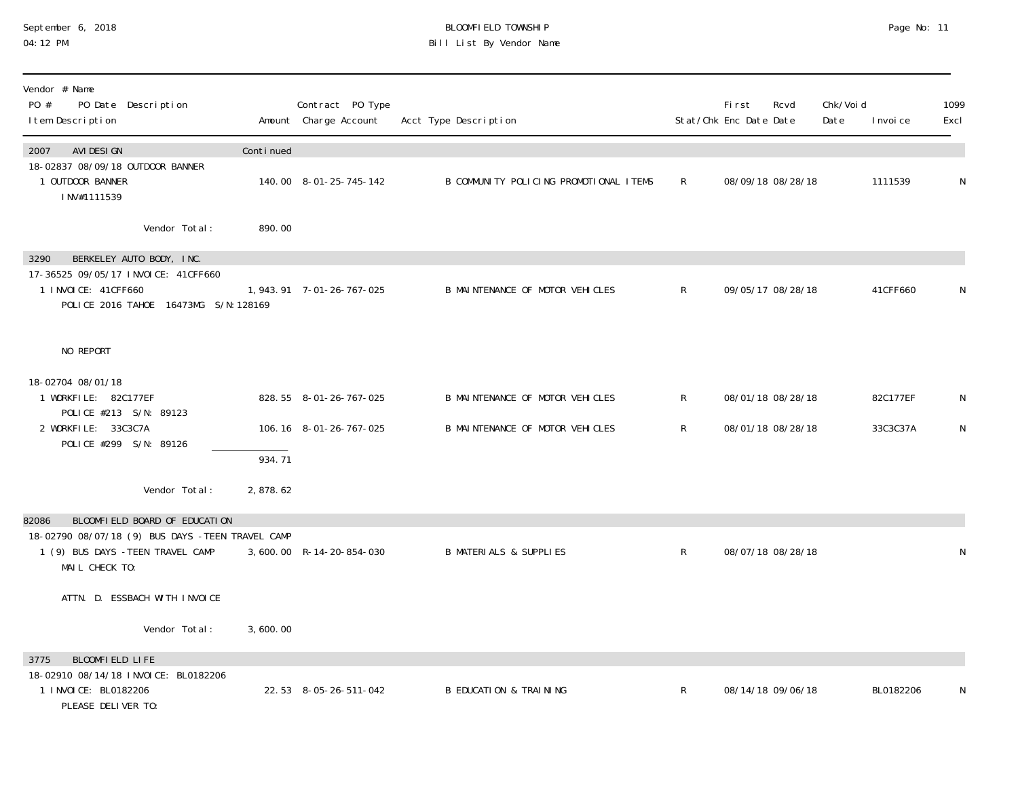#### September 6, 2018 BLOOMFIELD TOWNSHIP Page No: 11 04:12 PM Bill List By Vendor Name

| Vendor # Name<br>PO #<br>PO Date Description<br>I tem Description                                   |           | Contract PO Type<br>Amount Charge Account | Acct Type Description                  |              | First<br>Stat/Chk Enc Date Date | Rcvd              | Chk/Void<br>Date | I nvoi ce | 1099<br>Excl |
|-----------------------------------------------------------------------------------------------------|-----------|-------------------------------------------|----------------------------------------|--------------|---------------------------------|-------------------|------------------|-----------|--------------|
| AVI DESI GN<br>2007                                                                                 | Continued |                                           |                                        |              |                                 |                   |                  |           |              |
| 18-02837 08/09/18 OUTDOOR BANNER<br>1 OUTDOOR BANNER<br>INV#1111539                                 |           | 140.00 8-01-25-745-142                    | B COMMUNITY POLICING PROMOTIONAL ITEMS | $\mathsf{R}$ |                                 | 08/09/18 08/28/18 |                  | 1111539   | N            |
| Vendor Total:                                                                                       | 890.00    |                                           |                                        |              |                                 |                   |                  |           |              |
| BERKELEY AUTO BODY, INC.<br>3290                                                                    |           |                                           |                                        |              |                                 |                   |                  |           |              |
| 17-36525 09/05/17 INVOICE: 41CFF660<br>1 INVOICE: 41CFF660<br>POLICE 2016 TAHOE 16473MG S/N: 128169 |           | 1, 943. 91 7-01-26-767-025                | B MAINTENANCE OF MOTOR VEHICLES        | R            |                                 | 09/05/17 08/28/18 |                  | 41CFF660  | N            |
| NO REPORT                                                                                           |           |                                           |                                        |              |                                 |                   |                  |           |              |
| 18-02704 08/01/18                                                                                   |           |                                           |                                        |              |                                 |                   |                  |           |              |
| 1 WORKFILE: 82C177EF<br>POLICE #213 S/N: 89123                                                      |           | 828.55 8-01-26-767-025                    | B MAINTENANCE OF MOTOR VEHICLES        | $\mathsf{R}$ |                                 | 08/01/18 08/28/18 |                  | 82C177EF  | N            |
| 2 WORKFILE: 33C3C7A                                                                                 |           | 106.16 8-01-26-767-025                    | B MAINTENANCE OF MOTOR VEHICLES        | $\mathsf{R}$ |                                 | 08/01/18 08/28/18 |                  | 33C3C37A  | N            |
| POLICE #299 S/N: 89126                                                                              | 934.71    |                                           |                                        |              |                                 |                   |                  |           |              |
| Vendor Total:                                                                                       | 2,878.62  |                                           |                                        |              |                                 |                   |                  |           |              |
| BLOOMFIELD BOARD OF EDUCATION<br>82086                                                              |           |                                           |                                        |              |                                 |                   |                  |           |              |
| 18-02790 08/07/18 (9) BUS DAYS -TEEN TRAVEL CAMP                                                    |           |                                           |                                        |              |                                 |                   |                  |           |              |
| 1 (9) BUS DAYS - TEEN TRAVEL CAMP<br>MAIL CHECK TO:                                                 |           | 3,600.00 R-14-20-854-030                  | <b>B MATERIALS &amp; SUPPLIES</b>      | $\mathsf{R}$ |                                 | 08/07/18 08/28/18 |                  |           | N            |
| ATTN. D. ESSBACH WITH INVOICE                                                                       |           |                                           |                                        |              |                                 |                   |                  |           |              |
| Vendor Total:                                                                                       | 3,600.00  |                                           |                                        |              |                                 |                   |                  |           |              |
| 3775<br>BLOOMFIELD LIFE                                                                             |           |                                           |                                        |              |                                 |                   |                  |           |              |
| 18-02910 08/14/18 INVOICE: BL0182206<br>1 I NVOI CE: BL0182206<br>PLEASE DELIVER TO:                |           | 22.53 8-05-26-511-042                     | <b>B EDUCATION &amp; TRAINING</b>      | R            |                                 | 08/14/18 09/06/18 |                  | BL0182206 | N            |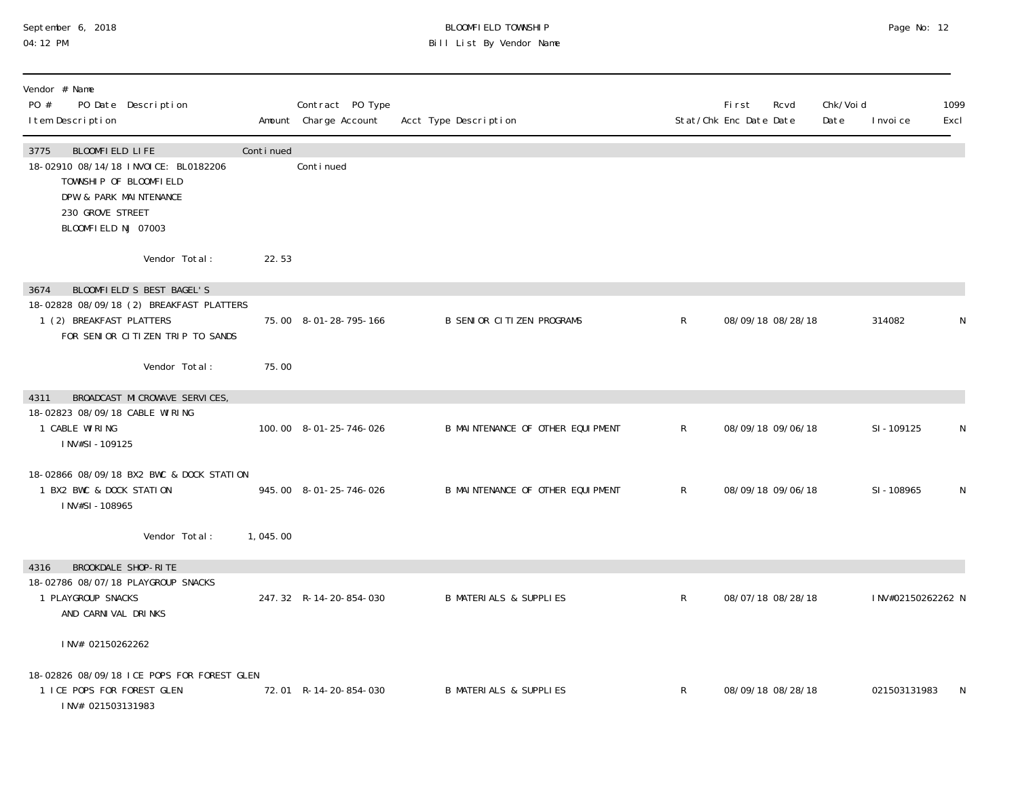#### September 6, 2018 BLOOMFIELD TOWNSHIP Page No: 12 04:12 PM Bill List By Vendor Name

| Vendor # Name<br>PO #<br>PO Date Description<br>I tem Description                                                                                              |           | Contract PO Type<br>Amount Charge Account | Acct Type Description             |              | First<br>Rcvd<br>Stat/Chk Enc Date Date | Chk/Voi d<br>Date | I nvoi ce         | 1099<br>Excl |
|----------------------------------------------------------------------------------------------------------------------------------------------------------------|-----------|-------------------------------------------|-----------------------------------|--------------|-----------------------------------------|-------------------|-------------------|--------------|
| BLOOMFIELD LIFE<br>3775<br>18-02910 08/14/18 INVOICE: BL0182206<br>TOWNSHIP OF BLOOMFIELD<br>DPW & PARK MAINTENANCE<br>230 GROVE STREET<br>BLOOMFIELD NJ 07003 | Continued | Continued                                 |                                   |              |                                         |                   |                   |              |
| Vendor Total:                                                                                                                                                  | 22.53     |                                           |                                   |              |                                         |                   |                   |              |
| BLOOMFIELD'S BEST BAGEL'S<br>3674<br>18-02828 08/09/18 (2) BREAKFAST PLATTERS                                                                                  |           |                                           |                                   |              |                                         |                   |                   |              |
| 1 (2) BREAKFAST PLATTERS<br>FOR SENIOR CITIZEN TRIP TO SANDS                                                                                                   |           | 75.00 8-01-28-795-166                     | <b>B SENIOR CITIZEN PROGRAMS</b>  | $\mathsf{R}$ | 08/09/18 08/28/18                       |                   | 314082            | N            |
| Vendor Total:                                                                                                                                                  | 75.00     |                                           |                                   |              |                                         |                   |                   |              |
| BROADCAST MICROWAVE SERVICES,<br>4311                                                                                                                          |           |                                           |                                   |              |                                         |                   |                   |              |
| 18-02823 08/09/18 CABLE WIRING<br>1 CABLE WIRING<br>INV#SI-109125                                                                                              |           | 100.00 8-01-25-746-026                    | B MAINTENANCE OF OTHER EQUIPMENT  | $\mathsf{R}$ | 08/09/18 09/06/18                       |                   | SI-109125         | N            |
| 18-02866 08/09/18 BX2 BWC & DOCK STATION<br>1 BX2 BWC & DOCK STATION<br>INV#SI-108965                                                                          |           | 945.00 8-01-25-746-026                    | B MAINTENANCE OF OTHER EQUIPMENT  | $\mathsf{R}$ | 08/09/18 09/06/18                       |                   | SI-108965         | N            |
| Vendor Total:                                                                                                                                                  | 1,045.00  |                                           |                                   |              |                                         |                   |                   |              |
| BROOKDALE SHOP-RITE<br>4316<br>18-02786 08/07/18 PLAYGROUP SNACKS<br>1 PLAYGROUP SNACKS<br>AND CARNIVAL DRINKS                                                 |           | 247.32 R-14-20-854-030                    | <b>B MATERIALS &amp; SUPPLIES</b> | $\mathsf{R}$ | 08/07/18 08/28/18                       |                   | INV#02150262262 N |              |
| INV# 02150262262                                                                                                                                               |           |                                           |                                   |              |                                         |                   |                   |              |
| 18-02826 08/09/18 ICE POPS FOR FOREST GLEN<br>1 ICE POPS FOR FOREST GLEN<br>INV# 021503131983                                                                  |           | 72.01 R-14-20-854-030                     | <b>B MATERIALS &amp; SUPPLIES</b> | $\mathsf{R}$ | 08/09/18 08/28/18                       |                   | 021503131983      | <sup>N</sup> |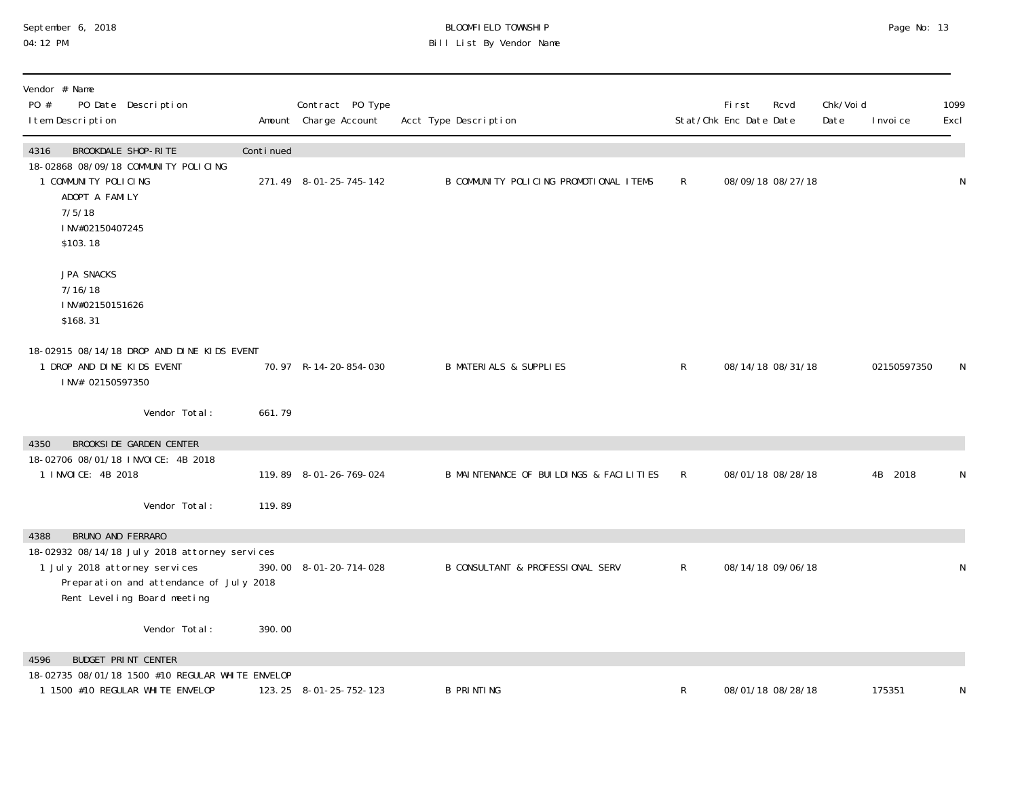#### September 6, 2018 BLOOMFIELD TOWNSHIP Page No: 13 04:12 PM Bill List By Vendor Name

| Vendor # Name<br>PO #<br>PO Date Description<br>I tem Description                                                                                        |           | Contract PO Type<br>Amount Charge Account | Acct Type Description                   |              | <b>First</b><br>Stat/Chk Enc Date Date | Rcvd              | Chk/Voi d<br>Date | I nvoi ce   | 1099<br>Excl |
|----------------------------------------------------------------------------------------------------------------------------------------------------------|-----------|-------------------------------------------|-----------------------------------------|--------------|----------------------------------------|-------------------|-------------------|-------------|--------------|
| 4316<br>BROOKDALE SHOP-RITE                                                                                                                              | Continued |                                           |                                         |              |                                        |                   |                   |             |              |
| 18-02868 08/09/18 COMMUNITY POLICING<br>1 COMMUNITY POLICING<br>ADOPT A FAMILY<br>7/5/18<br>INV#02150407245<br>\$103.18                                  |           | 271.49 8-01-25-745-142                    | B COMMUNITY POLICING PROMOTIONAL ITEMS  | $\mathsf{R}$ |                                        | 08/09/18 08/27/18 |                   |             | N            |
| JPA SNACKS<br>7/16/18<br>INV#02150151626<br>\$168.31                                                                                                     |           |                                           |                                         |              |                                        |                   |                   |             |              |
| 18-02915 08/14/18 DROP AND DINE KIDS EVENT<br>1 DROP AND DINE KIDS EVENT<br>INV# 02150597350                                                             |           | 70.97 R-14-20-854-030                     | <b>B MATERIALS &amp; SUPPLIES</b>       | $\mathsf{R}$ |                                        | 08/14/18 08/31/18 |                   | 02150597350 | N            |
| Vendor Total:                                                                                                                                            | 661.79    |                                           |                                         |              |                                        |                   |                   |             |              |
| <b>BROOKSIDE GARDEN CENTER</b><br>4350                                                                                                                   |           |                                           |                                         |              |                                        |                   |                   |             |              |
| 18-02706 08/01/18 INVOICE: 4B 2018<br>1 INVOICE: 4B 2018                                                                                                 |           | 119.89 8-01-26-769-024                    | B MAINTENANCE OF BUILDINGS & FACILITIES | $\mathsf{R}$ |                                        | 08/01/18 08/28/18 |                   | 4B<br>2018  | N            |
| Vendor Total:                                                                                                                                            | 119.89    |                                           |                                         |              |                                        |                   |                   |             |              |
| BRUNO AND FERRARO<br>4388                                                                                                                                |           |                                           |                                         |              |                                        |                   |                   |             |              |
| 18-02932 08/14/18 July 2018 attorney services<br>1 July 2018 attorney services<br>Preparation and attendance of July 2018<br>Rent Leveling Board meeting |           | 390.00 8-01-20-714-028                    | B CONSULTANT & PROFESSIONAL SERV        | $\mathsf{R}$ |                                        | 08/14/18 09/06/18 |                   |             | N            |
| Vendor Total:                                                                                                                                            | 390.00    |                                           |                                         |              |                                        |                   |                   |             |              |
| <b>BUDGET PRINT CENTER</b><br>4596                                                                                                                       |           |                                           |                                         |              |                                        |                   |                   |             |              |
| 18-02735 08/01/18 1500 #10 REGULAR WHITE ENVELOP<br>1 1500 #10 REGULAR WHITE ENVELOP                                                                     |           | 123.25 8-01-25-752-123                    | <b>B PRINTING</b>                       | R            |                                        | 08/01/18 08/28/18 |                   | 175351      | N            |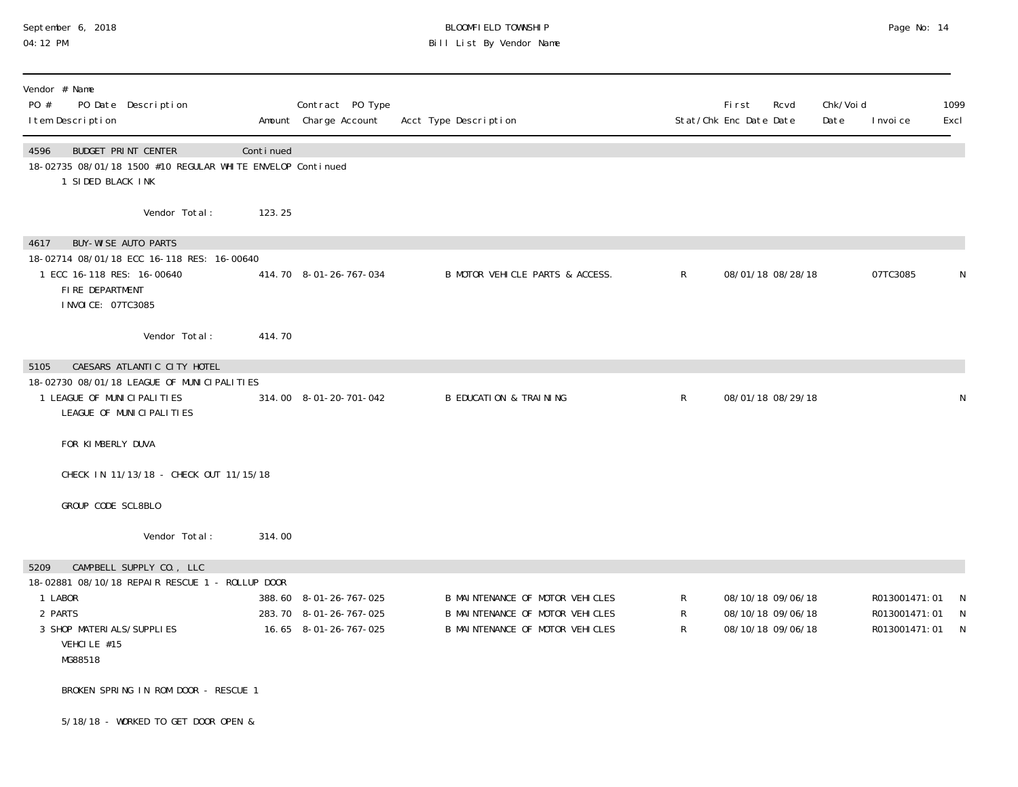# September 6, 2018 BLOOMFIELD TOWNSHIP Page No: 14 04:12 PM Bill List By Vendor Name

| Vendor # Name<br>PO #<br>PO Date Description<br>I tem Description                                                                                        |           | Contract PO Type<br>Amount Charge Account                                 | Acct Type Description                                                                                 |              | <b>First</b><br>Rcvd<br>Stat/Chk Enc Date Date              | Chk/Voi d<br>Date | I nvoi ce                                       | 1099<br>Excl            |
|----------------------------------------------------------------------------------------------------------------------------------------------------------|-----------|---------------------------------------------------------------------------|-------------------------------------------------------------------------------------------------------|--------------|-------------------------------------------------------------|-------------------|-------------------------------------------------|-------------------------|
| <b>BUDGET PRINT CENTER</b><br>4596<br>18-02735 08/01/18 1500 #10 REGULAR WHITE ENVELOP Continued<br>1 SIDED BLACK INK                                    | Continued |                                                                           |                                                                                                       |              |                                                             |                   |                                                 |                         |
| Vendor Total:                                                                                                                                            | 123.25    |                                                                           |                                                                                                       |              |                                                             |                   |                                                 |                         |
| <b>BUY-WISE AUTO PARTS</b><br>4617<br>18-02714 08/01/18 ECC 16-118 RES: 16-00640<br>1 ECC 16-118 RES: 16-00640<br>FIRE DEPARTMENT<br>I NVOI CE: 07TC3085 |           | 414.70 8-01-26-767-034                                                    | B MOTOR VEHICLE PARTS & ACCESS.                                                                       | $\mathsf{R}$ | 08/01/18 08/28/18                                           |                   | 07TC3085                                        | N                       |
| Vendor Total:                                                                                                                                            | 414.70    |                                                                           |                                                                                                       |              |                                                             |                   |                                                 |                         |
| CAESARS ATLANTIC CITY HOTEL<br>5105                                                                                                                      |           |                                                                           |                                                                                                       |              |                                                             |                   |                                                 |                         |
| 18-02730 08/01/18 LEAGUE OF MUNICIPALITIES<br>1 LEAGUE OF MUNICIPALITIES<br>LEAGUE OF MUNICIPALITIES                                                     |           | 314.00 8-01-20-701-042                                                    | <b>B EDUCATION &amp; TRAINING</b>                                                                     | $\mathsf{R}$ | 08/01/18 08/29/18                                           |                   |                                                 | N                       |
| FOR KIMBERLY DUVA                                                                                                                                        |           |                                                                           |                                                                                                       |              |                                                             |                   |                                                 |                         |
| CHECK IN 11/13/18 - CHECK OUT 11/15/18                                                                                                                   |           |                                                                           |                                                                                                       |              |                                                             |                   |                                                 |                         |
| GROUP CODE SCL8BLO                                                                                                                                       |           |                                                                           |                                                                                                       |              |                                                             |                   |                                                 |                         |
| Vendor Total:                                                                                                                                            | 314.00    |                                                                           |                                                                                                       |              |                                                             |                   |                                                 |                         |
| CAMPBELL SUPPLY CO., LLC<br>5209                                                                                                                         |           |                                                                           |                                                                                                       |              |                                                             |                   |                                                 |                         |
| 18-02881 08/10/18 REPAIR RESCUE 1 - ROLLUP DOOR<br>1 LABOR<br>2 PARTS<br>3 SHOP MATERI ALS/SUPPLIES<br>VEHCILE #15<br>MG88518                            |           | 388.60 8-01-26-767-025<br>283.70 8-01-26-767-025<br>16.65 8-01-26-767-025 | B MAINTENANCE OF MOTOR VEHICLES<br>B MAINTENANCE OF MOTOR VEHICLES<br>B MAINTENANCE OF MOTOR VEHICLES | R<br>R<br>R  | 08/10/18 09/06/18<br>08/10/18 09/06/18<br>08/10/18 09/06/18 |                   | R013001471:01<br>R013001471:01<br>R013001471:01 | -N<br>N<br>$\mathbb{N}$ |
| BROKEN SPRING IN ROM DOOR - RESCUE 1                                                                                                                     |           |                                                                           |                                                                                                       |              |                                                             |                   |                                                 |                         |
| 5/18/18 - WORKED TO GET DOOR OPEN &                                                                                                                      |           |                                                                           |                                                                                                       |              |                                                             |                   |                                                 |                         |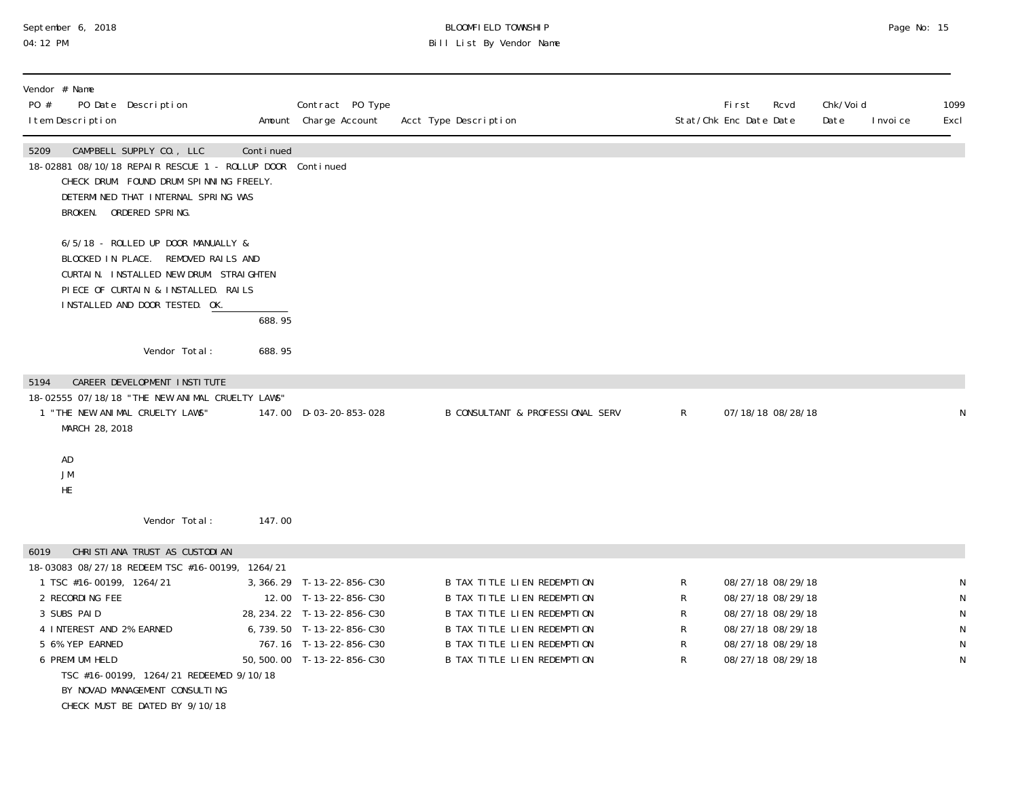# September 6, 2018 BLOOMFIELD TOWNSHIP Page No: 15 04:12 PM Bill List By Vendor Name

| Vendor # Name<br>PO #<br>I tem Description                                                                                           | PO Date Description                                                                                                                                                                                |           | Contract PO Type<br>Amount Charge Account                                                                                                                               | Acct Type Description                                                                                                                                                                                |                            | <b>First</b><br>Rcvd<br>Stat/Chk Enc Date Date                                                                             | Chk/Voi d<br>Date | 1099<br>I nvoi ce<br>Excl             |
|--------------------------------------------------------------------------------------------------------------------------------------|----------------------------------------------------------------------------------------------------------------------------------------------------------------------------------------------------|-----------|-------------------------------------------------------------------------------------------------------------------------------------------------------------------------|------------------------------------------------------------------------------------------------------------------------------------------------------------------------------------------------------|----------------------------|----------------------------------------------------------------------------------------------------------------------------|-------------------|---------------------------------------|
| 5209                                                                                                                                 | CAMPBELL SUPPLY CO., LLC<br>18-02881 08/10/18 REPAIR RESCUE 1 - ROLLUP DOOR Continued<br>CHECK DRUM. FOUND DRUM SPINNING FREELY.<br>DETERMINED THAT INTERNAL SPRING WAS<br>BROKEN. ORDERED SPRING. | Continued |                                                                                                                                                                         |                                                                                                                                                                                                      |                            |                                                                                                                            |                   |                                       |
|                                                                                                                                      | 6/5/18 - ROLLED UP DOOR MANUALLY &<br>BLOCKED IN PLACE. REMOVED RAILS AND<br>CURTAIN. INSTALLED NEW DRUM. STRAIGHTEN<br>PIECE OF CURTAIN & INSTALLED. RAILS<br>INSTALLED AND DOOR TESTED. OK.      | 688.95    |                                                                                                                                                                         |                                                                                                                                                                                                      |                            |                                                                                                                            |                   |                                       |
|                                                                                                                                      | Vendor Total:                                                                                                                                                                                      | 688.95    |                                                                                                                                                                         |                                                                                                                                                                                                      |                            |                                                                                                                            |                   |                                       |
| 5194<br>MARCH 28, 2018<br>AD<br>JM                                                                                                   | CAREER DEVELOPMENT INSTITUTE<br>18-02555 07/18/18 "THE NEW ANIMAL CRUELTY LAWS"<br>1 "THE NEW ANIMAL CRUELTY LAWS"                                                                                 |           | 147.00 D-03-20-853-028                                                                                                                                                  | <b>B CONSULTANT &amp; PROFESSIONAL SERV</b>                                                                                                                                                          | R                          | 07/18/18 08/28/18                                                                                                          |                   | N                                     |
| HE                                                                                                                                   | Vendor Total:                                                                                                                                                                                      | 147.00    |                                                                                                                                                                         |                                                                                                                                                                                                      |                            |                                                                                                                            |                   |                                       |
| 6019<br>1 TSC #16-00199, 1264/21<br>2 RECORDING FEE<br>3 SUBS PAID<br>4 INTEREST AND 2% EARNED<br>5 6% YEP EARNED<br>6 PREMI UM HELD | CHRISTIANA TRUST AS CUSTODIAN<br>18-03083 08/27/18 REDEEM TSC #16-00199, 1264/21<br>TSC #16-00199, 1264/21 REDEEMED 9/10/18<br>BY NOVAD MANAGEMENT CONSULTING<br>CHECK MUST BE DATED BY 9/10/18    |           | 3, 366. 29 T-13-22-856-C30<br>12.00 T-13-22-856-C30<br>28, 234. 22 T-13-22-856-C30<br>6,739.50 T-13-22-856-C30<br>767.16 T-13-22-856-C30<br>50, 500. 00 T-13-22-856-C30 | B TAX TITLE LIEN REDEMPTION<br>B TAX TITLE LIEN REDEMPTION<br><b>B TAX TITLE LIEN REDEMPTION</b><br>B TAX TITLE LIEN REDEMPTION<br>B TAX TITLE LIEN REDEMPTION<br><b>B TAX TITLE LIEN REDEMPTION</b> | R<br>R<br>R<br>R<br>R<br>R | 08/27/18 08/29/18<br>08/27/18 08/29/18<br>08/27/18 08/29/18<br>08/27/18 08/29/18<br>08/27/18 08/29/18<br>08/27/18 08/29/18 |                   | N<br>$\mathsf{N}$<br>N<br>N<br>N<br>N |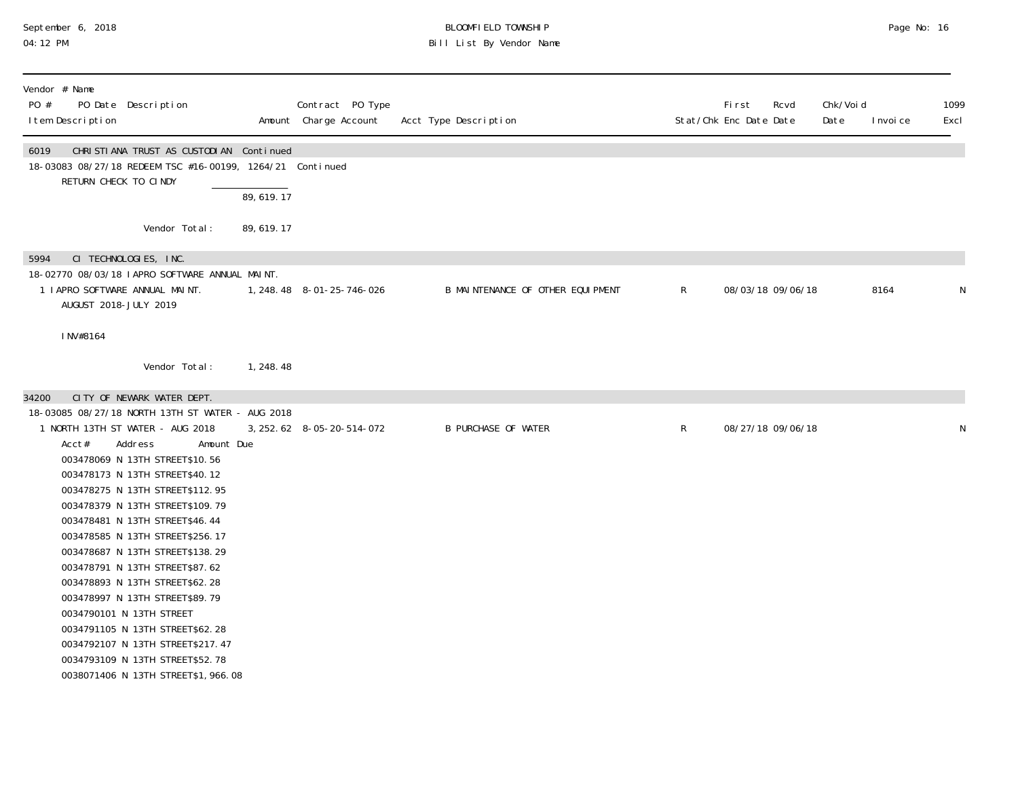# September 6, 2018 BLOOMFIELD TOWNSHIP Page No: 16 04:12 PM Bill List By Vendor Name

| Vendor # Name<br>PO #<br>PO Date Description<br>I tem Description                                                                                                                                                                                                                                                                                                                                                                                                                                                                                                                                                                                           |             | Contract PO Type<br>Amount Charge Account | Acct Type Description            |              | <b>First</b><br>Stat/Chk Enc Date Date | Rcvd              | Chk/Voi d<br>Date | I nvoi ce | 1099<br>Excl |
|-------------------------------------------------------------------------------------------------------------------------------------------------------------------------------------------------------------------------------------------------------------------------------------------------------------------------------------------------------------------------------------------------------------------------------------------------------------------------------------------------------------------------------------------------------------------------------------------------------------------------------------------------------------|-------------|-------------------------------------------|----------------------------------|--------------|----------------------------------------|-------------------|-------------------|-----------|--------------|
| CHRISTIANA TRUST AS CUSTODIAN Continued<br>6019<br>18-03083 08/27/18 REDEEM TSC #16-00199, 1264/21 Continued<br>RETURN CHECK TO CINDY                                                                                                                                                                                                                                                                                                                                                                                                                                                                                                                       | 89,619.17   |                                           |                                  |              |                                        |                   |                   |           |              |
| Vendor Total:                                                                                                                                                                                                                                                                                                                                                                                                                                                                                                                                                                                                                                               | 89, 619. 17 |                                           |                                  |              |                                        |                   |                   |           |              |
| CI TECHNOLOGIES, INC.<br>5994<br>18-02770 08/03/18 LAPRO SOFTWARE ANNUAL MALNT.<br>1 LAPRO SOFTWARE ANNUAL MAINT.<br>AUGUST 2018-JULY 2019<br>INV#8164<br>Vendor Total:                                                                                                                                                                                                                                                                                                                                                                                                                                                                                     | 1, 248.48   | 1, 248. 48 8-01-25-746-026                | B MAINTENANCE OF OTHER EQUIPMENT | $\mathsf{R}$ |                                        | 08/03/18 09/06/18 |                   | 8164      | ${\sf N}$    |
| CITY OF NEWARK WATER DEPT.<br>34200                                                                                                                                                                                                                                                                                                                                                                                                                                                                                                                                                                                                                         |             |                                           |                                  |              |                                        |                   |                   |           |              |
| 18-03085 08/27/18 NORTH 13TH ST WATER - AUG 2018<br>1 NORTH 13TH ST WATER - AUG 2018<br>Address<br>Acct#<br>Amount Due<br>003478069 N 13TH STREET\$10.56<br>003478173 N 13TH STREET\$40.12<br>003478275 N 13TH STREET\$112.95<br>003478379 N 13TH STREET\$109.79<br>003478481 N 13TH STREET\$46.44<br>003478585 N 13TH STREET\$256.17<br>003478687 N 13TH STREET\$138.29<br>003478791 N 13TH STREET\$87.62<br>003478893 N 13TH STREET\$62.28<br>003478997 N 13TH STREET\$89.79<br>0034790101 N 13TH STREET<br>0034791105 N 13TH STREET\$62.28<br>0034792107 N 13TH STREET\$217.47<br>0034793109 N 13TH STREET\$52.78<br>0038071406 N 13TH STREET\$1, 966.08 |             | 3, 252. 62 8-05-20-514-072                | <b>B PURCHASE OF WATER</b>       | $\mathsf R$  |                                        | 08/27/18 09/06/18 |                   |           | N            |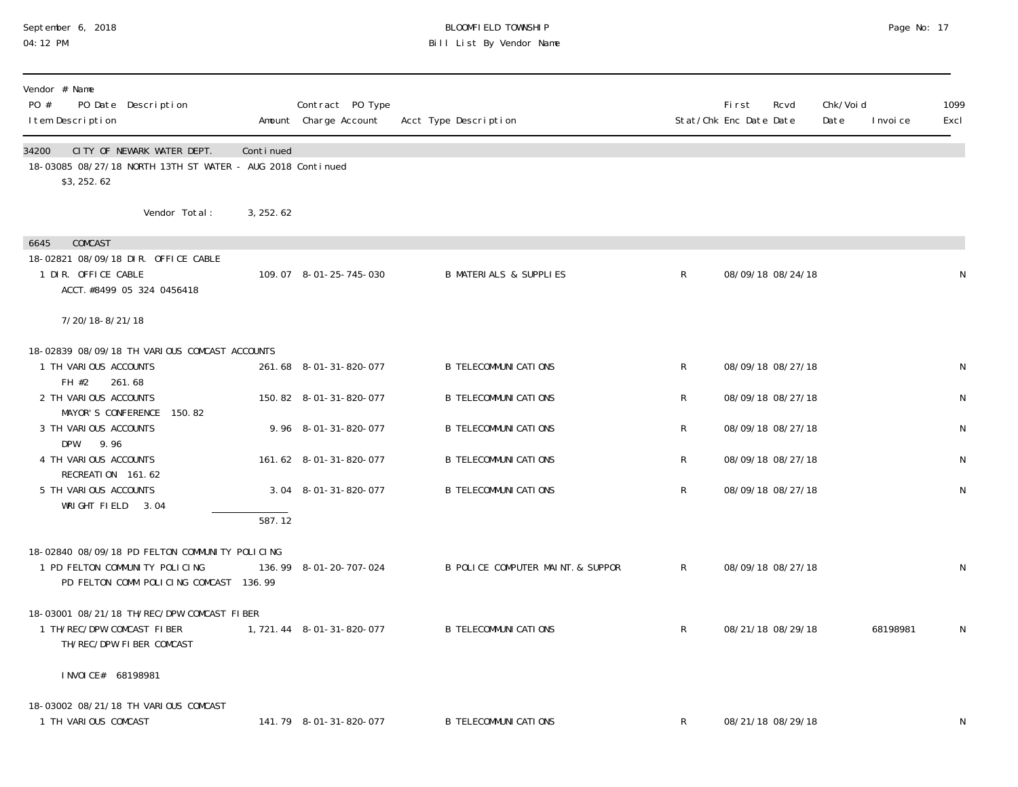# September 6, 2018 BLOOMFIELD TOWNSHIP Page No: 17 04:12 PM Bill List By Vendor Name

| Vendor # Name                                                                                                              |           |                                           |                                   |              |                                        |                   |                   |           |              |
|----------------------------------------------------------------------------------------------------------------------------|-----------|-------------------------------------------|-----------------------------------|--------------|----------------------------------------|-------------------|-------------------|-----------|--------------|
| PO #<br>PO Date Description<br>I tem Description                                                                           |           | Contract PO Type<br>Amount Charge Account | Acct Type Description             |              | <b>First</b><br>Stat/Chk Enc Date Date | Rcvd              | Chk/Voi d<br>Date | I nvoi ce | 1099<br>Excl |
| CITY OF NEWARK WATER DEPT.<br>34200<br>18-03085 08/27/18 NORTH 13TH ST WATER - AUG 2018 Continued<br>\$3,252.62            | Continued |                                           |                                   |              |                                        |                   |                   |           |              |
| Vendor Total:                                                                                                              | 3, 252.62 |                                           |                                   |              |                                        |                   |                   |           |              |
| COMCAST<br>6645<br>18-02821 08/09/18 DIR. OFFICE CABLE<br>1 DIR. OFFICE CABLE<br>ACCT. #8499 05 324 0456418                |           | 109.07 8-01-25-745-030                    | <b>B MATERIALS &amp; SUPPLIES</b> | R            |                                        | 08/09/18 08/24/18 |                   |           | N            |
| 7/20/18-8/21/18                                                                                                            |           |                                           |                                   |              |                                        |                   |                   |           |              |
| 18-02839 08/09/18 TH VARIOUS COMCAST ACCOUNTS<br>1 TH VARIOUS ACCOUNTS<br>FH #2<br>261.68                                  |           | 261.68 8-01-31-820-077                    | <b>B TELECOMMUNI CATI ONS</b>     | R            |                                        | 08/09/18 08/27/18 |                   |           | N            |
| 2 TH VARIOUS ACCOUNTS<br>MAYOR'S CONFERENCE 150.82                                                                         |           | 150.82 8-01-31-820-077                    | <b>B TELECOMMUNI CATI ONS</b>     | R            |                                        | 08/09/18 08/27/18 |                   |           | N            |
| 3 TH VARIOUS ACCOUNTS                                                                                                      |           | 9.96 8-01-31-820-077                      | <b>B TELECOMMUNI CATI ONS</b>     | R            |                                        | 08/09/18 08/27/18 |                   |           | N            |
| DPW<br>9.96<br>4 TH VARIOUS ACCOUNTS                                                                                       |           | 161.62 8-01-31-820-077                    | <b>B TELECOMMUNI CATIONS</b>      | R            |                                        | 08/09/18 08/27/18 |                   |           | N            |
| RECREATION 161.62<br>5 TH VARIOUS ACCOUNTS<br>WRIGHT FIELD 3.04                                                            | 587.12    | 3.04 8-01-31-820-077                      | <b>B TELECOMMUNI CATI ONS</b>     | R            |                                        | 08/09/18 08/27/18 |                   |           | ${\sf N}$    |
| 18-02840 08/09/18 PD FELTON COMMUNITY POLICING<br>1 PD FELTON COMMUNITY POLICING<br>PD FELTON COMM POLICING COMCAST 136.99 |           | 136.99 8-01-20-707-024                    | B POLICE COMPUTER MAINT. & SUPPOR | $\mathsf{R}$ |                                        | 08/09/18 08/27/18 |                   |           | N            |
| 18-03001 08/21/18 TH/REC/DPW COMCAST FIBER<br>1 TH/REC/DPW COMCAST FIBER<br>TH/REC/DPW FIBER COMCAST                       |           | 1, 721. 44 8-01-31-820-077                | <b>B TELECOMMUNI CATI ONS</b>     | R            |                                        | 08/21/18 08/29/18 |                   | 68198981  | N            |
| I NVOI CE# 68198981                                                                                                        |           |                                           |                                   |              |                                        |                   |                   |           |              |
| 18-03002 08/21/18 TH VARIOUS COMCAST<br>1 TH VARIOUS COMCAST                                                               |           | 141.79 8-01-31-820-077                    | <b>B TELECOMMUNI CATI ONS</b>     | R            |                                        | 08/21/18 08/29/18 |                   |           | $\mathsf N$  |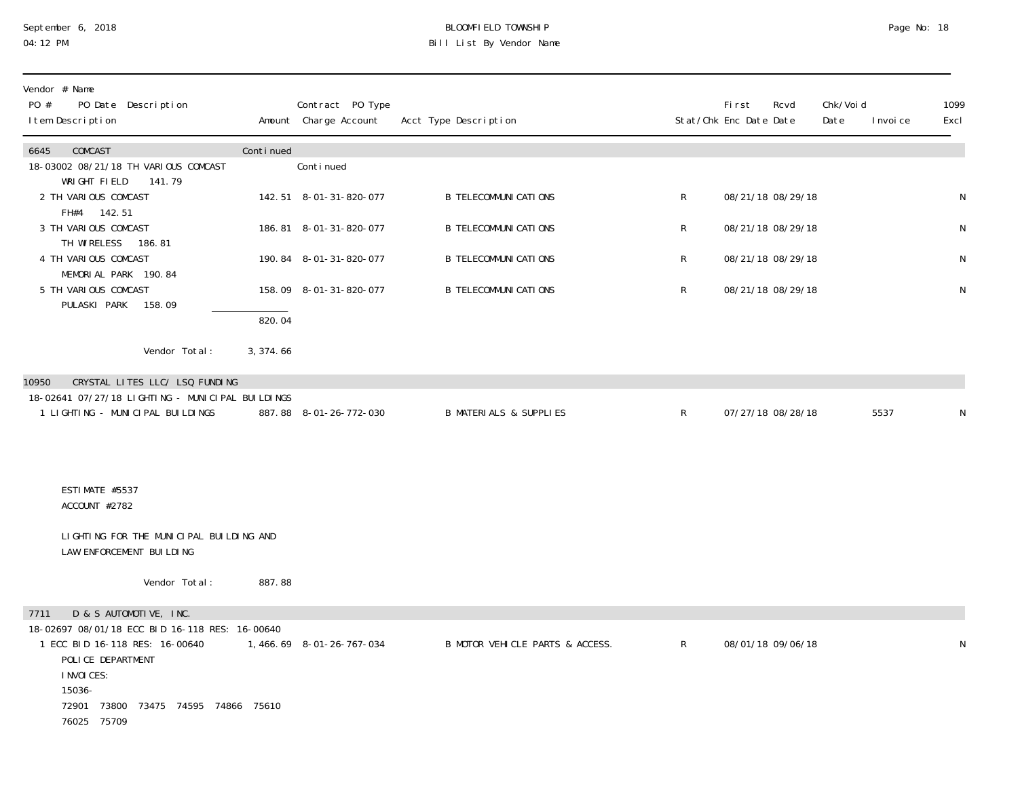#### September 6, 2018 BLOOMFIELD TOWNSHIP Page No: 18 04:12 PM Bill List By Vendor Name

| Vendor # Name<br>PO #<br>PO Date Description<br>I tem Description                                                                                                                                                            |           | Contract PO Type<br>Amount Charge Account | Acct Type Description             |              | <b>First</b><br>Rcvd<br>Stat/Chk Enc Date Date | Chk/Voi d<br>Date<br>I nvoi ce | 1099<br>Excl |
|------------------------------------------------------------------------------------------------------------------------------------------------------------------------------------------------------------------------------|-----------|-------------------------------------------|-----------------------------------|--------------|------------------------------------------------|--------------------------------|--------------|
| 6645<br>COMCAST<br>18-03002 08/21/18 TH VARIOUS COMCAST<br>WRIGHT FIELD<br>141.79                                                                                                                                            | Continued | Conti nued                                |                                   |              |                                                |                                |              |
| 2 TH VARIOUS COMCAST                                                                                                                                                                                                         |           | 142.51 8-01-31-820-077                    | <b>B TELECOMMUNI CATI ONS</b>     | $\mathsf{R}$ | 08/21/18 08/29/18                              |                                | ${\sf N}$    |
| FH#4 142.51<br>3 TH VARIOUS COMCAST<br>TH WIRELESS<br>186, 81                                                                                                                                                                |           | 186.81 8-01-31-820-077                    | <b>B TELECOMMUNI CATI ONS</b>     | $\mathsf R$  | 08/21/18 08/29/18                              |                                | N            |
| 4 TH VARIOUS COMCAST<br>MEMORIAL PARK 190.84                                                                                                                                                                                 |           | 190.84 8-01-31-820-077                    | <b>B TELECOMMUNI CATI ONS</b>     | R            | 08/21/18 08/29/18                              |                                | N            |
| 5 TH VARIOUS COMCAST<br>PULASKI PARK<br>158.09                                                                                                                                                                               |           | 158.09 8-01-31-820-077                    | <b>B TELECOMMUNI CATIONS</b>      | R            | 08/21/18 08/29/18                              |                                | N            |
|                                                                                                                                                                                                                              | 820.04    |                                           |                                   |              |                                                |                                |              |
| Vendor Total:                                                                                                                                                                                                                | 3, 374.66 |                                           |                                   |              |                                                |                                |              |
| 10950<br>CRYSTAL LITES LLC/ LSQ FUNDING<br>18-02641 07/27/18 LIGHTING - MUNICIPAL BUILDINGS                                                                                                                                  |           |                                           |                                   |              |                                                |                                |              |
| 1 LIGHTING - MUNICIPAL BUILDINGS                                                                                                                                                                                             |           | 887.88 8-01-26-772-030                    | <b>B MATERIALS &amp; SUPPLIES</b> | R            | 07/27/18 08/28/18                              | 5537                           | N            |
| ESTIMATE #5537<br>ACCOUNT #2782                                                                                                                                                                                              |           |                                           |                                   |              |                                                |                                |              |
| LIGHTING FOR THE MUNICIPAL BUILDING AND<br>LAW ENFORCEMENT BUILDING                                                                                                                                                          |           |                                           |                                   |              |                                                |                                |              |
| Vendor Total:                                                                                                                                                                                                                | 887.88    |                                           |                                   |              |                                                |                                |              |
| D & S AUTOMOTIVE, INC.<br>7711<br>18-02697 08/01/18 ECC BID 16-118 RES: 16-00640<br>1 ECC BID 16-118 RES: 16-00640<br>POLICE DEPARTMENT<br>I NVOI CES:<br>15036-<br>72901<br>73800<br>73475 74595 74866 75610<br>76025 75709 |           | 1,466.69 8-01-26-767-034                  | B MOTOR VEHICLE PARTS & ACCESS.   | $\mathsf{R}$ | 08/01/18 09/06/18                              |                                | N            |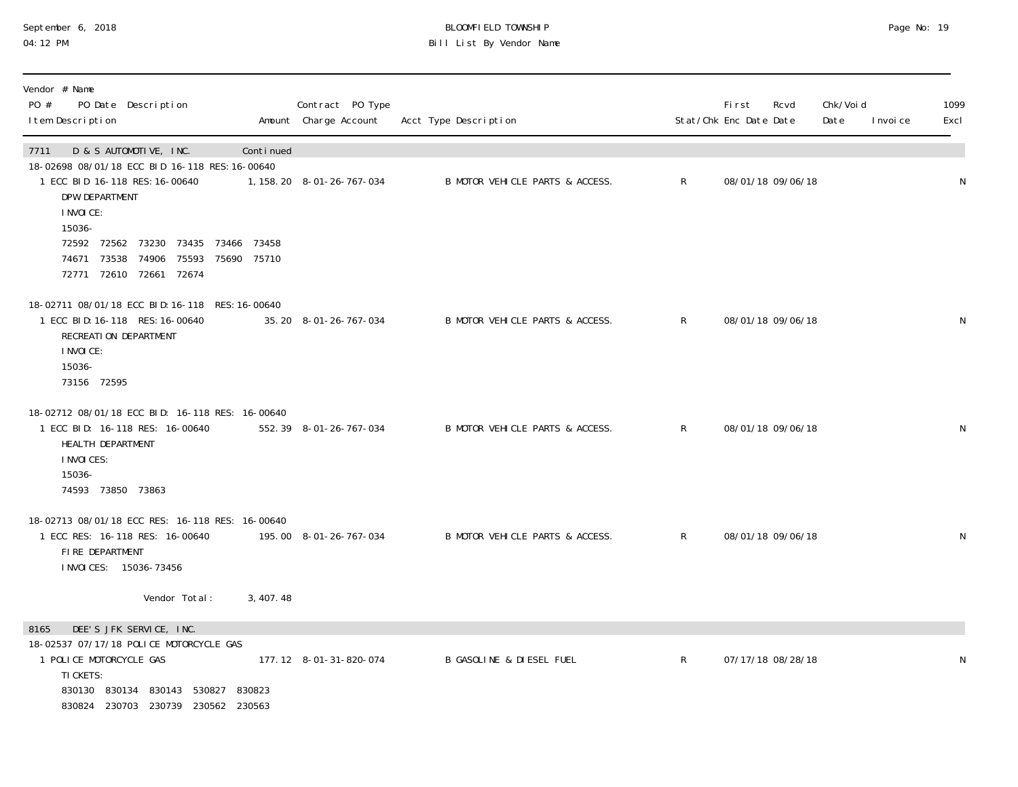#### September 6, 2018 BLOOMFIELD TOWNSHIP Page No: 19 04:12 PM Bill List By Vendor Name

| Vendor # Name<br>PO #<br>PO Date Description<br>I tem Description                                                                                                                       |             | Contract PO Type<br>Amount Charge Account | Acct Type Description               |              | <b>First</b><br>Stat/Chk Enc Date Date | Rcvd              | Chk/Voi d<br>Date | I nvoi ce | 1099<br>Excl |
|-----------------------------------------------------------------------------------------------------------------------------------------------------------------------------------------|-------------|-------------------------------------------|-------------------------------------|--------------|----------------------------------------|-------------------|-------------------|-----------|--------------|
| D & S AUTOMOTIVE, INC.<br>7711<br>18-02698 08/01/18 ECC BID 16-118 RES: 16-00640<br>1 ECC BID 16-118 RES: 16-00640<br>DPW DEPARTMENT<br>I NVOI CE:<br>15036-                            | Continued   | 1, 158. 20  8-01-26-767-034               | B MOTOR VEHICLE PARTS & ACCESS.     | $\mathsf{R}$ |                                        | 08/01/18 09/06/18 |                   |           | N            |
| 72592 72562 73230 73435 73466 73458<br>74906<br>75593<br>74671 73538<br>72771 72610 72661 72674                                                                                         | 75690 75710 |                                           |                                     |              |                                        |                   |                   |           |              |
| 18-02711 08/01/18 ECC BID: 16-118 RES: 16-00640<br>1 ECC BID: 16-118 RES: 16-00640<br>RECREATION DEPARTMENT<br>I NVOI CE:<br>15036-<br>73156 72595                                      |             | 35.20 8-01-26-767-034                     | B MOTOR VEHICLE PARTS & ACCESS.     | $\mathsf{R}$ |                                        | 08/01/18 09/06/18 |                   |           | $\mathsf N$  |
| 18-02712 08/01/18 ECC BID: 16-118 RES: 16-00640<br>1 ECC BID: 16-118 RES: 16-00640<br>HEALTH DEPARTMENT<br>I NVOI CES:<br>15036-<br>74593 73850 73863                                   |             | 552.39 8-01-26-767-034                    | B MOTOR VEHICLE PARTS & ACCESS.     | R            |                                        | 08/01/18 09/06/18 |                   |           | N            |
| 18-02713 08/01/18 ECC RES: 16-118 RES: 16-00640<br>1 ECC RES: 16-118 RES: 16-00640<br>FIRE DEPARTMENT<br>I NVOI CES: 15036-73456                                                        |             | 195.00  8-01-26-767-034                   | B MOTOR VEHICLE PARTS & ACCESS.     | R            |                                        | 08/01/18 09/06/18 |                   |           | N            |
| Vendor Total:                                                                                                                                                                           | 3, 407. 48  |                                           |                                     |              |                                        |                   |                   |           |              |
| DEE'S JFK SERVICE, INC.<br>8165<br>18-02537 07/17/18 POLICE MOTORCYCLE GAS<br>1 POLICE MOTORCYCLE GAS<br>TI CKETS:<br>830130 830134 830143 530827<br>830824 230703 230739 230562 230563 | 830823      | 177.12 8-01-31-820-074                    | <b>B GASOLINE &amp; DIESEL FUEL</b> | $\mathsf{R}$ |                                        | 07/17/18 08/28/18 |                   |           | N            |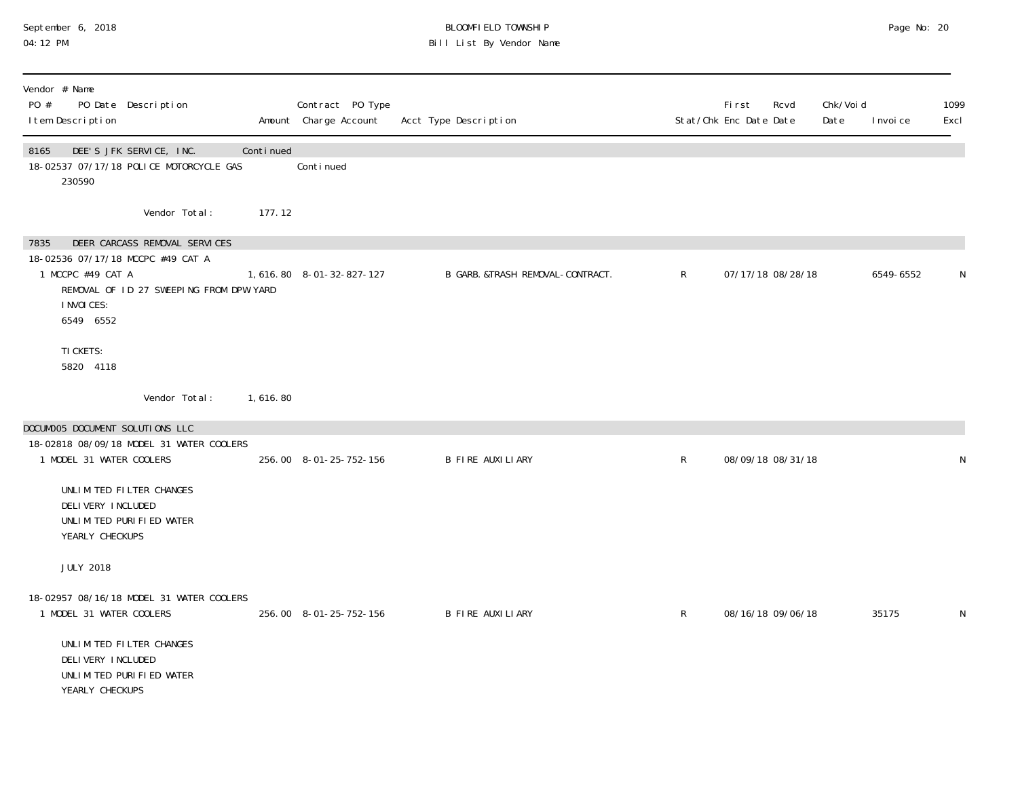# September 6, 2018 BLOOMFIELD TOWNSHIP Page No: 20 04:12 PM Bill List By Vendor Name

|               |                                                                                                                                                                                                                                                                                                                                                                                                                                                                                 | Contract PO Type                                                                                                                                         | Acct Type Description                                                                                           |              | <b>First</b><br>Rcvd | Date                   | I nvoi ce                                                   | 1099<br>Excl |
|---------------|---------------------------------------------------------------------------------------------------------------------------------------------------------------------------------------------------------------------------------------------------------------------------------------------------------------------------------------------------------------------------------------------------------------------------------------------------------------------------------|----------------------------------------------------------------------------------------------------------------------------------------------------------|-----------------------------------------------------------------------------------------------------------------|--------------|----------------------|------------------------|-------------------------------------------------------------|--------------|
|               |                                                                                                                                                                                                                                                                                                                                                                                                                                                                                 | Conti nued                                                                                                                                               |                                                                                                                 |              |                      |                        |                                                             |              |
| Vendor Total: |                                                                                                                                                                                                                                                                                                                                                                                                                                                                                 |                                                                                                                                                          |                                                                                                                 |              |                      |                        |                                                             |              |
|               |                                                                                                                                                                                                                                                                                                                                                                                                                                                                                 |                                                                                                                                                          | B GARB. &TRASH REMOVAL-CONTRACT.                                                                                | $\mathsf{R}$ |                      |                        | 6549-6552                                                   |              |
|               |                                                                                                                                                                                                                                                                                                                                                                                                                                                                                 |                                                                                                                                                          |                                                                                                                 |              |                      |                        |                                                             |              |
| Vendor Total: |                                                                                                                                                                                                                                                                                                                                                                                                                                                                                 |                                                                                                                                                          |                                                                                                                 |              |                      |                        |                                                             |              |
|               |                                                                                                                                                                                                                                                                                                                                                                                                                                                                                 |                                                                                                                                                          | <b>B FIRE AUXILIARY</b>                                                                                         | $\mathsf{R}$ |                      |                        |                                                             | N            |
|               |                                                                                                                                                                                                                                                                                                                                                                                                                                                                                 |                                                                                                                                                          |                                                                                                                 |              |                      |                        |                                                             |              |
|               |                                                                                                                                                                                                                                                                                                                                                                                                                                                                                 |                                                                                                                                                          | B FIRE AUXILIARY                                                                                                | $\mathsf{R}$ |                      |                        | 35175                                                       | N            |
|               | PO Date Description<br>DEE'S JFK SERVICE, INC.<br>18-02537 07/17/18 POLICE MOTORCYCLE GAS<br>DEER CARCASS REMOVAL SERVICES<br>18-02536 07/17/18 MCCPC #49 CAT A<br>1 MCCPC #49 CAT A<br>DOCUMOO5 DOCUMENT SOLUTIONS LLC<br>1 MODEL 31 WATER COOLERS<br>UNLIMITED FILTER CHANGES<br>DELIVERY INCLUDED<br>UNLIMITED PURIFIED WATER<br>YEARLY CHECKUPS<br>1 MODEL 31 WATER COOLERS<br>UNLIMITED FILTER CHANGES<br>DELIVERY INCLUDED<br>UNLIMITED PURIFIED WATER<br>YEARLY CHECKUPS | Continued<br>REMOVAL OF ID 27 SWEEPING FROM DPW YARD<br>1,616.80<br>18-02818 08/09/18 MODEL 31 WATER COOLERS<br>18-02957 08/16/18 MODEL 31 WATER COOLERS | Amount Charge Account<br>177.12<br>1,616.80 8-01-32-827-127<br>256.00 8-01-25-752-156<br>256.00 8-01-25-752-156 |              |                      | Stat/Chk Enc Date Date | 07/17/18 08/28/18<br>08/09/18 08/31/18<br>08/16/18 09/06/18 | Chk/Voi d    |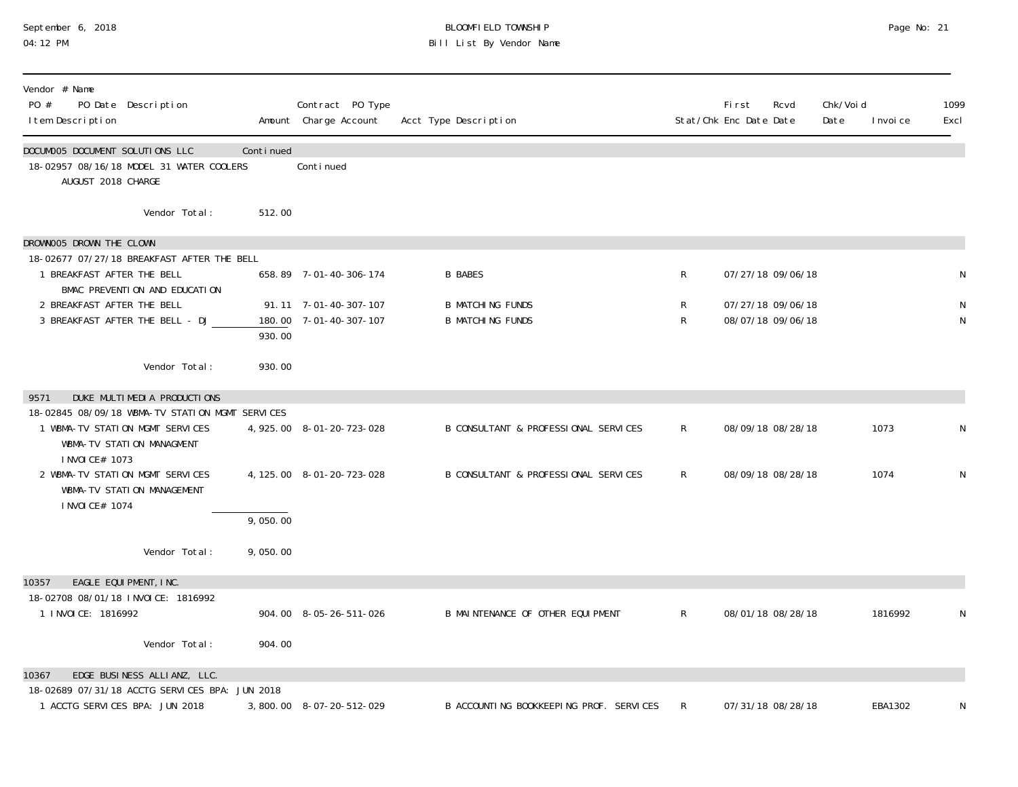# September 6, 2018 BLOOMFIELD TOWNSHIP Page No: 21 04:12 PM Bill List By Vendor Name

| Vendor # Name<br>PO #<br>PO Date Description<br>I tem Description                                                                  |           | Contract PO Type<br>Amount Charge Account       | Acct Type Description                              |              | <b>First</b><br>Stat/Chk Enc Date Date | Rcvd                                   | Chk/Voi d<br>Date | I nvoi ce | 1099<br>Excl |
|------------------------------------------------------------------------------------------------------------------------------------|-----------|-------------------------------------------------|----------------------------------------------------|--------------|----------------------------------------|----------------------------------------|-------------------|-----------|--------------|
| DOCUMOO5 DOCUMENT SOLUTIONS LLC<br>18-02957 08/16/18 MODEL 31 WATER COOLERS<br>AUGUST 2018 CHARGE                                  | Continued | Conti nued                                      |                                                    |              |                                        |                                        |                   |           |              |
| Vendor Total:                                                                                                                      | 512.00    |                                                 |                                                    |              |                                        |                                        |                   |           |              |
| DROWNOO5 DROWN THE CLOWN                                                                                                           |           |                                                 |                                                    |              |                                        |                                        |                   |           |              |
| 18-02677 07/27/18 BREAKFAST AFTER THE BELL<br>1 BREAKFAST AFTER THE BELL<br>BMAC PREVENTION AND EDUCATION                          |           | 658.89 7-01-40-306-174                          | <b>B BABES</b>                                     | $\mathsf{R}$ |                                        | 07/27/18 09/06/18                      |                   |           | N            |
| 2 BREAKFAST AFTER THE BELL<br>3 BREAKFAST AFTER THE BELL - DJ                                                                      | 930.00    | 91.11 7-01-40-307-107<br>180.00 7-01-40-307-107 | <b>B MATCHING FUNDS</b><br><b>B MATCHING FUNDS</b> | R<br>R       |                                        | 07/27/18 09/06/18<br>08/07/18 09/06/18 |                   |           | N<br>N       |
| Vendor Total:                                                                                                                      | 930.00    |                                                 |                                                    |              |                                        |                                        |                   |           |              |
| DUKE MULTIMEDIA PRODUCTIONS<br>9571                                                                                                |           |                                                 |                                                    |              |                                        |                                        |                   |           |              |
| 18-02845 08/09/18 WBMA-TV STATION MGMT SERVICES<br>1 WBMA-TV STATION MGMT SERVICES<br>WBMA-TV STATION MANAGMENT<br>I NVOI CE# 1073 |           | 4, 925.00 8-01-20-723-028                       | B CONSULTANT & PROFESSIONAL SERVICES               | R            |                                        | 08/09/18 08/28/18                      |                   | 1073      | N            |
| 2 WBMA-TV STATION MGMT SERVICES<br>WBMA-TV STATION MANAGEMENT<br>I NVOI CE# 1074                                                   |           | 4, 125.00 8-01-20-723-028                       | B CONSULTANT & PROFESSIONAL SERVICES               | R            |                                        | 08/09/18 08/28/18                      |                   | 1074      | N            |
|                                                                                                                                    | 9,050.00  |                                                 |                                                    |              |                                        |                                        |                   |           |              |
| Vendor Total:                                                                                                                      | 9,050.00  |                                                 |                                                    |              |                                        |                                        |                   |           |              |
| EAGLE EQUIPMENT, INC.<br>10357                                                                                                     |           |                                                 |                                                    |              |                                        |                                        |                   |           |              |
| 18-02708 08/01/18 INVOICE: 1816992<br>1 I NVOI CE: 1816992                                                                         |           | 904.00 8-05-26-511-026                          | B MAINTENANCE OF OTHER EQUIPMENT                   | $\mathsf{R}$ |                                        | 08/01/18 08/28/18                      |                   | 1816992   | N            |
| Vendor Total:                                                                                                                      | 904.00    |                                                 |                                                    |              |                                        |                                        |                   |           |              |
| 10367<br>EDGE BUSINESS ALLIANZ, LLC.                                                                                               |           |                                                 |                                                    |              |                                        |                                        |                   |           |              |
| 18-02689 07/31/18 ACCTG SERVICES BPA: JUN 2018<br>1 ACCTG SERVICES BPA: JUN 2018                                                   |           | 3,800.00 8-07-20-512-029                        | B ACCOUNTING BOOKKEEPING PROF. SERVICES            | $\mathsf{R}$ |                                        | 07/31/18 08/28/18                      |                   | EBA1302   | N            |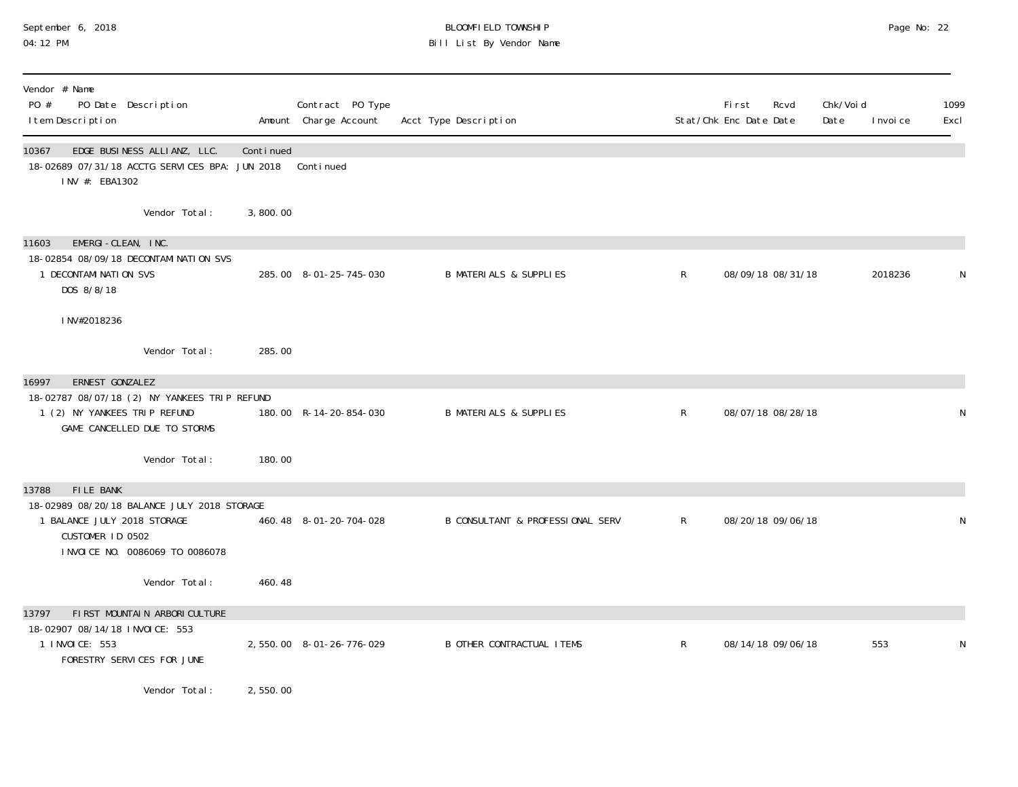# September 6, 2018 BLOOMFIELD TOWNSHIP Page No: 22 04:12 PM Bill List By Vendor Name

| Vendor # Name<br>PO #<br>PO Date Description<br>I tem Description                                                                        |                                |           | Contract PO Type<br>Amount Charge Account | Acct Type Description             |              | <b>First</b><br>Stat/Chk Enc Date Date | Rcvd | Chk/Voi d<br>Date | I nvoi ce | 1099<br>Excl |
|------------------------------------------------------------------------------------------------------------------------------------------|--------------------------------|-----------|-------------------------------------------|-----------------------------------|--------------|----------------------------------------|------|-------------------|-----------|--------------|
| 10367<br>18-02689 07/31/18 ACCTG SERVICES BPA: JUN 2018<br>INV #: EBA1302                                                                | EDGE BUSINESS ALLIANZ, LLC.    | Continued | Continued                                 |                                   |              |                                        |      |                   |           |              |
|                                                                                                                                          | Vendor Total:                  | 3,800.00  |                                           |                                   |              |                                        |      |                   |           |              |
| EMERGI-CLEAN, INC.<br>11603<br>18-02854 08/09/18 DECONTAMINATION SVS<br>1 DECONTAMINATION SVS<br>DOS 8/8/18                              |                                |           | 285.00 8-01-25-745-030                    | <b>B MATERIALS &amp; SUPPLIES</b> | R            | 08/09/18 08/31/18                      |      |                   | 2018236   | N            |
| INV#2018236                                                                                                                              |                                |           |                                           |                                   |              |                                        |      |                   |           |              |
|                                                                                                                                          | Vendor Total:                  | 285.00    |                                           |                                   |              |                                        |      |                   |           |              |
| 16997<br>ERNEST GONZALEZ<br>18-02787 08/07/18 (2) NY YANKEES TRIP REFUND<br>1 (2) NY YANKEES TRIP REFUND<br>GAME CANCELLED DUE TO STORMS |                                |           | 180.00 R-14-20-854-030                    | <b>B MATERIALS &amp; SUPPLIES</b> | $\mathsf{R}$ | 08/07/18 08/28/18                      |      |                   |           | N            |
|                                                                                                                                          | Vendor Total:                  | 180.00    |                                           |                                   |              |                                        |      |                   |           |              |
| <b>FILE BANK</b><br>13788<br>18-02989 08/20/18 BALANCE JULY 2018 STORAGE<br>1 BALANCE JULY 2018 STORAGE<br>CUSTOMER ID 0502              | INVOICE NO. 0086069 TO 0086078 |           | 460.48 8-01-20-704-028                    | B CONSULTANT & PROFESSIONAL SERV  | $\mathsf{R}$ | 08/20/18 09/06/18                      |      |                   |           | N            |
|                                                                                                                                          | Vendor Total:                  | 460.48    |                                           |                                   |              |                                        |      |                   |           |              |
| 13797<br>18-02907 08/14/18 INVOICE: 553                                                                                                  | FIRST MOUNTAIN ARBORICULTURE   |           |                                           |                                   |              |                                        |      |                   |           |              |
| 1 INVOICE: 553<br>FORESTRY SERVICES FOR JUNE                                                                                             |                                |           | 2,550.00 8-01-26-776-029                  | <b>B OTHER CONTRACTUAL ITEMS</b>  | $\mathsf{R}$ | 08/14/18 09/06/18                      |      |                   | 553       | N            |
|                                                                                                                                          | Vendor Total:                  | 2,550.00  |                                           |                                   |              |                                        |      |                   |           |              |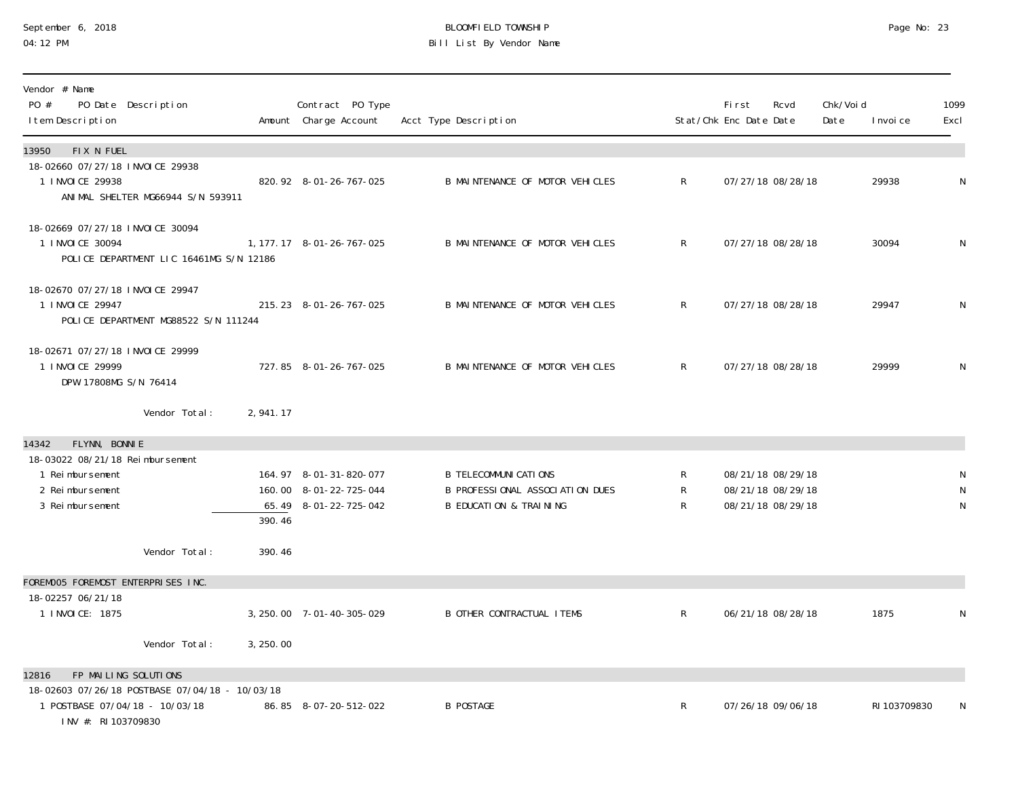#### September 6, 2018 BLOOMFIELD TOWNSHIP Page No: 23 04:12 PM Bill List By Vendor Name

| Vendor # Name<br>PO #<br>PO Date Description<br>I tem Description                                                  |           | Contract PO Type<br>Amount Charge Account                                 | Acct Type Description                                                                                |                                  | <b>First</b><br>Stat/Chk Enc Date Date                      | Rcvd | Chk/Voi d<br>Date | I nvoi ce    | 1099<br>Excl |
|--------------------------------------------------------------------------------------------------------------------|-----------|---------------------------------------------------------------------------|------------------------------------------------------------------------------------------------------|----------------------------------|-------------------------------------------------------------|------|-------------------|--------------|--------------|
| FIX N FUEL<br>13950<br>18-02660 07/27/18 INVOICE 29938<br>1 INVOICE 29938<br>ANIMAL SHELTER MG66944 S/N 593911     |           | 820.92 8-01-26-767-025                                                    | B MAINTENANCE OF MOTOR VEHICLES                                                                      | $\mathsf{R}$                     | 07/27/18 08/28/18                                           |      |                   | 29938        | N            |
| 18-02669 07/27/18 INVOICE 30094<br>1 INVOICE 30094<br>POLICE DEPARTMENT LIC 16461MG S/N 12186                      |           | 1, 177. 17 8-01-26-767-025                                                | B MAINTENANCE OF MOTOR VEHICLES                                                                      | $\mathsf{R}$                     | 07/27/18 08/28/18                                           |      |                   | 30094        | N            |
| 18-02670 07/27/18 INVOICE 29947<br>1 INVOICE 29947<br>POLICE DEPARTMENT MG88522 S/N 111244                         |           | 215.23 8-01-26-767-025                                                    | B MAINTENANCE OF MOTOR VEHICLES                                                                      | $\mathsf{R}$                     | 07/27/18 08/28/18                                           |      |                   | 29947        | N            |
| 18-02671 07/27/18 INVOICE 29999<br>1 INVOICE 29999<br>DPW 17808MG S/N 76414                                        |           | 727.85 8-01-26-767-025                                                    | B MAINTENANCE OF MOTOR VEHICLES                                                                      | $\mathsf{R}$                     | 07/27/18 08/28/18                                           |      |                   | 29999        | N            |
| Vendor Total:                                                                                                      | 2,941.17  |                                                                           |                                                                                                      |                                  |                                                             |      |                   |              |              |
| FLYNN, BONNIE<br>14342<br>18-03022 08/21/18 Reimbursement<br>1 Reimbursement<br>2 Reimbursement<br>3 Reimbursement | 390.46    | 164.97 8-01-31-820-077<br>160.00 8-01-22-725-044<br>65.49 8-01-22-725-042 | <b>B TELECOMMUNI CATIONS</b><br>B PROFESSIONAL ASSOCIATION DUES<br><b>B EDUCATION &amp; TRAINING</b> | R<br>$\mathsf R$<br>$\mathsf{R}$ | 08/21/18 08/29/18<br>08/21/18 08/29/18<br>08/21/18 08/29/18 |      |                   |              | N            |
| Vendor Total:                                                                                                      | 390.46    |                                                                           |                                                                                                      |                                  |                                                             |      |                   |              |              |
| FOREMOO5 FOREMOST ENTERPRISES INC.<br>18-02257 06/21/18<br>1 INVOICE: 1875<br>Vendor Total:                        | 3, 250.00 | 3, 250. 00 7-01-40-305-029                                                | <b>B OTHER CONTRACTUAL ITEMS</b>                                                                     | $\mathsf{R}$                     | 06/21/18 08/28/18                                           |      |                   | 1875         | N            |
| FP MAILING SOLUTIONS<br>12816                                                                                      |           |                                                                           |                                                                                                      |                                  |                                                             |      |                   |              |              |
| 18-02603 07/26/18 POSTBASE 07/04/18 - 10/03/18<br>1 POSTBASE 07/04/18 - 10/03/18<br>INV #: RI 103709830            |           | 86.85 8-07-20-512-022                                                     | <b>B POSTAGE</b>                                                                                     | $\mathsf{R}$                     | 07/26/18 09/06/18                                           |      |                   | RI 103709830 | N            |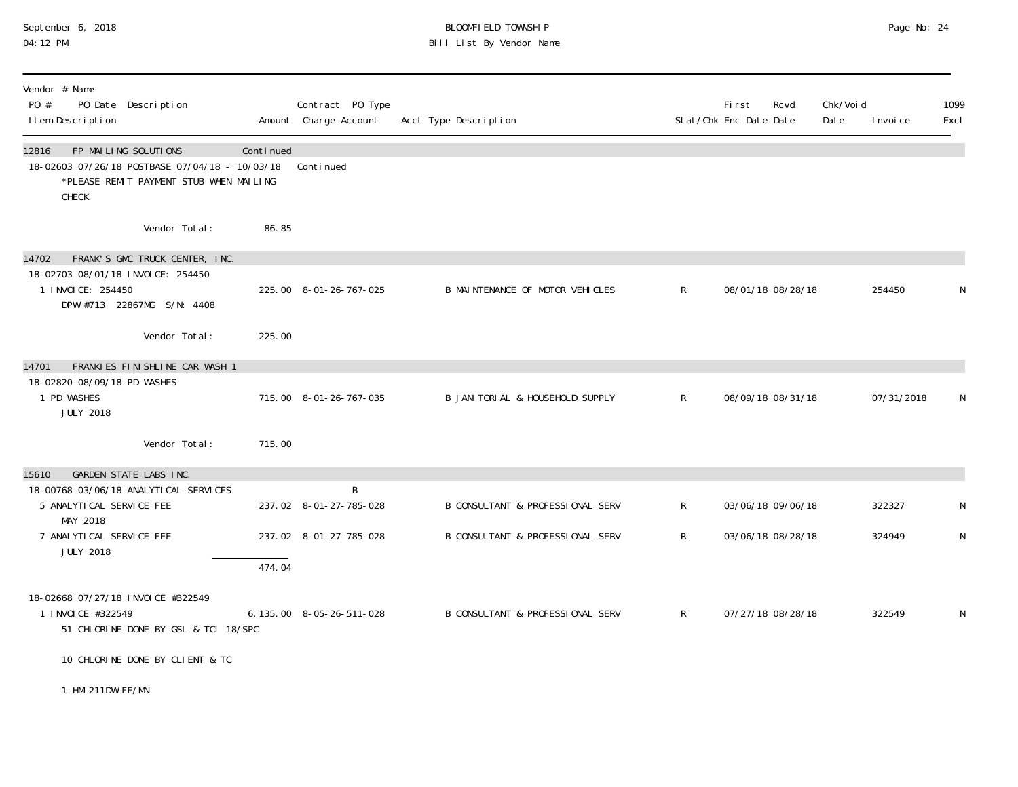## September 6, 2018 BLOOMFIELD TOWNSHIP Page No: 24 04:12 PM Bill List By Vendor Name

| Vendor # Name<br>PO #<br>PO Date Description<br>I tem Description                                                                   |           | Contract PO Type<br>Amount Charge Account | Acct Type Description                       |              | First<br>Stat/Chk Enc Date Date | Rcvd              | Chk/Void<br>Date | I nvoi ce  | 1099<br>Excl |
|-------------------------------------------------------------------------------------------------------------------------------------|-----------|-------------------------------------------|---------------------------------------------|--------------|---------------------------------|-------------------|------------------|------------|--------------|
| FP MAILING SOLUTIONS<br>12816<br>18-02603 07/26/18 POSTBASE 07/04/18 - 10/03/18<br>*PLEASE REMIT PAYMENT STUB WHEN MAILING<br>CHECK | Continued | Continued                                 |                                             |              |                                 |                   |                  |            |              |
| Vendor Total:                                                                                                                       | 86.85     |                                           |                                             |              |                                 |                   |                  |            |              |
| FRANK'S GMC TRUCK CENTER, INC.<br>14702<br>18-02703 08/01/18 INVOICE: 254450<br>1 I NVOI CE: 254450<br>DPW #713 22867MG S/N: 4408   |           | 225.00 8-01-26-767-025                    | B MAINTENANCE OF MOTOR VEHICLES             | $\mathsf{R}$ |                                 | 08/01/18 08/28/18 |                  | 254450     | N            |
| Vendor Total:                                                                                                                       | 225.00    |                                           |                                             |              |                                 |                   |                  |            |              |
| FRANKIES FINISHLINE CAR WASH 1<br>14701<br>18-02820 08/09/18 PD WASHES<br>1 PD WASHES<br><b>JULY 2018</b>                           |           | 715.00 8-01-26-767-035                    | B JANITORIAL & HOUSEHOLD SUPPLY             | $\mathsf{R}$ |                                 | 08/09/18 08/31/18 |                  | 07/31/2018 | N            |
| Vendor Total:                                                                                                                       | 715.00    |                                           |                                             |              |                                 |                   |                  |            |              |
| GARDEN STATE LABS INC.<br>15610<br>18-00768 03/06/18 ANALYTICAL SERVICES<br>5 ANALYTICAL SERVICE FEE<br>MAY 2018                    |           | B<br>237.02 8-01-27-785-028               | <b>B CONSULTANT &amp; PROFESSIONAL SERV</b> | $\mathsf{R}$ |                                 | 03/06/18 09/06/18 |                  | 322327     | N            |
| 7 ANALYTI CAL SERVI CE FEE<br><b>JULY 2018</b>                                                                                      | 474.04    | 237.02 8-01-27-785-028                    | B CONSULTANT & PROFESSIONAL SERV            | R.           |                                 | 03/06/18 08/28/18 |                  | 324949     | N            |
| 18-02668 07/27/18 INVOICE #322549<br>1 I NVOI CE #322549<br>51 CHLORINE DONE BY GSL & TCI 18/SPC                                    |           | 6, 135, 00 8-05-26-511-028                | B CONSULTANT & PROFESSIONAL SERV            | $\mathsf{R}$ |                                 | 07/27/18 08/28/18 |                  | 322549     | N            |
| 10 CHLORINE DONE BY CLIENT & TC                                                                                                     |           |                                           |                                             |              |                                 |                   |                  |            |              |
| 1 HM-211DW-FE/MN                                                                                                                    |           |                                           |                                             |              |                                 |                   |                  |            |              |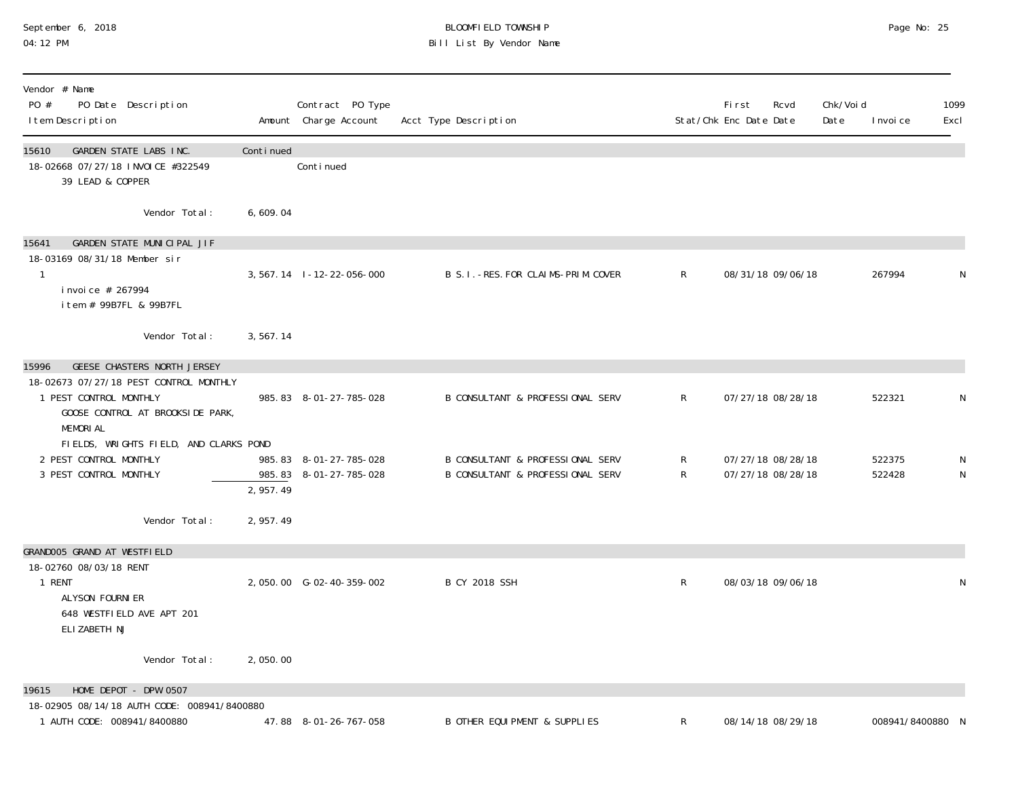#### September 6, 2018 BLOOMFIELD TOWNSHIP Page No: 25 04:12 PM Bill List By Vendor Name

| Vendor # Name<br>PO #<br>PO Date Description<br>I tem Description                                                                                                      |           | Contract PO Type<br>Amount Charge Account        | Acct Type Description                                                |                | First<br>Stat/Chk Enc Date Date        | Rcvd | Chk/Void<br>Date | I nvoi ce        | 1099<br>Excl |
|------------------------------------------------------------------------------------------------------------------------------------------------------------------------|-----------|--------------------------------------------------|----------------------------------------------------------------------|----------------|----------------------------------------|------|------------------|------------------|--------------|
| GARDEN STATE LABS INC.<br>15610<br>18-02668 07/27/18 INVOICE #322549<br>39 LEAD & COPPER                                                                               | Continued | Conti nued                                       |                                                                      |                |                                        |      |                  |                  |              |
| Vendor Total:                                                                                                                                                          | 6,609.04  |                                                  |                                                                      |                |                                        |      |                  |                  |              |
| GARDEN STATE MUNICIPAL JIF<br>15641<br>18-03169 08/31/18 Member sir<br>-1<br>i nvoi ce # 267994<br>item # 99B7FL & 99B7FL                                              |           | 3, 567. 14 1-12-22-056-000                       | B S. I. - RES. FOR CLAIMS-PRIM. COVER                                | $\mathsf{R}$   | 08/31/18 09/06/18                      |      |                  | 267994           | N            |
| Vendor Total:                                                                                                                                                          | 3,567.14  |                                                  |                                                                      |                |                                        |      |                  |                  |              |
| <b>GEESE CHASTERS NORTH JERSEY</b><br>15996<br>18-02673 07/27/18 PEST CONTROL MONTHLY<br>1 PEST CONTROL MONTHLY<br>GOOSE CONTROL AT BROOKSIDE PARK,<br><b>MEMORIAL</b> |           | 985.83 8-01-27-785-028                           | B CONSULTANT & PROFESSIONAL SERV                                     | $\mathsf{R}^-$ | 07/27/18 08/28/18                      |      |                  | 522321           | N            |
| FIELDS, WRIGHTS FIELD, AND CLARKS POND<br>2 PEST CONTROL MONTHLY<br>3 PEST CONTROL MONTHLY                                                                             | 2,957.49  | 985.83 8-01-27-785-028<br>985.83 8-01-27-785-028 | B CONSULTANT & PROFESSIONAL SERV<br>B CONSULTANT & PROFESSIONAL SERV | R<br>R         | 07/27/18 08/28/18<br>07/27/18 08/28/18 |      |                  | 522375<br>522428 | N<br>N       |
| Vendor Total:                                                                                                                                                          | 2, 957.49 |                                                  |                                                                      |                |                                        |      |                  |                  |              |
| GRANDOO5 GRAND AT WESTFIELD<br>18-02760 08/03/18 RENT<br>1 RENT<br>ALYSON FOURNI ER<br>648 WESTFIELD AVE APT 201<br>ELIZABETH NJ                                       |           | 2,050.00 G-02-40-359-002                         | <b>B CY 2018 SSH</b>                                                 | $\mathsf R$    | 08/03/18 09/06/18                      |      |                  |                  | N            |
| Vendor Total:                                                                                                                                                          | 2,050.00  |                                                  |                                                                      |                |                                        |      |                  |                  |              |
| 19615<br>HOME DEPOT - DPW 0507<br>18-02905 08/14/18 AUTH CODE: 008941/8400880                                                                                          |           |                                                  |                                                                      |                |                                        |      |                  |                  |              |
| 1 AUTH CODE: 008941/8400880                                                                                                                                            |           | 47.88 8-01-26-767-058                            | B OTHER EQUI PMENT & SUPPLIES                                        | R              | 08/14/18 08/29/18                      |      |                  | 008941/8400880   |              |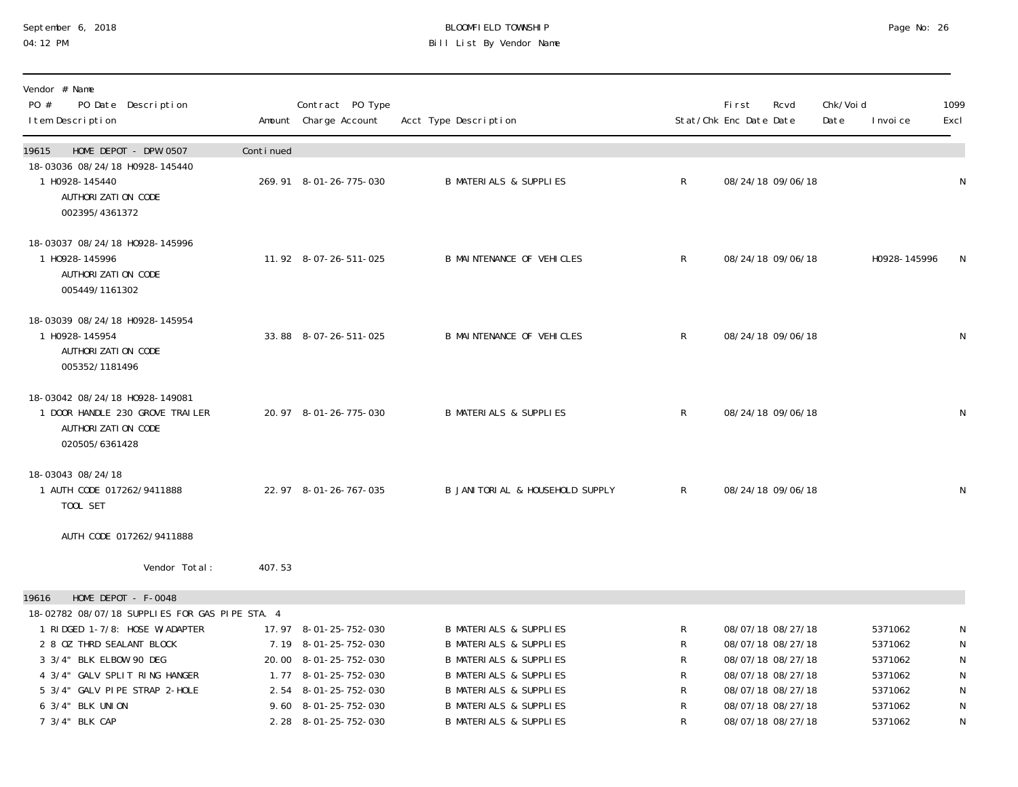# September 6, 2018 BLOOMFIELD TOWNSHIP Page No: 26 Bill List By Vendor Name

| Vendor # Name<br>PO #<br>PO Date Description<br>I tem Description                                           |           | Contract PO Type<br>Amount Charge Account     | Acct Type Description                                                  |              | <b>First</b><br>Stat/Chk Enc Date Date | Rcvd                                   | Chk/Void<br>Date | I nvoi ce          | 1099<br>Excl |
|-------------------------------------------------------------------------------------------------------------|-----------|-----------------------------------------------|------------------------------------------------------------------------|--------------|----------------------------------------|----------------------------------------|------------------|--------------------|--------------|
| HOME DEPOT - DPW 0507<br>19615                                                                              | Continued |                                               |                                                                        |              |                                        |                                        |                  |                    |              |
| 18-03036 08/24/18 H0928-145440<br>1 H0928-145440<br>AUTHORI ZATI ON CODE<br>002395/4361372                  |           | 269.91 8-01-26-775-030                        | <b>B MATERIALS &amp; SUPPLIES</b>                                      | $\mathsf{R}$ |                                        | 08/24/18 09/06/18                      |                  |                    | N            |
| 18-03037 08/24/18 H0928-145996<br>1 H0928-145996<br>AUTHORI ZATI ON CODE<br>005449/1161302                  |           | 11.92 8-07-26-511-025                         | <b>B MAINTENANCE OF VEHICLES</b>                                       | $\mathsf{R}$ |                                        | 08/24/18 09/06/18                      |                  | H0928-145996       | N            |
| 18-03039 08/24/18 H0928-145954<br>1 H0928-145954<br>AUTHORI ZATI ON CODE<br>005352/1181496                  |           | 33.88 8-07-26-511-025                         | <b>B MAINTENANCE OF VEHICLES</b>                                       | $\mathsf{R}$ |                                        | 08/24/18 09/06/18                      |                  |                    | ${\sf N}$    |
| 18-03042 08/24/18 H0928-149081<br>1 DOOR HANDLE 230 GROVE TRAILER<br>AUTHORI ZATI ON CODE<br>020505/6361428 |           | 20.97 8-01-26-775-030                         | <b>B MATERIALS &amp; SUPPLIES</b>                                      | $\mathsf{R}$ |                                        | 08/24/18 09/06/18                      |                  |                    | N            |
| 18-03043 08/24/18<br>1 AUTH CODE 017262/9411888<br>TOOL SET                                                 |           | 22.97 8-01-26-767-035                         | B JANI TORI AL & HOUSEHOLD SUPPLY                                      | $\mathsf{R}$ |                                        | 08/24/18 09/06/18                      |                  |                    | N            |
| AUTH CODE 017262/9411888                                                                                    |           |                                               |                                                                        |              |                                        |                                        |                  |                    |              |
| Vendor Total:                                                                                               | 407.53    |                                               |                                                                        |              |                                        |                                        |                  |                    |              |
| HOME DEPOT - F-0048<br>19616<br>18-02782 08/07/18 SUPPLIES FOR GAS PIPE STA. 4                              |           |                                               |                                                                        |              |                                        |                                        |                  |                    |              |
| 1 RIDGED 1-7/8: HOSE W/ADAPTER<br>2 8 OZ THRD SEALANT BLOCK                                                 |           | 17.97 8-01-25-752-030<br>7.19 8-01-25-752-030 | <b>B MATERIALS &amp; SUPPLIES</b><br><b>B MATERIALS &amp; SUPPLIES</b> | R<br>R       |                                        | 08/07/18 08/27/18<br>08/07/18 08/27/18 |                  | 5371062<br>5371062 | N<br>N       |
| 3 3/4" BLK ELBOW 90 DEG                                                                                     |           | 20.00 8-01-25-752-030                         | <b>B MATERIALS &amp; SUPPLIES</b>                                      | R            |                                        | 08/07/18 08/27/18                      |                  | 5371062            | $\mathsf{N}$ |
| 4 3/4" GALV SPLIT RING HANGER                                                                               |           | 1.77 8-01-25-752-030                          | <b>B MATERIALS &amp; SUPPLIES</b>                                      | R            |                                        | 08/07/18 08/27/18                      |                  | 5371062            | $\mathsf{N}$ |
| 5 3/4" GALV PIPE STRAP 2-HOLE<br>6 3/4" BLK UNION                                                           |           | 2.54 8-01-25-752-030<br>9.60 8-01-25-752-030  | <b>B MATERIALS &amp; SUPPLIES</b><br><b>B MATERIALS &amp; SUPPLIES</b> | R<br>R       |                                        | 08/07/18 08/27/18<br>08/07/18 08/27/18 |                  | 5371062<br>5371062 | N<br>N       |
| 7 3/4" BLK CAP                                                                                              |           | 2.28 8-01-25-752-030                          | <b>B MATERIALS &amp; SUPPLIES</b>                                      | R            |                                        | 08/07/18 08/27/18                      |                  | 5371062            | N            |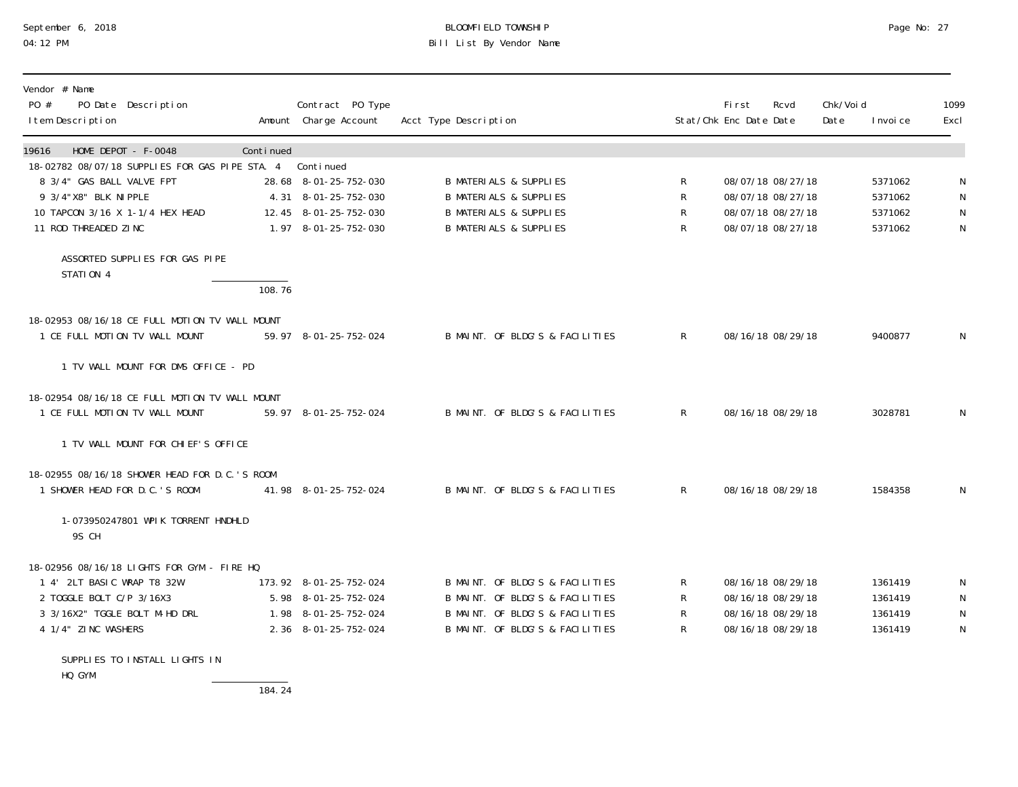# September 6, 2018 BLOOMFIELD TOWNSHIP Page No: 27 04:12 PM Bill List By Vendor Name

| Vendor # Name<br>PO #<br>PO Date Description<br>I tem Description                |           | Contract PO Type<br>Amount Charge Account | Acct Type Description             |              | <b>First</b><br>Stat/Chk Enc Date Date | Rcvd | Chk/Voi d<br>Date | I nvoi ce | 1099<br>Excl |
|----------------------------------------------------------------------------------|-----------|-------------------------------------------|-----------------------------------|--------------|----------------------------------------|------|-------------------|-----------|--------------|
| HOME DEPOT - F-0048<br>19616                                                     | Continued | Continued                                 |                                   |              |                                        |      |                   |           |              |
| 18-02782 08/07/18 SUPPLIES FOR GAS PIPE STA. 4<br>8 3/4" GAS BALL VALVE FPT      |           | 28.68 8-01-25-752-030                     | <b>B MATERIALS &amp; SUPPLIES</b> | R            | 08/07/18 08/27/18                      |      |                   | 5371062   |              |
| 9 3/4"X8" BLK NI PPLE                                                            |           | 4.31 8-01-25-752-030                      | <b>B MATERIALS &amp; SUPPLIES</b> | $\mathsf R$  | 08/07/18 08/27/18                      |      |                   | 5371062   | N            |
| 10 TAPCON 3/16 X 1-1/4 HEX HEAD                                                  |           | 12.45 8-01-25-752-030                     | <b>B MATERIALS &amp; SUPPLIES</b> | R            | 08/07/18 08/27/18                      |      |                   | 5371062   | $\mathsf N$  |
| 11 ROD THREADED ZINC                                                             |           | 1.97 8-01-25-752-030                      | <b>B MATERIALS &amp; SUPPLIES</b> | $\mathsf{R}$ | 08/07/18 08/27/18                      |      |                   | 5371062   | ${\sf N}$    |
| ASSORTED SUPPLIES FOR GAS PIPE<br>STATION 4                                      |           |                                           |                                   |              |                                        |      |                   |           |              |
|                                                                                  | 108.76    |                                           |                                   |              |                                        |      |                   |           |              |
| 18-02953 08/16/18 CE FULL MOTION TV WALL MOUNT                                   |           |                                           |                                   |              |                                        |      |                   |           |              |
| 1 CE FULL MOTION TV WALL MOUNT                                                   |           | 59.97 8-01-25-752-024                     | B MAINT. OF BLDG'S & FACILITIES   | R            | 08/16/18 08/29/18                      |      |                   | 9400877   | N            |
| 1 TV WALL MOUNT FOR DMS OFFICE - PD                                              |           |                                           |                                   |              |                                        |      |                   |           |              |
| 18-02954 08/16/18 CE FULL MOTION TV WALL MOUNT<br>1 CE FULL MOTION TV WALL MOUNT |           | 59.97 8-01-25-752-024                     | B MAINT. OF BLDG'S & FACILITIES   | $\mathsf{R}$ | 08/16/18 08/29/18                      |      |                   | 3028781   | N            |
| 1 TV WALL MOUNT FOR CHIEF'S OFFICE                                               |           |                                           |                                   |              |                                        |      |                   |           |              |
| 18-02955 08/16/18 SHOWER HEAD FOR D.C.'S ROOM<br>1 SHOWER HEAD FOR D.C.'S ROOM   |           | 41.98 8-01-25-752-024                     | B MAINT. OF BLDG'S & FACILITIES   | $\mathsf{R}$ | 08/16/18 08/29/18                      |      |                   | 1584358   | N            |
| 1-073950247801 WPIK TORRENT HNDHLD<br>9S CH                                      |           |                                           |                                   |              |                                        |      |                   |           |              |
| 18-02956 08/16/18 LIGHTS FOR GYM - FIRE HQ                                       |           |                                           |                                   |              |                                        |      |                   |           |              |
| 1 4' 2LT BASIC WRAP T8 32W                                                       |           | 173.92 8-01-25-752-024                    | B MAINT. OF BLDG'S & FACILITIES   | R            | 08/16/18 08/29/18                      |      |                   | 1361419   | N            |
| 2 TOGGLE BOLT C/P 3/16X3                                                         |           | 5.98 8-01-25-752-024                      | B MAINT. OF BLDG'S & FACILITIES   | R            | 08/16/18 08/29/18                      |      |                   | 1361419   | N            |
| 3 3/16X2" TGGLE BOLT M-HD DRL                                                    |           | 1.98 8-01-25-752-024                      | B MAINT. OF BLDG'S & FACILITIES   | R            | 08/16/18 08/29/18                      |      |                   | 1361419   | N            |
| 4 1/4" ZINC WASHERS                                                              |           | 2.36 8-01-25-752-024                      | B MAINT. OF BLDG'S & FACILITIES   | R            | 08/16/18 08/29/18                      |      |                   | 1361419   | N            |
|                                                                                  |           |                                           |                                   |              |                                        |      |                   |           |              |

SUPPLIES TO INSTALL LIGHTS IN HQ GYM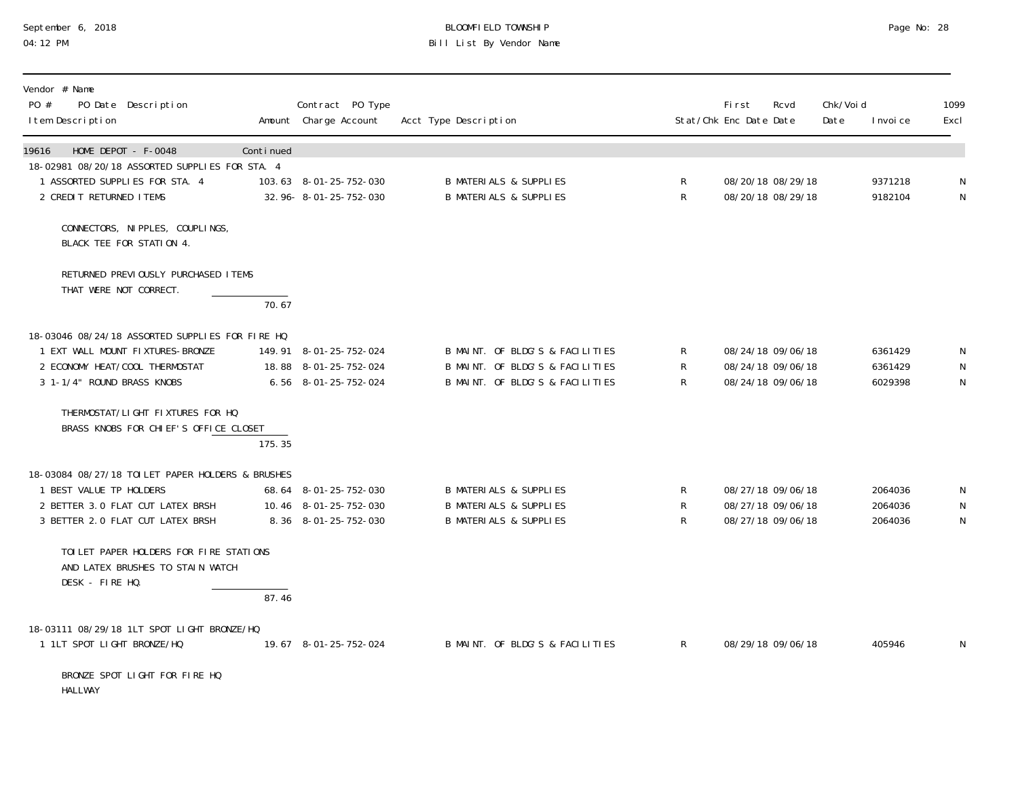#### September 6, 2018 BLOOMFIELD TOWNSHIP Page No: 28 04:12 PM Bill List By Vendor Name

| Vendor # Name<br>PO #<br>PO Date Description<br>I tem Description                             |           | Contract PO Type<br>Amount Charge Account       | Acct Type Description                                                  |                  | <b>First</b><br>Stat/Chk Enc Date Date | Rcvd                                   | Chk/Voi d<br>Date | I nvoi ce          | 1099<br>Excl |
|-----------------------------------------------------------------------------------------------|-----------|-------------------------------------------------|------------------------------------------------------------------------|------------------|----------------------------------------|----------------------------------------|-------------------|--------------------|--------------|
| HOME DEPOT - F-0048<br>19616                                                                  | Continued |                                                 |                                                                        |                  |                                        |                                        |                   |                    |              |
| 18-02981 08/20/18 ASSORTED SUPPLIES FOR STA. 4<br>1 ASSORTED SUPPLIES FOR STA. 4              |           | 103.63 8-01-25-752-030                          | <b>B MATERIALS &amp; SUPPLIES</b>                                      | R                |                                        | 08/20/18 08/29/18                      |                   | 9371218            | N            |
| 2 CREDIT RETURNED ITEMS                                                                       |           | 32.96-8-01-25-752-030                           | <b>B MATERIALS &amp; SUPPLIES</b>                                      | $\mathsf{R}$     |                                        | 08/20/18 08/29/18                      |                   | 9182104            | N            |
| CONNECTORS, NIPPLES, COUPLINGS,<br>BLACK TEE FOR STATION 4.                                   |           |                                                 |                                                                        |                  |                                        |                                        |                   |                    |              |
| RETURNED PREVIOUSLY PURCHASED ITEMS<br>THAT WERE NOT CORRECT.                                 |           |                                                 |                                                                        |                  |                                        |                                        |                   |                    |              |
|                                                                                               | 70.67     |                                                 |                                                                        |                  |                                        |                                        |                   |                    |              |
| 18-03046 08/24/18 ASSORTED SUPPLIES FOR FIRE HQ                                               |           |                                                 |                                                                        |                  |                                        |                                        |                   |                    |              |
| 1 EXT WALL MOUNT FIXTURES-BRONZE<br>2 ECONOMY HEAT/COOL THERMOSTAT                            |           | 149.91 8-01-25-752-024<br>18.88 8-01-25-752-024 | B MAINT. OF BLDG'S & FACILITIES<br>B MAINT. OF BLDG'S & FACILITIES     | R<br>R           |                                        | 08/24/18 09/06/18<br>08/24/18 09/06/18 |                   | 6361429<br>6361429 | N<br>N       |
| 3 1-1/4" ROUND BRASS KNOBS                                                                    |           | 6.56 8-01-25-752-024                            | B MAINT. OF BLDG'S & FACILITIES                                        | R                |                                        | 08/24/18 09/06/18                      |                   | 6029398            | N            |
| THERMOSTAT/LIGHT FIXTURES FOR HQ<br>BRASS KNOBS FOR CHIEF'S OFFICE CLOSET                     | 175.35    |                                                 |                                                                        |                  |                                        |                                        |                   |                    |              |
| 18-03084 08/27/18 TOILET PAPER HOLDERS & BRUSHES                                              |           |                                                 |                                                                        |                  |                                        |                                        |                   |                    |              |
| 1 BEST VALUE TP HOLDERS                                                                       |           | 68.64 8-01-25-752-030                           | <b>B MATERIALS &amp; SUPPLIES</b>                                      | R                |                                        | 08/27/18 09/06/18                      |                   | 2064036            | N            |
| 2 BETTER 3.0 FLAT CUT LATEX BRSH<br>3 BETTER 2.0 FLAT CUT LATEX BRSH                          |           | 10.46 8-01-25-752-030<br>8.36 8-01-25-752-030   | <b>B MATERIALS &amp; SUPPLIES</b><br><b>B MATERIALS &amp; SUPPLIES</b> | $\mathsf R$<br>R |                                        | 08/27/18 09/06/18<br>08/27/18 09/06/18 |                   | 2064036<br>2064036 | N<br>N       |
| TOILET PAPER HOLDERS FOR FIRE STATIONS<br>AND LATEX BRUSHES TO STAIN WATCH<br>DESK - FIRE HQ. |           |                                                 |                                                                        |                  |                                        |                                        |                   |                    |              |
|                                                                                               | 87.46     |                                                 |                                                                        |                  |                                        |                                        |                   |                    |              |
| 18-03111 08/29/18 1LT SPOT LIGHT BRONZE/HQ                                                    |           |                                                 |                                                                        |                  |                                        |                                        |                   |                    |              |
| 1 1LT SPOT LIGHT BRONZE/HQ                                                                    |           | 19.67 8-01-25-752-024                           | B MAINT. OF BLDG'S & FACILITIES                                        | $\mathsf{R}$     |                                        | 08/29/18 09/06/18                      |                   | 405946             | N            |
| BRONZE SPOT LIGHT FOR FIRE HQ                                                                 |           |                                                 |                                                                        |                  |                                        |                                        |                   |                    |              |

HALLWAY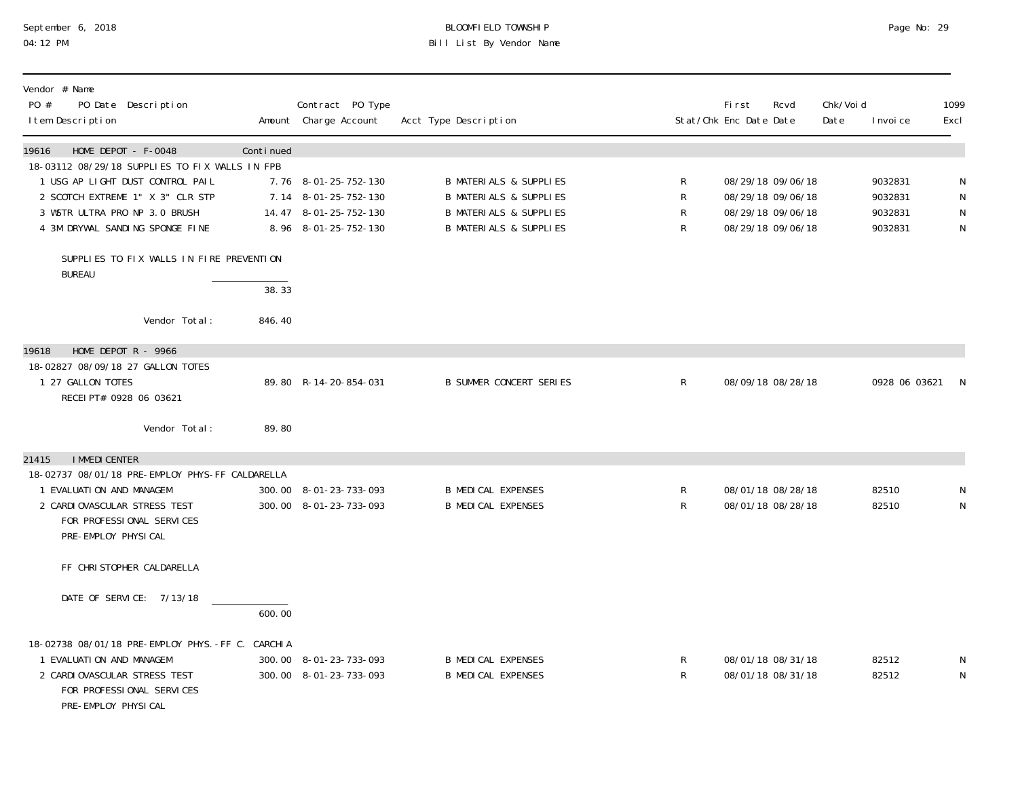## September 6, 2018 BLOOMFIELD TOWNSHIP Page No: 29 04:12 PM Bill List By Vendor Name

| Vendor # Name<br>PO #<br>PO Date Description<br>I tem Description                                                                                                                                                          |                 | Contract PO Type<br>Amount Charge Account                                                     | Acct Type Description                                                                                                                            |                   | First<br>Stat/Chk Enc Date Date | Rcvd                                                                             | Chk/Voi d<br>Date | I nvoi ce                                | 1099<br>Excl                     |
|----------------------------------------------------------------------------------------------------------------------------------------------------------------------------------------------------------------------------|-----------------|-----------------------------------------------------------------------------------------------|--------------------------------------------------------------------------------------------------------------------------------------------------|-------------------|---------------------------------|----------------------------------------------------------------------------------|-------------------|------------------------------------------|----------------------------------|
| HOME DEPOT - F-0048<br>19616<br>18-03112 08/29/18 SUPPLIES TO FIX WALLS IN FPB<br>1 USG AP LIGHT DUST CONTROL PAIL<br>2 SCOTCH EXTREME 1" X 3" CLR STP<br>3 WSTR ULTRA PRO NP 3.0 BRUSH<br>4 3M DRYWAL SANDING SPONGE FINE | Continued       | 7.76 8-01-25-752-130<br>7.14 8-01-25-752-130<br>14.47 8-01-25-752-130<br>8.96 8-01-25-752-130 | <b>B MATERIALS &amp; SUPPLIES</b><br><b>B MATERIALS &amp; SUPPLIES</b><br><b>B MATERIALS &amp; SUPPLIES</b><br><b>B MATERIALS &amp; SUPPLIES</b> | R<br>R<br>R<br>R  |                                 | 08/29/18 09/06/18<br>08/29/18 09/06/18<br>08/29/18 09/06/18<br>08/29/18 09/06/18 |                   | 9032831<br>9032831<br>9032831<br>9032831 | N<br>${\sf N}$<br>${\sf N}$<br>N |
| SUPPLIES TO FIX WALLS IN FIRE PREVENTION<br><b>BUREAU</b>                                                                                                                                                                  | 38.33           |                                                                                               |                                                                                                                                                  |                   |                                 |                                                                                  |                   |                                          |                                  |
| Vendor Total:                                                                                                                                                                                                              | 846.40          |                                                                                               |                                                                                                                                                  |                   |                                 |                                                                                  |                   |                                          |                                  |
| 19618<br>HOME DEPOT $R - 9966$<br>18-02827 08/09/18 27 GALLON TOTES<br>1 27 GALLON TOTES<br>RECEI PT# 0928 06 03621                                                                                                        |                 | 89.80 R-14-20-854-031                                                                         | <b>B SUMMER CONCERT SERIES</b>                                                                                                                   | $\mathsf{R}$      |                                 | 08/09/18 08/28/18                                                                |                   | 0928 06 03621                            | <sup>N</sup>                     |
| Vendor Total:                                                                                                                                                                                                              | 89.80           |                                                                                               |                                                                                                                                                  |                   |                                 |                                                                                  |                   |                                          |                                  |
| <b>I MMEDI CENTER</b><br>21415<br>18-02737 08/01/18 PRE-EMPLOY PHYS-FF CALDARELLA<br>1 EVALUATION AND MANAGEM<br>2 CARDI OVASCULAR STRESS TEST<br>FOR PROFESSIONAL SERVICES<br>PRE-EMPLOY PHYSICAL                         |                 | 300.00 8-01-23-733-093<br>300.00 8-01-23-733-093                                              | <b>B MEDICAL EXPENSES</b><br><b>B MEDICAL EXPENSES</b>                                                                                           | R<br>R            |                                 | 08/01/18 08/28/18<br>08/01/18 08/28/18                                           |                   | 82510<br>82510                           | N<br>${\sf N}$                   |
| FF CHRISTOPHER CALDARELLA                                                                                                                                                                                                  |                 |                                                                                               |                                                                                                                                                  |                   |                                 |                                                                                  |                   |                                          |                                  |
| DATE OF SERVICE: 7/13/18                                                                                                                                                                                                   | 600.00          |                                                                                               |                                                                                                                                                  |                   |                                 |                                                                                  |                   |                                          |                                  |
| 18-02738 08/01/18 PRE-EMPLOY PHYS. -FF C.<br>1 EVALUATION AND MANAGEM<br>2 CARDI OVASCULAR STRESS TEST<br>FOR PROFESSIONAL SERVICES<br>PRE-EMPLOY PHYSICAL                                                                 | <b>CARCHI A</b> | 300.00 8-01-23-733-093<br>300.00 8-01-23-733-093                                              | <b>B MEDICAL EXPENSES</b><br><b>B MEDICAL EXPENSES</b>                                                                                           | R<br>$\mathsf{R}$ |                                 | 08/01/18 08/31/18<br>08/01/18 08/31/18                                           |                   | 82512<br>82512                           | N<br>N                           |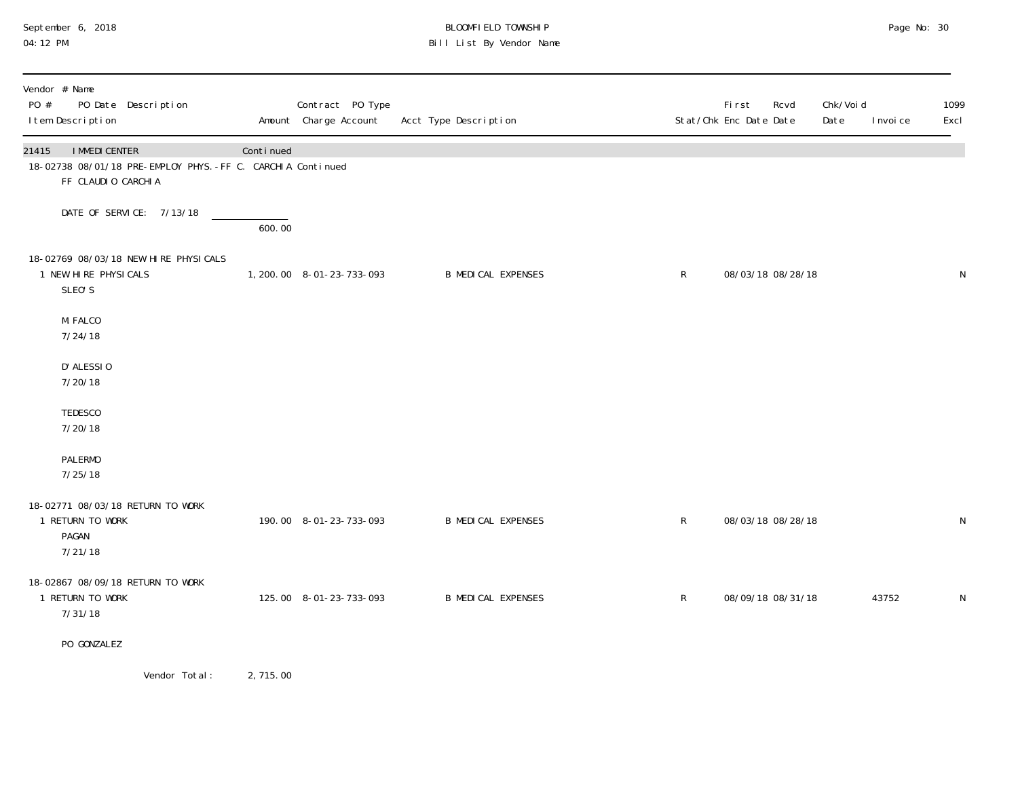# September 6, 2018 **BLOOMFIELD TOWNSHIP** BLOOMFIELD TOWNSHIP BLOOMFIELD TOWNSHIP Page No: 30<br>04:12 PM Bill List By Vendor Name

| Vendor # Name<br>PO #<br>PO Date Description<br>I tem Description                                                   |           | Contract PO Type<br>Amount Charge Account | Acct Type Description     |              | First<br>Rcvd<br>Stat/Chk Enc Date Date | Chk/Voi d<br>Date<br>I nvoi ce | 1099<br>Excl |
|---------------------------------------------------------------------------------------------------------------------|-----------|-------------------------------------------|---------------------------|--------------|-----------------------------------------|--------------------------------|--------------|
| <b>I MMEDI CENTER</b><br>21415<br>18-02738 08/01/18 PRE-EMPLOY PHYS. -FF C. CARCHIA Continued<br>FF CLAUDIO CARCHIA | Continued |                                           |                           |              |                                         |                                |              |
| DATE OF SERVICE: 7/13/18                                                                                            | 600.00    |                                           |                           |              |                                         |                                |              |
| 18-02769 08/03/18 NEW HIRE PHYSICALS<br>1 NEW HIRE PHYSICALS<br>SLEO'S                                              |           | 1, 200. 00 8-01-23-733-093                | <b>B MEDICAL EXPENSES</b> | $\mathsf{R}$ | 08/03/18 08/28/18                       |                                | N            |
| M. FALCO<br>7/24/18                                                                                                 |           |                                           |                           |              |                                         |                                |              |
| D' ALESSIO<br>7/20/18                                                                                               |           |                                           |                           |              |                                         |                                |              |
| TEDESCO<br>7/20/18                                                                                                  |           |                                           |                           |              |                                         |                                |              |
| <b>PALERMO</b><br>7/25/18                                                                                           |           |                                           |                           |              |                                         |                                |              |
| 18-02771 08/03/18 RETURN TO WORK<br>1 RETURN TO WORK<br>PAGAN<br>7/21/18                                            |           | 190.00 8-01-23-733-093                    | <b>B MEDICAL EXPENSES</b> | $\mathsf R$  | 08/03/18 08/28/18                       |                                | ${\sf N}$    |
| 18-02867 08/09/18 RETURN TO WORK<br>1 RETURN TO WORK<br>7/31/18                                                     |           | 125.00 8-01-23-733-093                    | <b>B MEDICAL EXPENSES</b> | $\mathsf{R}$ | 08/09/18 08/31/18                       | 43752                          | N            |
| PO GONZALEZ                                                                                                         |           |                                           |                           |              |                                         |                                |              |
| Manders Tabel                                                                                                       | 2.745.00  |                                           |                           |              |                                         |                                |              |

Vendor Iotal: 2, 115.00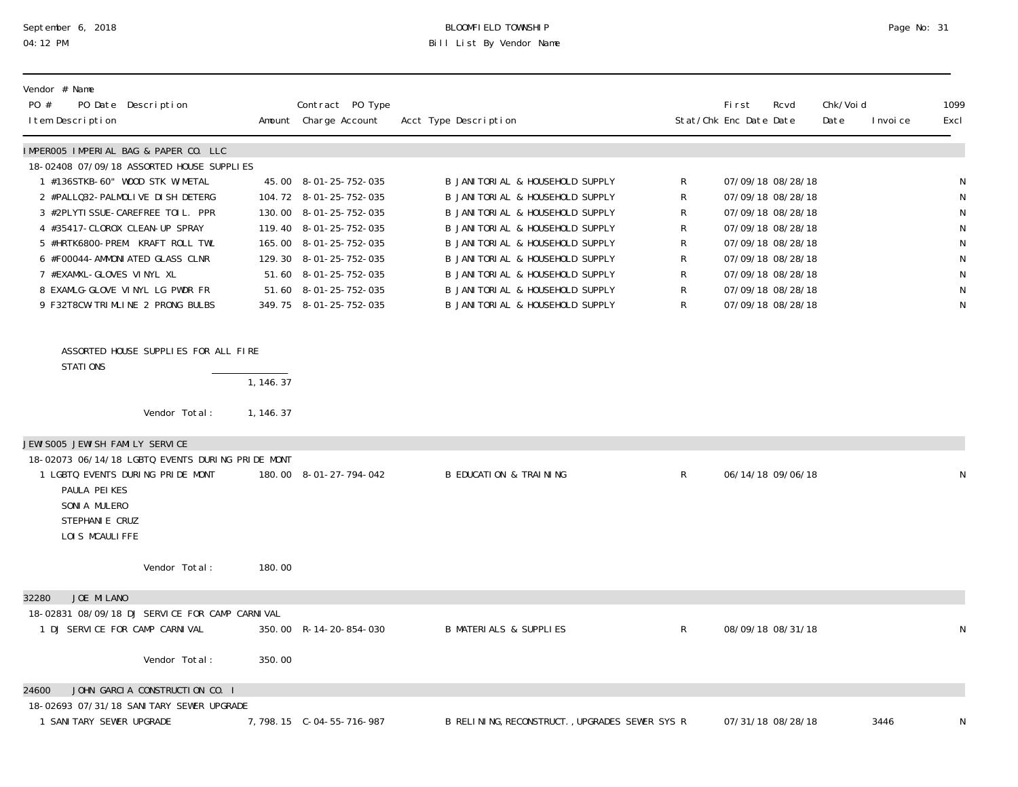# September 6, 2018 BLOOMFIELD TOWNSHIP Page No: 31 04:12 PM Bill List By Vendor Name

| Vendor # Name<br>PO #<br>PO Date Description<br>I tem Description                     |            | Contract PO Type<br>Amount Charge Account | Acct Type Description                          |              | Fi rst<br>Stat/Chk Enc Date Date | Rcvd              | Chk/Voi d<br>Date<br>I nvoi ce | 1099<br>Excl |
|---------------------------------------------------------------------------------------|------------|-------------------------------------------|------------------------------------------------|--------------|----------------------------------|-------------------|--------------------------------|--------------|
| IMPEROO5 IMPERIAL BAG & PAPER CO. LLC                                                 |            |                                           |                                                |              |                                  |                   |                                |              |
| 18-02408 07/09/18 ASSORTED HOUSE SUPPLIES                                             |            |                                           |                                                |              |                                  |                   |                                |              |
| 1 #136STKB-60" WOOD STK W/METAL                                                       |            | 45.00 8-01-25-752-035                     | B JANITORIAL & HOUSEHOLD SUPPLY                | R            |                                  | 07/09/18 08/28/18 |                                | N            |
| 2 #PALLQ32-PALMOLIVE DISH DETERG                                                      |            | 104.72 8-01-25-752-035                    | B JANI TORI AL & HOUSEHOLD SUPPLY              | R            |                                  | 07/09/18 08/28/18 |                                | N            |
| 3 #2PLYTI SSUE-CAREFREE TOIL. PPR                                                     |            | 130.00 8-01-25-752-035                    | B JANI TORI AL & HOUSEHOLD SUPPLY              | R            |                                  | 07/09/18 08/28/18 |                                | N            |
| 4 #35417-CLOROX CLEAN-UP SPRAY                                                        |            | 119.40 8-01-25-752-035                    | B JANITORIAL & HOUSEHOLD SUPPLY                | R            |                                  | 07/09/18 08/28/18 |                                | N            |
| 5 #HRTK6800-PREM. KRAFT ROLL TWL                                                      |            | 165.00 8-01-25-752-035                    | B JANI TORI AL & HOUSEHOLD SUPPLY              | R            |                                  | 07/09/18 08/28/18 |                                | N            |
| 6 #F00044-AMMONI ATED GLASS CLNR                                                      |            | 129.30 8-01-25-752-035                    | B JANI TORI AL & HOUSEHOLD SUPPLY              | R            |                                  | 07/09/18 08/28/18 |                                | ${\sf N}$    |
| 7 #EXAMXL-GLOVES VINYL XL                                                             |            | 51.60 8-01-25-752-035                     | B JANI TORI AL & HOUSEHOLD SUPPLY              | R            |                                  | 07/09/18 08/28/18 |                                | ${\sf N}$    |
| 8 EXAMLG-GLOVE VINYL LG PWDR FR                                                       |            | 51.60 8-01-25-752-035                     | B JANI TORI AL & HOUSEHOLD SUPPLY              | R            |                                  | 07/09/18 08/28/18 |                                | N            |
| 9 F32T8CW-TRIMLINE 2 PRONG BULBS                                                      |            | 349.75 8-01-25-752-035                    | B JANI TORI AL & HOUSEHOLD SUPPLY              | R            |                                  | 07/09/18 08/28/18 |                                | N            |
| ASSORTED HOUSE SUPPLIES FOR ALL FIRE<br>STATIONS                                      |            |                                           |                                                |              |                                  |                   |                                |              |
|                                                                                       | 1, 146.37  |                                           |                                                |              |                                  |                   |                                |              |
| Vendor Total:                                                                         | 1, 146. 37 |                                           |                                                |              |                                  |                   |                                |              |
| JEWI SOO5 JEWI SH FAMI LY SERVICE<br>18-02073 06/14/18 LGBTQ EVENTS DURING PRIDE MONT |            |                                           |                                                |              |                                  |                   |                                |              |
| 1 LGBTQ EVENTS DURING PRIDE MONT<br>PAULA PEIKES<br>SONIA MULERO<br>STEPHANI E CRUZ   |            | 180.00 8-01-27-794-042                    | <b>B EDUCATION &amp; TRAINING</b>              | $\mathsf{R}$ |                                  | 06/14/18 09/06/18 |                                | N            |
| LOIS MCAULIFFE                                                                        |            |                                           |                                                |              |                                  |                   |                                |              |
| Vendor Total:                                                                         | 180.00     |                                           |                                                |              |                                  |                   |                                |              |
| JOE MILANO<br>32280                                                                   |            |                                           |                                                |              |                                  |                   |                                |              |
| 18-02831 08/09/18 DJ SERVICE FOR CAMP CARNIVAL                                        |            |                                           |                                                |              |                                  |                   |                                |              |
| 1 DJ SERVICE FOR CAMP CARNIVAL                                                        |            | 350.00 R-14-20-854-030                    | <b>B MATERIALS &amp; SUPPLIES</b>              | R            |                                  | 08/09/18 08/31/18 |                                | N            |
| Vendor Total:                                                                         | 350.00     |                                           |                                                |              |                                  |                   |                                |              |
|                                                                                       |            |                                           |                                                |              |                                  |                   |                                |              |
| JOHN GARCIA CONSTRUCTION CO. I<br>24600                                               |            |                                           |                                                |              |                                  |                   |                                |              |
| 18-02693 07/31/18 SANI TARY SEWER UPGRADE                                             |            |                                           |                                                |              |                                  |                   |                                |              |
| 1 SANI TARY SEWER UPGRADE                                                             |            |                                           | B RELINING, RECONSTRUCT., UPGRADES SEWER SYS R |              |                                  | 07/31/18 08/28/18 | 3446                           | N            |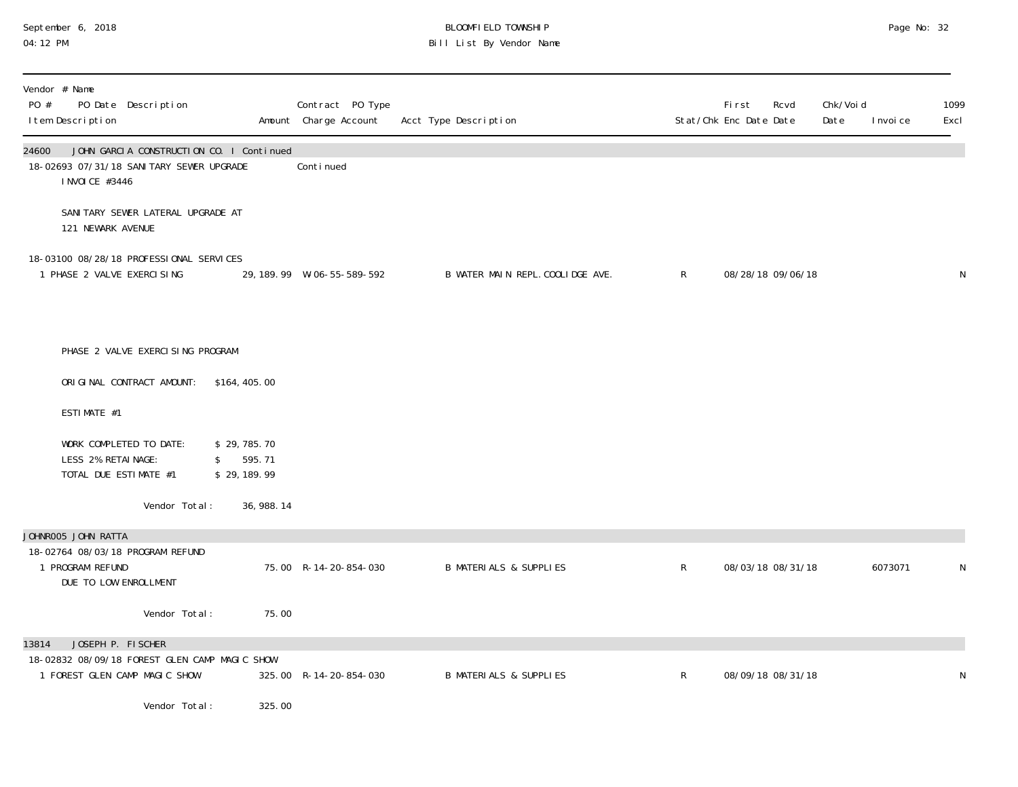# September 6, 2018 **BLOOMFIELD TOWNSHIP** BLOOMFIELD TOWNSHIP BLOOMFIELD TOWNSHIP Page No: 32<br>04:12 PM Bill List By Vendor Name

| PO #  | Vendor # Name<br>I tem Description          | PO Date Description                                                                   |                                            | Contract PO Type<br>Amount Charge Account | Acct Type Description             |              | <b>First</b><br>Rcvd<br>Stat/Chk Enc Date Date | Chk/Voi d<br>Date<br>I nvoi ce | 1099<br>Excl |
|-------|---------------------------------------------|---------------------------------------------------------------------------------------|--------------------------------------------|-------------------------------------------|-----------------------------------|--------------|------------------------------------------------|--------------------------------|--------------|
| 24600 | I NVOI CE #3446                             | JOHN GARCIA CONSTRUCTION CO. I Continued<br>18-02693 07/31/18 SANI TARY SEWER UPGRADE |                                            | Conti nued                                |                                   |              |                                                |                                |              |
|       | 121 NEWARK AVENUE                           | SANITARY SEWER LATERAL UPGRADE AT                                                     |                                            |                                           |                                   |              |                                                |                                |              |
|       | 1 PHASE 2 VALVE EXERCISING                  | 18-03100 08/28/18 PROFESSIONAL SERVICES                                               |                                            | 29, 189. 99  W-06-55-589-592              | B WATER MAIN REPL. COOLIDGE AVE.  | $\mathsf{R}$ | 08/28/18 09/06/18                              |                                | N            |
|       |                                             | PHASE 2 VALVE EXERCISING PROGRAM                                                      |                                            |                                           |                                   |              |                                                |                                |              |
|       |                                             | ORIGINAL CONTRACT AMOUNT:                                                             | \$164, 405.00                              |                                           |                                   |              |                                                |                                |              |
|       | ESTIMATE #1                                 |                                                                                       |                                            |                                           |                                   |              |                                                |                                |              |
|       | LESS 2% RETAINAGE:<br>TOTAL DUE ESTIMATE #1 | WORK COMPLETED TO DATE:                                                               | \$29,785.70<br>595.71<br>\$<br>\$29,189.99 |                                           |                                   |              |                                                |                                |              |
|       |                                             | Vendor Total:                                                                         | 36, 988. 14                                |                                           |                                   |              |                                                |                                |              |
|       | JOHNROO5 JOHN RATTA                         | 18-02764 08/03/18 PROGRAM REFUND                                                      |                                            |                                           |                                   |              |                                                |                                |              |
|       | 1 PROGRAM REFUND<br>DUE TO LOW ENROLLMENT   |                                                                                       |                                            | 75.00 R-14-20-854-030                     | <b>B MATERIALS &amp; SUPPLIES</b> | $\mathsf R$  | 08/03/18 08/31/18                              | 6073071                        | N            |
|       |                                             | Vendor Total:                                                                         | 75.00                                      |                                           |                                   |              |                                                |                                |              |
| 13814 | JOSEPH P. FISCHER                           | 18-02832 08/09/18 FOREST GLEN CAMP MAGIC SHOW<br>1 FOREST GLEN CAMP MAGIC SHOW        |                                            | 325.00 R-14-20-854-030                    | <b>B MATERIALS &amp; SUPPLIES</b> | R            | 08/09/18 08/31/18                              |                                | N            |
|       |                                             | Vendor Total:                                                                         | 325.00                                     |                                           |                                   |              |                                                |                                |              |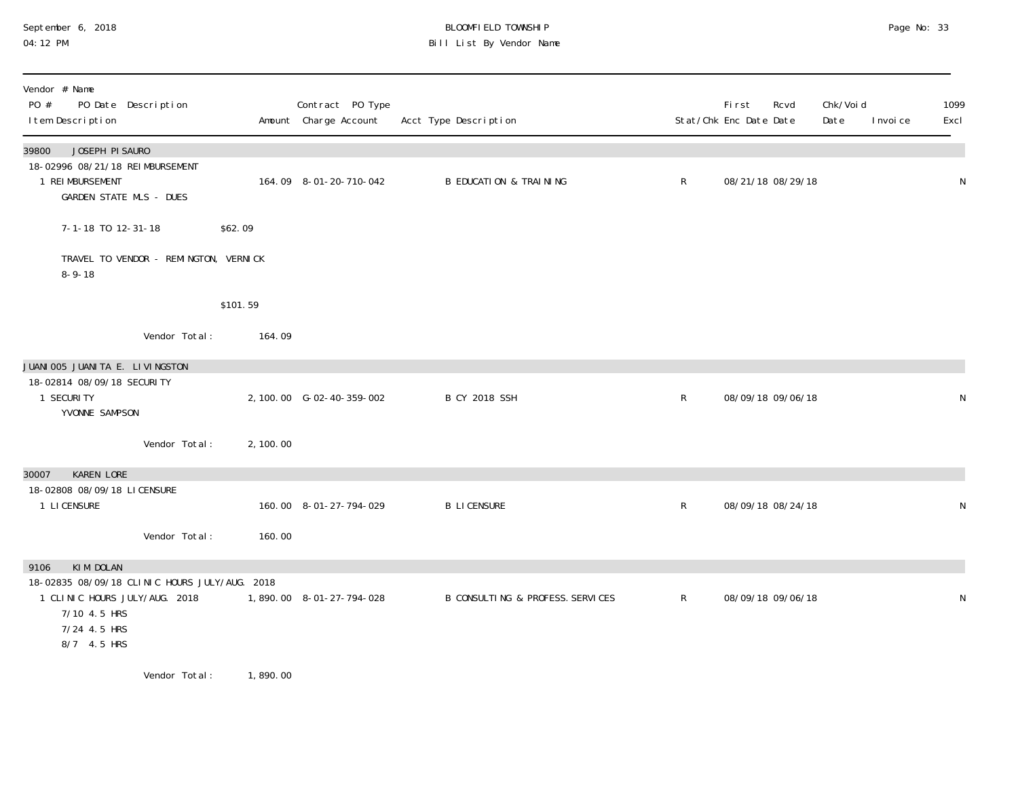#### September 6, 2018 BLOOMFIELD TOWNSHIP Page No: 33 04:12 PM Bill List By Vendor Name

| Vendor # Name<br>PO #<br>I tem Description                                                                                    | PO Date Description                   |           | Contract PO Type<br>Amount Charge Account | Acct Type Description             |              | <b>First</b><br>Rcvd<br>Stat/Chk Enc Date Date | Chk/Voi d<br>Date<br>I nvoi ce | 1099<br>Excl |
|-------------------------------------------------------------------------------------------------------------------------------|---------------------------------------|-----------|-------------------------------------------|-----------------------------------|--------------|------------------------------------------------|--------------------------------|--------------|
| JOSEPH PI SAURO<br>39800                                                                                                      |                                       |           |                                           |                                   |              |                                                |                                |              |
| 18-02996 08/21/18 REIMBURSEMENT<br>1 REI MBURSEMENT<br><b>GARDEN STATE MLS - DUES</b>                                         |                                       |           | 164.09 8-01-20-710-042                    | <b>B EDUCATION &amp; TRAINING</b> | $\mathsf{R}$ | 08/21/18 08/29/18                              |                                | N            |
| 7-1-18 TO 12-31-18                                                                                                            |                                       | \$62.09   |                                           |                                   |              |                                                |                                |              |
| $8 - 9 - 18$                                                                                                                  | TRAVEL TO VENDOR - REMINGTON, VERNICK |           |                                           |                                   |              |                                                |                                |              |
|                                                                                                                               |                                       | \$101.59  |                                           |                                   |              |                                                |                                |              |
|                                                                                                                               | Vendor Total:                         | 164.09    |                                           |                                   |              |                                                |                                |              |
| JUANI 005 JUANI TA E. LI VINGSTON                                                                                             |                                       |           |                                           |                                   |              |                                                |                                |              |
| 18-02814 08/09/18 SECURITY<br>1 SECURITY<br>YVONNE SAMPSON                                                                    |                                       |           | 2, 100.00 G-02-40-359-002                 | <b>B CY 2018 SSH</b>              | $\mathsf{R}$ | 08/09/18 09/06/18                              |                                | N            |
|                                                                                                                               | Vendor Total:                         | 2, 100.00 |                                           |                                   |              |                                                |                                |              |
| <b>KAREN LORE</b><br>30007                                                                                                    |                                       |           |                                           |                                   |              |                                                |                                |              |
| 18-02808 08/09/18 LICENSURE<br>1 LI CENSURE                                                                                   |                                       |           | 160.00 8-01-27-794-029                    | <b>B LICENSURE</b>                | $\mathsf{R}$ | 08/09/18 08/24/18                              |                                | N            |
|                                                                                                                               | Vendor Total:                         | 160.00    |                                           |                                   |              |                                                |                                |              |
| KIM DOLAN<br>9106                                                                                                             |                                       |           |                                           |                                   |              |                                                |                                |              |
| 18-02835 08/09/18 CLINIC HOURS JULY/AUG. 2018<br>1 CLINIC HOURS JULY/AUG. 2018<br>7/10 4.5 HRS<br>7/24 4.5 HRS<br>8/7 4.5 HRS |                                       |           | 1,890.00 8-01-27-794-028                  | B CONSULTING & PROFESS. SERVICES  | $\mathsf{R}$ | 08/09/18 09/06/18                              |                                | $\mathsf N$  |
|                                                                                                                               |                                       |           |                                           |                                   |              |                                                |                                |              |

Vendor Total: 1,890.00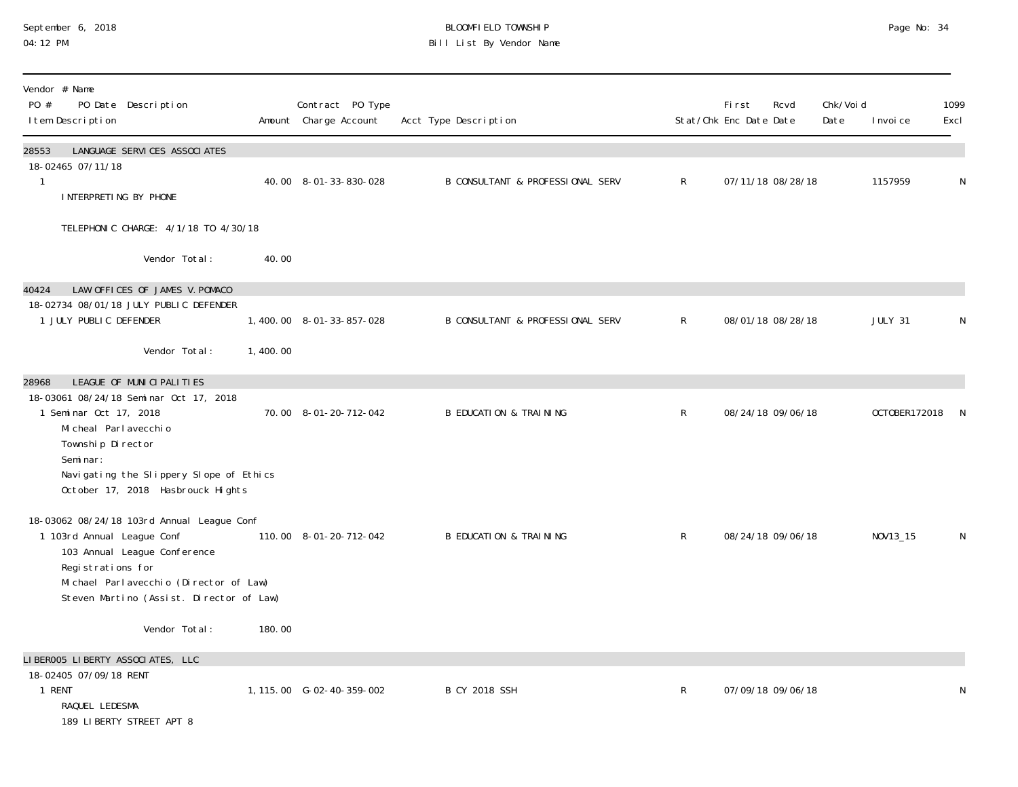#### September 6, 2018 BLOOMFIELD TOWNSHIP Page No: 34 04:12 PM Bill List By Vendor Name

| Vendor # Name<br>PO #<br>PO Date Description<br>I tem Description                                                                                                                                                                                 |          | Contract PO Type<br>Amount Charge Account | Acct Type Description             |              | First<br>Stat/Chk Enc Date Date | Rcvd              | Chk/Voi d<br>Date | I nvoi ce      | 1099<br>Excl |
|---------------------------------------------------------------------------------------------------------------------------------------------------------------------------------------------------------------------------------------------------|----------|-------------------------------------------|-----------------------------------|--------------|---------------------------------|-------------------|-------------------|----------------|--------------|
| 28553<br>LANGUAGE SERVICES ASSOCIATES<br>18-02465 07/11/18<br>$\mathbf{1}$<br>INTERPRETING BY PHONE                                                                                                                                               |          | 40.00 8-01-33-830-028                     | B CONSULTANT & PROFESSIONAL SERV  | $\mathsf{R}$ |                                 | 07/11/18 08/28/18 |                   | 1157959        | N            |
| TELEPHONIC CHARGE: 4/1/18 TO 4/30/18                                                                                                                                                                                                              |          |                                           |                                   |              |                                 |                   |                   |                |              |
| Vendor Total:                                                                                                                                                                                                                                     | 40.00    |                                           |                                   |              |                                 |                   |                   |                |              |
| LAW OFFICES OF JAMES V. POMACO<br>40424<br>18-02734 08/01/18 JULY PUBLIC DEFENDER<br>1 JULY PUBLIC DEFENDER<br>Vendor Total:                                                                                                                      | 1,400.00 | 1,400.00 8-01-33-857-028                  | B CONSULTANT & PROFESSIONAL SERV  | $\mathsf R$  |                                 | 08/01/18 08/28/18 |                   | <b>JULY 31</b> | N            |
| LEAGUE OF MUNICIPALITIES<br>28968<br>18-03061 08/24/18 Seminar Oct 17, 2018<br>1 Seminar Oct 17, 2018<br>Mi cheal Parl avecchi o<br>Township Director<br>Seminar:<br>Navigating the Slippery Slope of Ethics<br>October 17, 2018 Hasbrouck Hights |          | 70.00 8-01-20-712-042                     | <b>B EDUCATION &amp; TRAINING</b> | $\mathsf R$  |                                 | 08/24/18 09/06/18 |                   | OCTOBER172018  | -N           |
| 18-03062 08/24/18 103rd Annual League Conf<br>1 103rd Annual League Conf<br>103 Annual League Conference<br>Registrations for<br>Michael Parlavecchio (Director of Law)<br>Steven Martino (Assist. Director of Law)                               |          | 110.00 8-01-20-712-042                    | <b>B EDUCATION &amp; TRAINING</b> | $\mathsf{R}$ |                                 | 08/24/18 09/06/18 |                   | NOV13_15       | N            |
| Vendor Total:                                                                                                                                                                                                                                     | 180.00   |                                           |                                   |              |                                 |                   |                   |                |              |
| LIBEROO5 LIBERTY ASSOCIATES, LLC<br>18-02405 07/09/18 RENT<br>1 RENT<br>RAQUEL LEDESMA<br>189 LIBERTY STREET APT 8                                                                                                                                |          | 1, 115.00 G-02-40-359-002                 | <b>B CY 2018 SSH</b>              | $\mathsf R$  |                                 | 07/09/18 09/06/18 |                   |                | N            |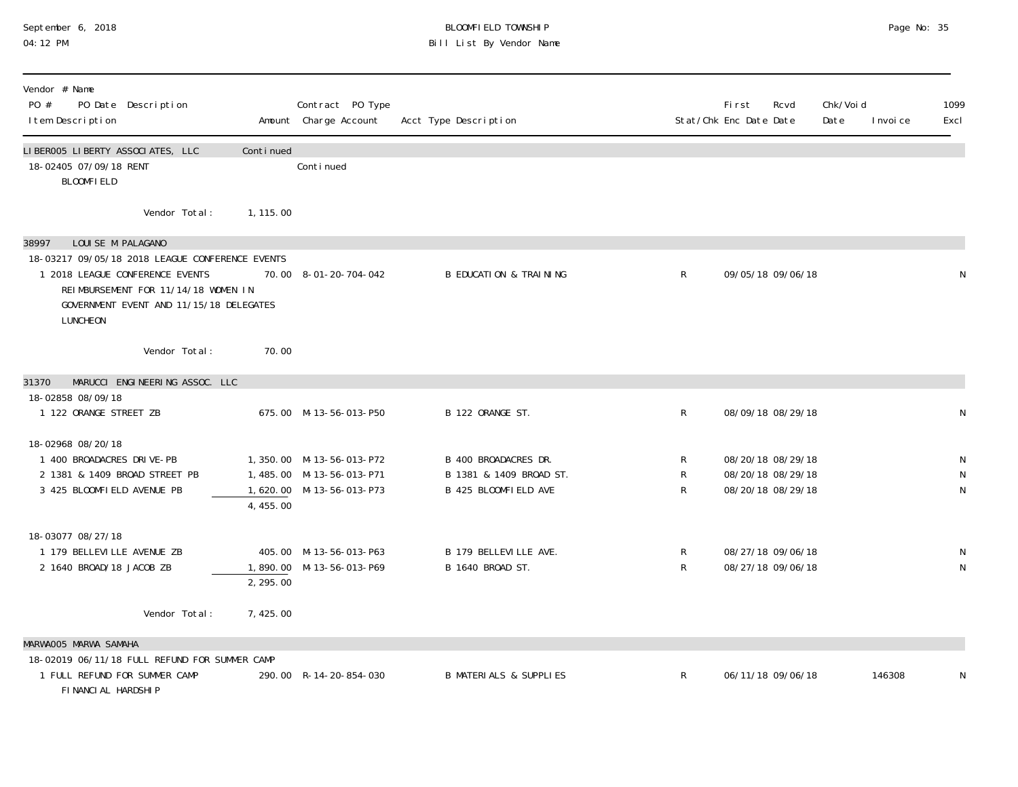#### September 6, 2018 BLOOMFIELD TOWNSHIP Page No: 35 04:12 PM Bill List By Vendor Name

| Vendor # Name<br>PO #<br>PO Date Description<br>I tem Description                                                                                                                                              |            | Contract PO Type<br>Amount Charge Account                                        | Acct Type Description                                                   |                   | <b>First</b><br>Rcvd<br>Stat/Chk Enc Date Date              | Chk/Voi d<br>Date<br>I nvoi ce | 1099<br>Excl |
|----------------------------------------------------------------------------------------------------------------------------------------------------------------------------------------------------------------|------------|----------------------------------------------------------------------------------|-------------------------------------------------------------------------|-------------------|-------------------------------------------------------------|--------------------------------|--------------|
| LIBEROO5 LIBERTY ASSOCIATES, LLC<br>18-02405 07/09/18 RENT<br><b>BLOOMFIELD</b>                                                                                                                                | Continued  | Continued                                                                        |                                                                         |                   |                                                             |                                |              |
| Vendor Total:                                                                                                                                                                                                  | 1, 115, 00 |                                                                                  |                                                                         |                   |                                                             |                                |              |
| 38997<br>LOUISE M PALAGANO<br>18-03217 09/05/18 2018 LEAGUE CONFERENCE EVENTS<br>1 2018 LEAGUE CONFERENCE EVENTS<br>REIMBURSEMENT FOR 11/14/18 WOMEN IN<br>GOVERNMENT EVENT AND 11/15/18 DELEGATES<br>LUNCHEON |            | 70.00 8-01-20-704-042                                                            | <b>B EDUCATION &amp; TRAINING</b>                                       | $\mathsf{R}$      | 09/05/18 09/06/18                                           |                                | N            |
| Vendor Total:                                                                                                                                                                                                  | 70.00      |                                                                                  |                                                                         |                   |                                                             |                                |              |
| MARUCCI ENGINEERING ASSOC. LLC<br>31370                                                                                                                                                                        |            |                                                                                  |                                                                         |                   |                                                             |                                |              |
| 18-02858 08/09/18<br>1 122 ORANGE STREET ZB                                                                                                                                                                    |            | 675.00 M-13-56-013-P50                                                           | B 122 ORANGE ST.                                                        | $\mathsf{R}$      | 08/09/18 08/29/18                                           |                                | N            |
| 18-02968 08/20/18<br>1 400 BROADACRES DRIVE-PB<br>2 1381 & 1409 BROAD STREET PB<br>3 425 BLOOMFIELD AVENUE PB                                                                                                  | 4,455.00   | 1,350.00 M-13-56-013-P72<br>1,485.00 M-13-56-013-P71<br>1,620.00 M-13-56-013-P73 | B 400 BROADACRES DR.<br>B 1381 & 1409 BROAD ST.<br>B 425 BLOOMFIELD AVE | R<br>R<br>R       | 08/20/18 08/29/18<br>08/20/18 08/29/18<br>08/20/18 08/29/18 |                                | N<br>N<br>N  |
| 18-03077 08/27/18<br>1 179 BELLEVILLE AVENUE ZB<br>2 1640 BROAD/18 JACOB ZB                                                                                                                                    | 2, 295.00  | 405.00 M-13-56-013-P63<br>1,890.00 M-13-56-013-P69                               | B 179 BELLEVILLE AVE.<br>B 1640 BROAD ST.                               | R<br>$\mathsf{R}$ | 08/27/18 09/06/18<br>08/27/18 09/06/18                      |                                | N<br>N       |
| Vendor Total:                                                                                                                                                                                                  | 7,425.00   |                                                                                  |                                                                         |                   |                                                             |                                |              |
| MARWAOO5 MARWA SAMAHA                                                                                                                                                                                          |            |                                                                                  |                                                                         |                   |                                                             |                                |              |
| 18-02019 06/11/18 FULL REFUND FOR SUMMER CAMP<br>1 FULL REFUND FOR SUMMER CAMP<br>FINANCIAL HARDSHIP                                                                                                           |            | 290.00 R-14-20-854-030                                                           | <b>B MATERIALS &amp; SUPPLIES</b>                                       | R                 | 06/11/18 09/06/18                                           | 146308                         | N            |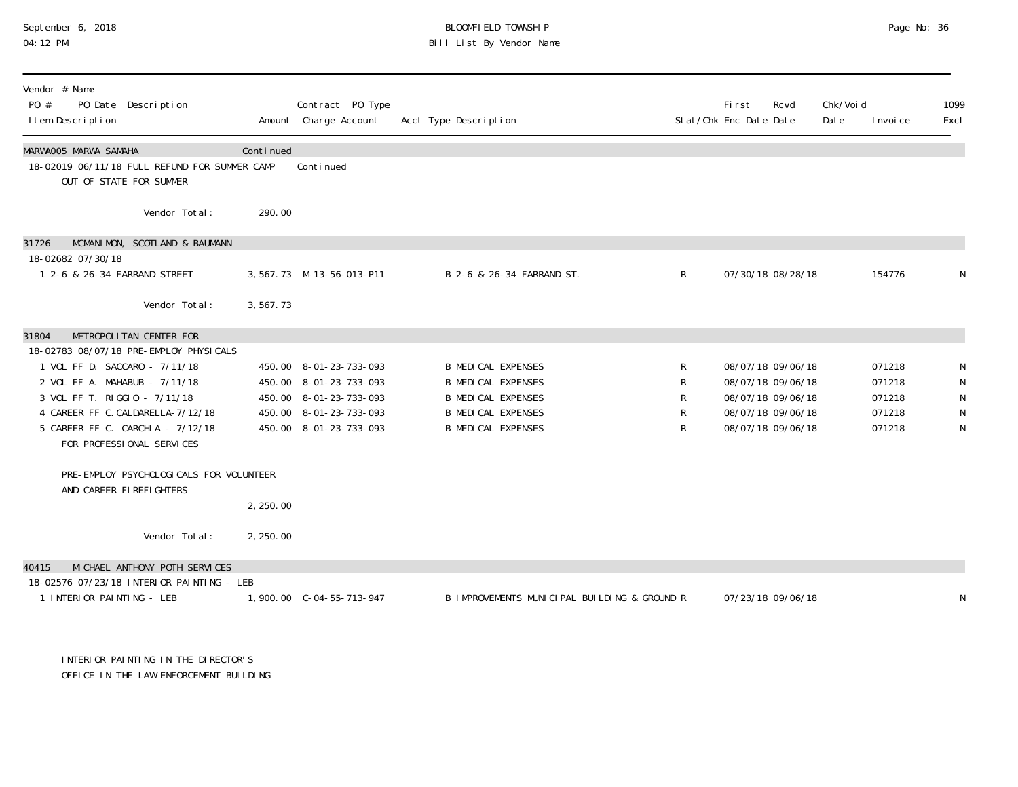# September 6, 2018 **BLOOMFIELD TOWNSHIP** BLOOMFIELD TOWNSHIP BLOOMFIELD TOWNSHIP Page No: 36<br>04:12 PM Bill List By Vendor Name

| Vendor # Name<br>PO #<br>PO Date Description<br>I tem Description                                                                                                                                                                                                                  |           | Contract PO Type<br>Amount Charge Account                                                                                      | Acct Type Description                                                                                                                         |                       | Fi rst<br>Stat/Chk Enc Date Date | Rcvd                                                                                                  | Chk/Voi d<br>Date | I nvoi ce                                      | 1099<br>Excl |
|------------------------------------------------------------------------------------------------------------------------------------------------------------------------------------------------------------------------------------------------------------------------------------|-----------|--------------------------------------------------------------------------------------------------------------------------------|-----------------------------------------------------------------------------------------------------------------------------------------------|-----------------------|----------------------------------|-------------------------------------------------------------------------------------------------------|-------------------|------------------------------------------------|--------------|
| MARWAOO5 MARWA SAMAHA<br>18-02019 06/11/18 FULL REFUND FOR SUMMER CAMP<br>OUT OF STATE FOR SUMMER                                                                                                                                                                                  | Continued | Continued                                                                                                                      |                                                                                                                                               |                       |                                  |                                                                                                       |                   |                                                |              |
| Vendor Total:                                                                                                                                                                                                                                                                      | 290.00    |                                                                                                                                |                                                                                                                                               |                       |                                  |                                                                                                       |                   |                                                |              |
| MCMANIMON, SCOTLAND & BAUMANN<br>31726<br>18-02682 07/30/18<br>1 2-6 & 26-34 FARRAND STREET                                                                                                                                                                                        |           | 3, 567. 73 M-13-56-013-P11                                                                                                     | B 2-6 & 26-34 FARRAND ST.                                                                                                                     | $\mathsf{R}$          |                                  | 07/30/18 08/28/18                                                                                     |                   | 154776                                         |              |
| Vendor Total:                                                                                                                                                                                                                                                                      | 3,567.73  |                                                                                                                                |                                                                                                                                               |                       |                                  |                                                                                                       |                   |                                                |              |
| METROPOLITAN CENTER FOR<br>31804<br>18-02783 08/07/18 PRE-EMPLOY PHYSICALS<br>1 VOL FF D. SACCARO - 7/11/18<br>2 VOL FF A. MAHABUB - 7/11/18<br>3 VOL FF T. RIGGIO - 7/11/18<br>4 CAREER FF C. CALDARELLA-7/12/18<br>5 CAREER FF C. CARCHIA - 7/12/18<br>FOR PROFESSIONAL SERVICES |           | 450.00 8-01-23-733-093<br>450.00 8-01-23-733-093<br>450.00 8-01-23-733-093<br>450.00 8-01-23-733-093<br>450.00 8-01-23-733-093 | <b>B MEDICAL EXPENSES</b><br><b>B MEDICAL EXPENSES</b><br><b>B MEDICAL EXPENSES</b><br><b>B MEDICAL EXPENSES</b><br><b>B MEDICAL EXPENSES</b> | R<br>R<br>R<br>R<br>R |                                  | 08/07/18 09/06/18<br>08/07/18 09/06/18<br>08/07/18 09/06/18<br>08/07/18 09/06/18<br>08/07/18 09/06/18 |                   | 071218<br>071218<br>071218<br>071218<br>071218 | N            |
| PRE-EMPLOY PSYCHOLOGICALS FOR VOLUNTEER<br>AND CAREER FIREFIGHTERS                                                                                                                                                                                                                 | 2, 250.00 |                                                                                                                                |                                                                                                                                               |                       |                                  |                                                                                                       |                   |                                                |              |
| Vendor Total:                                                                                                                                                                                                                                                                      | 2, 250.00 |                                                                                                                                |                                                                                                                                               |                       |                                  |                                                                                                       |                   |                                                |              |
| MI CHAEL ANTHONY POTH SERVICES<br>40415<br>18-02576 07/23/18 INTERIOR PAINTING - LEB<br>1 INTERIOR PAINTING - LEB                                                                                                                                                                  |           |                                                                                                                                | B IMPROVEMENTS MUNICIPAL BUILDING & GROUND R                                                                                                  |                       |                                  | 07/23/18 09/06/18                                                                                     |                   |                                                |              |

 INTERIOR PAINTING IN THE DIRECTOR'S OFFICE IN THE LAW ENFORCEMENT BUILDING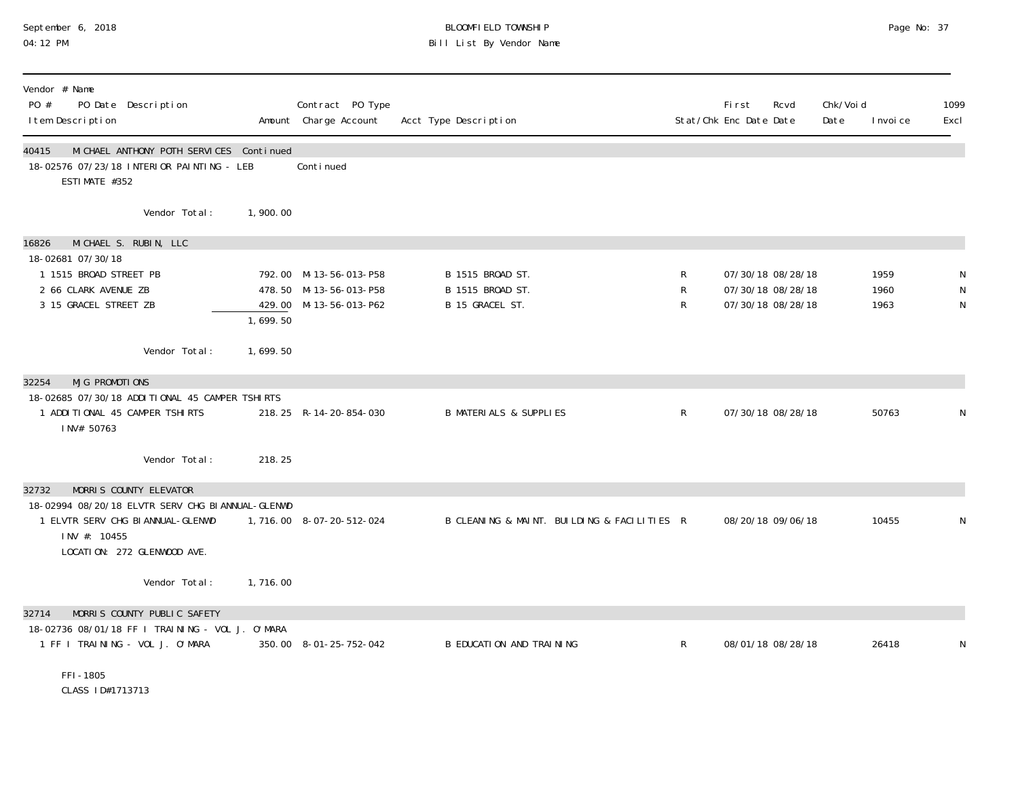# September 6, 2018 BLOOMFIELD TOWNSHIP Page No: 37 04:12 PM Bill List By Vendor Name

| Vendor # Name<br>PO #<br>PO Date Description<br>I tem Description                                                                                                        |          | Contract PO Type<br>Amount Charge Account                                  | Acct Type Description                                   |              | First<br>Rcvd<br>Stat/Chk Enc Date Date                     | Chk/Void<br>Date | I nvoi ce            | 1099<br>Excl |
|--------------------------------------------------------------------------------------------------------------------------------------------------------------------------|----------|----------------------------------------------------------------------------|---------------------------------------------------------|--------------|-------------------------------------------------------------|------------------|----------------------|--------------|
| MICHAEL ANTHONY POTH SERVICES Continued<br>40415<br>18-02576 07/23/18 INTERIOR PAINTING - LEB<br>ESTIMATE #352                                                           |          | Conti nued                                                                 |                                                         |              |                                                             |                  |                      |              |
| Vendor Total:                                                                                                                                                            | 1,900.00 |                                                                            |                                                         |              |                                                             |                  |                      |              |
| MICHAEL S. RUBIN, LLC<br>16826<br>18-02681 07/30/18                                                                                                                      |          |                                                                            |                                                         |              |                                                             |                  |                      |              |
| 1 1515 BROAD STREET PB<br>2 66 CLARK AVENUE ZB<br>3 15 GRACEL STREET ZB                                                                                                  | 1,699.50 | 792.00 M-13-56-013-P58<br>478.50 M-13-56-013-P58<br>429.00 M-13-56-013-P62 | B 1515 BROAD ST.<br>B 1515 BROAD ST.<br>B 15 GRACEL ST. | R<br>R<br>R  | 07/30/18 08/28/18<br>07/30/18 08/28/18<br>07/30/18 08/28/18 |                  | 1959<br>1960<br>1963 | N<br>N<br>N  |
| Vendor Total:                                                                                                                                                            | 1,699.50 |                                                                            |                                                         |              |                                                             |                  |                      |              |
| MJG PROMOTIONS<br>32254<br>18-02685 07/30/18 ADDITIONAL 45 CAMPER TSHIRTS<br>1 ADDITIONAL 45 CAMPER TSHIRTS<br>INV# 50763                                                |          | 218.25 R-14-20-854-030                                                     | <b>B MATERIALS &amp; SUPPLIES</b>                       | $\mathsf{R}$ | 07/30/18 08/28/18                                           |                  | 50763                | N            |
| Vendor Total:                                                                                                                                                            | 218.25   |                                                                            |                                                         |              |                                                             |                  |                      |              |
| MORRIS COUNTY ELEVATOR<br>32732<br>18-02994 08/20/18 ELVTR SERV CHG BI ANNUAL-GLENWD<br>1 ELVTR SERV CHG BI ANNUAL-GLENWD<br>INV #: 10455<br>LOCATION: 272 GLENWOOD AVE. |          | 1, 716.00 8-07-20-512-024                                                  | B CLEANING & MAINT. BUILDING & FACILITIES R             |              | 08/20/18 09/06/18                                           |                  | 10455                | N            |
| Vendor Total:                                                                                                                                                            | 1,716.00 |                                                                            |                                                         |              |                                                             |                  |                      |              |
| MORRIS COUNTY PUBLIC SAFETY<br>32714<br>18-02736 08/01/18 FF I TRAINING - VOL J. O'MARA<br>1 FF I TRAINING - VOL J. O'MARA                                               |          | 350.00 8-01-25-752-042                                                     | B EDUCATION AND TRAINING                                | $\mathsf{R}$ | 08/01/18 08/28/18                                           |                  | 26418                | N            |
| FFI-1805<br>CLASS 1D#1713713                                                                                                                                             |          |                                                                            |                                                         |              |                                                             |                  |                      |              |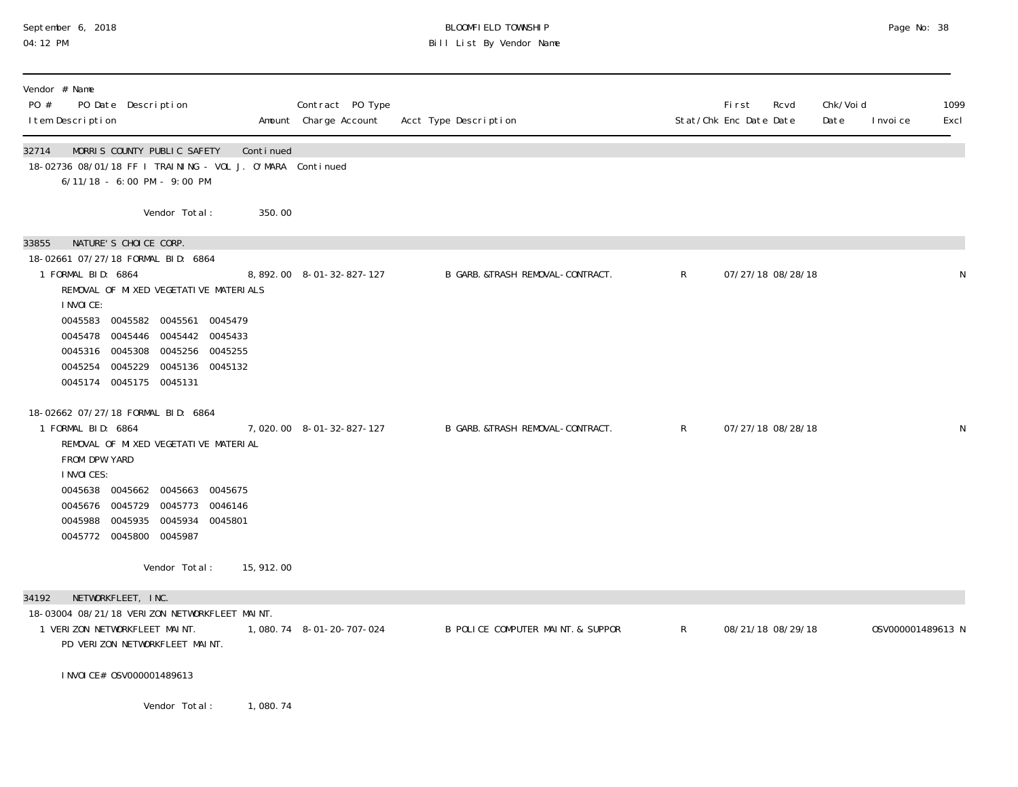# September 6, 2018 BLOOMFIELD TOWNSHIP Page No: 38 Bill List By Vendor Name

| Vendor # Name<br>PO #<br>PO Date Description<br>I tem Description                                                                                                                                                                                                                                                        |            | Contract PO Type         | Amount Charge Account Acct Type Description |              | Fi rst<br>Stat/Chk Enc Date Date | Rcvd              | Chk/Void<br>Date | I nvoi ce         | 1099<br>Excl |
|--------------------------------------------------------------------------------------------------------------------------------------------------------------------------------------------------------------------------------------------------------------------------------------------------------------------------|------------|--------------------------|---------------------------------------------|--------------|----------------------------------|-------------------|------------------|-------------------|--------------|
| MORRIS COUNTY PUBLIC SAFETY<br>32714<br>18-02736 08/01/18 FF I TRAINING - VOL J. O'MARA Continued<br>6/11/18 - 6:00 PM - 9:00 PM                                                                                                                                                                                         | Continued  |                          |                                             |              |                                  |                   |                  |                   |              |
| Vendor Total:                                                                                                                                                                                                                                                                                                            | 350.00     |                          |                                             |              |                                  |                   |                  |                   |              |
| NATURE'S CHOICE CORP.<br>33855<br>18-02661 07/27/18 FORMAL BID: 6864<br>1 FORMAL BID: 6864<br>REMOVAL OF MIXED VEGETATIVE MATERIALS<br>I NVOI CE:<br>0045583 0045582 0045561 0045479<br>0045478 0045446 0045442 0045433<br>0045316 0045308 0045256 0045255<br>0045254 0045229 0045136 0045132<br>0045174 0045175 0045131 |            | 8,892.00 8-01-32-827-127 | B GARB. &TRASH REMOVAL-CONTRACT.            | R            |                                  | 07/27/18 08/28/18 |                  |                   | N            |
| 18-02662 07/27/18 FORMAL BID: 6864<br>1 FORMAL BID: 6864<br>REMOVAL OF MIXED VEGETATIVE MATERIAL<br>FROM DPW YARD<br><b>INVOICES:</b><br>0045638 0045662 0045663 0045675<br>0045676 0045729 0045773 0046146<br>0045988 0045935 0045934 0045801<br>0045772 0045800 0045987                                                |            | 7,020.00 8-01-32-827-127 | B GARB. &TRASH REMOVAL-CONTRACT.            | R            |                                  | 07/27/18 08/28/18 |                  |                   | N            |
| Vendor Total:                                                                                                                                                                                                                                                                                                            | 15, 912.00 |                          |                                             |              |                                  |                   |                  |                   |              |
| NETWORKFLEET, INC.<br>34192<br>18-03004 08/21/18 VERIZON NETWORKFLEET MAINT.<br>1 VERIZON NETWORKFLEET MAINT.<br>PD VERIZON NETWORKFLEET MAINT.                                                                                                                                                                          |            | 1,080.74 8-01-20-707-024 | B POLICE COMPUTER MAINT. & SUPPOR           | $\mathsf{R}$ |                                  | 08/21/18 08/29/18 |                  | 0SV000001489613 N |              |
| I NVOI CE# 0SV000001489613                                                                                                                                                                                                                                                                                               |            |                          |                                             |              |                                  |                   |                  |                   |              |
| Vendor Total:                                                                                                                                                                                                                                                                                                            | 1,080.74   |                          |                                             |              |                                  |                   |                  |                   |              |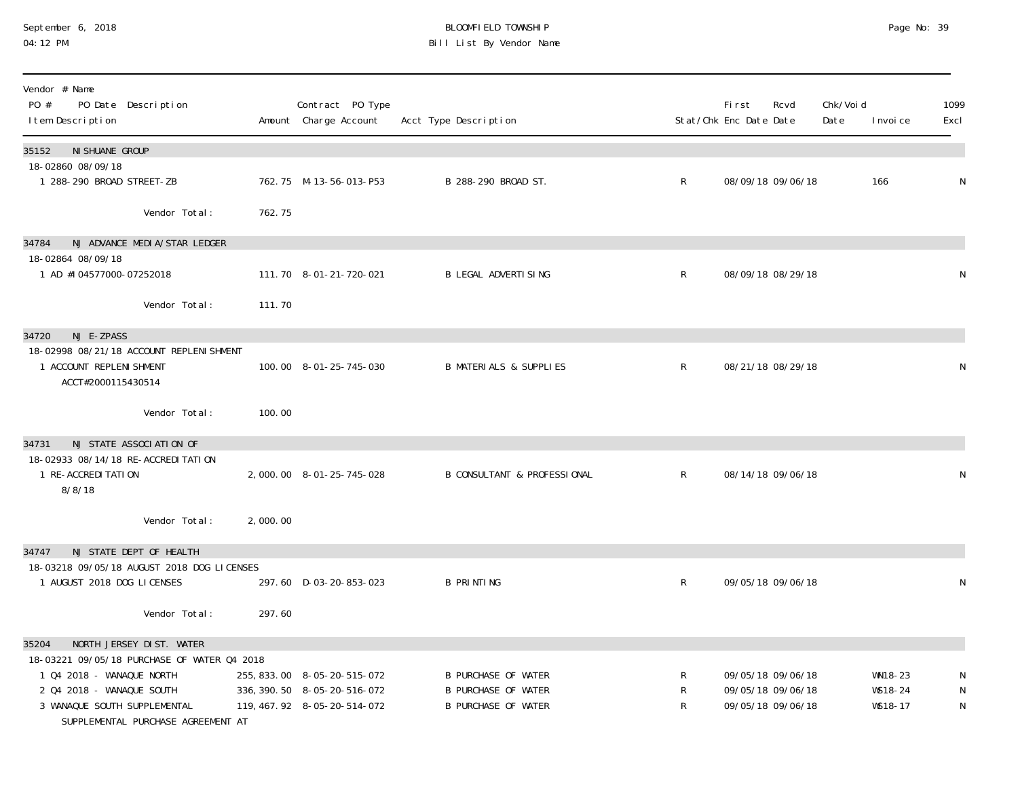# September 6, 2018 **BLOOMFIELD TOWNSHIP** BLOOMFIELD TOWNSHIP BLOOMFIELD TOWNSHIP Page No: 39<br>04:12 PM Bill List By Vendor Name

| Vendor # Name<br>$P0 \#$<br>PO Date Description<br>I tem Description                                                                                                        |          | Contract PO Type<br>Amount Charge Account                                                   | Acct Type Description                                                                  |              | <b>First</b><br>Stat/Chk Enc Date Date | Rcvd              | Chk/Voi d<br>Date | I nvoi ce                     | 1099<br>Excl |
|-----------------------------------------------------------------------------------------------------------------------------------------------------------------------------|----------|---------------------------------------------------------------------------------------------|----------------------------------------------------------------------------------------|--------------|----------------------------------------|-------------------|-------------------|-------------------------------|--------------|
| 35152<br>NI SHUANE GROUP<br>18-02860 08/09/18                                                                                                                               |          |                                                                                             |                                                                                        |              |                                        |                   |                   |                               |              |
| 1 288-290 BROAD STREET-ZB                                                                                                                                                   |          | 762.75 M-13-56-013-P53                                                                      | B 288-290 BROAD ST.                                                                    | $\mathsf{R}$ |                                        | 08/09/18 09/06/18 |                   | 166                           | N            |
| Vendor Total:                                                                                                                                                               | 762.75   |                                                                                             |                                                                                        |              |                                        |                   |                   |                               |              |
| NJ ADVANCE MEDIA/STAR LEDGER<br>34784                                                                                                                                       |          |                                                                                             |                                                                                        |              |                                        |                   |                   |                               |              |
| 18-02864 08/09/18<br>1 AD #104577000-07252018                                                                                                                               |          | 111.70  8-01-21-720-021                                                                     | <b>B LEGAL ADVERTISING</b>                                                             | R            |                                        | 08/09/18 08/29/18 |                   |                               | N            |
| Vendor Total:                                                                                                                                                               | 111.70   |                                                                                             |                                                                                        |              |                                        |                   |                   |                               |              |
| 34720<br>NJ E-ZPASS                                                                                                                                                         |          |                                                                                             |                                                                                        |              |                                        |                   |                   |                               |              |
| 18-02998 08/21/18 ACCOUNT REPLENI SHMENT<br>1 ACCOUNT REPLENI SHMENT<br>ACCT#2000115430514                                                                                  |          | 100.00 8-01-25-745-030                                                                      | <b>B MATERIALS &amp; SUPPLIES</b>                                                      | $\mathsf{R}$ |                                        | 08/21/18 08/29/18 |                   |                               | N            |
| Vendor Total:                                                                                                                                                               | 100.00   |                                                                                             |                                                                                        |              |                                        |                   |                   |                               |              |
| NJ STATE ASSOCIATION OF<br>34731                                                                                                                                            |          |                                                                                             |                                                                                        |              |                                        |                   |                   |                               |              |
| 18-02933 08/14/18 RE-ACCREDI TATION<br>1 RE-ACCREDI TATION<br>8/8/18                                                                                                        |          | 2,000.00 8-01-25-745-028                                                                    | <b>B CONSULTANT &amp; PROFESSIONAL</b>                                                 | $\mathsf{R}$ | 08/14/18 09/06/18                      |                   |                   |                               | N            |
| Vendor Total:                                                                                                                                                               | 2,000.00 |                                                                                             |                                                                                        |              |                                        |                   |                   |                               |              |
| NJ STATE DEPT OF HEALTH<br>34747                                                                                                                                            |          |                                                                                             |                                                                                        |              |                                        |                   |                   |                               |              |
| 18-03218 09/05/18 AUGUST 2018 DOG LICENSES<br>1 AUGUST 2018 DOG LICENSES                                                                                                    |          | 297.60 D-03-20-853-023                                                                      | <b>B PRINTING</b>                                                                      | R            |                                        | 09/05/18 09/06/18 |                   |                               | N            |
| Vendor Total:                                                                                                                                                               | 297.60   |                                                                                             |                                                                                        |              |                                        |                   |                   |                               |              |
| NORTH JERSEY DIST. WATER<br>35204                                                                                                                                           |          |                                                                                             |                                                                                        |              |                                        |                   |                   |                               |              |
| 18-03221 09/05/18 PURCHASE OF WATER 04 2018<br>1 Q4 2018 - WANAQUE NORTH<br>2 Q4 2018 - WANAQUE SOUTH<br>3 WANAQUE SOUTH SUPPLEMENTAL<br>SUPPLEMENTAL PURCHASE AGREEMENT AT |          | 255, 833.00 8-05-20-515-072<br>336, 390. 50 8-05-20-516-072<br>119, 467. 92 8-05-20-514-072 | <b>B PURCHASE OF WATER</b><br><b>B PURCHASE OF WATER</b><br><b>B PURCHASE OF WATER</b> | R<br>R<br>R  | 09/05/18 09/06/18<br>09/05/18 09/06/18 | 09/05/18 09/06/18 |                   | WN18-23<br>WS18-24<br>WS18-17 | N<br>N<br>N  |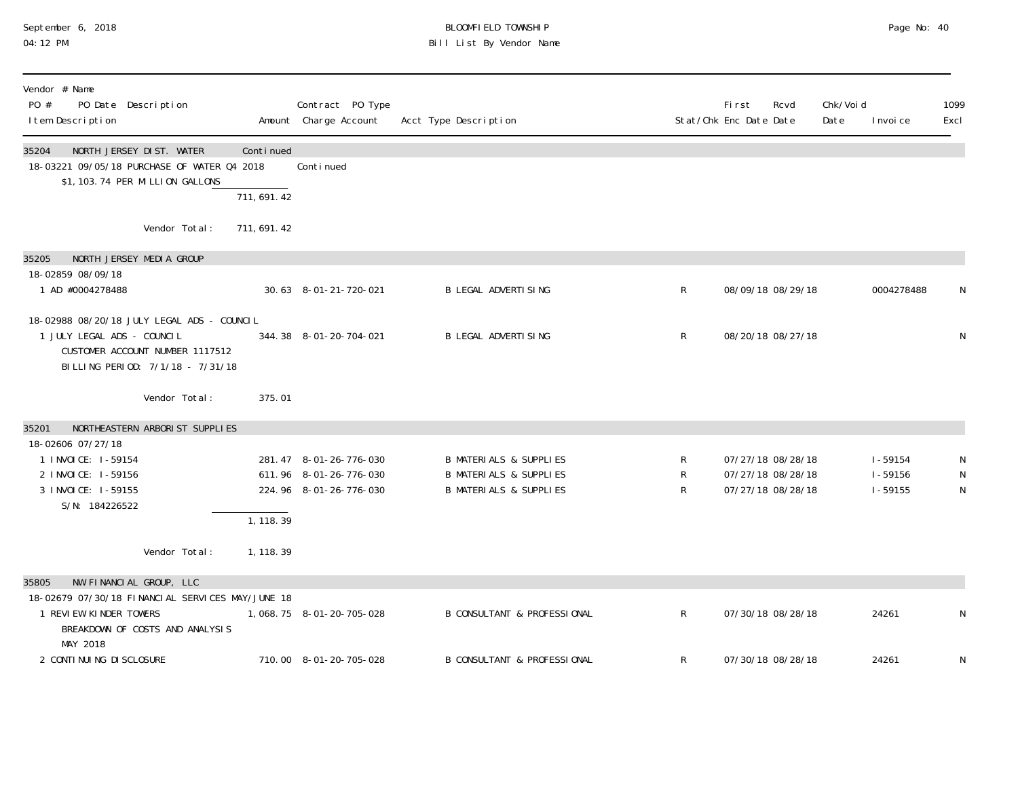## September 6, 2018 BLOOMFIELD TOWNSHIP Page No: 40 04:12 PM Bill List By Vendor Name

| Vendor # Name<br>PO #<br>PO Date Description<br>I tem Description                                                                                 | Contract PO Type<br>Amount Charge Account                                  | Acct Type Description                                                                                       |              | <b>First</b><br>Rcvd<br>Stat/Chk Enc Date Date              | Chk/Voi d<br>Date<br>I nvoi ce            | 1099<br>Excl |
|---------------------------------------------------------------------------------------------------------------------------------------------------|----------------------------------------------------------------------------|-------------------------------------------------------------------------------------------------------------|--------------|-------------------------------------------------------------|-------------------------------------------|--------------|
| NORTH JERSEY DIST. WATER<br>35204<br>Continued<br>18-03221 09/05/18 PURCHASE OF WATER 04 2018<br>\$1, 103. 74 PER MILLION GALLONS<br>711, 691. 42 | Continued                                                                  |                                                                                                             |              |                                                             |                                           |              |
| Vendor Total:<br>711, 691. 42                                                                                                                     |                                                                            |                                                                                                             |              |                                                             |                                           |              |
| NORTH JERSEY MEDIA GROUP<br>35205                                                                                                                 |                                                                            |                                                                                                             |              |                                                             |                                           |              |
| 18-02859 08/09/18<br>1 AD #0004278488                                                                                                             | 30.63 8-01-21-720-021                                                      | <b>B LEGAL ADVERTISING</b>                                                                                  | $\mathsf R$  | 08/09/18 08/29/18                                           | 0004278488                                | N            |
| 18-02988 08/20/18 JULY LEGAL ADS - COUNCIL<br>1 JULY LEGAL ADS - COUNCIL<br>CUSTOMER ACCOUNT NUMBER 1117512<br>BILLING PERIOD: 7/1/18 - 7/31/18   | 344.38 8-01-20-704-021                                                     | <b>B LEGAL ADVERTISING</b>                                                                                  | $\mathsf{R}$ | 08/20/18 08/27/18                                           |                                           | N            |
| Vendor Total:<br>375.01                                                                                                                           |                                                                            |                                                                                                             |              |                                                             |                                           |              |
| NORTHEASTERN ARBORIST SUPPLIES<br>35201                                                                                                           |                                                                            |                                                                                                             |              |                                                             |                                           |              |
| 18-02606 07/27/18<br>1 I NVOI CE: 1-59154<br>2 I NVOI CE: 1-59156<br>3 I NVOI CE: 1-59155<br>S/N: 184226522<br>1, 118.39                          | 281.47 8-01-26-776-030<br>611.96 8-01-26-776-030<br>224.96 8-01-26-776-030 | <b>B MATERIALS &amp; SUPPLIES</b><br><b>B MATERIALS &amp; SUPPLIES</b><br><b>B MATERIALS &amp; SUPPLIES</b> | R<br>R<br>R  | 07/27/18 08/28/18<br>07/27/18 08/28/18<br>07/27/18 08/28/18 | $1 - 59154$<br>$1 - 59156$<br>$1 - 59155$ | N<br>N<br>N  |
| Vendor Total:<br>1, 118. 39                                                                                                                       |                                                                            |                                                                                                             |              |                                                             |                                           |              |
| NW FINANCIAL GROUP, LLC<br>35805<br>18-02679 07/30/18 FINANCLAL SERVICES MAY/JUNE 18<br>1 REVIEW KINDER TOWERS                                    | 1, 068. 75  8-01-20-705-028                                                | <b>B CONSULTANT &amp; PROFESSIONAL</b>                                                                      | $\mathsf{R}$ | 07/30/18 08/28/18                                           | 24261                                     | N            |
| BREAKDOWN OF COSTS AND ANALYSIS<br>MAY 2018<br>2 CONTI NUI NG DI SCLOSURE                                                                         | 710.00 8-01-20-705-028                                                     | <b>B CONSULTANT &amp; PROFESSIONAL</b>                                                                      | R            | 07/30/18 08/28/18                                           | 24261                                     | N            |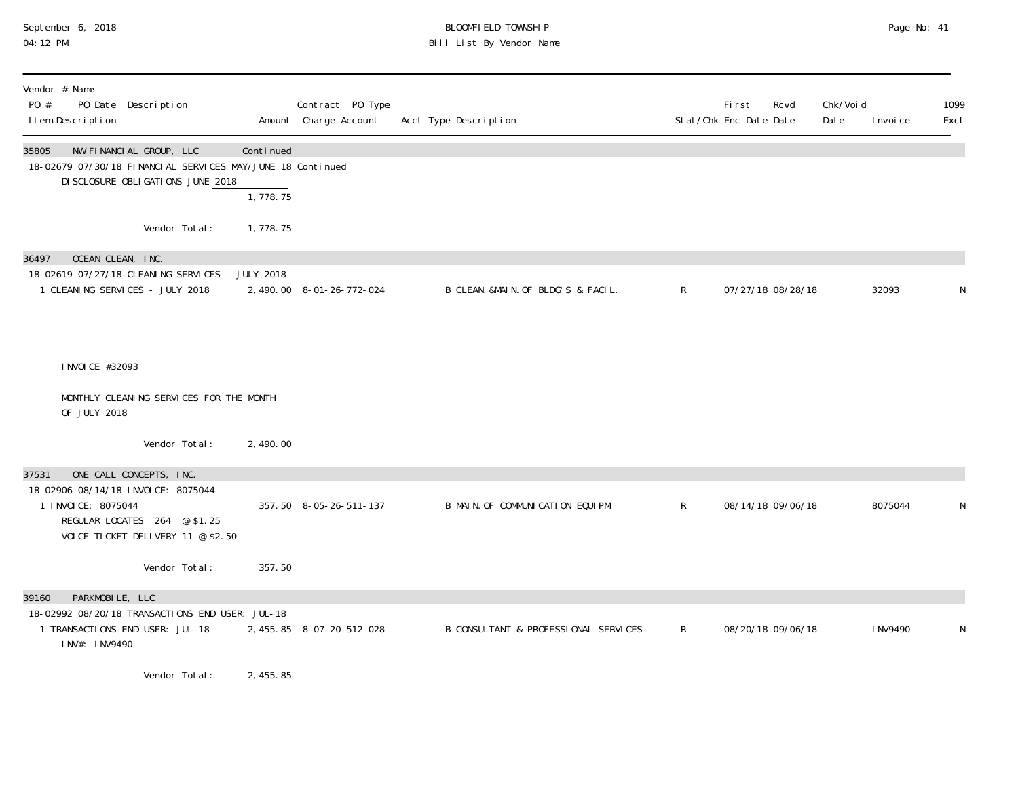# September 6, 2018 BLOOMFIELD TOWNSHIP Page No: 41 04:12 PM Bill List By Vendor Name

| Vendor # Name<br>PO #<br>PO Date Description<br>I tem Description                                                                                                   |                       | Contract PO Type<br>Amount Charge Account | Acct Type Description                |              | <b>First</b><br>Rcvd<br>Stat/Chk Enc Date Date | Chk/Voi d<br>Date | I nvoi ce | 1099<br>Excl |
|---------------------------------------------------------------------------------------------------------------------------------------------------------------------|-----------------------|-------------------------------------------|--------------------------------------|--------------|------------------------------------------------|-------------------|-----------|--------------|
| NW FINANCIAL GROUP, LLC<br>35805<br>18-02679 07/30/18 FINANCIAL SERVICES MAY/JUNE 18 Continued<br>DI SCLOSURE OBLI GATI ONS JUNE 2018                               | Continued<br>1,778.75 |                                           |                                      |              |                                                |                   |           |              |
| Vendor Total:                                                                                                                                                       | 1,778.75              |                                           |                                      |              |                                                |                   |           |              |
| OCEAN CLEAN, INC.<br>36497<br>18-02619 07/27/18 CLEANING SERVICES - JULY 2018<br>1 CLEANING SERVICES - JULY 2018                                                    |                       | 2, 490.00 8-01-26-772-024                 | B CLEAN. &MAIN. OF BLDG'S & FACIL.   | $\mathsf{R}$ | 07/27/18 08/28/18                              |                   | 32093     | N            |
| I NVOI CE #32093<br>MONTHLY CLEANING SERVICES FOR THE MONTH                                                                                                         |                       |                                           |                                      |              |                                                |                   |           |              |
| OF JULY 2018                                                                                                                                                        |                       |                                           |                                      |              |                                                |                   |           |              |
| Vendor Total:                                                                                                                                                       | 2,490.00              |                                           |                                      |              |                                                |                   |           |              |
| ONE CALL CONCEPTS, INC.<br>37531<br>18-02906 08/14/18 INVOICE: 8075044<br>1 I NVOI CE: 8075044<br>REGULAR LOCATES 264 @ \$1.25<br>VOICE TICKET DELIVERY 11 @ \$2.50 |                       | 357.50 8-05-26-511-137                    | B MAIN. OF COMMUNICATION EQUIPM.     | $\mathsf{R}$ | 08/14/18 09/06/18                              |                   | 8075044   | N            |
| Vendor Total:                                                                                                                                                       | 357.50                |                                           |                                      |              |                                                |                   |           |              |
| PARKMOBILE, LLC<br>39160<br>18-02992 08/20/18 TRANSACTIONS END USER: JUL-18<br>1 TRANSACTIONS END USER: JUL-18<br>INV#: INV9490                                     |                       | 2, 455.85 8-07-20-512-028                 | B CONSULTANT & PROFESSIONAL SERVICES | $\mathsf{R}$ | 08/20/18 09/06/18                              |                   | I NV9490  | N            |
| Vendor Total:                                                                                                                                                       | 2, 455.85             |                                           |                                      |              |                                                |                   |           |              |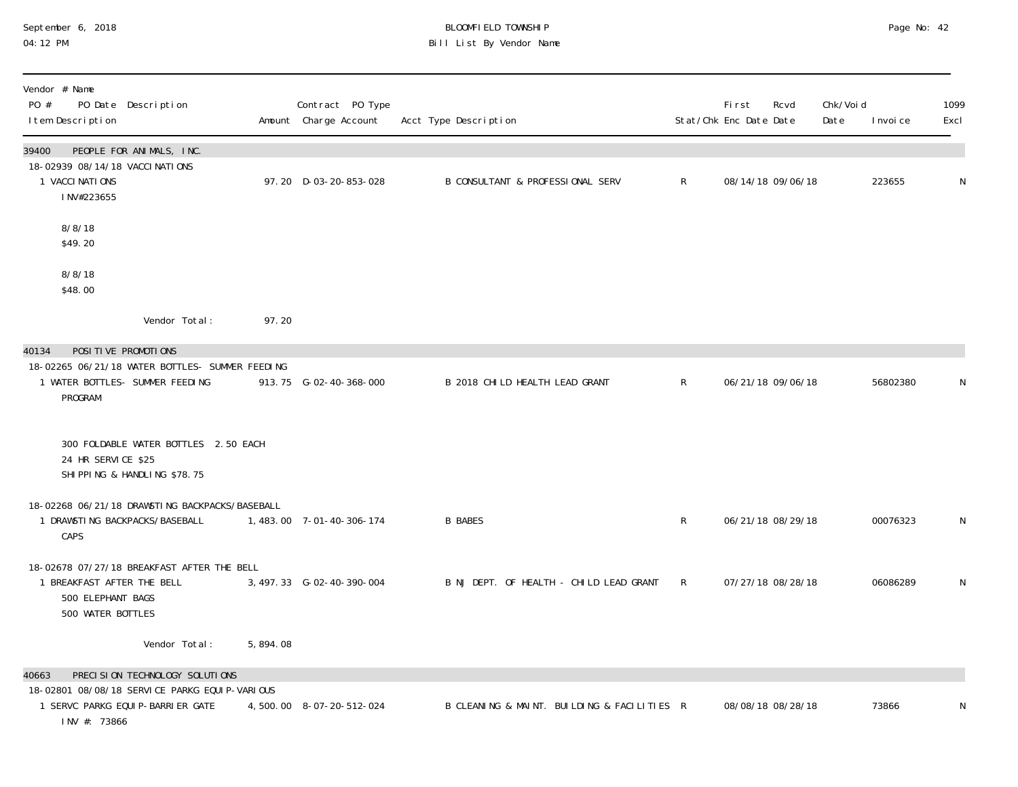#### September 6, 2018 BLOOMFIELD TOWNSHIP Page No: 42 04:12 PM Bill List By Vendor Name

| Vendor # Name<br>PO #<br>PO Date Description<br>I tem Description                                                  |          | Contract PO Type<br>Amount Charge Account | Acct Type Description                       |              | <b>First</b><br>Stat/Chk Enc Date Date | Rcvd | Chk/Void<br>Date | I nvoi ce | 1099<br>Excl |
|--------------------------------------------------------------------------------------------------------------------|----------|-------------------------------------------|---------------------------------------------|--------------|----------------------------------------|------|------------------|-----------|--------------|
| 39400<br>PEOPLE FOR ANIMALS, INC.<br>18-02939 08/14/18 VACCI NATIONS<br>1 VACCI NATIONS<br>INV#223655              |          | 97.20 D-03-20-853-028                     | B CONSULTANT & PROFESSIONAL SERV            | $\mathsf{R}$ | 08/14/18 09/06/18                      |      |                  | 223655    | N            |
| 8/8/18<br>\$49.20                                                                                                  |          |                                           |                                             |              |                                        |      |                  |           |              |
| 8/8/18<br>\$48.00                                                                                                  |          |                                           |                                             |              |                                        |      |                  |           |              |
| Vendor Total:                                                                                                      | 97.20    |                                           |                                             |              |                                        |      |                  |           |              |
| POSITIVE PROMOTIONS<br>40134                                                                                       |          |                                           |                                             |              |                                        |      |                  |           |              |
| 18-02265 06/21/18 WATER BOTTLES- SUMMER FEEDING<br>1 WATER BOTTLES- SUMMER FEEDING<br>PROGRAM                      |          | 913.75 G-02-40-368-000                    | B 2018 CHILD HEALTH LEAD GRANT              | $\mathsf{R}$ | 06/21/18 09/06/18                      |      |                  | 56802380  | N            |
| 300 FOLDABLE WATER BOTTLES 2.50 EACH<br>24 HR SERVICE \$25<br>SHIPPING & HANDLING \$78.75                          |          |                                           |                                             |              |                                        |      |                  |           |              |
| 18-02268 06/21/18 DRAWSTING BACKPACKS/BASEBALL<br>1 DRAWSTING BACKPACKS/BASEBALL<br>CAPS                           |          | 1, 483.00 7-01-40-306-174                 | <b>B BABES</b>                              | $\mathsf{R}$ | 06/21/18 08/29/18                      |      |                  | 00076323  | N            |
| 18-02678 07/27/18 BREAKFAST AFTER THE BELL<br>1 BREAKFAST AFTER THE BELL<br>500 ELEPHANT BAGS<br>500 WATER BOTTLES |          | 3, 497. 33 G-02-40-390-004                | B NJ DEPT. OF HEALTH - CHILD LEAD GRANT     | $\mathsf{R}$ | 07/27/18 08/28/18                      |      |                  | 06086289  | $\mathsf N$  |
| Vendor Total:                                                                                                      | 5,894.08 |                                           |                                             |              |                                        |      |                  |           |              |
| PRECISION TECHNOLOGY SOLUTIONS<br>40663                                                                            |          |                                           |                                             |              |                                        |      |                  |           |              |
| 18-02801 08/08/18 SERVICE PARKG EQUIP-VARIOUS<br>1 SERVC PARKG EQUI P-BARRI ER GATE<br>INV #: 73866                |          | 4,500.00 8-07-20-512-024                  | B CLEANING & MAINT. BUILDING & FACILITIES R |              | 08/08/18 08/28/18                      |      |                  | 73866     | N            |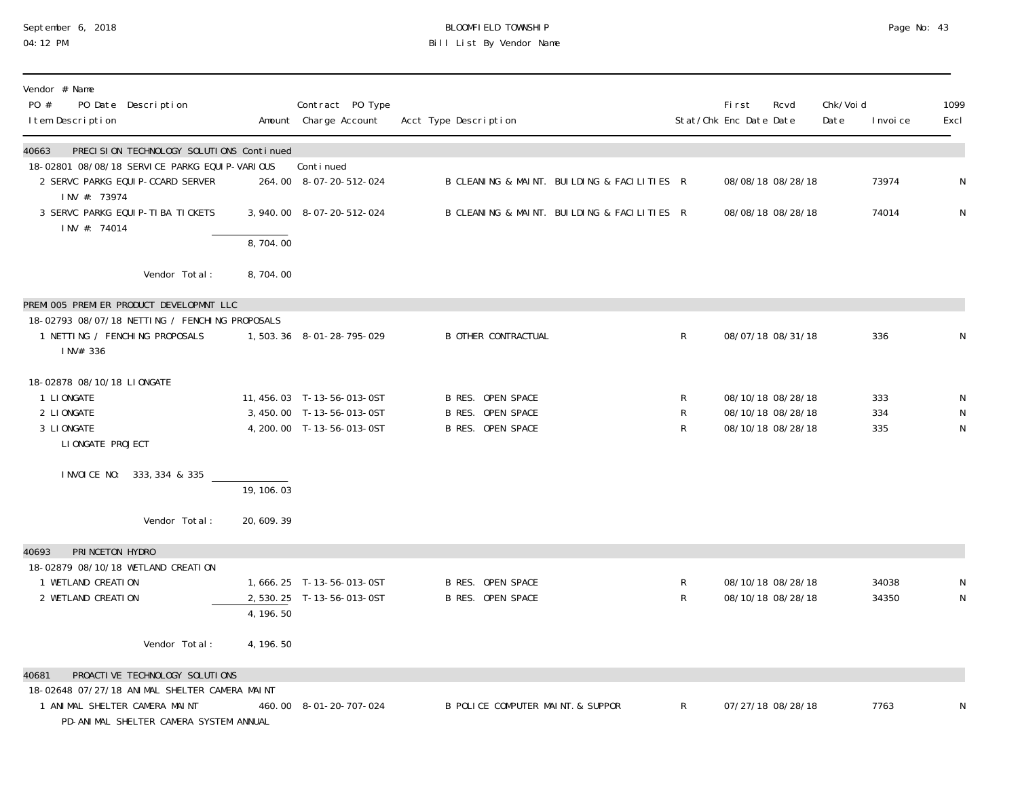# September 6, 2018 BLOOMFIELD TOWNSHIP Page No: 43 04:12 PM Bill List By Vendor Name

| Vendor # Name<br>PO #<br>PO Date Description<br>I tem Description                                                        |             | Contract PO Type<br>Amount Charge Account                                            | Acct Type Description                                                     |              | First<br>Rcvd<br>Stat/Chk Enc Date Date                     | Chk/Voi d<br>Date | I nvoi ce         | 1099<br>Excl          |
|--------------------------------------------------------------------------------------------------------------------------|-------------|--------------------------------------------------------------------------------------|---------------------------------------------------------------------------|--------------|-------------------------------------------------------------|-------------------|-------------------|-----------------------|
| PRECISION TECHNOLOGY SOLUTIONS Continued<br>40663                                                                        |             |                                                                                      |                                                                           |              |                                                             |                   |                   |                       |
| 18-02801 08/08/18 SERVICE PARKG EQUIP-VARIOUS<br>2 SERVC PARKG EQUIP-CCARD SERVER                                        |             | Continued<br>264.00 8-07-20-512-024                                                  | B CLEANING & MAINT. BUILDING & FACILITIES R                               |              | 08/08/18 08/28/18                                           |                   | 73974             | ${\sf N}$             |
| INV #: 73974<br>3 SERVC PARKG EQUIP-TIBA TICKETS                                                                         |             | 3, 940.00 8-07-20-512-024                                                            | B CLEANING & MAINT. BUILDING & FACILITIES R                               |              | 08/08/18 08/28/18                                           |                   | 74014             | ${\sf N}$             |
| INV #: 74014                                                                                                             | 8,704.00    |                                                                                      |                                                                           |              |                                                             |                   |                   |                       |
| Vendor Total:                                                                                                            | 8,704.00    |                                                                                      |                                                                           |              |                                                             |                   |                   |                       |
| PREMI 005 PREMI ER PRODUCT DEVELOPMNT LLC                                                                                |             |                                                                                      |                                                                           |              |                                                             |                   |                   |                       |
| 18-02793 08/07/18 NETTING / FENCHING PROPOSALS<br>1 NETTING / FENCHING PROPOSALS<br>INV# 336                             |             | 1,503.36 8-01-28-795-029                                                             | <b>B OTHER CONTRACTUAL</b>                                                | R            | 08/07/18 08/31/18                                           |                   | 336               | N                     |
| 18-02878 08/10/18 LIONGATE<br>1 LIONGATE<br>2 LI ONGATE<br>3 LIONGATE<br>LI ONGATE PROJECT                               |             | 11, 456. 03 T-13-56-013-0ST<br>3,450.00 T-13-56-013-0ST<br>4, 200.00 T-13-56-013-0ST | B RES. OPEN SPACE<br><b>B RES. OPEN SPACE</b><br><b>B RES. OPEN SPACE</b> | R<br>R<br>R  | 08/10/18 08/28/18<br>08/10/18 08/28/18<br>08/10/18 08/28/18 |                   | 333<br>334<br>335 | N<br>$\mathsf N$<br>N |
| INVOICE NO: 333, 334 & 335                                                                                               | 19, 106, 03 |                                                                                      |                                                                           |              |                                                             |                   |                   |                       |
| Vendor Total:                                                                                                            | 20, 609. 39 |                                                                                      |                                                                           |              |                                                             |                   |                   |                       |
| PRINCETON HYDRO<br>40693<br>18-02879 08/10/18 WETLAND CREATION<br>1 WETLAND CREATION                                     |             | 1,666.25 T-13-56-013-0ST                                                             | <b>B RES. OPEN SPACE</b>                                                  | R            | 08/10/18 08/28/18                                           |                   | 34038             | N                     |
| 2 WETLAND CREATION                                                                                                       | 4, 196.50   | 2,530.25 T-13-56-013-0ST                                                             | <b>B RES. OPEN SPACE</b>                                                  | R            | 08/10/18 08/28/18                                           |                   | 34350             | $\mathsf N$           |
| Vendor Total:                                                                                                            | 4, 196. 50  |                                                                                      |                                                                           |              |                                                             |                   |                   |                       |
| PROACTIVE TECHNOLOGY SOLUTIONS<br>40681                                                                                  |             |                                                                                      |                                                                           |              |                                                             |                   |                   |                       |
| 18-02648 07/27/18 ANIMAL SHELTER CAMERA MAINT<br>1 ANIMAL SHELTER CAMERA MAINT<br>PD-ANIMAL SHELTER CAMERA SYSTEM ANNUAL |             | 460.00 8-01-20-707-024                                                               | B POLICE COMPUTER MAINT. & SUPPOR                                         | $\mathsf{R}$ | 07/27/18 08/28/18                                           |                   | 7763              | N                     |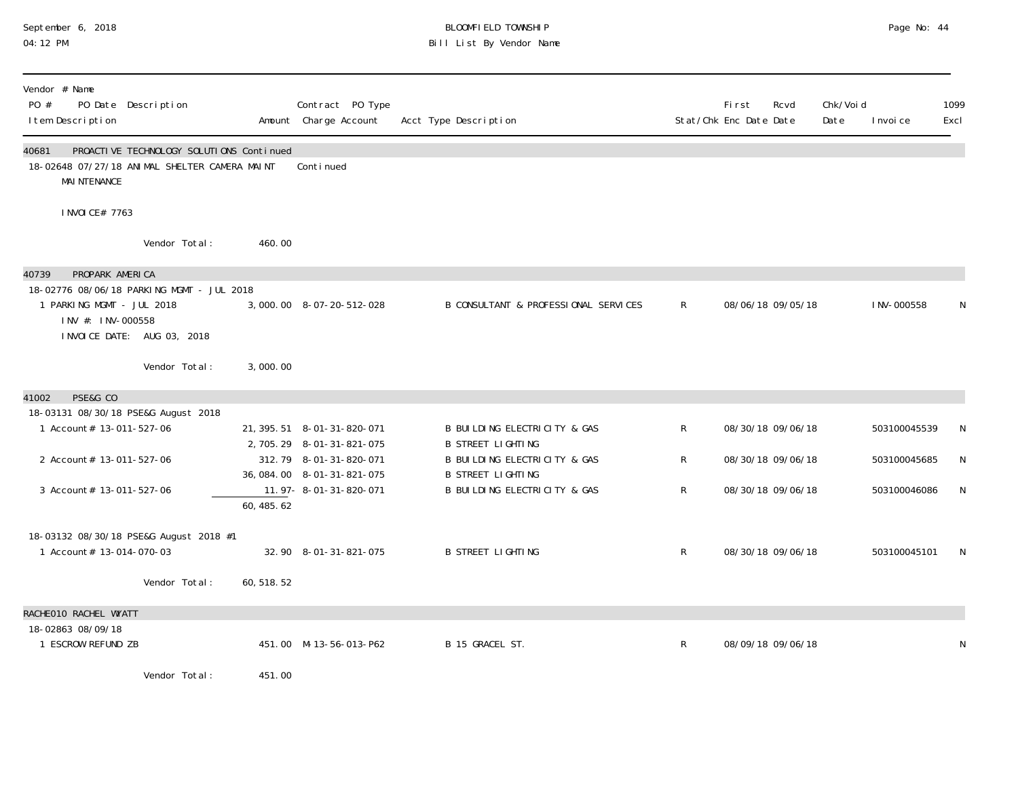#### September 6, 2018 BLOOMFIELD TOWNSHIP Page No: 44 04:12 PM Bill List By Vendor Name

| Vendor # Name<br>$P()$ #<br>I tem Description                              | PO Date Description                                                                       |             | Contract PO Type<br>Amount Charge Account                                            | Acct Type Description                                                                           |              | Fi rst<br>Stat/Chk Enc Date Date | Rcvd              | Chk/Voi d<br>Date | I nvoi ce    | 1099<br>Excl |
|----------------------------------------------------------------------------|-------------------------------------------------------------------------------------------|-------------|--------------------------------------------------------------------------------------|-------------------------------------------------------------------------------------------------|--------------|----------------------------------|-------------------|-------------------|--------------|--------------|
| 40681<br><b>MAI NTENANCE</b>                                               | PROACTIVE TECHNOLOGY SOLUTIONS Continued<br>18-02648 07/27/18 ANIMAL SHELTER CAMERA MAINT |             | Continued                                                                            |                                                                                                 |              |                                  |                   |                   |              |              |
| I NVOI CE# 7763                                                            |                                                                                           |             |                                                                                      |                                                                                                 |              |                                  |                   |                   |              |              |
|                                                                            | Vendor Total:                                                                             | 460.00      |                                                                                      |                                                                                                 |              |                                  |                   |                   |              |              |
| PROPARK AMERICA<br>40739<br>1 PARKING MGMT - JUL 2018<br>INV #: INV-000558 | 18-02776 08/06/18 PARKING MGMT - JUL 2018<br>INVOICE DATE: AUG 03, 2018                   |             | 3,000.00 8-07-20-512-028                                                             | B CONSULTANT & PROFESSIONAL SERVICES                                                            | $\mathsf{R}$ |                                  | 08/06/18 09/05/18 |                   | I NV-000558  | N            |
|                                                                            | Vendor Total:                                                                             | 3,000.00    |                                                                                      |                                                                                                 |              |                                  |                   |                   |              |              |
| PSE&G CO<br>41002                                                          |                                                                                           |             |                                                                                      |                                                                                                 |              |                                  |                   |                   |              |              |
| 1 Account# 13-011-527-06                                                   | 18-03131 08/30/18 PSE&G August 2018                                                       |             | 21, 395. 51 8-01-31-820-071                                                          | <b>B BUILDING ELECTRICITY &amp; GAS</b>                                                         | $\mathsf{R}$ |                                  | 08/30/18 09/06/18 |                   | 503100045539 |              |
| 2 Account# 13-011-527-06                                                   |                                                                                           |             | 2, 705. 29 8-01-31-821-075<br>312.79 8-01-31-820-071<br>36, 084. 00  8-01-31-821-075 | <b>B STREET LIGHTING</b><br><b>B BUILDING ELECTRICITY &amp; GAS</b><br><b>B STREET LIGHTING</b> | R            |                                  | 08/30/18 09/06/18 |                   | 503100045685 | N            |
| 3 Account# 13-011-527-06                                                   |                                                                                           | 60, 485.62  | 11.97-8-01-31-820-071                                                                | B BUILDING ELECTRICITY & GAS                                                                    | $\mathsf{R}$ |                                  | 08/30/18 09/06/18 |                   | 503100046086 | N            |
| 1 Account# 13-014-070-03                                                   | 18-03132 08/30/18 PSE&G August 2018 #1                                                    |             | 32.90 8-01-31-821-075                                                                | <b>B STREET LIGHTING</b>                                                                        | $\mathsf{R}$ |                                  | 08/30/18 09/06/18 |                   | 503100045101 | N            |
|                                                                            | Vendor Total:                                                                             | 60, 518. 52 |                                                                                      |                                                                                                 |              |                                  |                   |                   |              |              |
| RACHEO10 RACHEL WYATT                                                      |                                                                                           |             |                                                                                      |                                                                                                 |              |                                  |                   |                   |              |              |
| 18-02863 08/09/18<br>1 ESCROW REFUND ZB                                    |                                                                                           |             | 451.00 M-13-56-013-P62                                                               | B 15 GRACEL ST.                                                                                 | $\mathsf{R}$ |                                  | 08/09/18 09/06/18 |                   |              | N            |
|                                                                            | Vendor Total:                                                                             | 451.00      |                                                                                      |                                                                                                 |              |                                  |                   |                   |              |              |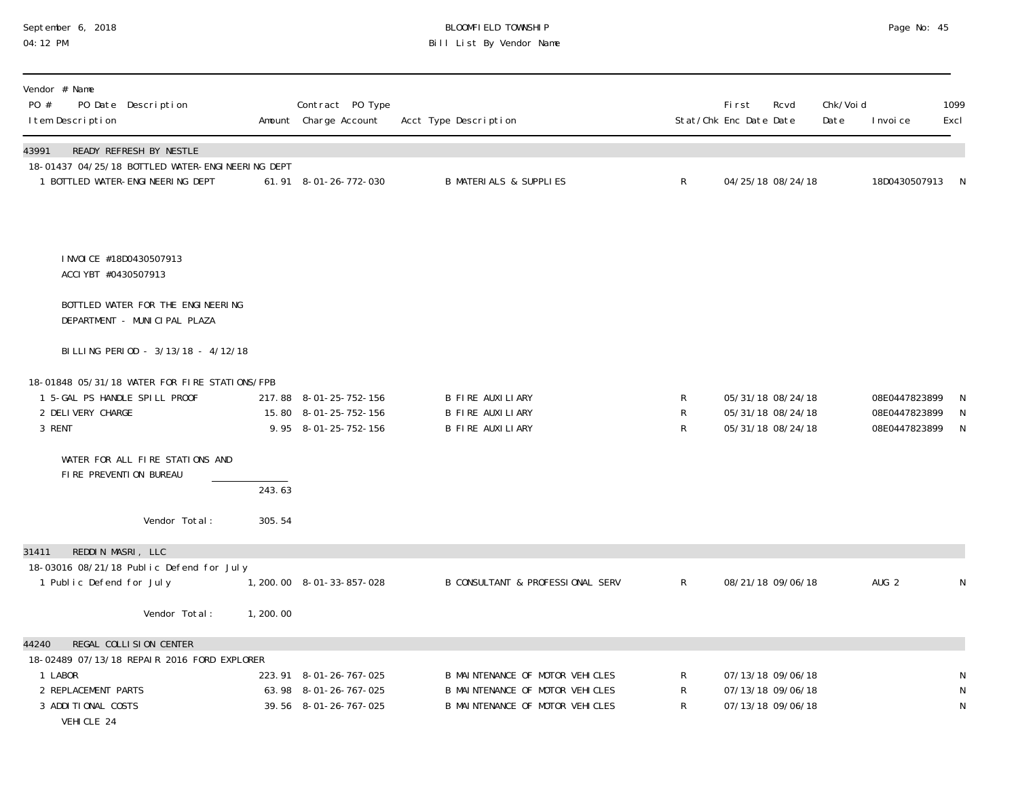# September 6, 2018 BLOOMFIELD TOWNSHIP Page No: 45 04:12 PM Bill List By Vendor Name

| Vendor # Name<br>PO #<br>PO Date Description<br>I tem Description                                                                                                                                                                                                          |                  | Contract PO Type<br>Amount Charge Account                                | Acct Type Description                                                                                 |              | First<br>Rcvd<br>Stat/Chk Enc Date Date                     | Chk/Voi d<br>Date | I nvoi ce                                       | 1099<br>Excl           |
|----------------------------------------------------------------------------------------------------------------------------------------------------------------------------------------------------------------------------------------------------------------------------|------------------|--------------------------------------------------------------------------|-------------------------------------------------------------------------------------------------------|--------------|-------------------------------------------------------------|-------------------|-------------------------------------------------|------------------------|
| 43991<br>READY REFRESH BY NESTLE<br>18-01437 04/25/18 BOTTLED WATER-ENGINEERING DEPT<br>1 BOTTLED WATER-ENGINEERING DEPT                                                                                                                                                   |                  | 61.91 8-01-26-772-030                                                    | <b>B MATERIALS &amp; SUPPLIES</b>                                                                     | $\mathsf{R}$ | 04/25/18 08/24/18                                           |                   | 18D0430507913                                   | -N                     |
| INVOICE #18D0430507913<br>ACCI YBT #0430507913<br>BOTTLED WATER FOR THE ENGINEERING<br>DEPARTMENT - MUNICIPAL PLAZA<br>BILLING PERIOD - 3/13/18 - 4/12/18<br>18-01848 05/31/18 WATER FOR FIRE STATIONS/FPB<br>1 5-GAL PS HANDLE SPILL PROOF<br>2 DELIVERY CHARGE<br>3 RENT |                  | 217.88 8-01-25-752-156<br>15.80 8-01-25-752-156<br>9.95 8-01-25-752-156  | B FIRE AUXILIARY<br>B FIRE AUXILIARY<br>B FIRE AUXILIARY                                              | R<br>R<br>R  | 05/31/18 08/24/18<br>05/31/18 08/24/18<br>05/31/18 08/24/18 |                   | 08E0447823899<br>08E0447823899<br>08E0447823899 | $\mathsf{N}$<br>N<br>N |
| WATER FOR ALL FIRE STATIONS AND<br>FIRE PREVENTION BUREAU<br>Vendor Total:                                                                                                                                                                                                 | 243.63<br>305.54 |                                                                          |                                                                                                       |              |                                                             |                   |                                                 |                        |
| REDDIN MASRI, LLC<br>31411<br>18-03016 08/21/18 Public Defend for July                                                                                                                                                                                                     |                  |                                                                          |                                                                                                       |              |                                                             |                   |                                                 |                        |
| 1 Public Defend for July                                                                                                                                                                                                                                                   |                  | 1, 200. 00 8-01-33-857-028                                               | <b>B CONSULTANT &amp; PROFESSIONAL SERV</b>                                                           | $R_{\perp}$  | 08/21/18 09/06/18                                           |                   | AUG <sub>2</sub>                                | N                      |
| Vendor Total:                                                                                                                                                                                                                                                              | 1, 200.00        |                                                                          |                                                                                                       |              |                                                             |                   |                                                 |                        |
| REGAL COLLISION CENTER<br>44240<br>18-02489 07/13/18 REPAIR 2016 FORD EXPLORER<br>1 LABOR<br>2 REPLACEMENT PARTS<br>3 ADDITIONAL COSTS<br>VEHICLE 24                                                                                                                       |                  | 223.91 8-01-26-767-025<br>63.98 8-01-26-767-025<br>39.56 8-01-26-767-025 | B MAINTENANCE OF MOTOR VEHICLES<br>B MAINTENANCE OF MOTOR VEHICLES<br>B MAINTENANCE OF MOTOR VEHICLES | R<br>R<br>R  | 07/13/18 09/06/18<br>07/13/18 09/06/18<br>07/13/18 09/06/18 |                   |                                                 | ${\sf N}$<br>N<br>N    |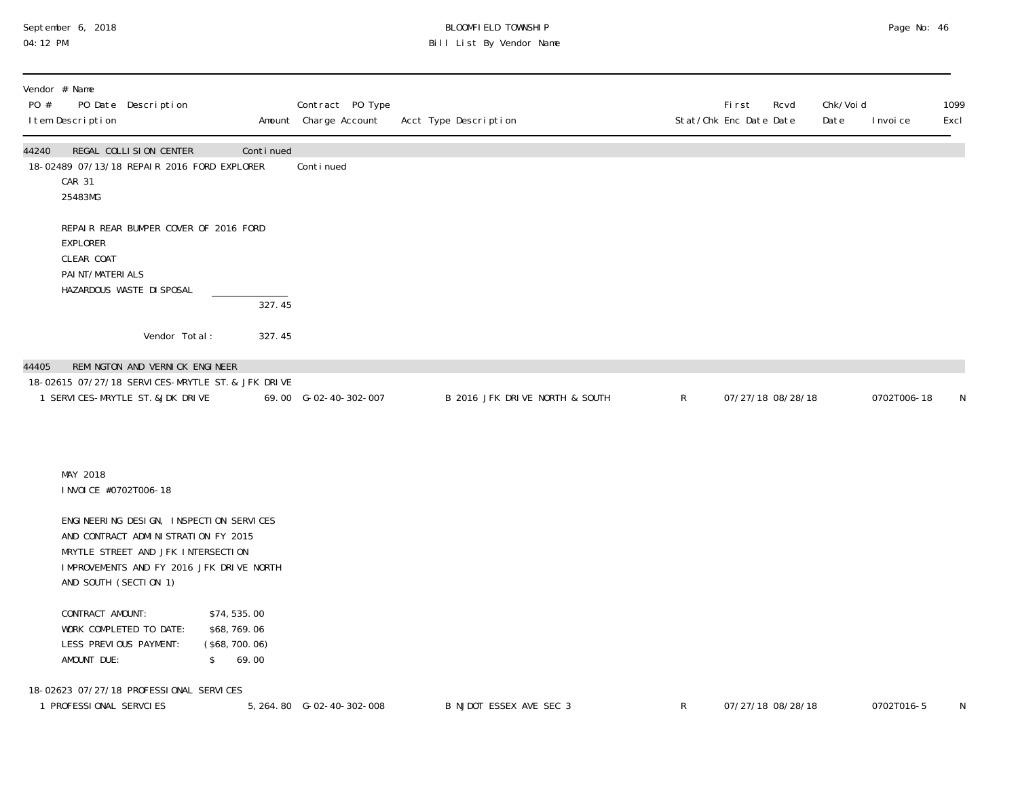## September 6, 2018 BLOOMFIELD TOWNSHIP Page No: 46 04:12 PM Bill List By Vendor Name

| Vendor # Name<br>PO #<br>PO Date Description<br>I tem Description                                                                                                                         |                                                       | Contract PO Type<br>Amount Charge Account | Acct Type Description          |              | First<br>Rcvd<br>Stat/Chk Enc Date Date | Chk/Voi d<br>Date | I nvoi ce   | 1099<br>Excl |
|-------------------------------------------------------------------------------------------------------------------------------------------------------------------------------------------|-------------------------------------------------------|-------------------------------------------|--------------------------------|--------------|-----------------------------------------|-------------------|-------------|--------------|
| REGAL COLLISION CENTER<br>44240<br>18-02489 07/13/18 REPAIR 2016 FORD EXPLORER<br>CAR 31<br>25483MG                                                                                       | Continued                                             | Continued                                 |                                |              |                                         |                   |             |              |
| REPAIR REAR BUMPER COVER OF 2016 FORD<br>EXPLORER<br>CLEAR COAT<br>PAI NT/MATERI ALS<br>HAZARDOUS WASTE DI SPOSAL                                                                         | 327.45                                                |                                           |                                |              |                                         |                   |             |              |
| Vendor Total:                                                                                                                                                                             | 327.45                                                |                                           |                                |              |                                         |                   |             |              |
| REMINGTON AND VERNICK ENGINEER<br>44405<br>18-02615 07/27/18 SERVICES-MRYTLE ST. & JFK DRIVE<br>1 SERVICES-MRYTLE ST. & JDK DRIVE                                                         |                                                       | 69.00 G-02-40-302-007                     | B 2016 JFK DRIVE NORTH & SOUTH | $\mathsf{R}$ | 07/27/18 08/28/18                       |                   | 0702T006-18 | N            |
| MAY 2018<br>I NVOI CE #0702T006-18                                                                                                                                                        |                                                       |                                           |                                |              |                                         |                   |             |              |
| ENGINEERING DESIGN, INSPECTION SERVICES<br>AND CONTRACT ADMINISTRATION FY 2015<br>MRYTLE STREET AND JFK INTERSECTION<br>IMPROVEMENTS AND FY 2016 JFK DRIVE NORTH<br>AND SOUTH (SECTION 1) |                                                       |                                           |                                |              |                                         |                   |             |              |
| CONTRACT AMOUNT:<br>WORK COMPLETED TO DATE:<br>LESS PREVIOUS PAYMENT:<br>AMOUNT DUE:<br>$\frac{1}{2}$                                                                                     | \$74,535.00<br>\$68,769.06<br>(\$68, 700.06)<br>69.00 |                                           |                                |              |                                         |                   |             |              |
| 18-02623 07/27/18 PROFESSIONAL SERVICES<br>1 PROFESSIONAL SERVCIES                                                                                                                        |                                                       | 5, 264.80 G-02-40-302-008                 | B NJDOT ESSEX AVE SEC 3        | $\mathsf{R}$ | 07/27/18 08/28/18                       |                   | 0702T016-5  | N            |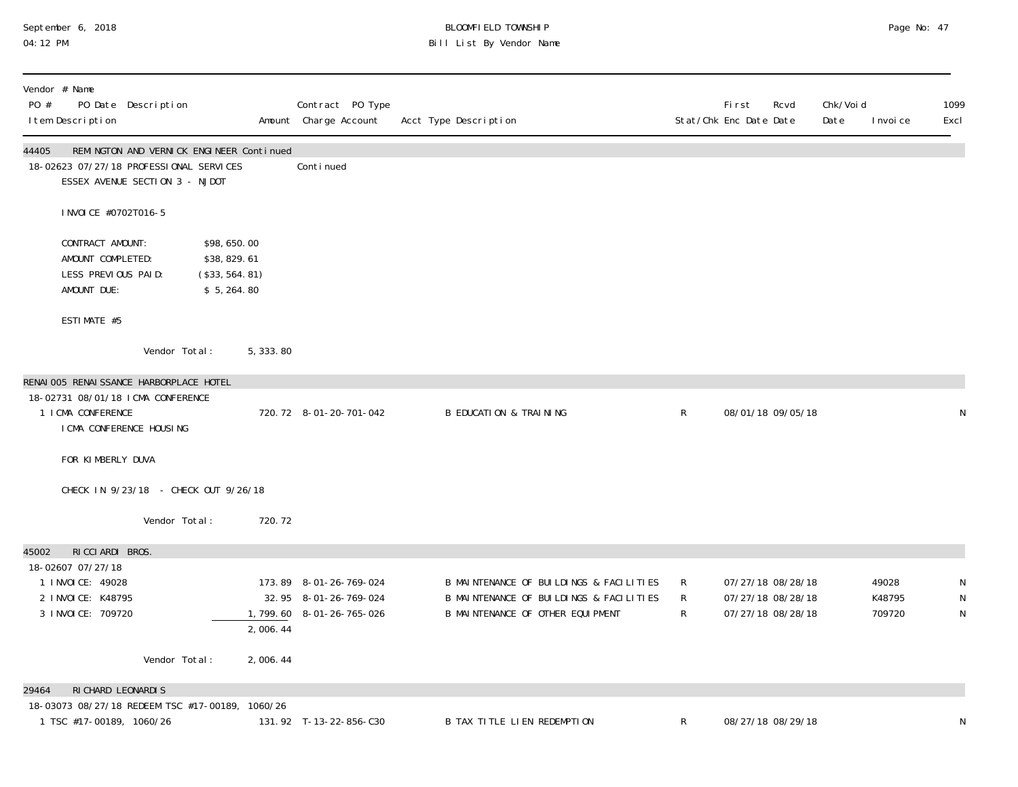# September 6, 2018 BLOOMFIELD TOWNSHIP Page No: 47 04:12 PM Bill List By Vendor Name

| Vendor # Name<br>PO #<br>PO Date Description<br>I tem Description                                                                           |           | Contract PO Type<br>Amount Charge Account                                   | Acct Type Description                                                                                                  |                        | <b>First</b><br>Rcvd<br>Stat/Chk Enc Date Date              | Chk/Voi d<br>Date | I nvoi ce                 | 1099<br>Excl          |
|---------------------------------------------------------------------------------------------------------------------------------------------|-----------|-----------------------------------------------------------------------------|------------------------------------------------------------------------------------------------------------------------|------------------------|-------------------------------------------------------------|-------------------|---------------------------|-----------------------|
| 44405<br>REMINGTON AND VERNICK ENGINEER Continued<br>18-02623 07/27/18 PROFESSIONAL SERVICES<br>ESSEX AVENUE SECTION 3 - NJDOT              |           | Continued                                                                   |                                                                                                                        |                        |                                                             |                   |                           |                       |
| I NVOI CE #0702T016-5                                                                                                                       |           |                                                                             |                                                                                                                        |                        |                                                             |                   |                           |                       |
| CONTRACT AMOUNT:<br>\$98,650.00<br>AMOUNT COMPLETED:<br>\$38,829.61<br>LESS PREVIOUS PAID:<br>(\$33, 564. 81)<br>AMOUNT DUE:<br>\$5, 264.80 |           |                                                                             |                                                                                                                        |                        |                                                             |                   |                           |                       |
| ESTIMATE #5                                                                                                                                 |           |                                                                             |                                                                                                                        |                        |                                                             |                   |                           |                       |
| Vendor Total:                                                                                                                               | 5, 333.80 |                                                                             |                                                                                                                        |                        |                                                             |                   |                           |                       |
| RENAI 005 RENAI SSANCE HARBORPLACE HOTEL<br>18-02731 08/01/18 ICMA CONFERENCE<br>1 I CMA CONFERENCE<br>I CMA CONFERENCE HOUSING             |           | 720.72 8-01-20-701-042                                                      | <b>B EDUCATION &amp; TRAINING</b>                                                                                      | $\mathsf{R}$           | 08/01/18 09/05/18                                           |                   |                           | N                     |
| FOR KIMBERLY DUVA                                                                                                                           |           |                                                                             |                                                                                                                        |                        |                                                             |                   |                           |                       |
| CHECK IN 9/23/18 - CHECK OUT 9/26/18                                                                                                        |           |                                                                             |                                                                                                                        |                        |                                                             |                   |                           |                       |
| Vendor Total:                                                                                                                               | 720.72    |                                                                             |                                                                                                                        |                        |                                                             |                   |                           |                       |
| RICCIARDI BROS.<br>45002                                                                                                                    |           |                                                                             |                                                                                                                        |                        |                                                             |                   |                           |                       |
| 18-02607 07/27/18<br>1 I NVOI CE: 49028<br>2 I NVOI CE: K48795<br>3 I NVOI CE: 709720                                                       | 2,006.44  | 173.89 8-01-26-769-024<br>32.95 8-01-26-769-024<br>1,799.60 8-01-26-765-026 | B MAINTENANCE OF BUILDINGS & FACILITIES<br>B MAINTENANCE OF BUILDINGS & FACILITIES<br>B MAINTENANCE OF OTHER EQUIPMENT | R<br>R<br>$\mathsf{R}$ | 07/27/18 08/28/18<br>07/27/18 08/28/18<br>07/27/18 08/28/18 |                   | 49028<br>K48795<br>709720 | N<br>$\mathsf N$<br>N |
| Vendor Total:                                                                                                                               | 2,006.44  |                                                                             |                                                                                                                        |                        |                                                             |                   |                           |                       |
| RI CHARD LEONARDIS<br>29464<br>18-03073 08/27/18 REDEEM TSC #17-00189, 1060/26<br>1 TSC #17-00189, 1060/26                                  |           | 131.92 T-13-22-856-C30                                                      | <b>B TAX TITLE LIEN REDEMPTION</b>                                                                                     | $\mathsf{R}$           | 08/27/18 08/29/18                                           |                   |                           | N                     |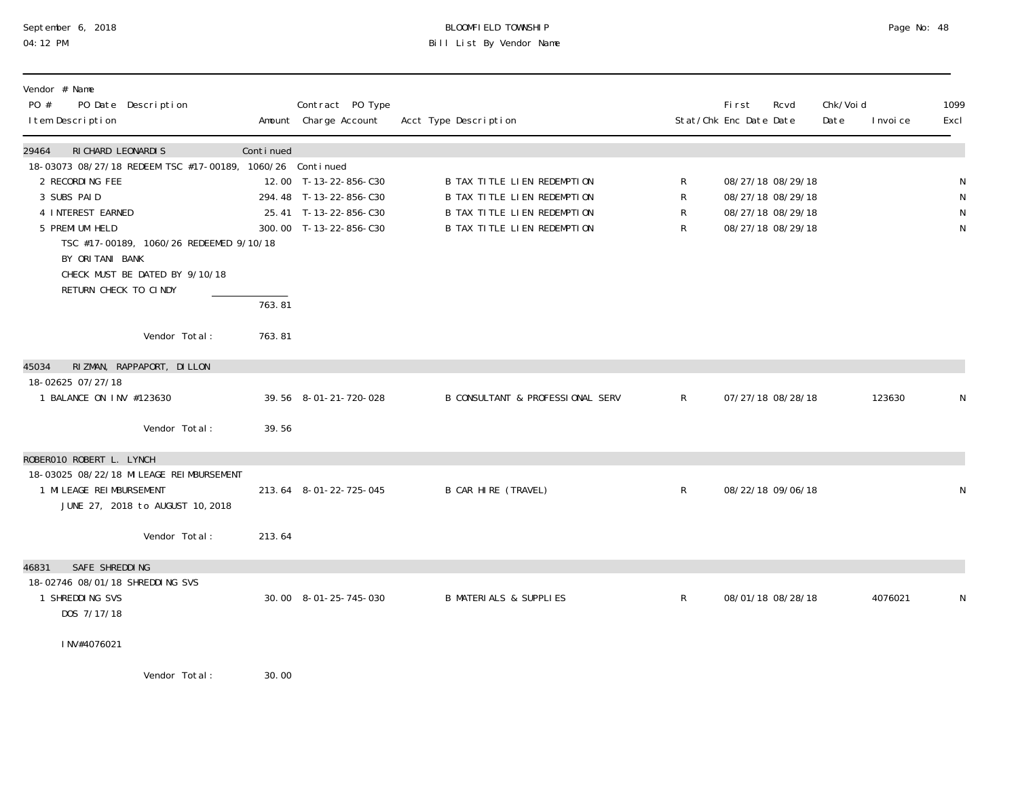# September 6, 2018 **BLOOMFIELD TOWNSHIP** BLOOMFIELD TOWNSHIP BLOOMFIELD TOWNSHIP Page No: 48<br>04:12 PM Bill List By Vendor Name

| Vendor # Name<br>PO #<br>PO Date Description<br>I tem Description            |           | Contract PO Type<br>Amount Charge Account | Acct Type Description              |              | First<br>Stat/Chk Enc Date Date | Rcvd              | Chk/Voi d<br>Date | I nvoi ce | 1099<br>Excl |
|------------------------------------------------------------------------------|-----------|-------------------------------------------|------------------------------------|--------------|---------------------------------|-------------------|-------------------|-----------|--------------|
| 29464<br>RI CHARD LEONARDIS                                                  | Continued |                                           |                                    |              |                                 |                   |                   |           |              |
| 18-03073 08/27/18 REDEEM TSC #17-00189, 1060/26 Continued<br>2 RECORDING FEE |           | 12.00 T-13-22-856-C30                     | B TAX TITLE LIEN REDEMPTION        | R            |                                 | 08/27/18 08/29/18 |                   |           | ${\sf N}$    |
| 3 SUBS PAID                                                                  |           | 294.48 T-13-22-856-C30                    | <b>B TAX TITLE LIEN REDEMPTION</b> | $\mathsf R$  |                                 | 08/27/18 08/29/18 |                   |           | ${\sf N}$    |
| 4 INTEREST EARNED                                                            |           | 25.41 T-13-22-856-C30                     | <b>B TAX TITLE LIEN REDEMPTION</b> | R            |                                 | 08/27/18 08/29/18 |                   |           | N            |
| 5 PREMI UM HELD                                                              |           | 300.00 T-13-22-856-C30                    | <b>B TAX TITLE LIEN REDEMPTION</b> | R            |                                 | 08/27/18 08/29/18 |                   |           | N            |
| TSC #17-00189, 1060/26 REDEEMED 9/10/18                                      |           |                                           |                                    |              |                                 |                   |                   |           |              |
| BY ORITANI BANK                                                              |           |                                           |                                    |              |                                 |                   |                   |           |              |
| CHECK MUST BE DATED BY 9/10/18<br>RETURN CHECK TO CINDY                      |           |                                           |                                    |              |                                 |                   |                   |           |              |
|                                                                              | 763.81    |                                           |                                    |              |                                 |                   |                   |           |              |
| Vendor Total:                                                                | 763.81    |                                           |                                    |              |                                 |                   |                   |           |              |
| RIZMAN, RAPPAPORT, DILLON<br>45034                                           |           |                                           |                                    |              |                                 |                   |                   |           |              |
| 18-02625 07/27/18                                                            |           |                                           |                                    |              |                                 |                   |                   |           |              |
| 1 BALANCE ON INV #123630                                                     |           | 39.56 8-01-21-720-028                     | B CONSULTANT & PROFESSIONAL SERV   | $\mathsf{R}$ |                                 | 07/27/18 08/28/18 |                   | 123630    | N            |
| Vendor Total:                                                                | 39.56     |                                           |                                    |              |                                 |                   |                   |           |              |
| ROBERO10 ROBERT L. LYNCH                                                     |           |                                           |                                    |              |                                 |                   |                   |           |              |
| 18-03025 08/22/18 MILEAGE REIMBURSEMENT                                      |           |                                           |                                    |              |                                 |                   |                   |           |              |
| 1 MILEAGE REIMBURSEMENT                                                      |           | 213.64 8-01-22-725-045                    | B CAR HIRE (TRAVEL)                | $\mathsf{R}$ |                                 | 08/22/18 09/06/18 |                   |           | N            |
| JUNE 27, 2018 to AUGUST 10, 2018                                             |           |                                           |                                    |              |                                 |                   |                   |           |              |
| Vendor Total:                                                                | 213.64    |                                           |                                    |              |                                 |                   |                   |           |              |
| SAFE SHREDDING<br>46831                                                      |           |                                           |                                    |              |                                 |                   |                   |           |              |
| 18-02746 08/01/18 SHREDDING SVS                                              |           |                                           |                                    |              |                                 |                   |                   |           |              |
| 1 SHREDDING SVS                                                              |           | 30.00 8-01-25-745-030                     | <b>B MATERIALS &amp; SUPPLIES</b>  | $\mathsf{R}$ |                                 | 08/01/18 08/28/18 |                   | 4076021   | N            |
| DOS 7/17/18                                                                  |           |                                           |                                    |              |                                 |                   |                   |           |              |
| INV#4076021                                                                  |           |                                           |                                    |              |                                 |                   |                   |           |              |
| $M = -1$                                                                     | 20.00     |                                           |                                    |              |                                 |                   |                   |           |              |

Vendor Total: 30.00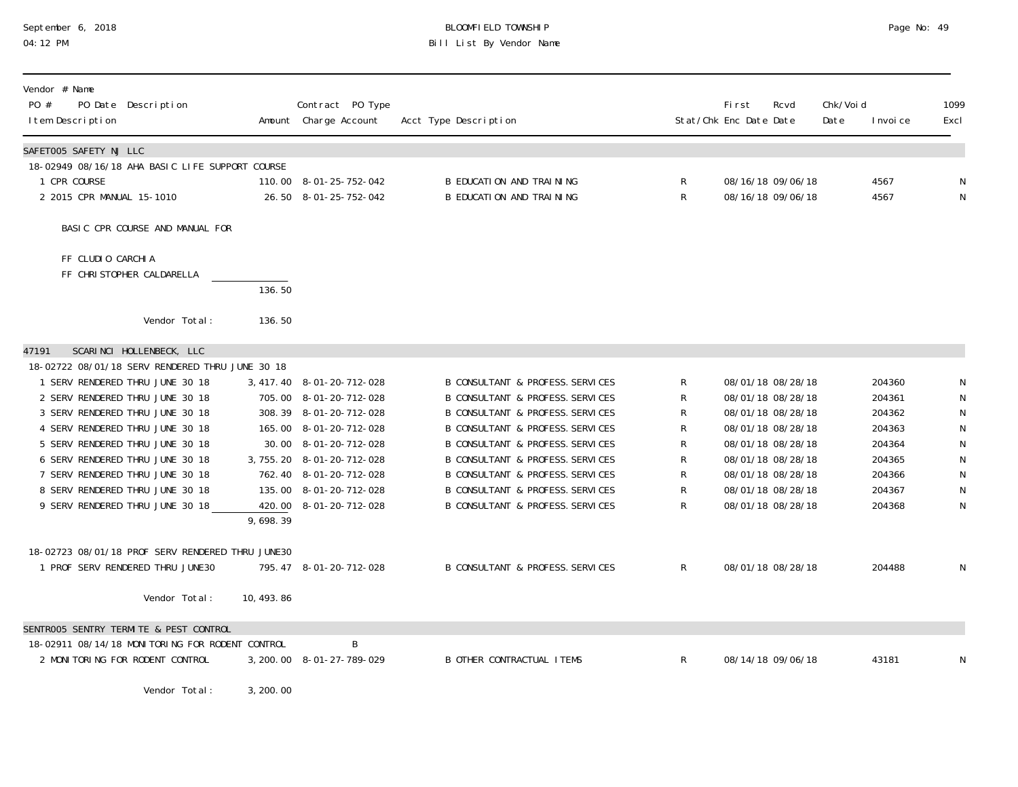# September 6, 2018 BLOOMFIELD TOWNSHIP Page No: 49 04:12 PM Bill List By Vendor Name

| Vendor # Name<br>PO #<br>PO Date Description<br>I tem Description                                                                                                                                                                                                                                                                                                                                                                                                                   |                        | Contract PO Type<br>Amount Charge Account                                                                                                                                                                                                                               | Acct Type Description                                                                                                                                                                                                                                                                                                                                                                                                                                                   |                                                             | First<br>Stat/Chk Enc Date Date | Rcvd                                                                                                                                                                                                           | Chk/Voi d<br>Date | I nvoi ce                                                                                        | 1099<br>Excl                                                                                                |
|-------------------------------------------------------------------------------------------------------------------------------------------------------------------------------------------------------------------------------------------------------------------------------------------------------------------------------------------------------------------------------------------------------------------------------------------------------------------------------------|------------------------|-------------------------------------------------------------------------------------------------------------------------------------------------------------------------------------------------------------------------------------------------------------------------|-------------------------------------------------------------------------------------------------------------------------------------------------------------------------------------------------------------------------------------------------------------------------------------------------------------------------------------------------------------------------------------------------------------------------------------------------------------------------|-------------------------------------------------------------|---------------------------------|----------------------------------------------------------------------------------------------------------------------------------------------------------------------------------------------------------------|-------------------|--------------------------------------------------------------------------------------------------|-------------------------------------------------------------------------------------------------------------|
| SAFET005 SAFETY NJ LLC<br>18-02949 08/16/18 AHA BASIC LIFE SUPPORT COURSE<br>1 CPR COURSE<br>2 2015 CPR MANUAL 15-1010                                                                                                                                                                                                                                                                                                                                                              |                        | 110.00 8-01-25-752-042<br>26.50 8-01-25-752-042                                                                                                                                                                                                                         | B EDUCATION AND TRAINING<br>B EDUCATION AND TRAINING                                                                                                                                                                                                                                                                                                                                                                                                                    | R<br>R                                                      |                                 | 08/16/18 09/06/18<br>08/16/18 09/06/18                                                                                                                                                                         |                   | 4567<br>4567                                                                                     | N<br>$\mathsf N$                                                                                            |
| BASIC CPR COURSE AND MANUAL FOR                                                                                                                                                                                                                                                                                                                                                                                                                                                     |                        |                                                                                                                                                                                                                                                                         |                                                                                                                                                                                                                                                                                                                                                                                                                                                                         |                                                             |                                 |                                                                                                                                                                                                                |                   |                                                                                                  |                                                                                                             |
| FF CLUDIO CARCHIA<br>FF CHRISTOPHER CALDARELLA<br>Vendor Total:                                                                                                                                                                                                                                                                                                                                                                                                                     | 136.50<br>136.50       |                                                                                                                                                                                                                                                                         |                                                                                                                                                                                                                                                                                                                                                                                                                                                                         |                                                             |                                 |                                                                                                                                                                                                                |                   |                                                                                                  |                                                                                                             |
| SCARINCI HOLLENBECK, LLC<br>47191                                                                                                                                                                                                                                                                                                                                                                                                                                                   |                        |                                                                                                                                                                                                                                                                         |                                                                                                                                                                                                                                                                                                                                                                                                                                                                         |                                                             |                                 |                                                                                                                                                                                                                |                   |                                                                                                  |                                                                                                             |
| 18-02722 08/01/18 SERV RENDERED THRU JUNE 30 18<br>1 SERV RENDERED THRU JUNE 30 18<br>2 SERV RENDERED THRU JUNE 30 18<br>3 SERV RENDERED THRU JUNE 30 18<br>4 SERV RENDERED THRU JUNE 30 18<br>5 SERV RENDERED THRU JUNE 30 18<br>6 SERV RENDERED THRU JUNE 30 18<br>7 SERV RENDERED THRU JUNE 30 18<br>8 SERV RENDERED THRU JUNE 30 18<br>9 SERV RENDERED THRU JUNE 30 18<br>18-02723 08/01/18 PROF SERV RENDERED THRU JUNE30<br>1 PROF SERV RENDERED THRU JUNE30<br>Vendor Total: | 9,698.39<br>10, 493.86 | 3, 417. 40 8-01-20-712-028<br>705.00 8-01-20-712-028<br>308.39 8-01-20-712-028<br>165.00 8-01-20-712-028<br>30.00 8-01-20-712-028<br>3, 755. 20 8-01-20-712-028<br>762.40 8-01-20-712-028<br>135.00 8-01-20-712-028<br>420.00 8-01-20-712-028<br>795.47 8-01-20-712-028 | <b>B CONSULTANT &amp; PROFESS. SERVICES</b><br><b>B CONSULTANT &amp; PROFESS. SERVICES</b><br><b>B CONSULTANT &amp; PROFESS. SERVICES</b><br><b>B CONSULTANT &amp; PROFESS. SERVICES</b><br><b>B CONSULTANT &amp; PROFESS. SERVICES</b><br><b>B CONSULTANT &amp; PROFESS. SERVICES</b><br><b>B CONSULTANT &amp; PROFESS. SERVICES</b><br><b>B CONSULTANT &amp; PROFESS. SERVICES</b><br><b>B CONSULTANT &amp; PROFESS. SERVICES</b><br>B CONSULTANT & PROFESS. SERVICES | R<br>R<br>R<br>R<br>R<br>R<br>R<br>R<br>R<br>$\mathsf{R}^-$ |                                 | 08/01/18 08/28/18<br>08/01/18 08/28/18<br>08/01/18 08/28/18<br>08/01/18 08/28/18<br>08/01/18 08/28/18<br>08/01/18 08/28/18<br>08/01/18 08/28/18<br>08/01/18 08/28/18<br>08/01/18 08/28/18<br>08/01/18 08/28/18 |                   | 204360<br>204361<br>204362<br>204363<br>204364<br>204365<br>204366<br>204367<br>204368<br>204488 | $\mathsf N$<br>${\sf N}$<br>${\sf N}$<br>${\sf N}$<br>${\sf N}$<br>${\sf N}$<br>${\sf N}$<br>${\sf N}$<br>N |
| SENTROO5 SENTRY TERMITE & PEST CONTROL                                                                                                                                                                                                                                                                                                                                                                                                                                              |                        |                                                                                                                                                                                                                                                                         |                                                                                                                                                                                                                                                                                                                                                                                                                                                                         |                                                             |                                 |                                                                                                                                                                                                                |                   |                                                                                                  |                                                                                                             |
| 18-02911 08/14/18 MONITORING FOR RODENT CONTROL<br>2 MONITORING FOR RODENT CONTROL<br>Vendor Total:                                                                                                                                                                                                                                                                                                                                                                                 | 3, 200.00              | B<br>3, 200.00 8-01-27-789-029                                                                                                                                                                                                                                          | <b>B OTHER CONTRACTUAL ITEMS</b>                                                                                                                                                                                                                                                                                                                                                                                                                                        | $\mathsf{R}^-$                                              |                                 | 08/14/18 09/06/18                                                                                                                                                                                              |                   | 43181                                                                                            | N                                                                                                           |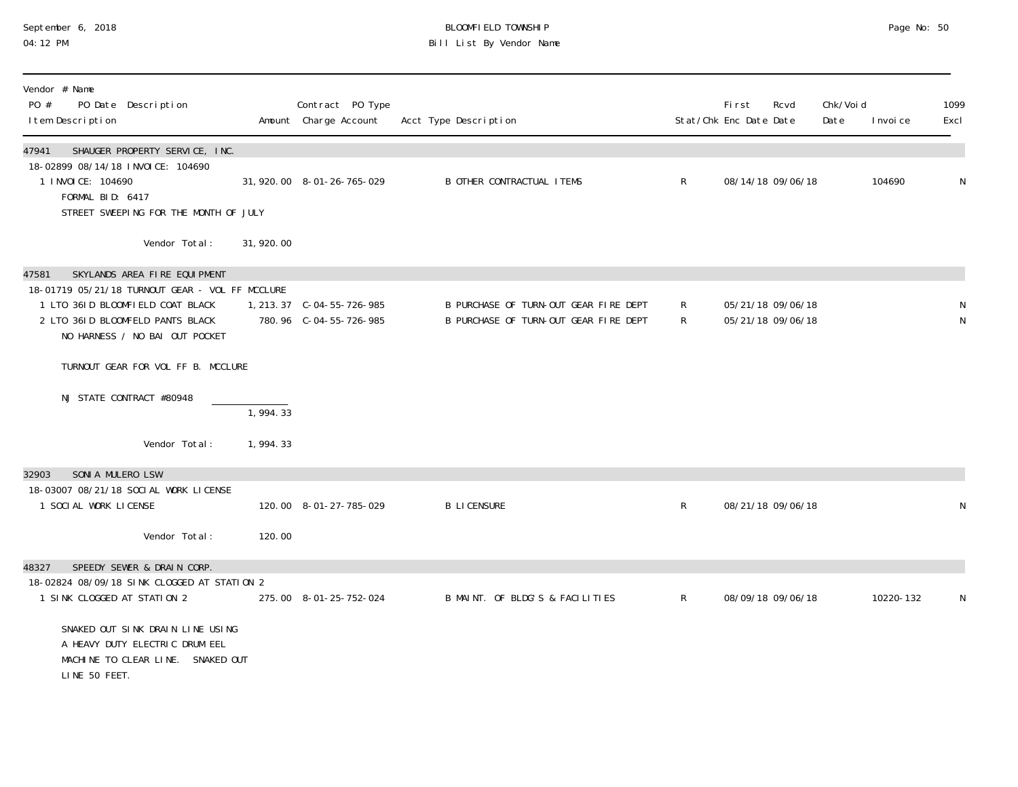#### September 6, 2018 BLOOMFIELD TOWNSHIP Page No: 50 04:12 PM Bill List By Vendor Name

| Vendor # Name<br>PO #<br>PO Date Description<br>I tem Description                                                                                                                                                                             |            | Contract PO Type<br>Amount Charge Account | Acct Type Description                                                          |                   | First<br>Stat/Chk Enc Date Date | Rcvd                                   | Chk/Voi d<br>Date | I nvoi ce | 1099<br>Excl   |
|-----------------------------------------------------------------------------------------------------------------------------------------------------------------------------------------------------------------------------------------------|------------|-------------------------------------------|--------------------------------------------------------------------------------|-------------------|---------------------------------|----------------------------------------|-------------------|-----------|----------------|
| SHAUGER PROPERTY SERVICE, INC.<br>47941<br>18-02899 08/14/18 INVOICE: 104690<br>1 I NVOI CE: 104690<br>FORMAL BID: 6417<br>STREET SWEEPING FOR THE MONTH OF JULY                                                                              |            | 31, 920.00 8-01-26-765-029                | <b>B OTHER CONTRACTUAL ITEMS</b>                                               | $\mathsf{R}$      |                                 | 08/14/18 09/06/18                      |                   | 104690    | N              |
| Vendor Total:                                                                                                                                                                                                                                 | 31, 920.00 |                                           |                                                                                |                   |                                 |                                        |                   |           |                |
| SKYLANDS AREA FIRE EQUIPMENT<br>47581<br>18-01719 05/21/18 TURNOUT GEAR - VOL FF MCCLURE<br>1 LTO 361D BLOOMFIELD COAT BLACK<br>2 LTO 361D BLOOMFELD PANTS BLACK<br>NO HARNESS / NO BAI OUT POCKET                                            |            | 780.96 C-04-55-726-985                    | B PURCHASE OF TURN-OUT GEAR FIRE DEPT<br>B PURCHASE OF TURN-OUT GEAR FIRE DEPT | R<br>$\mathsf{R}$ |                                 | 05/21/18 09/06/18<br>05/21/18 09/06/18 |                   |           | ${\sf N}$<br>N |
| TURNOUT GEAR FOR VOL FF B. MCCLURE                                                                                                                                                                                                            |            |                                           |                                                                                |                   |                                 |                                        |                   |           |                |
| NJ STATE CONTRACT #80948                                                                                                                                                                                                                      | 1,994.33   |                                           |                                                                                |                   |                                 |                                        |                   |           |                |
| Vendor Total:                                                                                                                                                                                                                                 | 1,994.33   |                                           |                                                                                |                   |                                 |                                        |                   |           |                |
| SONIA MULERO LSW<br>32903<br>18-03007 08/21/18 SOCIAL WORK LICENSE<br>1 SOCIAL WORK LICENSE                                                                                                                                                   |            | 120.00 8-01-27-785-029                    | <b>B LICENSURE</b>                                                             | $\mathsf{R}$      |                                 | 08/21/18 09/06/18                      |                   |           | ${\sf N}$      |
| Vendor Total:                                                                                                                                                                                                                                 | 120.00     |                                           |                                                                                |                   |                                 |                                        |                   |           |                |
| SPEEDY SEWER & DRAIN CORP.<br>48327<br>18-02824 08/09/18 SINK CLOGGED AT STATION 2<br>1 SINK CLOGGED AT STATION 2<br>SNAKED OUT SINK DRAIN LINE USING<br>A HEAVY DUTY ELECTRIC DRUM EEL<br>MACHINE TO CLEAR LINE. SNAKED OUT<br>LINE 50 FEET. |            | 275.00 8-01-25-752-024                    | B MAINT. OF BLDG'S & FACILITIES                                                | $\mathsf{R}$      |                                 | 08/09/18 09/06/18                      |                   | 10220-132 | N              |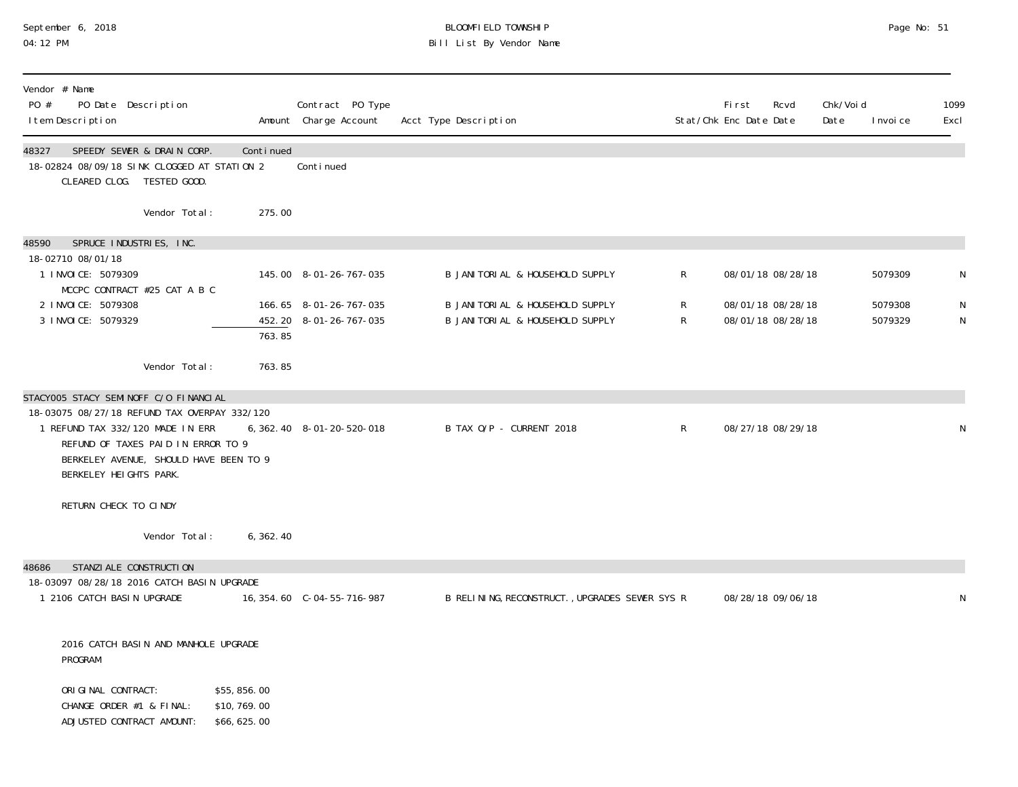# September 6, 2018 BLOOMFIELD TOWNSHIP Page No: 51 04:12 PM Bill List By Vendor Name

| Vendor # Name<br>PO #<br>PO Date Description<br>I tem Description                                                                                                                                                                   |                                           | Contract PO Type<br>Amount Charge Account        | Acct Type Description                                                  |              | Fi rst<br>Stat/Chk Enc Date Date       | Rcvd | Chk/Voi d<br>Date | I nvoi ce          | 1099<br>Excl   |
|-------------------------------------------------------------------------------------------------------------------------------------------------------------------------------------------------------------------------------------|-------------------------------------------|--------------------------------------------------|------------------------------------------------------------------------|--------------|----------------------------------------|------|-------------------|--------------------|----------------|
| SPEEDY SEWER & DRAIN CORP.<br>48327<br>18-02824 08/09/18 SINK CLOGGED AT STATION 2<br>CLEARED CLOG. TESTED GOOD.                                                                                                                    | Continued                                 | Conti nued                                       |                                                                        |              |                                        |      |                   |                    |                |
| Vendor Total:                                                                                                                                                                                                                       | 275.00                                    |                                                  |                                                                        |              |                                        |      |                   |                    |                |
| SPRUCE INDUSTRIES, INC.<br>48590<br>18-02710 08/01/18<br>1 I NVOI CE: 5079309                                                                                                                                                       |                                           | 145.00 8-01-26-767-035                           | B JANITORIAL & HOUSEHOLD SUPPLY                                        | $\mathsf{R}$ | 08/01/18 08/28/18                      |      |                   | 5079309            | N              |
| MCCPC CONTRACT #25 CAT A B C<br>2 I NVOI CE: 5079308<br>3 I NVOI CE: 5079329                                                                                                                                                        | 763.85                                    | 166.65 8-01-26-767-035<br>452.20 8-01-26-767-035 | B JANI TORI AL & HOUSEHOLD SUPPLY<br>B JANI TORI AL & HOUSEHOLD SUPPLY | R<br>R       | 08/01/18 08/28/18<br>08/01/18 08/28/18 |      |                   | 5079308<br>5079329 | N<br>${\sf N}$ |
| Vendor Total:                                                                                                                                                                                                                       | 763.85                                    |                                                  |                                                                        |              |                                        |      |                   |                    |                |
| STACYOO5 STACY SEMINOFF C/O FINANCIAL<br>18-03075 08/27/18 REFUND TAX OVERPAY 332/120<br>1 REFUND TAX 332/120 MADE IN ERR<br>REFUND OF TAXES PAID IN ERROR TO 9<br>BERKELEY AVENUE, SHOULD HAVE BEEN TO 9<br>BERKELEY HEIGHTS PARK. |                                           | 6, 362. 40 8-01-20-520-018                       | B TAX O/P - CURRENT 2018                                               | R            | 08/27/18 08/29/18                      |      |                   |                    | N              |
| RETURN CHECK TO CINDY                                                                                                                                                                                                               |                                           |                                                  |                                                                        |              |                                        |      |                   |                    |                |
| Vendor Total:                                                                                                                                                                                                                       | 6, 362.40                                 |                                                  |                                                                        |              |                                        |      |                   |                    |                |
| STANZI ALE CONSTRUCTI ON<br>48686<br>18-03097 08/28/18 2016 CATCH BASIN UPGRADE<br>1 2106 CATCH BASIN UPGRADE                                                                                                                       |                                           |                                                  | B RELINING, RECONSTRUCT., UPGRADES SEWER SYS R                         |              | 08/28/18 09/06/18                      |      |                   |                    | N              |
| 2016 CATCH BASIN AND MANHOLE UPGRADE<br>PROGRAM                                                                                                                                                                                     |                                           |                                                  |                                                                        |              |                                        |      |                   |                    |                |
| ORIGINAL CONTRACT:<br>CHANGE ORDER #1 & FINAL:<br>ADJUSTED CONTRACT AMOUNT:                                                                                                                                                         | \$55,856.00<br>\$10,769.00<br>\$66,625.00 |                                                  |                                                                        |              |                                        |      |                   |                    |                |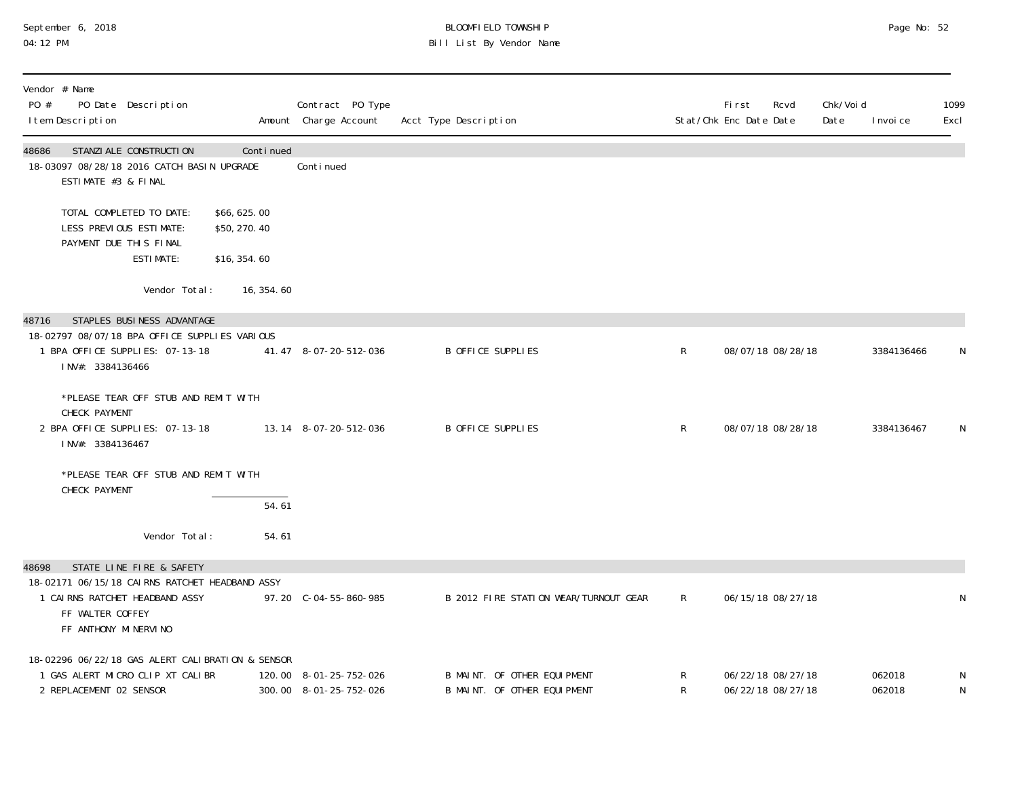#### September 6, 2018 BLOOMFIELD TOWNSHIP Page No: 52 04:12 PM Bill List By Vendor Name

| Vendor # Name<br>PO #<br>PO Date Description<br>I tem Description                                                                                                 |                                              | Contract PO Type<br>Amount Charge Account        | Acct Type Description                                      |              | <b>First</b><br>Rcvd<br>Stat/Chk Enc Date Date | Chk/Voi d<br>Date | 1099<br>Excl<br>I nvoi ce |
|-------------------------------------------------------------------------------------------------------------------------------------------------------------------|----------------------------------------------|--------------------------------------------------|------------------------------------------------------------|--------------|------------------------------------------------|-------------------|---------------------------|
| 48686<br>STANZI ALE CONSTRUCTI ON<br>18-03097 08/28/18 2016 CATCH BASIN UPGRADE<br>ESTIMATE #3 & FINAL                                                            | Continued                                    | Conti nued                                       |                                                            |              |                                                |                   |                           |
| TOTAL COMPLETED TO DATE:<br>LESS PREVIOUS ESTIMATE:<br>PAYMENT DUE THIS FINAL<br><b>ESTIMATE:</b>                                                                 | \$66,625.00<br>\$50, 270. 40<br>\$16, 354.60 |                                                  |                                                            |              |                                                |                   |                           |
| Vendor Total:                                                                                                                                                     | 16, 354. 60                                  |                                                  |                                                            |              |                                                |                   |                           |
| STAPLES BUSINESS ADVANTAGE<br>48716<br>18-02797 08/07/18 BPA OFFICE SUPPLIES VARIOUS<br>1 BPA OFFICE SUPPLIES: 07-13-18<br>INV#: 3384136466                       |                                              | 41.47 8-07-20-512-036                            | <b>B OFFICE SUPPLIES</b>                                   | $\mathsf{R}$ | 08/07/18 08/28/18                              |                   | 3384136466<br>N           |
| *PLEASE TEAR OFF STUB AND REMIT WITH<br>CHECK PAYMENT<br>2 BPA OFFICE SUPPLIES: 07-13-18<br>INV#: 3384136467                                                      |                                              | 13.14 8-07-20-512-036                            | <b>B OFFICE SUPPLIES</b>                                   | R            | 08/07/18 08/28/18                              |                   | 3384136467<br>N           |
| *PLEASE TEAR OFF STUB AND REMIT WITH<br>CHECK PAYMENT                                                                                                             | 54.61                                        |                                                  |                                                            |              |                                                |                   |                           |
| Vendor Total:                                                                                                                                                     | 54.61                                        |                                                  |                                                            |              |                                                |                   |                           |
| STATE LINE FIRE & SAFETY<br>48698<br>18-02171 06/15/18 CAIRNS RATCHET HEADBAND ASSY<br>1 CAIRNS RATCHET HEADBAND ASSY<br>FF WALTER COFFEY<br>FF ANTHONY MINERVINO |                                              | 97.20 C-04-55-860-985                            | B 2012 FIRE STATION WEAR/TURNOUT GEAR                      | R            | 06/15/18 08/27/18                              |                   | N                         |
| 18-02296 06/22/18 GAS ALERT CALIBRATION & SENSOR<br>1 GAS ALERT MICRO CLIP XT CALIBR<br>2 REPLACEMENT 02 SENSOR                                                   |                                              | 120.00 8-01-25-752-026<br>300.00 8-01-25-752-026 | B MAINT. OF OTHER EQUIPMENT<br>B MAINT. OF OTHER EQUIPMENT | R<br>R       | 06/22/18 08/27/18<br>06/22/18 08/27/18         |                   | 062018<br>062018<br>N     |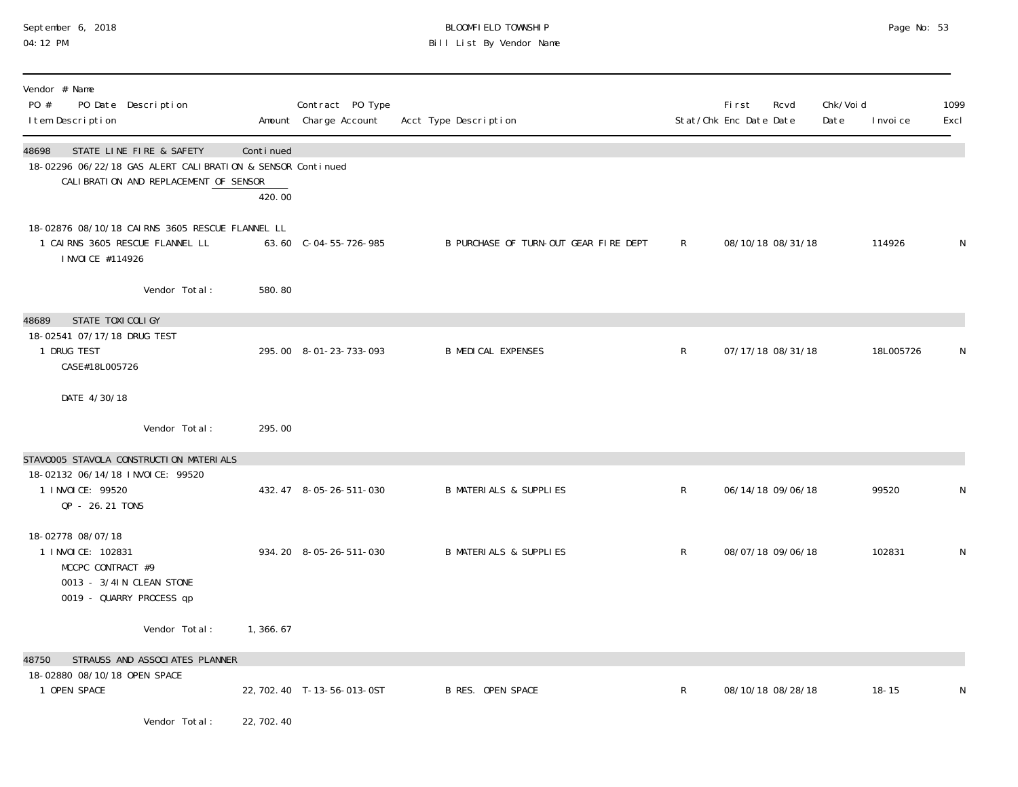#### September 6, 2018 BLOOMFIELD TOWNSHIP Page No: 53 04:12 PM Bill List By Vendor Name

| Vendor # Name<br>PO #<br>PO Date Description<br>I tem Description                                                                        |                     | Contract PO Type<br>Amount Charge Account | Acct Type Description                 |              | Fi rst<br>Stat/Chk Enc Date Date | Rcvd              | Chk/Voi d<br>Date | I nvoi ce | 1099<br>Excl |
|------------------------------------------------------------------------------------------------------------------------------------------|---------------------|-------------------------------------------|---------------------------------------|--------------|----------------------------------|-------------------|-------------------|-----------|--------------|
| STATE LINE FIRE & SAFETY<br>48698<br>18-02296 06/22/18 GAS ALERT CALIBRATION & SENSOR Continued<br>CALIBRATION AND REPLACEMENT OF SENSOR | Continued<br>420.00 |                                           |                                       |              |                                  |                   |                   |           |              |
| 18-02876 08/10/18 CAIRNS 3605 RESCUE FLANNEL LL<br>1 CAIRNS 3605 RESCUE FLANNEL LL<br>I NVOI CE #114926                                  |                     | 63.60 C-04-55-726-985                     | B PURCHASE OF TURN-OUT GEAR FIRE DEPT | R            |                                  | 08/10/18 08/31/18 |                   | 114926    |              |
| Vendor Total:                                                                                                                            | 580.80              |                                           |                                       |              |                                  |                   |                   |           |              |
| 48689<br>STATE TOXI COLIGY<br>18-02541 07/17/18 DRUG TEST<br>1 DRUG TEST<br>CASE#18L005726                                               |                     | 295.00 8-01-23-733-093                    | <b>B MEDICAL EXPENSES</b>             | R            |                                  | 07/17/18 08/31/18 |                   | 18L005726 |              |
| DATE 4/30/18                                                                                                                             |                     |                                           |                                       |              |                                  |                   |                   |           |              |
| Vendor Total:                                                                                                                            | 295.00              |                                           |                                       |              |                                  |                   |                   |           |              |
| STAV0005 STAVOLA CONSTRUCTION MATERIALS                                                                                                  |                     |                                           |                                       |              |                                  |                   |                   |           |              |
| 18-02132 06/14/18 INVOICE: 99520<br>1 INVOICE: 99520<br>QP - 26.21 TONS                                                                  |                     | 432.47 8-05-26-511-030                    | <b>B MATERIALS &amp; SUPPLIES</b>     | $\mathsf{R}$ |                                  | 06/14/18 09/06/18 |                   | 99520     |              |
| 18-02778 08/07/18<br>1 I NVOI CE: 102831<br>MCCPC CONTRACT #9<br>0013 - 3/4IN CLEAN STONE<br>0019 - QUARRY PROCESS qp                    |                     | 934.20 8-05-26-511-030                    | <b>B MATERIALS &amp; SUPPLIES</b>     | R            |                                  | 08/07/18 09/06/18 |                   | 102831    | N            |
| Vendor Total:                                                                                                                            | 1,366.67            |                                           |                                       |              |                                  |                   |                   |           |              |
| STRAUSS AND ASSOCIATES PLANNER<br>48750                                                                                                  |                     |                                           |                                       |              |                                  |                   |                   |           |              |
| 18-02880 08/10/18 OPEN SPACE<br>1 OPEN SPACE                                                                                             |                     | 22, 702. 40 T-13-56-013-0ST               | <b>B RES. OPEN SPACE</b>              | $\mathsf{R}$ |                                  | 08/10/18 08/28/18 |                   | $18 - 15$ | N            |
| Vendor Total:                                                                                                                            | 22, 702. 40         |                                           |                                       |              |                                  |                   |                   |           |              |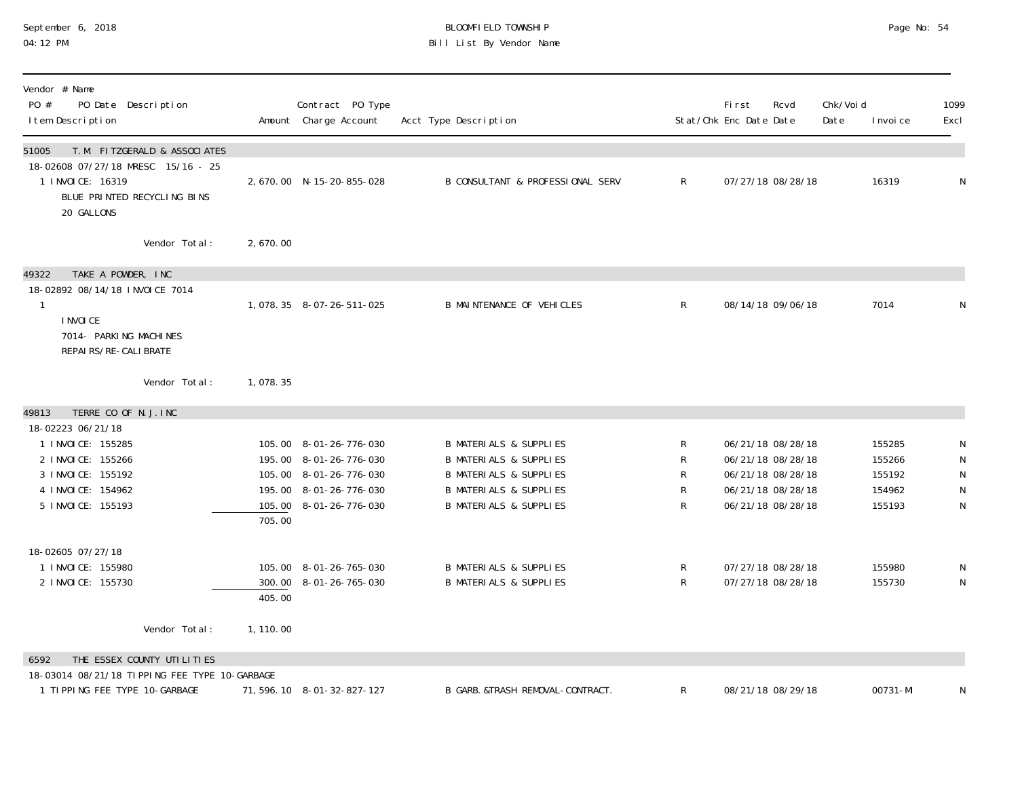#### September 6, 2018 BLOOMFIELD TOWNSHIP Page No: 54 04:12 PM Bill List By Vendor Name

| Vendor # Name<br>PO #<br>PO Date Description<br>I tem Description                                                                                                      |                     | Contract PO Type<br>Amount Charge Account                                                                                      | Acct Type Description                                                                                                                                                                 |                       | First<br>Stat/Chk Enc Date Date | Rcvd                                                                                                  | Chk/Voi d<br>Date | I nvoi ce                                      | 1099<br>Excl                          |
|------------------------------------------------------------------------------------------------------------------------------------------------------------------------|---------------------|--------------------------------------------------------------------------------------------------------------------------------|---------------------------------------------------------------------------------------------------------------------------------------------------------------------------------------|-----------------------|---------------------------------|-------------------------------------------------------------------------------------------------------|-------------------|------------------------------------------------|---------------------------------------|
| T. M. FITZGERALD & ASSOCIATES<br>51005<br>18-02608 07/27/18 MRESC 15/16 - 25<br>1 INVOICE: 16319<br>BLUE PRINTED RECYCLING BINS<br>20 GALLONS                          |                     | 2,670.00 N-15-20-855-028                                                                                                       | <b>B CONSULTANT &amp; PROFESSIONAL SERV</b>                                                                                                                                           | $\mathsf{R}$          |                                 | 07/27/18 08/28/18                                                                                     |                   | 16319                                          | N                                     |
| Vendor Total:                                                                                                                                                          | 2,670.00            |                                                                                                                                |                                                                                                                                                                                       |                       |                                 |                                                                                                       |                   |                                                |                                       |
| TAKE A POWDER, INC<br>49322<br>18-02892 08/14/18 INVOICE 7014<br>1<br>I NVOI CE<br>7014- PARKING MACHINES<br>REPAI RS/RE-CALI BRATE                                    |                     | 1,078.35 8-07-26-511-025                                                                                                       | <b>B MAINTENANCE OF VEHICLES</b>                                                                                                                                                      | $\mathsf{R}$          |                                 | 08/14/18 09/06/18                                                                                     |                   | 7014                                           | N                                     |
| Vendor Total:                                                                                                                                                          | 1,078.35            |                                                                                                                                |                                                                                                                                                                                       |                       |                                 |                                                                                                       |                   |                                                |                                       |
| TERRE CO OF N. J. INC<br>49813<br>18-02223 06/21/18<br>1 I NVOI CE: 155285<br>2 I NVOI CE: 155266<br>3 I NVOI CE: 155192<br>4 I NVOI CE: 154962<br>5 I NVOI CE: 155193 | 705.00              | 105.00 8-01-26-776-030<br>195.00 8-01-26-776-030<br>105.00 8-01-26-776-030<br>195.00 8-01-26-776-030<br>105.00 8-01-26-776-030 | <b>B MATERIALS &amp; SUPPLIES</b><br><b>B MATERIALS &amp; SUPPLIES</b><br><b>B MATERIALS &amp; SUPPLIES</b><br><b>B MATERIALS &amp; SUPPLIES</b><br><b>B MATERIALS &amp; SUPPLIES</b> | R<br>R<br>R<br>R<br>R |                                 | 06/21/18 08/28/18<br>06/21/18 08/28/18<br>06/21/18 08/28/18<br>06/21/18 08/28/18<br>06/21/18 08/28/18 |                   | 155285<br>155266<br>155192<br>154962<br>155193 | N<br>N<br>${\sf N}$<br>N<br>${\sf N}$ |
| 18-02605 07/27/18<br>1 I NVOI CE: 155980<br>2 I NVOI CE: 155730<br>Vendor Total:                                                                                       | 405.00<br>1, 110.00 | 105.00 8-01-26-765-030<br>300.00 8-01-26-765-030                                                                               | <b>B MATERIALS &amp; SUPPLIES</b><br><b>B MATERIALS &amp; SUPPLIES</b>                                                                                                                | $\mathsf R$<br>R      |                                 | 07/27/18 08/28/18<br>07/27/18 08/28/18                                                                |                   | 155980<br>155730                               | N<br>N                                |
| THE ESSEX COUNTY UTILITIES<br>6592                                                                                                                                     |                     |                                                                                                                                |                                                                                                                                                                                       |                       |                                 |                                                                                                       |                   |                                                |                                       |
| 18-03014 08/21/18 TIPPING FEE TYPE 10-GARBAGE<br>1 TIPPING FEE TYPE 10-GARBAGE                                                                                         |                     | 71, 596. 10 8-01-32-827-127                                                                                                    | B GARB. &TRASH REMOVAL-CONTRACT.                                                                                                                                                      | R                     |                                 | 08/21/18 08/29/18                                                                                     |                   | 00731-MI                                       | N                                     |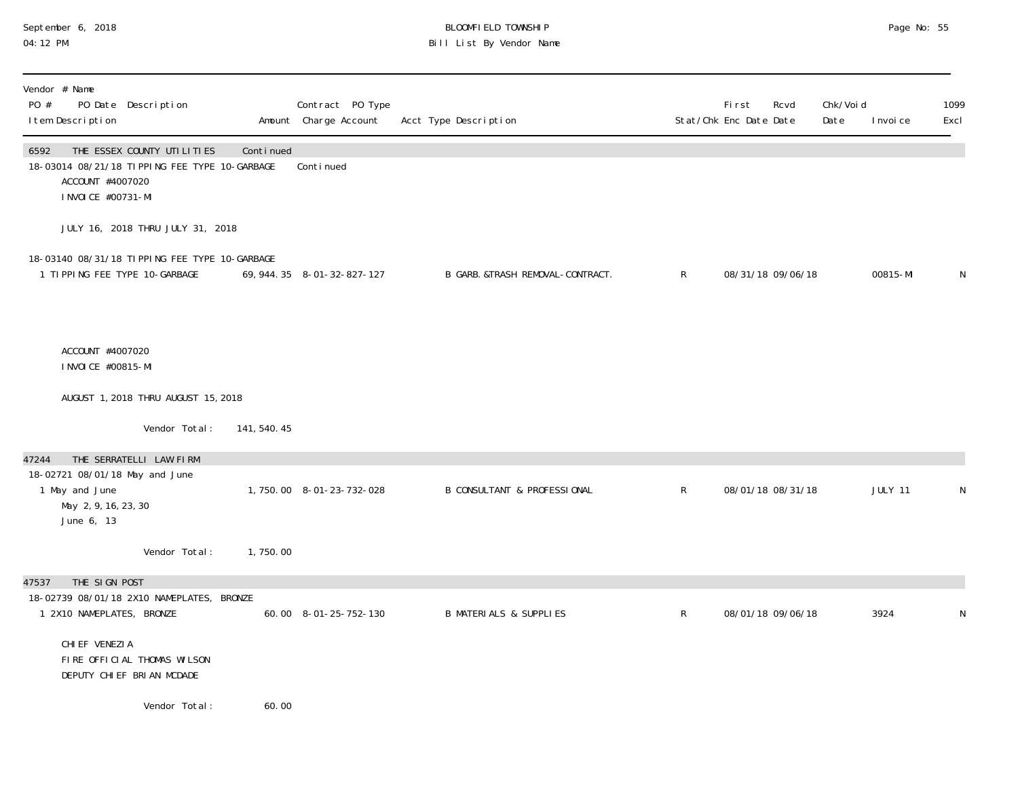#### September 6, 2018 BLOOMFIELD TOWNSHIP Page No: 55 04:12 PM Bill List By Vendor Name

| Vendor # Name<br>PO #<br>PO Date Description<br>I tem Description                                                              |                               | Contract PO Type<br>Amount Charge Account | Acct Type Description                  |              | First<br>Rcvd<br>Stat/Chk Enc Date Date | Chk/Voi d<br>Date | I nvoi ce | 1099<br>Excl |
|--------------------------------------------------------------------------------------------------------------------------------|-------------------------------|-------------------------------------------|----------------------------------------|--------------|-----------------------------------------|-------------------|-----------|--------------|
| THE ESSEX COUNTY UTILITIES<br>6592<br>18-03014 08/21/18 TIPPING FEE TYPE 10-GARBAGE<br>ACCOUNT #4007020<br>I NVOI CE #00731-MI | Continued                     | Conti nued                                |                                        |              |                                         |                   |           |              |
| JULY 16, 2018 THRU JULY 31, 2018                                                                                               |                               |                                           |                                        |              |                                         |                   |           |              |
| 18-03140 08/31/18 TIPPING FEE TYPE 10-GARBAGE<br>1 TIPPING FEE TYPE 10-GARBAGE                                                 |                               | 69, 944. 35 8-01-32-827-127               | B GARB. &TRASH REMOVAL-CONTRACT.       | $\mathsf{R}$ | 08/31/18 09/06/18                       |                   | 00815-MI  | N            |
| ACCOUNT #4007020<br>I NVOI CE #00815-MI                                                                                        |                               |                                           |                                        |              |                                         |                   |           |              |
| AUGUST 1, 2018 THRU AUGUST 15, 2018                                                                                            |                               |                                           |                                        |              |                                         |                   |           |              |
|                                                                                                                                | Vendor Total:<br>141, 540. 45 |                                           |                                        |              |                                         |                   |           |              |
| THE SERRATELLI LAW FIRM<br>47244<br>18-02721 08/01/18 May and June<br>1 May and June                                           |                               | 1, 750.00 8-01-23-732-028                 | <b>B CONSULTANT &amp; PROFESSIONAL</b> | $\mathsf{R}$ | 08/01/18 08/31/18                       |                   | JULY 11   | N            |
| May 2, 9, 16, 23, 30<br>June 6, 13                                                                                             |                               |                                           |                                        |              |                                         |                   |           |              |
|                                                                                                                                | Vendor Total:<br>1,750.00     |                                           |                                        |              |                                         |                   |           |              |
| THE SIGN POST<br>47537                                                                                                         |                               |                                           |                                        |              |                                         |                   |           |              |
| 18-02739 08/01/18 2X10 NAMEPLATES, BRONZE<br>1 2X10 NAMEPLATES, BRONZE                                                         |                               | 60.00 8-01-25-752-130                     | <b>B MATERIALS &amp; SUPPLIES</b>      | $\mathsf R$  | 08/01/18 09/06/18                       |                   | 3924      | N            |
| CHI EF VENEZI A<br>FIRE OFFICIAL THOMAS WILSON<br>DEPUTY CHIEF BRIAN MCDADE                                                    |                               |                                           |                                        |              |                                         |                   |           |              |
|                                                                                                                                | Vendor Total:<br>60.00        |                                           |                                        |              |                                         |                   |           |              |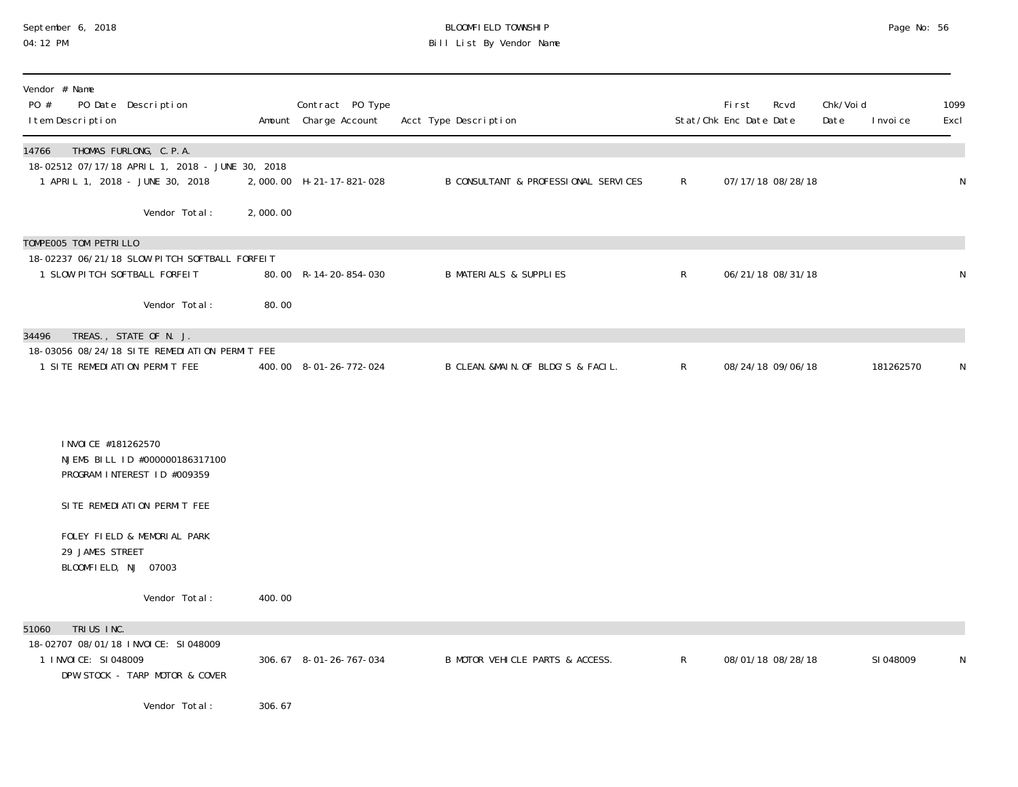#### September 6, 2018 BLOOMFIELD TOWNSHIP Page No: 56 04:12 PM Bill List By Vendor Name

| Vendor # Name<br>PO #<br>PO Date Description<br>I tem Description                                                     |          | Contract PO Type<br>Amount Charge Account | Acct Type Description                |              | <b>First</b><br>Stat/Chk Enc Date Date | Rcvd | Chk/Voi d<br>Date | I nvoi ce | 1099<br>Excl |
|-----------------------------------------------------------------------------------------------------------------------|----------|-------------------------------------------|--------------------------------------|--------------|----------------------------------------|------|-------------------|-----------|--------------|
| THOMAS FURLONG, C.P.A.<br>14766<br>18-02512 07/17/18 APRIL 1, 2018 - JUNE 30, 2018<br>1 APRIL 1, 2018 - JUNE 30, 2018 |          | 2,000.00 H-21-17-821-028                  | B CONSULTANT & PROFESSIONAL SERVICES | $\mathsf{R}$ | 07/17/18 08/28/18                      |      |                   |           | N            |
| Vendor Total:                                                                                                         | 2,000.00 |                                           |                                      |              |                                        |      |                   |           |              |
| TOMPEOO5 TOM PETRILLO                                                                                                 |          |                                           |                                      |              |                                        |      |                   |           |              |
| 18-02237 06/21/18 SLOW PITCH SOFTBALL FORFEIT<br>1 SLOW PITCH SOFTBALL FORFEIT                                        |          | 80.00 R-14-20-854-030                     | <b>B MATERIALS &amp; SUPPLIES</b>    | $\mathsf{R}$ | 06/21/18 08/31/18                      |      |                   |           | N            |
| Vendor Total:                                                                                                         | 80.00    |                                           |                                      |              |                                        |      |                   |           |              |
| TREAS., STATE OF N. J.<br>34496                                                                                       |          |                                           |                                      |              |                                        |      |                   |           |              |
| 18-03056 08/24/18 SITE REMEDIATION PERMIT FEE<br>1 SITE REMEDIATION PERMIT FEE                                        |          | 400.00 8-01-26-772-024                    | B CLEAN. &MAIN. OF BLDG'S & FACIL.   | $\mathsf{R}$ | 08/24/18 09/06/18                      |      |                   | 181262570 | N            |
|                                                                                                                       |          |                                           |                                      |              |                                        |      |                   |           |              |
| I NVOI CE #181262570<br>NJEMS BILL ID #000000186317100<br>PROGRAM INTEREST ID #009359                                 |          |                                           |                                      |              |                                        |      |                   |           |              |
| SITE REMEDIATION PERMIT FEE                                                                                           |          |                                           |                                      |              |                                        |      |                   |           |              |
| FOLEY FIELD & MEMORIAL PARK<br>29 JAMES STREET<br>BLOOMFIELD, NJ 07003                                                |          |                                           |                                      |              |                                        |      |                   |           |              |
| Vendor Total:                                                                                                         | 400.00   |                                           |                                      |              |                                        |      |                   |           |              |
| TRIUS INC.<br>51060<br>18-02707 08/01/18 INVOICE: SI048009                                                            |          |                                           |                                      |              |                                        |      |                   |           |              |
| 1 I NVOI CE: SI 048009<br>DPW STOCK - TARP MOTOR & COVER                                                              |          | 306.67 8-01-26-767-034                    | B MOTOR VEHICLE PARTS & ACCESS.      | R            | 08/01/18 08/28/18                      |      |                   | SI 048009 | N            |
|                                                                                                                       |          |                                           |                                      |              |                                        |      |                   |           |              |
| Vendor Total:                                                                                                         | 306.67   |                                           |                                      |              |                                        |      |                   |           |              |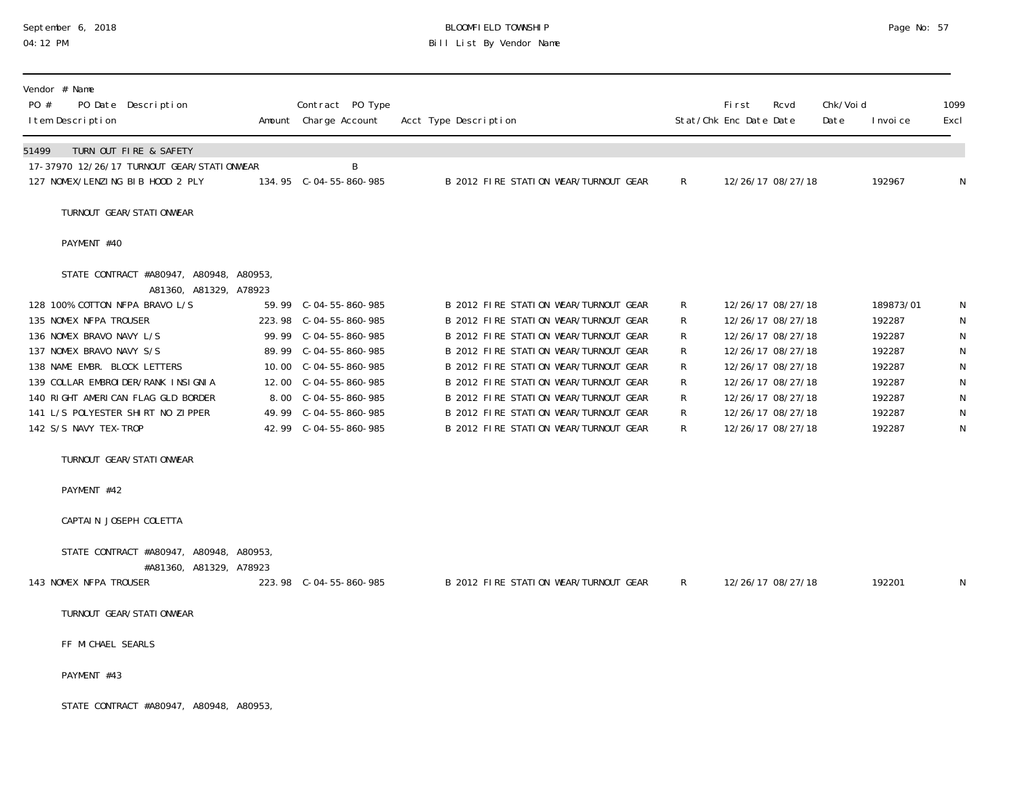# September 6, 2018 **BLOOMFIELD TOWNSHIP** BLOOMFIELD TOWNSHIP BLOOMFIELD TOWNSHIP Page No: 57<br>04:12 PM Bill List By Vendor Name

| Vendor # Name<br>PO #<br>PO Date Description<br>I tem Description                                                                                                                                                                                                                                                                                               | Contract PO Type<br>Amount Charge Account                                                                                                                                                                | Acct Type Description                                                                                                                                                                                                                                                                                                                                                         |                                           | <b>First</b><br>Stat/Chk Enc Date Date | Rcvd                                                                                                                                                                                      | Chk/Voi d<br>Date | I nvoi ce                                                                                 | 1099<br>Excl                                                                      |
|-----------------------------------------------------------------------------------------------------------------------------------------------------------------------------------------------------------------------------------------------------------------------------------------------------------------------------------------------------------------|----------------------------------------------------------------------------------------------------------------------------------------------------------------------------------------------------------|-------------------------------------------------------------------------------------------------------------------------------------------------------------------------------------------------------------------------------------------------------------------------------------------------------------------------------------------------------------------------------|-------------------------------------------|----------------------------------------|-------------------------------------------------------------------------------------------------------------------------------------------------------------------------------------------|-------------------|-------------------------------------------------------------------------------------------|-----------------------------------------------------------------------------------|
| 51499<br>TURN OUT FIRE & SAFETY<br>17-37970 12/26/17 TURNOUT GEAR/STATIONWEAR<br>127 NOMEX/LENZING BIB HOOD 2 PLY                                                                                                                                                                                                                                               | B                                                                                                                                                                                                        | B 2012 FIRE STATION WEAR/TURNOUT GEAR                                                                                                                                                                                                                                                                                                                                         | $\mathsf{R}$                              |                                        | 12/26/17 08/27/18                                                                                                                                                                         |                   | 192967                                                                                    | $\mathsf{N}$                                                                      |
| TURNOUT GEAR/STATI ONWEAR                                                                                                                                                                                                                                                                                                                                       |                                                                                                                                                                                                          |                                                                                                                                                                                                                                                                                                                                                                               |                                           |                                        |                                                                                                                                                                                           |                   |                                                                                           |                                                                                   |
| PAYMENT #40                                                                                                                                                                                                                                                                                                                                                     |                                                                                                                                                                                                          |                                                                                                                                                                                                                                                                                                                                                                               |                                           |                                        |                                                                                                                                                                                           |                   |                                                                                           |                                                                                   |
| STATE CONTRACT #A80947, A80948, A80953,<br>A81360, A81329, A78923<br>128 100% COTTON NFPA BRAVO L/S<br>135 NOMEX NFPA TROUSER<br>136 NOMEX BRAVO NAVY L/S<br>137 NOMEX BRAVO NAVY S/S<br>138 NAME EMBR. BLOCK LETTERS<br>139 COLLAR EMBROIDER/RANK INSIGNIA<br>140 RIGHT AMERICAN FLAG GLD BORDER<br>141 L/S POLYESTER SHIRT NO ZIPPER<br>142 S/S NAVY TEX-TROP | 59.99 $C-04-55-860-985$<br>223.98 C-04-55-860-985<br>99.99 C-04-55-860-985<br>89.99 C-04-55-860-985<br>10.00 C-04-55-860-985<br>8.00 C-04-55-860-985<br>49.99 C-04-55-860-985<br>42.99 $C-04-55-860-985$ | B 2012 FIRE STATION WEAR/TURNOUT GEAR<br>B 2012 FIRE STATION WEAR/TURNOUT GEAR<br>B 2012 FIRE STATION WEAR/TURNOUT GEAR<br>B 2012 FIRE STATION WEAR/TURNOUT GEAR<br>B 2012 FIRE STATION WEAR/TURNOUT GEAR<br>B 2012 FIRE STATION WEAR/TURNOUT GEAR<br>B 2012 FIRE STATION WEAR/TURNOUT GEAR<br>B 2012 FIRE STATION WEAR/TURNOUT GEAR<br>B 2012 FIRE STATION WEAR/TURNOUT GEAR | R<br>R<br>R<br>R<br>R<br>R<br>R<br>R<br>R |                                        | 12/26/17 08/27/18<br>12/26/17 08/27/18<br>12/26/17 08/27/18<br>12/26/17 08/27/18<br>12/26/17 08/27/18<br>12/26/17 08/27/18<br>12/26/17 08/27/18<br>12/26/17 08/27/18<br>12/26/17 08/27/18 |                   | 189873/01<br>192287<br>192287<br>192287<br>192287<br>192287<br>192287<br>192287<br>192287 | N<br>${\sf N}$<br>N<br>${\sf N}$<br>${\sf N}$<br>N<br>${\sf N}$<br>${\sf N}$<br>N |
| TURNOUT GEAR/STATIONWEAR<br>PAYMENT #42<br>CAPTAIN JOSEPH COLETTA                                                                                                                                                                                                                                                                                               |                                                                                                                                                                                                          |                                                                                                                                                                                                                                                                                                                                                                               |                                           |                                        |                                                                                                                                                                                           |                   |                                                                                           |                                                                                   |
| STATE CONTRACT #A80947, A80948, A80953,<br>#A81360, A81329, A78923<br>143 NOMEX NFPA TROUSER                                                                                                                                                                                                                                                                    | 223.98 C-04-55-860-985                                                                                                                                                                                   | B 2012 FIRE STATION WEAR/TURNOUT GEAR                                                                                                                                                                                                                                                                                                                                         | R                                         |                                        | 12/26/17 08/27/18                                                                                                                                                                         |                   | 192201                                                                                    | N                                                                                 |
| TURNOUT GEAR/STATI ONWEAR<br>FF MICHAEL SEARLS<br>PAYMENT #43                                                                                                                                                                                                                                                                                                   |                                                                                                                                                                                                          |                                                                                                                                                                                                                                                                                                                                                                               |                                           |                                        |                                                                                                                                                                                           |                   |                                                                                           |                                                                                   |
| STATE CONTRACT #A80947, A80948, A80953                                                                                                                                                                                                                                                                                                                          |                                                                                                                                                                                                          |                                                                                                                                                                                                                                                                                                                                                                               |                                           |                                        |                                                                                                                                                                                           |                   |                                                                                           |                                                                                   |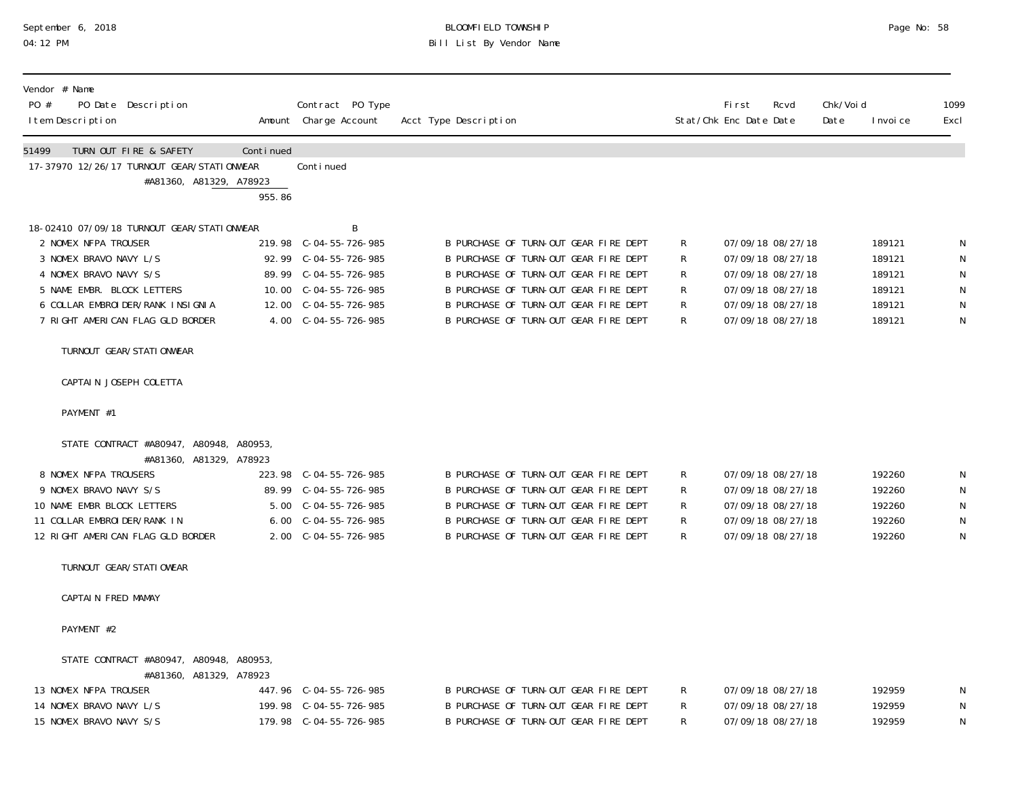## September 6, 2018 BLOOMFIELD TOWNSHIP Page No: 58 04:12 PM Bill List By Vendor Name

| Vendor # Name<br>PO #<br>I tem Description | PO Date Description                                                                                                                                                                                   |                     | Contract PO Type<br>Amount Charge Account                                                                                        | Acct Type Description                                                                                                                                                                                                                              |                            | First<br>Rcvd<br>Stat/Chk Enc Date Date                                                                                    | Chk/Voi d<br>Date | I nvoi ce                                                | 1099<br>Excl                                               |
|--------------------------------------------|-------------------------------------------------------------------------------------------------------------------------------------------------------------------------------------------------------|---------------------|----------------------------------------------------------------------------------------------------------------------------------|----------------------------------------------------------------------------------------------------------------------------------------------------------------------------------------------------------------------------------------------------|----------------------------|----------------------------------------------------------------------------------------------------------------------------|-------------------|----------------------------------------------------------|------------------------------------------------------------|
| 51499                                      | TURN OUT FIRE & SAFETY<br>17-37970 12/26/17 TURNOUT GEAR/STATIONWEAR<br>#A81360, A81329, A78923                                                                                                       | Continued<br>955.86 | Continued                                                                                                                        |                                                                                                                                                                                                                                                    |                            |                                                                                                                            |                   |                                                          |                                                            |
| 2 NOMEX NFPA TROUSER                       | 18-02410 07/09/18 TURNOUT GEAR/STATIONWEAR<br>3 NOMEX BRAVO NAVY L/S<br>4 NOMEX BRAVO NAVY S/S<br>5 NAME EMBR. BLOCK LETTERS<br>6 COLLAR EMBROI DER/RANK INSIGNIA<br>7 RIGHT AMERICAN FLAG GLD BORDER |                     | B<br>219.98 C-04-55-726-985<br>89.99 C-04-55-726-985<br>10.00 $C-04-55-726-985$<br>12.00 C-04-55-726-985<br>4.00 C-04-55-726-985 | B PURCHASE OF TURN-OUT GEAR FIRE DEPT<br>B PURCHASE OF TURN-OUT GEAR FIRE DEPT<br>B PURCHASE OF TURN-OUT GEAR FIRE DEPT<br>B PURCHASE OF TURN-OUT GEAR FIRE DEPT<br>B PURCHASE OF TURN-OUT GEAR FIRE DEPT<br>B PURCHASE OF TURN-OUT GEAR FIRE DEPT | R<br>R<br>R<br>R<br>R<br>R | 07/09/18 08/27/18<br>07/09/18 08/27/18<br>07/09/18 08/27/18<br>07/09/18 08/27/18<br>07/09/18 08/27/18<br>07/09/18 08/27/18 |                   | 189121<br>189121<br>189121<br>189121<br>189121<br>189121 | N<br>N<br>${\sf N}$<br>${\sf N}$<br>${\sf N}$<br>${\sf N}$ |
|                                            | TURNOUT GEAR/STATI ONWEAR                                                                                                                                                                             |                     |                                                                                                                                  |                                                                                                                                                                                                                                                    |                            |                                                                                                                            |                   |                                                          |                                                            |
|                                            | CAPTAIN JOSEPH COLETTA                                                                                                                                                                                |                     |                                                                                                                                  |                                                                                                                                                                                                                                                    |                            |                                                                                                                            |                   |                                                          |                                                            |
| PAYMENT #1                                 |                                                                                                                                                                                                       |                     |                                                                                                                                  |                                                                                                                                                                                                                                                    |                            |                                                                                                                            |                   |                                                          |                                                            |
| 8 NOMEX NFPA TROUSERS                      | STATE CONTRACT #A80947, A80948, A80953,<br>#A81360, A81329, A78923<br>9 NOMEX BRAVO NAVY S/S<br>10 NAME EMBR BLOCK LETTERS<br>11 COLLAR EMBROIDER/RANK IN<br>12 RIGHT AMERICAN FLAG GLD BORDER        |                     | 223.98 C-04-55-726-985<br>5.00 C-04-55-726-985<br>6.00 C-04-55-726-985<br>2.00 C-04-55-726-985                                   | B PURCHASE OF TURN-OUT GEAR FIRE DEPT<br>B PURCHASE OF TURN-OUT GEAR FIRE DEPT<br>B PURCHASE OF TURN-OUT GEAR FIRE DEPT<br>B PURCHASE OF TURN-OUT GEAR FIRE DEPT<br>B PURCHASE OF TURN-OUT GEAR FIRE DEPT                                          | R<br>R<br>R<br>R<br>R      | 07/09/18 08/27/18<br>07/09/18 08/27/18<br>07/09/18 08/27/18<br>07/09/18 08/27/18<br>07/09/18 08/27/18                      |                   | 192260<br>192260<br>192260<br>192260<br>192260           | N<br>${\sf N}$<br>${\sf N}$<br>${\sf N}$<br>N              |
|                                            | TURNOUT GEAR/STATI OWEAR                                                                                                                                                                              |                     |                                                                                                                                  |                                                                                                                                                                                                                                                    |                            |                                                                                                                            |                   |                                                          |                                                            |
|                                            | CAPTAIN FRED MAMAY                                                                                                                                                                                    |                     |                                                                                                                                  |                                                                                                                                                                                                                                                    |                            |                                                                                                                            |                   |                                                          |                                                            |
| PAYMENT #2                                 |                                                                                                                                                                                                       |                     |                                                                                                                                  |                                                                                                                                                                                                                                                    |                            |                                                                                                                            |                   |                                                          |                                                            |
| 13 NOMEX NFPA TROUSER                      | STATE CONTRACT #A80947, A80948, A80953,<br>#A81360, A81329, A78923<br>14 NOMEX BRAVO NAVY L/S<br>15 NOMEX BRAVO NAVY S/S                                                                              |                     | 447.96 C-04-55-726-985<br>199.98 C-04-55-726-985<br>179.98 C-04-55-726-985                                                       | B PURCHASE OF TURN-OUT GEAR FIRE DEPT<br>B PURCHASE OF TURN-OUT GEAR FIRE DEPT<br>B PURCHASE OF TURN-OUT GEAR FIRE DEPT                                                                                                                            | R<br>${\sf R}$<br>R        | 07/09/18 08/27/18<br>07/09/18 08/27/18<br>07/09/18 08/27/18                                                                |                   | 192959<br>192959<br>192959                               | N<br>${\sf N}$<br>${\sf N}$                                |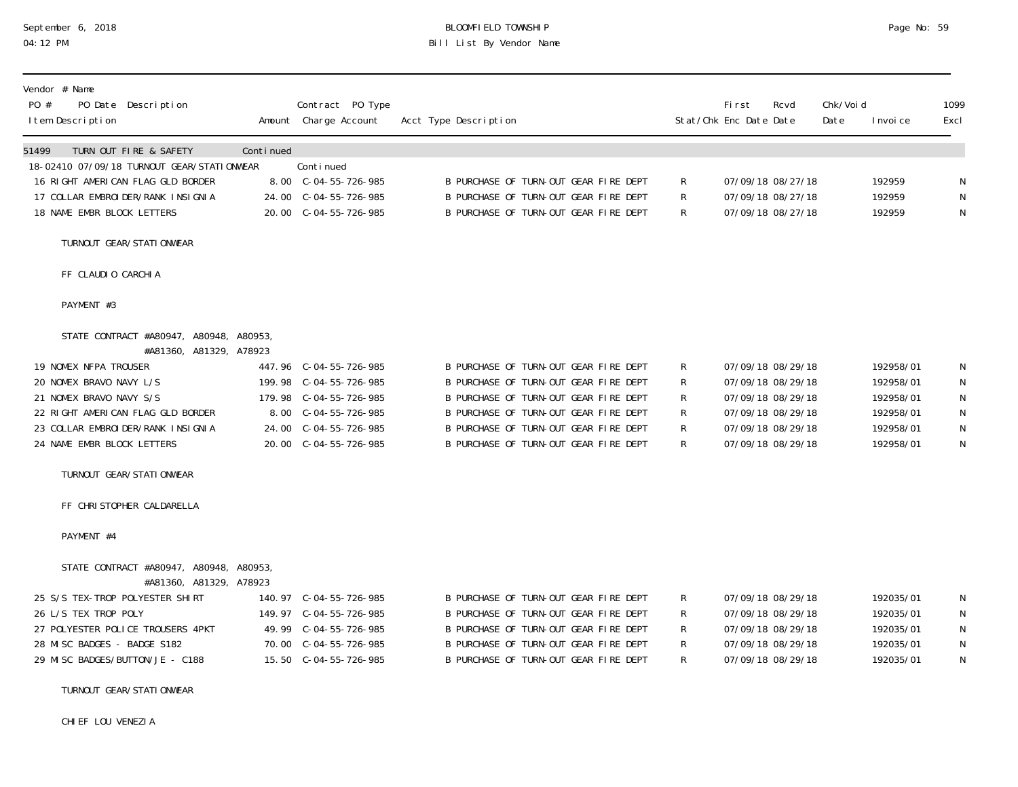# September 6, 2018 BLOOMFIELD TOWNSHIP Page No: 59<br>04:12 PM Bill List By Vendor Name

| PO #  | Vendor # Name<br>I tem Description                                                                        | PO Date Description                                                                                                                                                           |           | Contract PO Type<br>Amount Charge Account                                                                                                            | Acct Type Description                                                                                                                                                                                                                              |                       | First<br>Stat/Chk Enc Date Date                                                                                            | Rcvd | Chk/Voi d<br>Date | I nvoi ce                                                                  | 1099<br>Excl                         |
|-------|-----------------------------------------------------------------------------------------------------------|-------------------------------------------------------------------------------------------------------------------------------------------------------------------------------|-----------|------------------------------------------------------------------------------------------------------------------------------------------------------|----------------------------------------------------------------------------------------------------------------------------------------------------------------------------------------------------------------------------------------------------|-----------------------|----------------------------------------------------------------------------------------------------------------------------|------|-------------------|----------------------------------------------------------------------------|--------------------------------------|
| 51499 | 18 NAME EMBR BLOCK LETTERS                                                                                | TURN OUT FIRE & SAFETY<br>18-02410 07/09/18 TURNOUT GEAR/STATIONWEAR<br>16 RIGHT AMERICAN FLAG GLD BORDER<br>17 COLLAR EMBROI DER/RANK INSIGNIA                               | Continued | Continued<br>8.00 C-04-55-726-985<br>24.00 C-04-55-726-985<br>20.00 C-04-55-726-985                                                                  | B PURCHASE OF TURN-OUT GEAR FIRE DEPT<br>B PURCHASE OF TURN-OUT GEAR FIRE DEPT<br>B PURCHASE OF TURN-OUT GEAR FIRE DEPT                                                                                                                            | R<br>R<br>R.          | 07/09/18 08/27/18<br>07/09/18 08/27/18<br>07/09/18 08/27/18                                                                |      |                   | 192959<br>192959<br>192959                                                 | N<br>N<br>N                          |
|       |                                                                                                           | TURNOUT GEAR/STATI ONWEAR                                                                                                                                                     |           |                                                                                                                                                      |                                                                                                                                                                                                                                                    |                       |                                                                                                                            |      |                   |                                                                            |                                      |
|       | FF CLAUDIO CARCHIA                                                                                        |                                                                                                                                                                               |           |                                                                                                                                                      |                                                                                                                                                                                                                                                    |                       |                                                                                                                            |      |                   |                                                                            |                                      |
|       | PAYMENT #3                                                                                                |                                                                                                                                                                               |           |                                                                                                                                                      |                                                                                                                                                                                                                                                    |                       |                                                                                                                            |      |                   |                                                                            |                                      |
|       | 19 NOMEX NFPA TROUSER<br>20 NOMEX BRAVO NAVY L/S<br>21 NOMEX BRAVO NAVY S/S<br>24 NAME EMBR BLOCK LETTERS | STATE CONTRACT #A80947, A80948, A80953,<br>#A81360, A81329, A78923<br>22 RIGHT AMERICAN FLAG GLD BORDER<br>23 COLLAR EMBROIDER/RANK INSIGNIA<br>TURNOUT GEAR/STATI ONWEAR     |           | 447.96 C-04-55-726-985<br>199.98 C-04-55-726-985<br>179.98 C-04-55-726-985<br>8.00 C-04-55-726-985<br>24.00 C-04-55-726-985<br>20.00 C-04-55-726-985 | B PURCHASE OF TURN-OUT GEAR FIRE DEPT<br>B PURCHASE OF TURN-OUT GEAR FIRE DEPT<br>B PURCHASE OF TURN-OUT GEAR FIRE DEPT<br>B PURCHASE OF TURN-OUT GEAR FIRE DEPT<br>B PURCHASE OF TURN-OUT GEAR FIRE DEPT<br>B PURCHASE OF TURN-OUT GEAR FIRE DEPT | R<br>R<br>R<br>R<br>R | 07/09/18 08/29/18<br>07/09/18 08/29/18<br>07/09/18 08/29/18<br>07/09/18 08/29/18<br>07/09/18 08/29/18<br>07/09/18 08/29/18 |      |                   | 192958/01<br>192958/01<br>192958/01<br>192958/01<br>192958/01<br>192958/01 | N<br>N<br>N<br>$\mathsf N$<br>N<br>N |
|       |                                                                                                           | FF CHRISTOPHER CALDARELLA                                                                                                                                                     |           |                                                                                                                                                      |                                                                                                                                                                                                                                                    |                       |                                                                                                                            |      |                   |                                                                            |                                      |
|       | PAYMENT #4                                                                                                |                                                                                                                                                                               |           |                                                                                                                                                      |                                                                                                                                                                                                                                                    |                       |                                                                                                                            |      |                   |                                                                            |                                      |
|       | 26 L/S TEX TROP POLY<br>28 MISC BADGES - BADGE S182                                                       | STATE CONTRACT #A80947, A80948, A80953,<br>#A81360, A81329, A78923<br>25 S/S TEX-TROP POLYESTER SHIRT<br>27 POLYESTER POLICE TROUSERS 4PKT<br>29 MISC BADGES/BUTTON/JE - C188 |           | 15.50 C-04-55-726-985                                                                                                                                | B PURCHASE OF TURN-OUT GEAR FIRE DEPT<br>B PURCHASE OF TURN-OUT GEAR FIRE DEPT<br>B PURCHASE OF TURN-OUT GEAR FIRE DEPT<br>B PURCHASE OF TURN-OUT GEAR FIRE DEPT<br>B PURCHASE OF TURN-OUT GEAR FIRE DEPT                                          | R<br>R<br>R<br>R      | 07/09/18 08/29/18<br>07/09/18 08/29/18<br>07/09/18 08/29/18<br>07/09/18 08/29/18<br>07/09/18 08/29/18                      |      |                   | 192035/01<br>192035/01<br>192035/01<br>192035/01<br>192035/01              | N<br>N<br>N<br>${\sf N}$<br>N        |

TURNOUT GEAR/STATIONWEAR

CHIEF LOU VENEZIA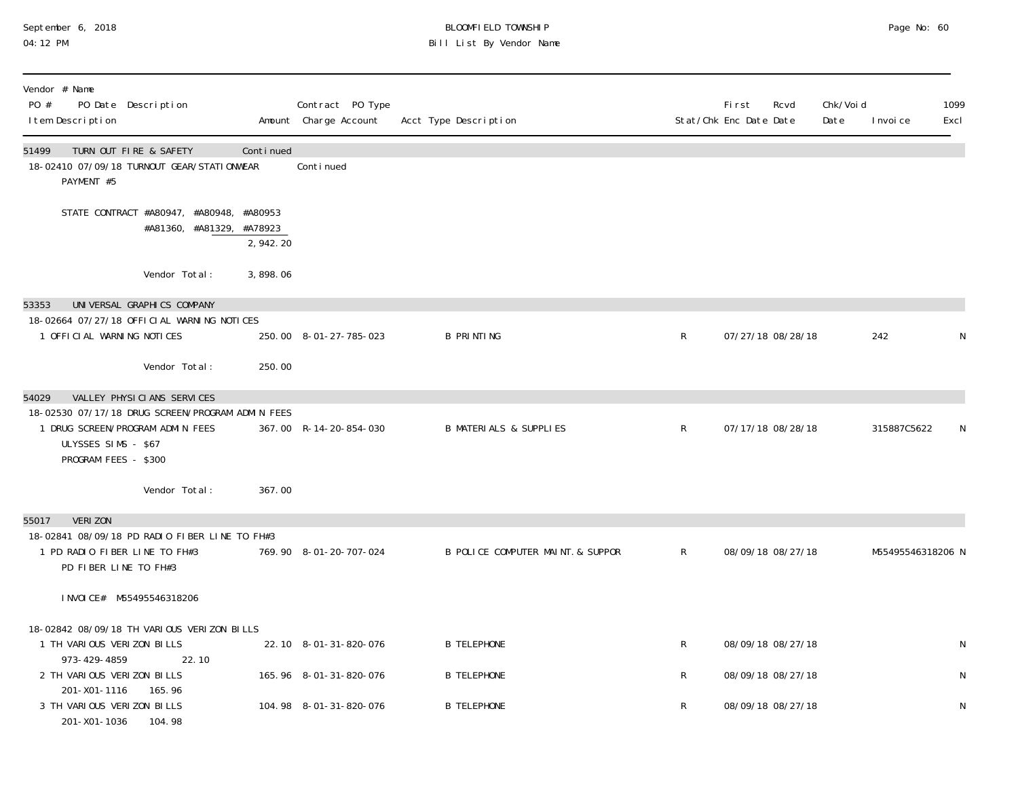## September 6, 2018 BLOOMFIELD TOWNSHIP Page No: 60 04:12 PM Bill List By Vendor Name

| Vendor # Name<br>PO #<br>PO Date Description<br>I tem Description                           |           | Contract PO Type<br>Amount Charge Account | Acct Type Description             |              | First<br>Rcvd<br>Stat/Chk Enc Date Date | Chk/Voi d<br>Date | I nvoi ce         | 1099<br>Excl |
|---------------------------------------------------------------------------------------------|-----------|-------------------------------------------|-----------------------------------|--------------|-----------------------------------------|-------------------|-------------------|--------------|
| 51499<br>TURN OUT FIRE & SAFETY<br>18-02410 07/09/18 TURNOUT GEAR/STATIONWEAR<br>PAYMENT #5 | Continued | Continued                                 |                                   |              |                                         |                   |                   |              |
| STATE CONTRACT #A80947, #A80948, #A80953<br>#A81360, #A81329, #A78923                       | 2,942.20  |                                           |                                   |              |                                         |                   |                   |              |
| Vendor Total:                                                                               | 3,898.06  |                                           |                                   |              |                                         |                   |                   |              |
| UNIVERSAL GRAPHICS COMPANY<br>53353                                                         |           |                                           |                                   |              |                                         |                   |                   |              |
| 18-02664 07/27/18 OFFICIAL WARNING NOTICES                                                  |           |                                           |                                   |              |                                         |                   |                   |              |
| 1 OFFICIAL WARNING NOTICES                                                                  |           | 250.00 8-01-27-785-023                    | <b>B PRINTING</b>                 | $\mathsf R$  | 07/27/18 08/28/18                       |                   | 242               | N            |
| Vendor Total:                                                                               | 250.00    |                                           |                                   |              |                                         |                   |                   |              |
| VALLEY PHYSICIANS SERVICES<br>54029                                                         |           |                                           |                                   |              |                                         |                   |                   |              |
| 18-02530 07/17/18 DRUG SCREEN/PROGRAM ADMIN FEES                                            |           |                                           |                                   |              |                                         |                   |                   |              |
| 1 DRUG SCREEN/PROGRAM ADMIN FEES<br>ULYSSES SIMS - \$67<br>PROGRAM FEES - \$300             |           | 367.00 R-14-20-854-030                    | <b>B MATERIALS &amp; SUPPLIES</b> | $\mathsf{R}$ | 07/17/18 08/28/18                       |                   | 315887C5622       | N.           |
| Vendor Total:                                                                               | 367.00    |                                           |                                   |              |                                         |                   |                   |              |
| <b>VERIZON</b><br>55017                                                                     |           |                                           |                                   |              |                                         |                   |                   |              |
| 18-02841 08/09/18 PD RADIO FIBER LINE TO FH#3                                               |           |                                           |                                   |              |                                         |                   |                   |              |
| 1 PD RADIO FIBER LINE TO FH#3<br>PD FIBER LINE TO FH#3                                      |           | 769.90 8-01-20-707-024                    | B POLICE COMPUTER MAINT. & SUPPOR | $\mathsf{R}$ | 08/09/18 08/27/18                       |                   | M55495546318206 N |              |
| I NVOI CE# M55495546318206                                                                  |           |                                           |                                   |              |                                         |                   |                   |              |
| 18-02842 08/09/18 TH VARIOUS VERIZON BILLS                                                  |           |                                           |                                   |              |                                         |                   |                   |              |
| 1 TH VARIOUS VERIZON BILLS                                                                  |           | 22.10 8-01-31-820-076                     | <b>B TELEPHONE</b>                | $\mathsf{R}$ | 08/09/18 08/27/18                       |                   |                   | N            |
| 973-429-4859<br>22.10                                                                       |           |                                           |                                   |              |                                         |                   |                   |              |
| 2 TH VARIOUS VERIZON BILLS<br>201-X01-1116<br>165.96                                        |           | 165.96 8-01-31-820-076                    | <b>B TELEPHONE</b>                | R            | 08/09/18 08/27/18                       |                   |                   | $\mathsf N$  |
| 3 TH VARIOUS VERIZON BILLS<br>201-X01-1036<br>104.98                                        |           | 104.98 8-01-31-820-076                    | <b>B TELEPHONE</b>                | $\mathsf{R}$ | 08/09/18 08/27/18                       |                   |                   | N            |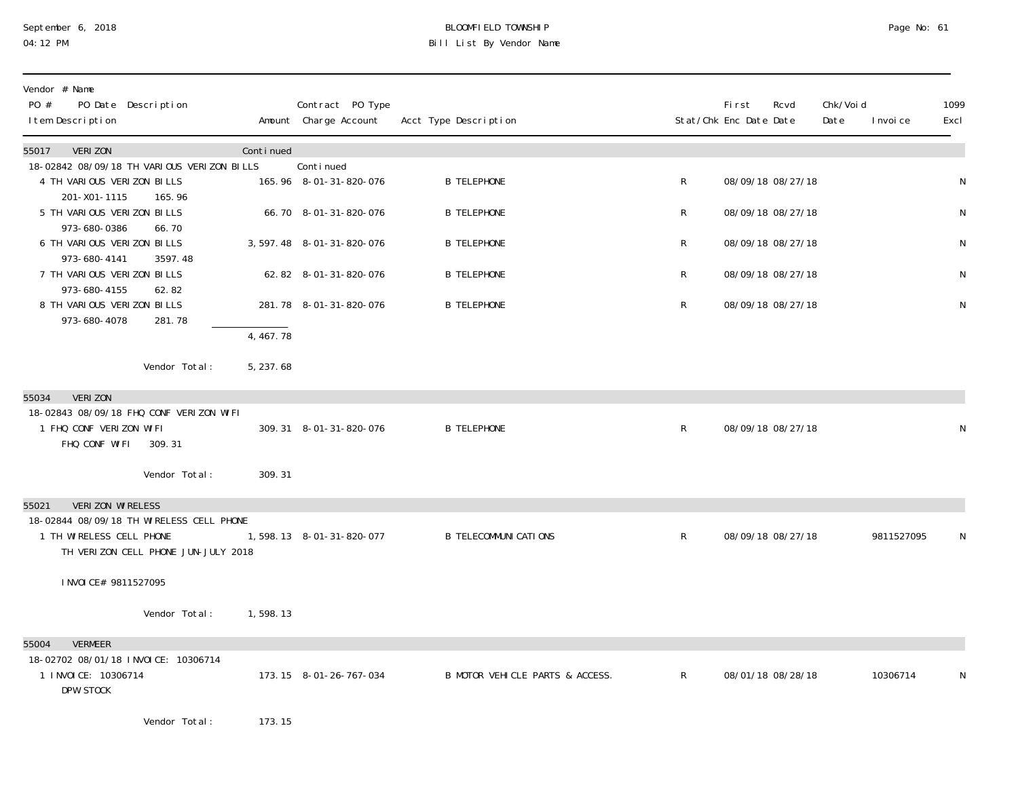# September 6, 2018 BLOOMFIELD TOWNSHIP Page No: 61 04:12 PM Bill List By Vendor Name

| Vendor # Name<br>PO #<br>PO Date Description<br>I tem Description                                                                        |           | Contract PO Type<br>Amount Charge Account | Acct Type Description           |              | <b>First</b><br>Stat/Chk Enc Date Date | Rcvd | Chk/Voi d<br>Date<br>I nvoi ce | 1099<br>Excl |
|------------------------------------------------------------------------------------------------------------------------------------------|-----------|-------------------------------------------|---------------------------------|--------------|----------------------------------------|------|--------------------------------|--------------|
| <b>VERIZON</b><br>55017                                                                                                                  | Continued |                                           |                                 |              |                                        |      |                                |              |
| 18-02842 08/09/18 TH VARIOUS VERIZON BILLS<br>4 TH VARIOUS VERIZON BILLS                                                                 |           | Continued<br>165.96 8-01-31-820-076       | <b>B TELEPHONE</b>              | R            | 08/09/18 08/27/18                      |      |                                | ${\sf N}$    |
| 201-X01-1115<br>165.96<br>5 TH VARIOUS VERIZON BILLS                                                                                     |           | 66.70 8-01-31-820-076                     | <b>B TELEPHONE</b>              | R            | 08/09/18 08/27/18                      |      |                                | N            |
| 973-680-0386<br>66.70<br>6 TH VARIOUS VERIZON BILLS                                                                                      |           | 3, 597. 48 8-01-31-820-076                | <b>B TELEPHONE</b>              | R            | 08/09/18 08/27/18                      |      |                                | ${\sf N}$    |
| 973-680-4141<br>3597.48<br>7 TH VARIOUS VERIZON BILLS                                                                                    |           | 62.82 8-01-31-820-076                     | <b>B TELEPHONE</b>              | R            | 08/09/18 08/27/18                      |      |                                | N            |
| 973-680-4155<br>62.82<br>8 TH VARIOUS VERIZON BILLS<br>281.78<br>973-680-4078                                                            |           | 281.78 8-01-31-820-076                    | <b>B TELEPHONE</b>              | $\mathsf R$  | 08/09/18 08/27/18                      |      |                                | ${\sf N}$    |
|                                                                                                                                          | 4,467.78  |                                           |                                 |              |                                        |      |                                |              |
| Vendor Total:                                                                                                                            | 5, 237.68 |                                           |                                 |              |                                        |      |                                |              |
| <b>VERIZON</b><br>55034<br>18-02843 08/09/18 FHQ CONF VERIZON WIFI<br>1 FHQ CONF VERIZON WIFI<br>FHQ CONF WIFI<br>309.31                 |           | 309.31 8-01-31-820-076                    | <b>B TELEPHONE</b>              | $\mathsf{R}$ | 08/09/18 08/27/18                      |      |                                | N            |
| Vendor Total:                                                                                                                            | 309.31    |                                           |                                 |              |                                        |      |                                |              |
| VERIZON WIRELESS<br>55021<br>18-02844 08/09/18 TH WIRELESS CELL PHONE<br>1 TH WIRELESS CELL PHONE<br>TH VERIZON CELL PHONE JUN-JULY 2018 |           | 1,598.13 8-01-31-820-077                  | <b>B TELECOMMUNICATIONS</b>     | $\mathsf{R}$ | 08/09/18 08/27/18                      |      | 9811527095                     | N            |
| I NVOI CE# 9811527095                                                                                                                    |           |                                           |                                 |              |                                        |      |                                |              |
| Vendor Total:                                                                                                                            | 1,598.13  |                                           |                                 |              |                                        |      |                                |              |
| <b>VERMEER</b><br>55004<br>18-02702 08/01/18 INVOICE: 10306714<br>1 INVOICE: 10306714<br>DPW STOCK                                       |           | 173.15 8-01-26-767-034                    | B MOTOR VEHICLE PARTS & ACCESS. | $\mathsf{R}$ | 08/01/18 08/28/18                      |      | 10306714                       | N            |
| Vendor Total:                                                                                                                            | 173.15    |                                           |                                 |              |                                        |      |                                |              |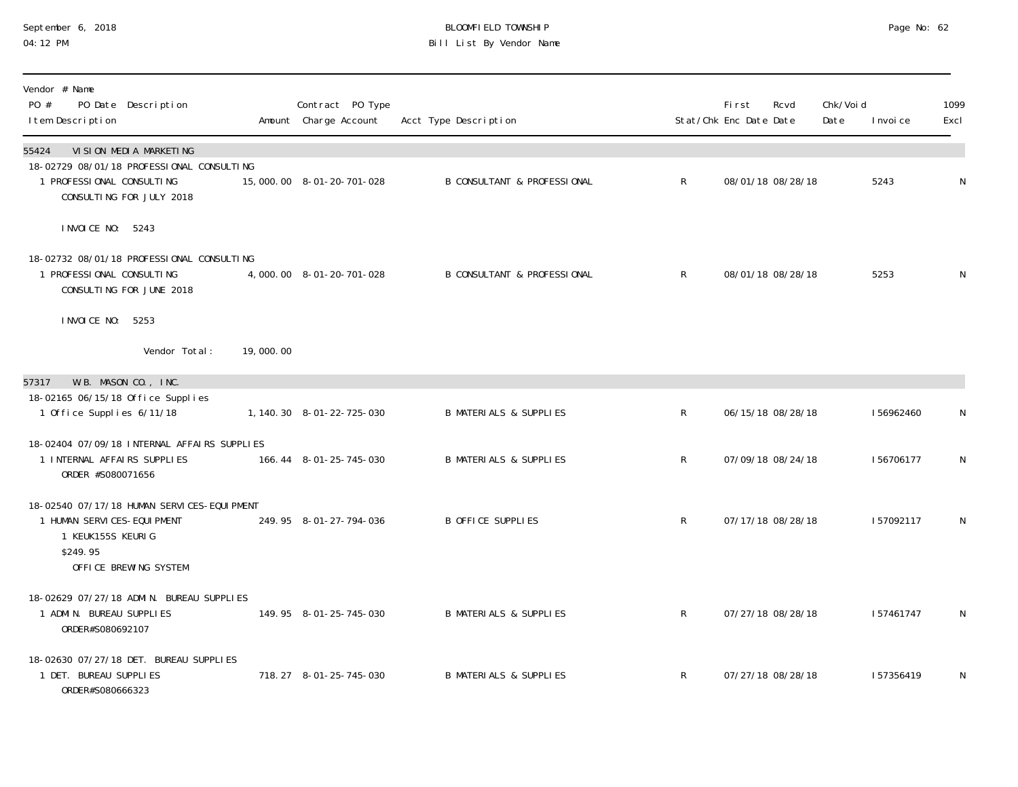#### September 6, 2018 BLOOMFIELD TOWNSHIP Page No: 62 04:12 PM Bill List By Vendor Name

| Vendor # Name<br>PO #<br>PO Date Description<br>I tem Description                                                                              |           | Contract PO Type<br>Amount Charge Account | Acct Type Description                  |                | <b>First</b><br>Stat/Chk Enc Date Date | Rcvd              | Chk/Voi d<br>Date | I nvoi ce | 1099<br>Excl |
|------------------------------------------------------------------------------------------------------------------------------------------------|-----------|-------------------------------------------|----------------------------------------|----------------|----------------------------------------|-------------------|-------------------|-----------|--------------|
| VI SI ON MEDI A MARKETI NG<br>55424<br>18-02729 08/01/18 PROFESSIONAL CONSULTING<br>1 PROFESSIONAL CONSULTING<br>CONSULTING FOR JULY 2018      |           | 15,000.00 8-01-20-701-028                 | <b>B CONSULTANT &amp; PROFESSIONAL</b> | $\mathsf{R}^-$ |                                        | 08/01/18 08/28/18 |                   | 5243      | N            |
| I NVOI CE NO: 5243<br>18-02732 08/01/18 PROFESSIONAL CONSULTING<br>1 PROFESSIONAL CONSULTING<br>CONSULTING FOR JUNE 2018<br>I NVOI CE NO: 5253 |           | 4,000.00 8-01-20-701-028                  | <b>B CONSULTANT &amp; PROFESSIONAL</b> | $\mathsf{R}$   |                                        | 08/01/18 08/28/18 |                   | 5253      | N            |
| Vendor Total:                                                                                                                                  | 19,000.00 |                                           |                                        |                |                                        |                   |                   |           |              |
| W.B. MASON CO., INC.<br>57317                                                                                                                  |           |                                           |                                        |                |                                        |                   |                   |           |              |
| 18-02165 06/15/18 Office Supplies<br>1 Office Supplies 6/11/18                                                                                 |           | 1, 140. 30 8-01-22-725-030                | <b>B MATERIALS &amp; SUPPLIES</b>      | R              |                                        | 06/15/18 08/28/18 |                   | 156962460 | N            |
| 18-02404 07/09/18 INTERNAL AFFAIRS SUPPLIES<br>1 INTERNAL AFFAIRS SUPPLIES<br>ORDER #S080071656                                                |           | 166.44 8-01-25-745-030                    | <b>B MATERIALS &amp; SUPPLIES</b>      | $\mathsf R$    |                                        | 07/09/18 08/24/18 |                   | 156706177 | N            |
| 18-02540 07/17/18 HUMAN SERVICES-EQUIPMENT<br>1 HUMAN SERVICES-EQUIPMENT<br>1 KEUK155S KEURIG<br>\$249.95<br>OFFICE BREWING SYSTEM             |           | 249.95 8-01-27-794-036                    | B OFFICE SUPPLIES                      | $\mathsf R$    |                                        | 07/17/18 08/28/18 |                   | 157092117 | N            |
| 18-02629 07/27/18 ADMIN. BUREAU SUPPLIES<br>1 ADMIN. BUREAU SUPPLIES<br>ORDER#S080692107                                                       |           | 149.95 8-01-25-745-030                    | <b>B MATERIALS &amp; SUPPLIES</b>      | $\mathsf{R}^-$ |                                        | 07/27/18 08/28/18 |                   | 157461747 | N            |
| 18-02630 07/27/18 DET. BUREAU SUPPLIES<br>1 DET. BUREAU SUPPLIES<br>ORDER#S080666323                                                           |           | 718.27 8-01-25-745-030                    | <b>B MATERIALS &amp; SUPPLIES</b>      | $\mathsf{R}$   |                                        | 07/27/18 08/28/18 |                   | 157356419 | N            |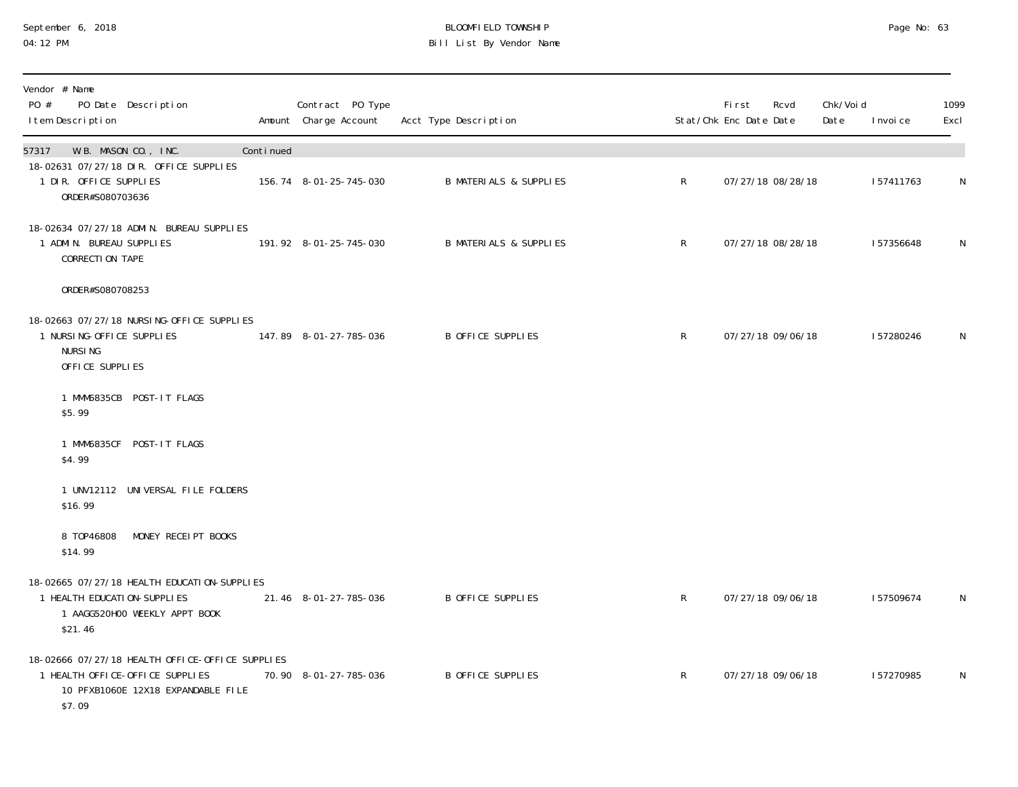#### September 6, 2018 BLOOMFIELD TOWNSHIP Page No: 63 04:12 PM Bill List By Vendor Name

| Vendor # Name<br>PO #<br>PO Date Description<br>I tem Description                                                                  |           | Contract PO Type<br>Amount Charge Account | Acct Type Description             |              | <b>First</b><br>Stat/Chk Enc Date Date | Rcvd              | Chk/Voi d<br>Date | I nvoi ce | 1099<br>Excl |
|------------------------------------------------------------------------------------------------------------------------------------|-----------|-------------------------------------------|-----------------------------------|--------------|----------------------------------------|-------------------|-------------------|-----------|--------------|
| W.B. MASON CO., INC.<br>57317                                                                                                      | Continued |                                           |                                   |              |                                        |                   |                   |           |              |
| 18-02631 07/27/18 DIR. OFFICE SUPPLIES<br>1 DIR. OFFICE SUPPLIES<br>ORDER#S080703636                                               |           | 156.74 8-01-25-745-030                    | <b>B MATERIALS &amp; SUPPLIES</b> | $\mathsf{R}$ |                                        | 07/27/18 08/28/18 |                   | 157411763 | $\mathsf N$  |
| 18-02634 07/27/18 ADMIN. BUREAU SUPPLIES<br>1 ADMIN. BUREAU SUPPLIES<br>CORRECTION TAPE                                            |           | 191.92 8-01-25-745-030                    | <b>B MATERIALS &amp; SUPPLIES</b> | $\mathsf{R}$ |                                        | 07/27/18 08/28/18 |                   | 157356648 | N            |
| ORDER#S080708253                                                                                                                   |           |                                           |                                   |              |                                        |                   |                   |           |              |
| 18-02663 07/27/18 NURSING-OFFICE SUPPLIES<br>1 NURSING-OFFICE SUPPLIES<br><b>NURSING</b><br>OFFICE SUPPLIES                        |           | 147.89 8-01-27-785-036                    | B OFFICE SUPPLIES                 | $\mathsf{R}$ |                                        | 07/27/18 09/06/18 |                   | 157280246 | N            |
| 1 MMM6835CB POST-IT FLAGS<br>\$5.99                                                                                                |           |                                           |                                   |              |                                        |                   |                   |           |              |
| 1 MMM6835CF POST-IT FLAGS<br>\$4.99                                                                                                |           |                                           |                                   |              |                                        |                   |                   |           |              |
| 1 UNV12112 UNIVERSAL FILE FOLDERS<br>\$16.99                                                                                       |           |                                           |                                   |              |                                        |                   |                   |           |              |
| 8 T0P46808<br>MONEY RECEIPT BOOKS<br>\$14.99                                                                                       |           |                                           |                                   |              |                                        |                   |                   |           |              |
| 18-02665 07/27/18 HEALTH EDUCATION-SUPPLIES<br>1 HEALTH EDUCATION-SUPPLIES<br>1 AAGG520H00 WEEKLY APPT BOOK<br>\$21.46             |           | 21.46 8-01-27-785-036                     | B OFFICE SUPPLIES                 | $\mathsf{R}$ |                                        | 07/27/18 09/06/18 |                   | 157509674 | N            |
| 18-02666 07/27/18 HEALTH OFFICE-OFFICE SUPPLIES<br>1 HEALTH OFFICE-OFFICE SUPPLIES<br>10 PFXB1060E 12X18 EXPANDABLE FILE<br>\$7.09 |           | 70.90 8-01-27-785-036                     | B OFFICE SUPPLIES                 | $\mathsf{R}$ |                                        | 07/27/18 09/06/18 |                   | 157270985 | N            |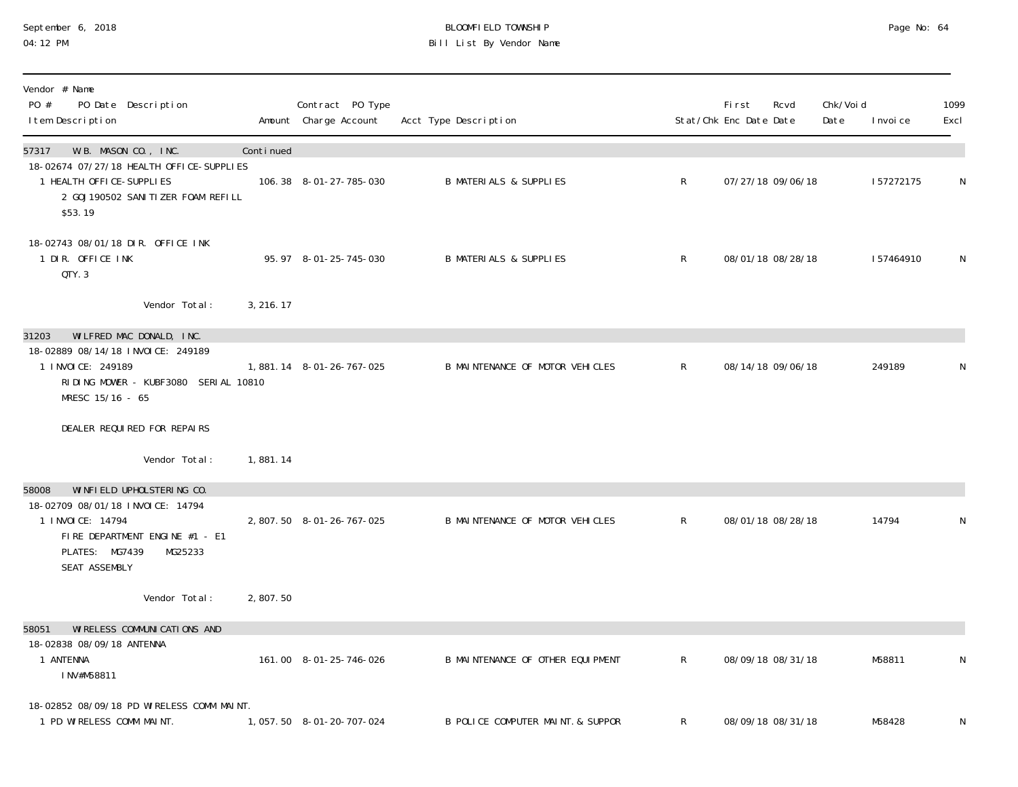#### September 6, 2018 BLOOMFIELD TOWNSHIP Page No: 64 04:12 PM Bill List By Vendor Name

| Vendor # Name<br>PO #<br>PO Date Description<br>I tem Description                                                                                                            |           | Contract PO Type<br>Amount Charge Account | Acct Type Description             |              | Fi rst<br>Stat/Chk Enc Date Date | Rcvd              | Chk/Voi d<br>Date | I nvoi ce | 1099<br>Excl |
|------------------------------------------------------------------------------------------------------------------------------------------------------------------------------|-----------|-------------------------------------------|-----------------------------------|--------------|----------------------------------|-------------------|-------------------|-----------|--------------|
| W.B. MASON CO., INC.<br>57317                                                                                                                                                | Continued |                                           |                                   |              |                                  |                   |                   |           |              |
| 18-02674 07/27/18 HEALTH OFFICE-SUPPLIES<br>1 HEALTH OFFICE-SUPPLIES<br>2 GOJ190502 SANITIZER FOAM REFILL<br>\$53.19                                                         |           | 106.38 8-01-27-785-030                    | <b>B MATERIALS &amp; SUPPLIES</b> | $\mathsf{R}$ | 07/27/18 09/06/18                |                   |                   | 157272175 | N            |
| 18-02743 08/01/18 DIR. OFFICE INK<br>1 DIR. OFFICE INK<br>QTY.3                                                                                                              |           | 95.97 8-01-25-745-030                     | <b>B MATERIALS &amp; SUPPLIES</b> | $\mathsf{R}$ | 08/01/18 08/28/18                |                   |                   | 157464910 | N            |
| Vendor Total:                                                                                                                                                                | 3, 216.17 |                                           |                                   |              |                                  |                   |                   |           |              |
| WILFRED MAC DONALD, INC.<br>31203                                                                                                                                            |           |                                           |                                   |              |                                  |                   |                   |           |              |
| 18-02889 08/14/18 INVOICE: 249189<br>1 I NVOI CE: 249189<br>RIDING MOWER - KUBF3080 SERIAL 10810<br>MRESC 15/16 - 65                                                         |           | 1,881.14 8-01-26-767-025                  | B MAINTENANCE OF MOTOR VEHICLES   | $\mathsf{R}$ | 08/14/18 09/06/18                |                   |                   | 249189    | N            |
| DEALER REQUIRED FOR REPAIRS                                                                                                                                                  |           |                                           |                                   |              |                                  |                   |                   |           |              |
| Vendor Total:                                                                                                                                                                | 1,881.14  |                                           |                                   |              |                                  |                   |                   |           |              |
| WINFIELD UPHOLSTERING CO.<br>58008<br>18-02709 08/01/18 INVOICE: 14794<br>1 I NVOI CE: 14794<br>FIRE DEPARTMENT ENGINE #1 - E1<br>PLATES: MG7439<br>MG25233<br>SEAT ASSEMBLY |           | 2,807.50 8-01-26-767-025                  | B MAINTENANCE OF MOTOR VEHICLES   | $\mathsf{R}$ | 08/01/18 08/28/18                |                   |                   | 14794     | N            |
| Vendor Total:                                                                                                                                                                | 2,807.50  |                                           |                                   |              |                                  |                   |                   |           |              |
| WI RELESS COMMUNI CATIONS AND<br>58051                                                                                                                                       |           |                                           |                                   |              |                                  |                   |                   |           |              |
| 18-02838 08/09/18 ANTENNA<br>1 ANTENNA<br>INV#M58811                                                                                                                         |           | 161.00 8-01-25-746-026                    | B MAINTENANCE OF OTHER EQUIPMENT  | $\mathsf{R}$ | 08/09/18 08/31/18                |                   |                   | M58811    | N            |
| 18-02852 08/09/18 PD WIRELESS COMM MAINT.<br>1 PD WIRELESS COMM MAINT.                                                                                                       |           | 1, 057.50 8-01-20-707-024                 | B POLICE COMPUTER MAINT. & SUPPOR | R            |                                  | 08/09/18 08/31/18 |                   | M58428    | N            |
|                                                                                                                                                                              |           |                                           |                                   |              |                                  |                   |                   |           |              |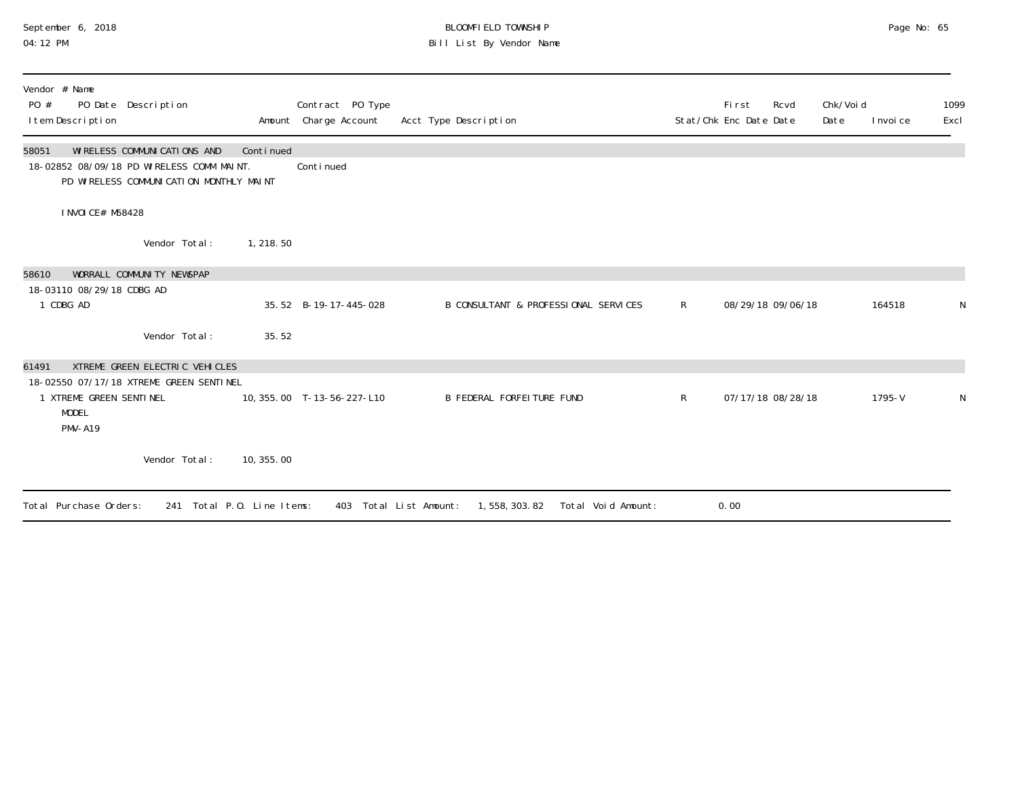## September 6, 2018 BLOOMFIELD TOWNSHIP Page No: 65 04:12 PM Bill List By Vendor Name

| Vendor # Name<br>PO #<br>PO Date Description<br>I tem Description                                                               |                            |            | Contract PO Type<br>Amount Charge Account | Acct Type Description                                           |              | Fi rst<br>Stat/Chk Enc Date Date | Rcvd              | Chk/Voi d<br>Date | I nvoi ce  | 1099<br>Excl |
|---------------------------------------------------------------------------------------------------------------------------------|----------------------------|------------|-------------------------------------------|-----------------------------------------------------------------|--------------|----------------------------------|-------------------|-------------------|------------|--------------|
| WI RELESS COMMUNI CATI ONS AND<br>58051<br>18-02852 08/09/18 PD WIRELESS COMM MAINT.<br>PD WIRELESS COMMUNICATION MONTHLY MAINT |                            | Continued  | Continued                                 |                                                                 |              |                                  |                   |                   |            |              |
| I NVOI CE# M58428                                                                                                               |                            |            |                                           |                                                                 |              |                                  |                   |                   |            |              |
|                                                                                                                                 | Vendor Total:              | 1, 218.50  |                                           |                                                                 |              |                                  |                   |                   |            |              |
| WORRALL COMMUNITY NEWSPAP<br>58610                                                                                              |                            |            |                                           |                                                                 |              |                                  |                   |                   |            |              |
| 18-03110 08/29/18 CDBG AD<br>1 CDBG AD                                                                                          |                            |            | 35.52 B-19-17-445-028                     | B CONSULTANT & PROFESSIONAL SERVICES                            | $\mathsf{R}$ |                                  | 08/29/18 09/06/18 |                   | 164518     |              |
|                                                                                                                                 | Vendor Total:              | 35.52      |                                           |                                                                 |              |                                  |                   |                   |            |              |
| XTREME GREEN ELECTRIC VEHICLES<br>61491                                                                                         |                            |            |                                           |                                                                 |              |                                  |                   |                   |            |              |
| 18-02550 07/17/18 XTREME GREEN SENTINEL<br>1 XTREME GREEN SENTINEL<br><b>MODEL</b><br><b>PMV-A19</b>                            |                            |            | 10, 355.00 T-13-56-227-L10                | B FEDERAL FORFEITURE FUND                                       | R            |                                  | 07/17/18 08/28/18 |                   | $1795 - V$ |              |
|                                                                                                                                 | Vendor Total:              | 10, 355.00 |                                           |                                                                 |              |                                  |                   |                   |            |              |
| Total Purchase Orders:                                                                                                          | 241 Total P.O. Line Items: |            |                                           | 1, 558, 303. 82<br>403 Total List Amount:<br>Total Void Amount: |              | 0.00                             |                   |                   |            |              |